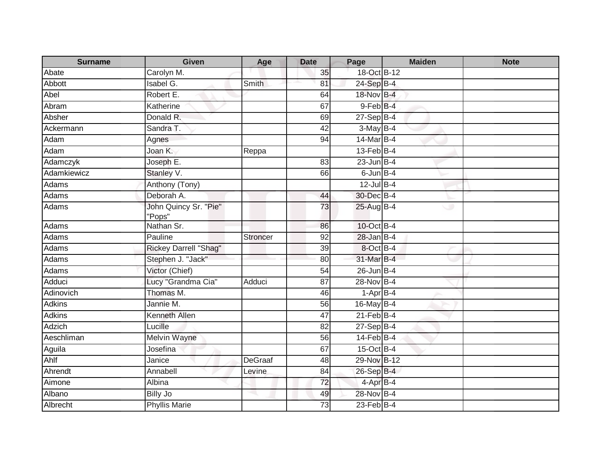| <b>Surname</b> | <b>Given</b>                    | Age             | <b>Date</b>     | Page                  | <b>Maiden</b> | <b>Note</b> |
|----------------|---------------------------------|-----------------|-----------------|-----------------------|---------------|-------------|
| Abate          | Carolyn M.                      |                 | 35              | 18-Oct B-12           |               |             |
| Abbott         | <b>Isabel G.</b>                | Smith           | 81              | 24-Sep B-4            |               |             |
| Abel           | Robert E.                       |                 | 64              | 18-Nov B-4            |               |             |
| Abram          | Katherine                       |                 | 67              | 9-Feb B-4             |               |             |
| Absher         | Donald R.                       |                 | 69              | $27 - SepB-4$         |               |             |
| Ackermann      | Sandra T.                       |                 | 42              | $3-May$ B-4           |               |             |
| Adam           | Agnes                           |                 | 94              | 14-Mar B-4            |               |             |
| Adam           | Joan K.                         | Reppa           |                 | $13$ -Feb $B-4$       |               |             |
| Adamczyk       | Joseph E.                       |                 | 83              | $23$ -Jun $B-4$       |               |             |
| Adamkiewicz    | Stanley V.                      |                 | 66              | $6$ -Jun $B-4$        |               |             |
| Adams          | Anthony (Tony)                  |                 |                 | $12$ -Jul B-4         |               |             |
| Adams          | Deborah A.                      |                 | 44              | 30-Dec B-4            |               |             |
| Adams          | John Quincy Sr. "Pie"<br>"Pops" |                 | 73              | $25$ -Aug $B-4$       | ی             |             |
| Adams          | Nathan Sr.                      |                 | 86              | 10-Oct B-4            |               |             |
| Adams          | Pauline                         | <b>Stroncer</b> | 92              | 28-Jan B-4            |               |             |
| Adams          | <b>Rickey Darrell "Shag"</b>    |                 | 39              | $8$ -Oct $B$ -4       |               |             |
| Adams          | Stephen J. "Jack"               |                 | 80              | 31-Mar B-4            |               |             |
| Adams          | Victor (Chief)                  |                 | 54              | $26$ -Jun $B-4$       |               |             |
| Adduci         | Lucy "Grandma Cia"              | Adduci          | 87              | 28-Nov B-4            |               |             |
| Adinovich      | Thomas M.                       |                 | 46              | $1-Apr\overline{B-4}$ |               |             |
| <b>Adkins</b>  | Jannie M.                       |                 | 56              | 16-May B-4            |               |             |
| <b>Adkins</b>  | Kenneth Allen                   |                 | $\overline{47}$ | $21$ -Feb $ B-4 $     |               |             |
| Adzich         | Lucille                         |                 | 82              | $27 - SepB-4$         |               |             |
| Aeschliman     | <b>Melvin Wayne</b>             |                 | 56              | $14$ -Feb $B$ -4      |               |             |
| Aguila         | Josefina                        |                 | 67              | $15$ -Oct B-4         |               |             |
| Ahlf           | Janice                          | <b>DeGraaf</b>  | 48              | 29-Nov B-12           |               |             |
| Ahrendt        | Annabell                        | Levine          | 84              | 26-Sep B-4            |               |             |
| Aimone         | Albina                          |                 | $\overline{72}$ | $4-AprB-4$            |               |             |
| Albano         | <b>Billy Jo</b>                 |                 | 49              | 28-Nov B-4            |               |             |
| Albrecht       | <b>Phyllis Marie</b>            |                 | 73              | 23-Feb $ B-4 $        |               |             |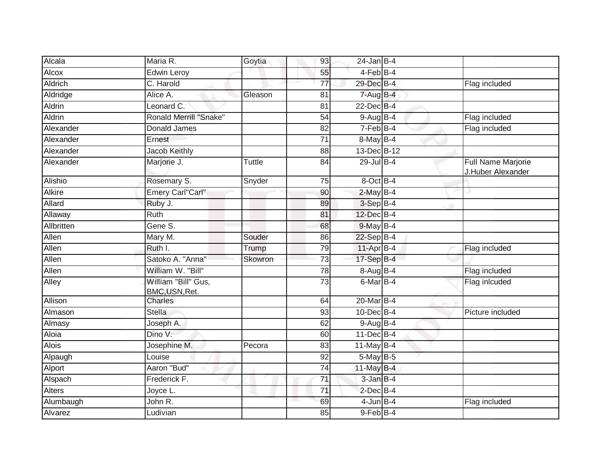| Alcala        | Maria R.                              | Goytia  | 93              | $24$ -Jan B-4   |                                                |
|---------------|---------------------------------------|---------|-----------------|-----------------|------------------------------------------------|
| <b>Alcox</b>  | <b>Edwin Leroy</b>                    |         | 55              | 4-Feb B-4       |                                                |
| Aldrich       | C. Harold                             |         | $\overline{77}$ | 29-Dec B-4      | Flag included                                  |
| Aldridge      | Alice A.                              | Gleason | 81              | 7-Aug B-4       |                                                |
| <b>Aldrin</b> | Leonard C.                            |         | $\overline{81}$ | 22-Dec B-4      |                                                |
| Aldrin        | <b>Ronald Merrill "Snake"</b>         |         | 54              | $9-AugB-4$      | Flag included                                  |
| Alexander     | Donald James                          |         | 82              | 7-Feb B-4       | Flag included                                  |
| Alexander     | Ernest                                |         | $\overline{71}$ | $8$ -May $B-4$  |                                                |
| Alexander     | Jacob Keithly                         |         | 88              | 13-Dec B-12     |                                                |
| Alexander     | Marjorie J.                           | Tuttle  | $\overline{84}$ | 29-Jul B-4      | <b>Full Name Marjorie</b><br>J.Huber Alexander |
| Alishio       | Rosemary S.                           | Snyder  | 75              | 8-Oct B-4       |                                                |
| <b>Alkire</b> | Emery Carl"Carl"                      |         | 90              | $2$ -May $B-4$  |                                                |
| <b>Allard</b> | Ruby J.                               |         | 89              | $3-Sep$ B-4     |                                                |
| Allaway       | Ruth                                  |         | 81              | $12$ -Dec $B-4$ |                                                |
| Allbritten    | Gene S.                               |         | $\overline{68}$ | $9$ -May $B-4$  |                                                |
| Allen         | Mary M.                               | Souder  | 86              | 22-Sep B-4      |                                                |
| Allen         | Ruth I.                               | Trump   | 79              | $11-Apr$ B-4    | Flag included                                  |
| Allen         | Satoko A. "Anna"                      | Skowron | 73              | 17-Sep B-4      |                                                |
| Allen         | William W. "Bill"                     |         | 78              | $8-Aug$ B-4     | Flag included                                  |
| Alley         | William "Bill" Gus,<br>BMC, USN, Ret. |         | $\overline{73}$ | $6$ -Mar $B-4$  | Flag inlcuded                                  |
| Allison       | Charles                               |         | 64              | 20-Mar B-4      |                                                |
| Almason       | Stella                                |         | 93              | $10$ -Dec $B-4$ | Picture included                               |
| Almasy        | Joseph A.                             |         | 62              | $9-AugB-4$      |                                                |
| Aloia         | Dino V.                               |         | 60              | 11-Dec B-4      |                                                |
| <b>Alois</b>  | Josephine M.                          | Pecora  | $\overline{83}$ | $11$ -May B-4   |                                                |
| Alpaugh       | Louise                                |         | 92              | 5-May B-5       |                                                |
| Alport        | Aaron "Bud"                           |         | $\overline{74}$ | 11-May B-4      |                                                |
| Alspach       | Frederick F.                          |         | 71              | $3 - JanB - 4$  |                                                |
| <b>Alters</b> | Joyce L.                              |         | $\overline{71}$ | $2$ -Dec $B-4$  |                                                |
| Alumbaugh     | John R.                               |         | 69              | $4$ -Jun $B-4$  | Flag included                                  |
| Alvarez       | Ludivian                              |         | 85              | 9-Feb B-4       |                                                |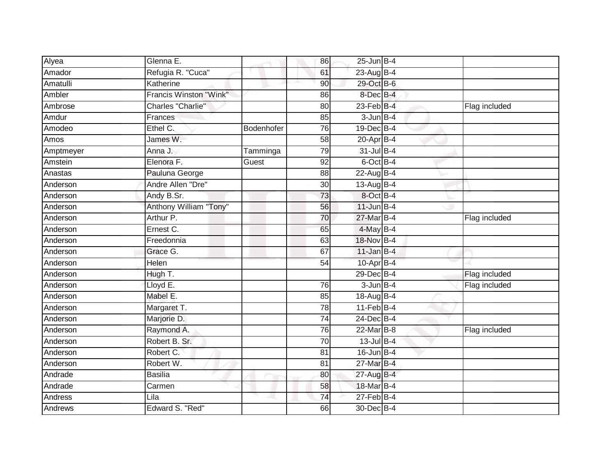| Alyea          | Glenna E.              |            | 86              | $25$ -Jun $B-4$   |               |
|----------------|------------------------|------------|-----------------|-------------------|---------------|
| Amador         | Refugia R. "Cuca"      |            | 61              | $23$ -Aug B-4     |               |
| Amatulli       | Katherine              |            | 90              | 29-Oct B-6        |               |
| Ambler         | Francis Winston "Wink" |            | 86              | 8-Dec B-4         |               |
| Ambrose        | Charles "Charlie"      |            | 80              | $23$ -Feb $B-4$   | Flag included |
| Amdur          | Frances                |            | 85              | $3$ -Jun $B-4$    |               |
| Amodeo         | Ethel C.               | Bodenhofer | 76              | 19-Dec B-4        |               |
| Amos           | James W.               |            | 58              | $20$ -Apr $B$ -4  |               |
| Amptmeyer      | Anna J.                | Tamminga   | $\overline{79}$ | $31$ -Jul B-4     |               |
| Amstein        | Elenora F.             | Guest      | 92              | 6-Oct B-4         |               |
| Anastas        | Pauluna George         |            | 88              | $22$ -Aug $B-4$   |               |
| Anderson       | Andre Allen "Dre"      |            | 30              | 13-Aug $ B-4 $    |               |
| Anderson       | Andy B.Sr.             |            | 73              | 8-Oct B-4         |               |
| Anderson       | Anthony William "Tony" |            | 56              | $11$ -Jun B-4     |               |
| Anderson       | Arthur P.              |            | 70              | $27$ -Mar $B-4$   | Flag included |
| Anderson       | Ernest C.              |            | 65              | $4$ -May B-4      |               |
| Anderson       | Freedonnia             |            | 63              | 18-Nov B-4        |               |
| Anderson       | Grace G.               |            | 67              | $11$ -Jan B-4     |               |
| Anderson       | Helen                  |            | 54              | $10$ -Apr $B$ -4  |               |
| Anderson       | Hugh T.                |            |                 | 29-Dec B-4        | Flag included |
| Anderson       | Lloyd E.               |            | 76              | $3$ -Jun $B$ -4   | Flag included |
| Anderson       | Mabel E.               |            | $\overline{85}$ | $18-Aug$ B-4      |               |
| Anderson       | Margaret T.            |            | 78              | $11-Feb$ B-4      |               |
| Anderson       | Marjorie D.            |            | 74              | 24-Dec B-4        |               |
| Anderson       | Raymond A.             |            | 76              | 22-Mar B-8        | Flag included |
| Anderson       | Robert B. Sr.          |            | $\overline{70}$ | $13$ -Jul B-4     |               |
| Anderson       | Robert C.              |            | $\overline{81}$ | $16$ -Jun $B-4$   |               |
| Anderson       | Robert W.              |            | 81              | 27-Mar B-4        |               |
| Andrade        | <b>Basilia</b>         |            | 80              | 27-Aug B-4        |               |
| Andrade        | Carmen                 |            | 58              | 18-Mar B-4        |               |
| Andress        | Lila                   |            | 74              | $27$ -Feb $ B-4 $ |               |
| <b>Andrews</b> | Edward S. "Red"        |            | 66              | 30-Dec B-4        |               |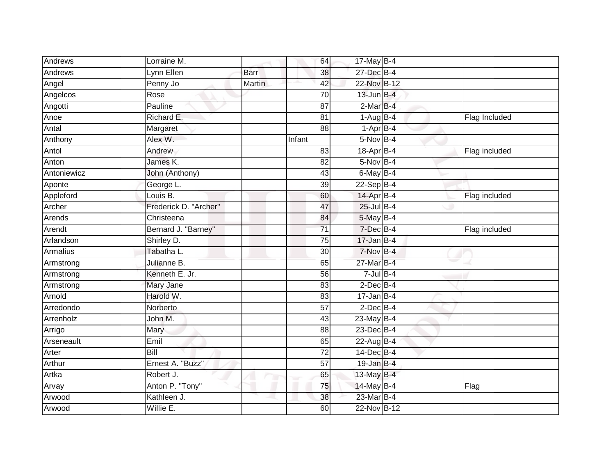| Andrews     | Lorraine M.           |             | 64              | $17$ -May B-4          |               |
|-------------|-----------------------|-------------|-----------------|------------------------|---------------|
| Andrews     | Lynn Ellen            | <b>Barr</b> | 38              | 27-Dec B-4             |               |
| Angel       | Penny Jo              | Martin      | 42              | 22-Nov B-12            |               |
| Angelcos    | Rose                  |             | 70              | 13-Jun B-4             |               |
| Angotti     | Pauline               |             | $\overline{87}$ | 2-Mar B-4              |               |
| Anoe        | Richard E.            |             | 81              | $1-AugB-4$             | Flag Included |
| Antal       | Margaret              |             | 88              | $1-\overline{Apr}$ B-4 |               |
| Anthony     | Alex W.               |             | Infant          | $5-NovB-4$             |               |
| Antol       | Andrew                |             | 83              | 18-Apr B-4             | Flag included |
| Anton       | James K.              |             | 82              | 5-Nov B-4              |               |
| Antoniewicz | John (Anthony)        |             | $\overline{43}$ | $6$ -May $B-4$         |               |
| Aponte      | George L.             |             | 39              | $22-SepB-4$            |               |
| Appleford   | Louis B.              |             | 60              | 14-Apr B-4             | Flag included |
| Archer      | Frederick D. "Archer" |             | 47              | $25$ -Jul $B-4$        |               |
| Arends      | Christeena            |             | 84              | $5$ -May $B-4$         |               |
| Arendt      | Bernard J. "Barney"   |             | $\overline{71}$ | $7$ -Dec $B-4$         | Flag included |
| Arlandson   | Shirley D.            |             | $\overline{75}$ | $17 - Jan$ B-4         |               |
| Armalius    | Tabatha L.            |             | 30 <sup>°</sup> | $7-Nov$ B-4            |               |
| Armstrong   | Julianne B.           |             | 65              | $27$ -Mar B-4          |               |
| Armstrong   | Kenneth E. Jr.        |             | $\overline{56}$ | $7 -$ Jul B-4          |               |
| Armstrong   | Mary Jane             |             | 83              | $2$ -Dec $B-4$         |               |
| Arnold      | Harold W.             |             | $\overline{83}$ | $17 - Jan$ B-4         |               |
| Arredondo   | Norberto              |             | $\overline{57}$ | $2$ -Dec $B-4$         |               |
| Arrenholz   | John M.               |             | 43              | 23-May B-4             |               |
| Arrigo      | Mary                  |             | 88              | 23-Dec B-4             |               |
| Arseneault  | Emil                  |             | 65              | 22-Aug B-4             |               |
| Arter       | Bill                  |             | $\overline{72}$ | 14-Dec B-4             |               |
| Arthur      | Ernest A. "Buzz"      |             | $\overline{57}$ | $19$ -Jan B-4          |               |
| Artka       | Robert J.             |             | 65              | 13-May B-4             |               |
| Arvay       | Anton P. "Tony"       |             | 75              | 14-May B-4             | Flag          |
| Arwood      | Kathleen J.           |             | 38              | $23$ -Mar $B-4$        |               |
| Arwood      | Willie E.             |             | 60              | 22-Nov B-12            |               |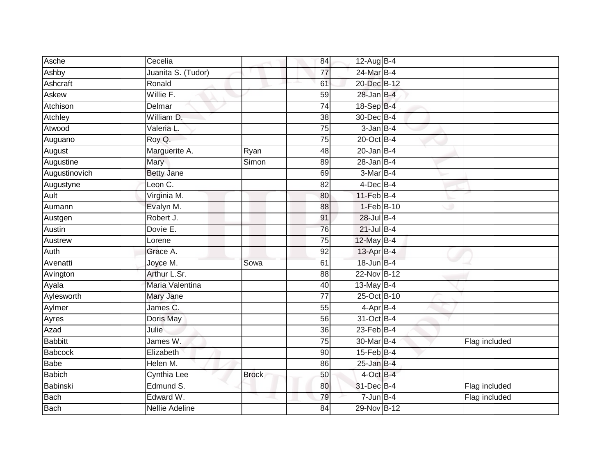| Asche          | $\overline{C}$ ecelia |              | 84              | $12-AugB-4$       |               |
|----------------|-----------------------|--------------|-----------------|-------------------|---------------|
| Ashby          | Juanita S. (Tudor)    |              | $\overline{77}$ | $24$ -Mar $B-4$   |               |
| Ashcraft       | Ronald                |              | 61              | 20-Dec B-12       |               |
| Askew          | Willie F.             |              | 59              | $28$ -Jan B-4     |               |
| Atchison       | Delmar                |              | 74              | 18-Sep B-4        |               |
| Atchley        | William D.            |              | 38              | 30-Dec B-4        |               |
| Atwood         | Valeria L.            |              | 75              | $3$ -Jan $B-4$    |               |
| Auguano        | Roy Q.                |              | 75              | $20$ -Oct B-4     |               |
| August         | Marguerite A.         | Ryan         | 48              | $20$ -Jan B-4     |               |
| Augustine      | Mary                  | Simon        | 89              | $28 - Jan$ B-4    |               |
| Augustinovich  | <b>Betty Jane</b>     |              | 69              | 3-Mar B-4         |               |
| Augustyne      | Leon $C$ .            |              | 82              | $4$ -Dec $B-4$    |               |
| Ault           | Virginia M.           |              | 80              | $11-FebB-4$       |               |
| Aumann         | Evalyn M.             |              | 88              | $1-FebB-10$       |               |
| Austgen        | Robert J.             |              | 91              | 28-Jul B-4        |               |
| Austin         | Dovie E.              |              | 76              | $21$ -Jul B-4     |               |
| Austrew        | Lorene                |              | 75              | $12$ -May B-4     |               |
| Auth           | Grace A.              |              | 92              | $13$ -Apr $B$ -4  |               |
| Avenatti       | Joyce M.              | Sowa         | 61              | $18$ -Jun $B-4$   |               |
| Avington       | Arthur L.Sr.          |              | 88              | 22-Nov B-12       |               |
| Ayala          | Maria Valentina       |              | 40              | 13-May $B-4$      |               |
| Aylesworth     | Mary Jane             |              | $\overline{77}$ | 25-Oct B-10       |               |
| Aylmer         | James C.              |              | 55              | $4$ -Apr $B$ -4   |               |
| Ayres          | Doris May             |              | 56              | 31-Oct B-4        |               |
| Azad           | Julie                 |              | 36              | $23$ -Feb $ B-4 $ |               |
| <b>Babbitt</b> | James W.              |              | $\overline{75}$ | 30-Mar B-4        | Flag included |
| <b>Babcock</b> | Elizabeth             |              | 90              | $15$ -Feb $B$ -4  |               |
| Babe           | Helen M.              |              | 86              | $25$ -Jan B-4     |               |
| <b>Babich</b>  | <b>Cynthia Lee</b>    | <b>Brock</b> | 50              | $4$ -Oct B-4      |               |
| Babinski       | Edmund S.             |              | 80              | 31-Dec B-4        | Flag included |
| <b>Bach</b>    | Edward W.             |              | 79              | $7$ -Jun $B-4$    | Flag included |
| <b>Bach</b>    | Nellie Adeline        |              | 84              | 29-Nov B-12       |               |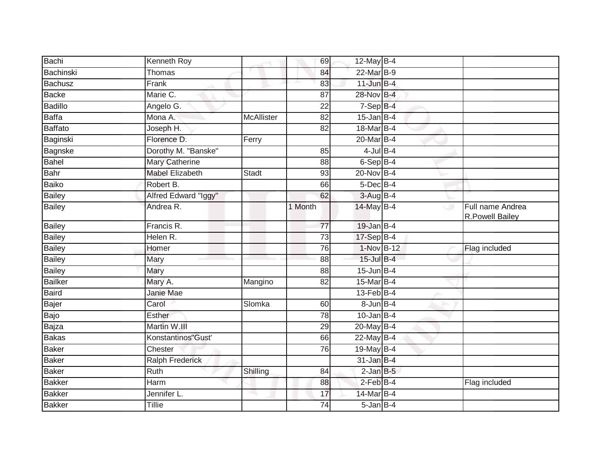| Bachi          | Kenneth Roy            |                   | 69              | 12-May $B-4$     |   |                                     |
|----------------|------------------------|-------------------|-----------------|------------------|---|-------------------------------------|
| Bachinski      | Thomas                 |                   | 84              | $22$ -Mar $B-9$  |   |                                     |
| <b>Bachusz</b> | Frank                  |                   | 83              | $11$ -Jun B-4    |   |                                     |
| <b>Backe</b>   | Marie C.               |                   | $\overline{87}$ | 28-Nov B-4       |   |                                     |
| <b>Badillo</b> | Angelo G.              |                   | $\overline{22}$ | 7-Sep B-4        |   |                                     |
| <b>Baffa</b>   | Mona A.                | <b>McAllister</b> | $\overline{82}$ | $15$ -Jan B-4    |   |                                     |
| <b>Baffato</b> | Joseph H.              |                   | 82              | 18-Mar B-4       |   |                                     |
| Baginski       | Florence D.            | Ferry             |                 | 20-Mar B-4       |   |                                     |
| Bagnske        | Dorothy M. "Banske"    |                   | 85              | $4$ -Jul B-4     |   |                                     |
| <b>Bahel</b>   | <b>Mary Catherine</b>  |                   | 88              | $6-Sep$ B-4      |   |                                     |
| Bahr           | <b>Mabel Elizabeth</b> | <b>Stadt</b>      | 93              | 20-Nov B-4       |   |                                     |
| Baiko          | Robert B.              |                   | 66              | $5$ -Dec $B$ -4  |   |                                     |
| <b>Bailey</b>  | Alfred Edward "Iggy"   |                   | 62              | 3-Aug B-4        |   |                                     |
| <b>Bailey</b>  | Andrea R.              |                   | 1 Month         | 14-May B-4       | ت | Full name Andrea<br>R.Powell Bailey |
| <b>Bailey</b>  | Francis R.             |                   | $\overline{77}$ | $19$ -Jan B-4    |   |                                     |
| <b>Bailey</b>  | Helen R.               |                   | 73              | 17-Sep B-4       |   |                                     |
| <b>Bailey</b>  | Homer                  |                   | 76              | 1-Nov B-12       |   | Flag included                       |
| <b>Bailey</b>  | Mary                   |                   | 88              | 15-Jul B-4       |   |                                     |
| <b>Bailey</b>  | Mary                   |                   | 88              | $15$ -Jun $B-4$  |   |                                     |
| <b>Bailker</b> | Mary A.                | Mangino           | $\overline{82}$ | $15$ -Mar $B-4$  |   |                                     |
| <b>Baird</b>   | Janie Mae              |                   |                 | $13$ -Feb $B$ -4 |   |                                     |
| Bajer          | Carol                  | Slomka            | 60              | $8$ -Jun $B$ -4  |   |                                     |
| Bajo           | Esther                 |                   | $\overline{78}$ | $10$ -Jan B-4    |   |                                     |
| Bajza          | Martin W.III           |                   | 29              | 20-May B-4       |   |                                     |
| <b>Bakas</b>   | Konstantinos"Gust'     |                   | 66              | $22$ -May B-4    |   |                                     |
| <b>Baker</b>   | Chester                |                   | 76              | 19-May B-4       |   |                                     |
| <b>Baker</b>   | <b>Ralph Frederick</b> |                   |                 | $31$ -Jan $B-4$  |   |                                     |
| <b>Baker</b>   | Ruth                   | Shilling          | 84              | $2$ -Jan $B$ -5  |   |                                     |
| <b>Bakker</b>  | Harm                   |                   | 88              | $2$ -Feb $B$ -4  |   | Flag included                       |
| <b>Bakker</b>  | Jennifer L.            |                   | 17              | 14-Mar B-4       |   |                                     |
| <b>Bakker</b>  | Tillie                 |                   | 74              | $5$ -Jan $B$ -4  |   |                                     |
|                |                        |                   |                 |                  |   |                                     |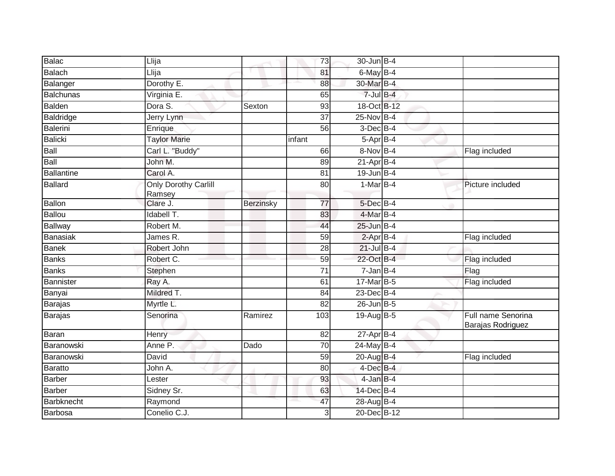| Balac             | Llija                                 |                  | 73              | $30 - Jun$ B-4  |                                         |
|-------------------|---------------------------------------|------------------|-----------------|-----------------|-----------------------------------------|
| <b>Balach</b>     | Llija                                 |                  | 81              | 6-May B-4       |                                         |
| Balanger          | Dorothy E.                            |                  | 88              | 30-Mar B-4      |                                         |
| <b>Balchunas</b>  | Virginia E.                           |                  | 65              | $7$ -Jul $B-4$  |                                         |
| <b>Balden</b>     | Dora S.                               | Sexton           | $\overline{93}$ | 18-Oct B-12     |                                         |
| Baldridge         | Jerry Lynn                            |                  | $\overline{37}$ | 25-Nov B-4      |                                         |
| Balerini          | Enrique                               |                  | 56              | $3$ -Dec $B$ -4 |                                         |
| <b>Balicki</b>    | <b>Taylor Marie</b>                   |                  | infant          | $5-AprB-4$      |                                         |
| Ball              | Carl L. "Buddy"                       |                  | 66              | $8-Nov$ B-4     | Flag included                           |
| Ball              | John M.                               |                  | 89              | $21$ -Apr $B-4$ |                                         |
| <b>Ballantine</b> | Carol A.                              |                  | 81              | $19$ -Jun $B-4$ |                                         |
| <b>Ballard</b>    | <b>Only Dorothy Carlill</b><br>Ramsey |                  | 80              | $1-Mar$ B-4     | Picture included                        |
| Ballon            | Clare J.                              | <b>Berzinsky</b> | $\overline{77}$ | $5$ -Dec $B$ -4 |                                         |
| <b>Ballou</b>     | Idabell T.                            |                  | 83              | 4-Mar B-4       |                                         |
| <b>Ballway</b>    | Robert M.                             |                  | 44              | $25$ -Jun $B-4$ |                                         |
| <b>Banasiak</b>   | James R.                              |                  | 59              | $2$ -Apr $B$ -4 | Flag included                           |
| <b>Banek</b>      | Robert John                           |                  | 28              | $21$ -Jul $B-4$ |                                         |
| <b>Banks</b>      | Robert C.                             |                  | 59              | 22-Oct B-4      | Flag included                           |
| <b>Banks</b>      | Stephen                               |                  | $\overline{71}$ | $7$ -Jan $B-4$  | Flag                                    |
| <b>Bannister</b>  | Ray A.                                |                  | 61              | 17-Mar B-5      | Flag included                           |
| Banyai            | Mildred T.                            |                  | $\overline{84}$ | 23-Dec B-4      |                                         |
| <b>Barajas</b>    | Myrtle L.                             |                  | 82              | $26$ -Jun $B-5$ |                                         |
| <b>Barajas</b>    | Senorina                              | Ramirez          | 103             | 19-Aug $B-5$    | Full name Senorina<br>Barajas Rodriguez |
| Baran             | Henry                                 |                  | 82              | $27$ -Apr $B-4$ |                                         |
| Baranowski        | Anne P.                               | Dado             | $\overline{70}$ | 24-May B-4      |                                         |
| Baranowski        | David                                 |                  | 59              | 20-Aug B-4      | Flag included                           |
| <b>Baratto</b>    | John A.                               |                  | 80              | 4-Dec B-4       |                                         |
| <b>Barber</b>     | Lester                                |                  | 93              | $4-JanB-4$      |                                         |
| <b>Barber</b>     | Sidney Sr.                            |                  | 63              | 14-Dec B-4      |                                         |
| <b>Barbknecht</b> | Raymond                               |                  | 47              | 28-Aug B-4      |                                         |
| Barbosa           | Conelio C.J.                          |                  | $\overline{3}$  | 20-Dec B-12     |                                         |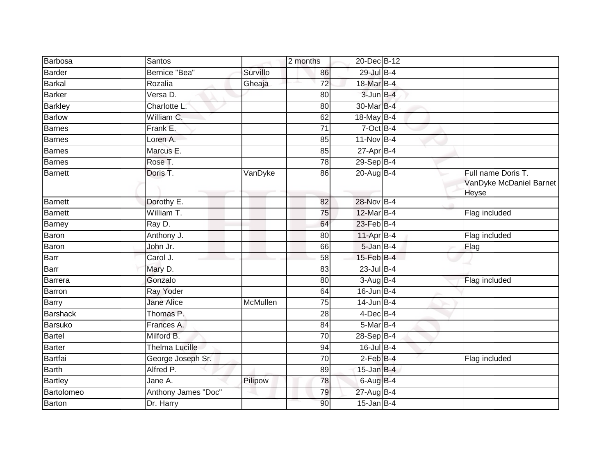| Barbosa         | Santos                |                 | 2 months        | 20-Dec B-12       |                                                        |
|-----------------|-----------------------|-----------------|-----------------|-------------------|--------------------------------------------------------|
| <b>Barder</b>   | Bernice "Bea"         | Survillo        | 86              | $29$ -Jul $B-4$   |                                                        |
| <b>Barkal</b>   | Rozalia               | Gheaja          | 72              | 18-Mar B-4        |                                                        |
| <b>Barker</b>   | Versa D.              |                 | 80              | $3$ -Jun $B-4$    |                                                        |
| <b>Barkley</b>  | Charlotte L:          |                 | 80              | 30-Mar B-4        |                                                        |
| <b>Barlow</b>   | William C.            |                 | 62              | 18-May B-4        |                                                        |
| <b>Barnes</b>   | Frank E.              |                 | 71              | $7$ -Oct $B-4$    |                                                        |
| <b>Barnes</b>   | Loren A.              |                 | 85              | $11-Nov$ B-4      |                                                        |
| Barnes          | Marcus E.             |                 | 85              | $27$ -Apr $B-4$   |                                                        |
| <b>Barnes</b>   | Rose T.               |                 | 78              | $29-Sep$ B-4      |                                                        |
| <b>Barnett</b>  | Doris T.              | VanDyke         | 86              | 20-Aug B-4        | Full name Doris T.<br>VanDyke McDaniel Barnet<br>Heyse |
| <b>Barnett</b>  | Dorothy E.            |                 | $\overline{82}$ | 28-Nov B-4        |                                                        |
| <b>Barnett</b>  | William T.            |                 | 75              | 12-Mar B-4        | Flag included                                          |
| <b>Barney</b>   | Ray D.                |                 | 64              | $23$ -Feb $B-4$   |                                                        |
| Baron           | Anthony J.            |                 | 80              | $11-AprB-4$       | Flag included                                          |
| <b>Baron</b>    | John Jr.              |                 | 66              | $5 - Jan$ $B - 4$ | Flag                                                   |
| Barr            | Carol J.              |                 | 58              | $15$ -Feb $B$ -4  |                                                        |
| Barr            | Mary D.               |                 | 83              | $23 -$ Jul $B-4$  |                                                        |
| <b>Barrera</b>  | Gonzalo               |                 | 80              | $3-Aug$ B-4       | Flag included                                          |
| Barron          | <b>Ray Yoder</b>      |                 | 64              | $16$ -Jun $B-4$   | ja.,                                                   |
| <b>Barry</b>    | <b>Jane Alice</b>     | <b>McMullen</b> | $\overline{75}$ | $14$ -Jun $B-4$   |                                                        |
| <b>Barshack</b> | Thomas P.             |                 | 28              | $4$ -Dec $B-4$    |                                                        |
| Barsuko         | Frances A.            |                 | 84              | 5-Mar B-4         |                                                        |
| <b>Bartel</b>   | Milford B.            |                 | 70              | $28-SepB-4$       |                                                        |
| <b>Barter</b>   | <b>Thelma Lucille</b> |                 | 94              | $16$ -Jul $B-4$   |                                                        |
| <b>Bartfai</b>  | George Joseph Sr.     |                 | 70              | $2-FebB-4$        | Flag included                                          |
| <b>Barth</b>    | Alfred P.             |                 | 89              | $15$ -Jan $B-4$   |                                                        |
| <b>Bartley</b>  | Jane A.               | Pilipow         | 78              | 6-Aug B-4         |                                                        |
| Bartolomeo      | Anthony James "Doc"   |                 | 79              | 27-Aug B-4        |                                                        |
| <b>Barton</b>   | Dr. Harry             |                 | 90              | $15$ -Jan B-4     |                                                        |
|                 |                       |                 |                 |                   |                                                        |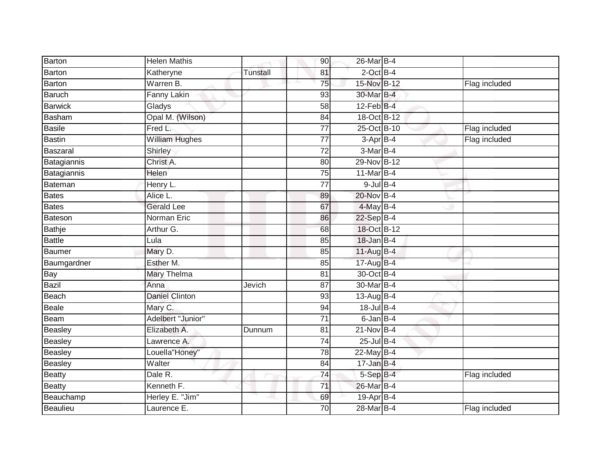| Barton          | <b>Helen Mathis</b>   |          | 90              | 26-Mar B-4            |               |
|-----------------|-----------------------|----------|-----------------|-----------------------|---------------|
| Barton          | Katheryne             | Tunstall | 81              | $2$ -Oct B-4          |               |
| <b>Barton</b>   | Warren B.             |          | 75              | 15-Nov B-12           | Flag included |
| Baruch          | Fanny Lakin           |          | 93              | 30-Mar B-4            |               |
| <b>Barwick</b>  | Gladys                |          | $\overline{58}$ | $12$ -Feb $B-4$       |               |
| <b>Basham</b>   | Opal M. (Wilson)      |          | 84              | 18-Oct B-12           |               |
| <b>Basile</b>   | Fred L.               |          | 77              | 25-Oct B-10           | Flag included |
| <b>Bastin</b>   | <b>William Hughes</b> |          | $\overline{77}$ | $3 - Apr$ $B-4$       | Flag included |
| <b>Baszaral</b> | Shirley               |          | $\overline{72}$ | $3-MarB-4$            |               |
| Batagiannis     | Christ A.             |          | 80              | 29-Nov B-12           |               |
| Batagiannis     | Helen                 |          | 75              | $11$ -Mar $ B-4 $     |               |
| Bateman         | Henry L.              |          | $\overline{77}$ | $9$ -Jul $B$ -4       |               |
| <b>Bates</b>    | Alice L.              |          | 89              | 20-Nov B-4            |               |
| <b>Bates</b>    | <b>Gerald Lee</b>     |          | 67              | $4$ -May B-4          |               |
| Bateson         | Norman Eric           |          | 86              | 22-Sep B-4            |               |
| <b>Bathje</b>   | Arthur G.             |          | 68              | 18-Oct B-12           |               |
| <b>Battle</b>   | Lula                  |          | 85              | $18$ -Jan B-4         |               |
| <b>Baumer</b>   | Mary D.               |          | 85              | $11-AugB-4$           |               |
| Baumgardner     | Esther M.             |          | 85              | 17-Aug B-4            |               |
| <b>Bay</b>      | <b>Mary Thelma</b>    |          | $\overline{81}$ | 30-Oct B-4            |               |
| <b>Bazil</b>    | Anna                  | Jevich   | 87              | 30-Mar B-4            |               |
| <b>Beach</b>    | <b>Daniel Clinton</b> |          | $\overline{93}$ | $13 - \text{Aug}$ B-4 |               |
| <b>Beale</b>    | Mary C.               |          | 94              | 18-Jul B-4            |               |
| Beam            | Adelbert "Junior"     |          | 71              | $6$ -Jan $B-4$        |               |
| <b>Beasley</b>  | Elizabeth A.          | Dunnum   | 81              | $21-NovB-4$           |               |
| <b>Beasley</b>  | Lawrence A.           |          | $\overline{74}$ | $25$ -Jul $B-4$       |               |
| Beasley         | Louella"Honey"        |          | $\overline{78}$ | 22-May B-4            |               |
| Beasley         | Walter                |          | 84              | $17 - Jan$ B-4        |               |
| <b>Beatty</b>   | Dale R.               |          | $\overline{74}$ | 5-Sep B-4             | Flag included |
| <b>Beatty</b>   | Kenneth F.            |          | $\overline{71}$ | 26-Mar B-4            |               |
| Beauchamp       | Herley E. "Jim"       |          | 69              | 19-Apr B-4            |               |
| Beaulieu        | Laurence E.           |          | 70              | 28-Mar B-4            | Flag included |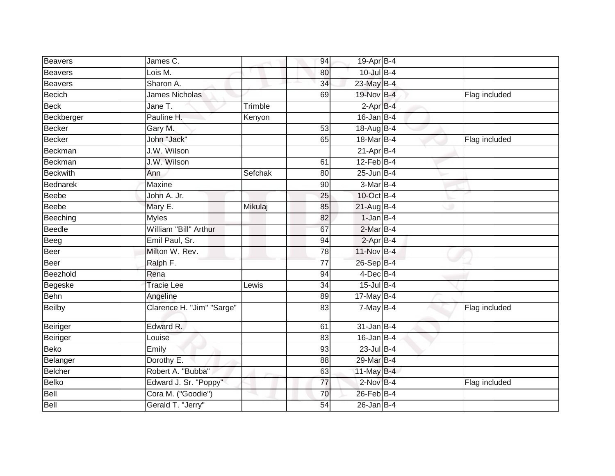| James C.                  |         | 94              |  |                                                                                                                                                                                                                                                                                                                                                                                                                                                                                                                      |
|---------------------------|---------|-----------------|--|----------------------------------------------------------------------------------------------------------------------------------------------------------------------------------------------------------------------------------------------------------------------------------------------------------------------------------------------------------------------------------------------------------------------------------------------------------------------------------------------------------------------|
| Lois M.                   |         | 80              |  |                                                                                                                                                                                                                                                                                                                                                                                                                                                                                                                      |
| Sharon A.                 |         | 34              |  |                                                                                                                                                                                                                                                                                                                                                                                                                                                                                                                      |
| <b>James Nicholas</b>     |         | 69              |  | Flag included                                                                                                                                                                                                                                                                                                                                                                                                                                                                                                        |
| Jane T.                   | Trimble |                 |  |                                                                                                                                                                                                                                                                                                                                                                                                                                                                                                                      |
| Pauline H.                | Kenyon  |                 |  |                                                                                                                                                                                                                                                                                                                                                                                                                                                                                                                      |
| Gary M.                   |         | 53              |  |                                                                                                                                                                                                                                                                                                                                                                                                                                                                                                                      |
| John "Jack"               |         | 65              |  | Flag included                                                                                                                                                                                                                                                                                                                                                                                                                                                                                                        |
| J.W. Wilson               |         |                 |  |                                                                                                                                                                                                                                                                                                                                                                                                                                                                                                                      |
| J.W. Wilson               |         | 61              |  |                                                                                                                                                                                                                                                                                                                                                                                                                                                                                                                      |
| Ann                       | Sefchak | 80              |  |                                                                                                                                                                                                                                                                                                                                                                                                                                                                                                                      |
| Maxine                    |         | 90              |  |                                                                                                                                                                                                                                                                                                                                                                                                                                                                                                                      |
| John A. Jr.               |         | 25              |  |                                                                                                                                                                                                                                                                                                                                                                                                                                                                                                                      |
| Mary E.                   | Mikulaj | 85              |  |                                                                                                                                                                                                                                                                                                                                                                                                                                                                                                                      |
| <b>Myles</b>              |         | 82              |  |                                                                                                                                                                                                                                                                                                                                                                                                                                                                                                                      |
| William "Bill" Arthur     |         | 67              |  |                                                                                                                                                                                                                                                                                                                                                                                                                                                                                                                      |
| Emil Paul, Sr.            |         | 94              |  |                                                                                                                                                                                                                                                                                                                                                                                                                                                                                                                      |
| Milton W. Rev.            |         | 78              |  |                                                                                                                                                                                                                                                                                                                                                                                                                                                                                                                      |
| Ralph F.                  |         | 77              |  |                                                                                                                                                                                                                                                                                                                                                                                                                                                                                                                      |
| Rena                      |         | 94              |  |                                                                                                                                                                                                                                                                                                                                                                                                                                                                                                                      |
| <b>Tracie Lee</b>         | Lewis   | 34              |  |                                                                                                                                                                                                                                                                                                                                                                                                                                                                                                                      |
| Angeline                  |         | 89              |  |                                                                                                                                                                                                                                                                                                                                                                                                                                                                                                                      |
| Clarence H. "Jim" "Sarge" |         | 83              |  | Flag included                                                                                                                                                                                                                                                                                                                                                                                                                                                                                                        |
| Edward R.                 |         | 61              |  |                                                                                                                                                                                                                                                                                                                                                                                                                                                                                                                      |
| Louise                    |         | $\overline{83}$ |  |                                                                                                                                                                                                                                                                                                                                                                                                                                                                                                                      |
| Emily                     |         | 93              |  |                                                                                                                                                                                                                                                                                                                                                                                                                                                                                                                      |
| Dorothy E.                |         | 88              |  |                                                                                                                                                                                                                                                                                                                                                                                                                                                                                                                      |
| Robert A. "Bubba"         |         | 63              |  |                                                                                                                                                                                                                                                                                                                                                                                                                                                                                                                      |
| Edward J. Sr. "Poppy"     |         | $\overline{77}$ |  | Flag included                                                                                                                                                                                                                                                                                                                                                                                                                                                                                                        |
| Cora M. ("Goodie")        |         | 70              |  |                                                                                                                                                                                                                                                                                                                                                                                                                                                                                                                      |
| Gerald T. "Jerry"         |         | 54              |  |                                                                                                                                                                                                                                                                                                                                                                                                                                                                                                                      |
|                           |         |                 |  | $19-AprB-4$<br>$10$ -Jul $B-4$<br>23-May B-4<br>19-Nov B-4<br>$2$ -Apr $B-4$<br>$16$ -Jan B-4<br>18-Aug B-4<br>18-Mar B-4<br>$21-Apr$ B-4<br>$12$ -Feb $B-4$<br>$25$ -Jun $B$ -4<br>$3-MarB-4$<br>10-Oct B-4<br>21-Aug B-4<br>$1$ -Jan $B-4$<br>$2-MarB-4$<br>$2$ -Apr $B-4$<br>11-Nov B-4<br>26-Sep B-4<br>$4$ -Dec $B-4$<br>$15$ -Jul $B-4$<br>17-May B-4<br>$7-MayB-4$<br>$31$ -Jan $B-4$<br>$16$ -Jan $B-4$<br>$23$ -Jul B-4<br>29-Mar B-4<br>11-May $B-4$<br>$2$ -Nov $B-4$<br>$26$ -Feb $B-4$<br>$26$ -Jan B-4 |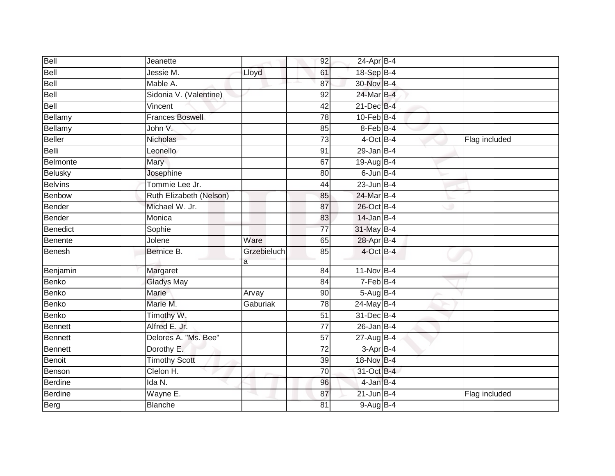| Bell           | Jeanette                |                  | 92              | $24-Apr$ B-4     |               |
|----------------|-------------------------|------------------|-----------------|------------------|---------------|
| Bell           | Jessie M.               | Lloyd            | 61              | 18-Sep B-4       |               |
| Bell           | Mable A.                |                  | 87              | 30-Nov B-4       |               |
| Bell           | Sidonia V. (Valentine)  |                  | $\overline{92}$ | 24-Mar B-4       |               |
| Bell           | Vincent                 |                  | $\overline{42}$ | 21-Dec B-4       |               |
| Bellamy        | <b>Frances Boswell</b>  |                  | 78              | $10$ -Feb $B-4$  |               |
| Bellamy        | John V.                 |                  | 85              | $8$ -Feb $ B-4 $ |               |
| Beller         | <b>Nicholas</b>         |                  | 73              | $4$ -Oct B-4     | Flag included |
| Belli          | Leonello                |                  | 91              | $29$ -Jan B-4    |               |
| Belmonte       | Mary                    |                  | 67              | 19-Aug B-4       |               |
| Belusky        | Josephine               |                  | 80              | $6$ -Jun $B-4$   |               |
| Belvins        | Tommie Lee Jr.          |                  | 44              | $23$ -Jun $B-4$  |               |
| <b>Benbow</b>  | Ruth Elizabeth (Nelson) |                  | 85              | 24-Mar B-4       |               |
| Bender         | Michael W. Jr.          |                  | 87              | 26-Oct B-4       |               |
| Bender         | Monica                  |                  | 83              | $14$ -Jan B-4    |               |
| Benedict       | Sophie                  |                  | 77              | $31$ -May B-4    |               |
| Benente        | Jolene                  | Ware             | 65              | $28-Apr$ B-4     |               |
| Benesh         | Bernice B.              | Grzebieluch<br>a | 85              | 4-Oct B-4        |               |
| Benjamin       | Margaret                |                  | 84              | $11-NovB-4$      |               |
| Benko          | <b>Gladys May</b>       |                  | 84              | $7-FebB-4$       |               |
| Benko          | Marie                   | Arvay            | 90              | 5-Aug B-4        |               |
| Benko          | Marie M.                | Gaburiak         | 78              | 24-May B-4       |               |
| Benko          | Timothy W.              |                  | $\overline{51}$ | 31-Dec B-4       |               |
| Bennett        | Alfred E. Jr.           |                  | 77              | $26$ -Jan B-4    |               |
| Bennett        | Delores A. "Ms. Bee"    |                  | $\overline{57}$ | 27-Aug B-4       |               |
| <b>Bennett</b> | Dorothy E.              |                  | $\overline{72}$ | $3-Apr$ B-4      |               |
| Benoit         | <b>Timothy Scott</b>    |                  | $\overline{39}$ | 18-Nov B-4       |               |
| Benson         | Clelon H.               |                  | $\overline{70}$ | 31-Oct B-4       |               |
| Berdine        | Ida N.                  |                  | 96              | 4-Jan B-4        |               |
| Berdine        | Wayne E.                |                  | 87              | $21$ -Jun $B-4$  | Flag included |
| Berg           | <b>Blanche</b>          |                  | 81              | $9-Aug$ B-4      |               |
|                |                         |                  |                 |                  |               |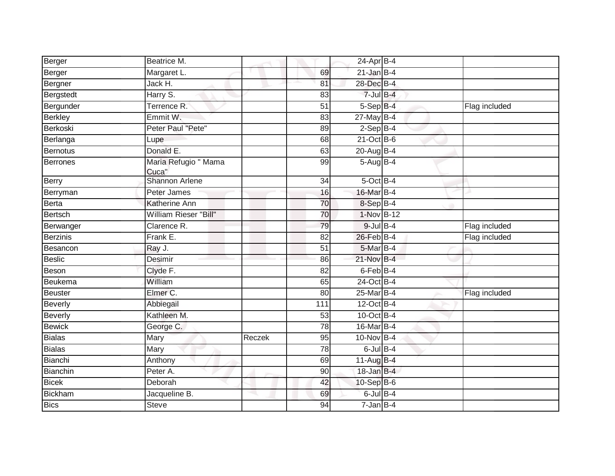| Berger         | Beatrice M.                   |        |                 | $24$ -Apr $B$ -4 |               |
|----------------|-------------------------------|--------|-----------------|------------------|---------------|
| <b>Berger</b>  | Margaret L.                   |        | 69              | $21$ -Jan B-4    |               |
| Bergner        | Jack H.                       |        | 81              | 28-Dec B-4       |               |
| Bergstedt      | Harry S.                      |        | 83              | $7$ -Jul $B-4$   |               |
| Bergunder      | Terrence R.                   |        | $\overline{51}$ | 5-Sep B-4        | Flag included |
| Berkley        | Emmit W.                      |        | 83              | 27-May B-4       |               |
| Berkoski       | Peter Paul "Pete"             |        | 89              | $2-Sep B-4$      |               |
| Berlanga       | Lupe                          |        | 68              | $21$ -Oct B-6    |               |
| Bernotus       | Donald E.                     |        | 63              | $20-AugB-4$      |               |
| Berrones       | Maria Refugio " Mama<br>Cuca" |        | 99              | 5-Aug B-4        |               |
| Berry          | <b>Shannon Arlene</b>         |        | 34              | 5-Oct B-4        |               |
| Berryman       | Peter James                   |        | 16              | 16-Mar B-4       |               |
| Berta          | <b>Katherine Ann</b>          |        | 70              | 8-Sep B-4        |               |
| Bertsch        | William Rieser "Bill"         |        | 70              | 1-Nov B-12       |               |
| Berwanger      | Clarence R.                   |        | 79              | $9$ -Jul $B-4$   | Flag included |
| Berzinis       | Frank E.                      |        | $\overline{82}$ | $26$ -Feb $B-4$  | Flag included |
| Besancon       | Ray J.                        |        | 51              | 5-Mar B-4        |               |
| <b>Beslic</b>  | Desimir                       |        | 86              | $21$ -Nov $B-4$  |               |
| Beson          | Clyde F.                      |        | 82              | $6$ -Feb $ B-4 $ |               |
| Beukema        | William                       |        | 65              | $24$ -Oct B-4    |               |
| Beuster        | Elmer <sub>C.</sub>           |        | 80              | 25-Mar B-4       | Flag included |
| <b>Beverly</b> | Abbiegail                     |        | 111             | $12$ -Oct B-4    |               |
| Beverly        | Kathleen M.                   |        | 53              | $10$ -Oct B-4    |               |
| <b>Bewick</b>  | George C.                     |        | 78              | 16-Mar B-4       |               |
| <b>Bialas</b>  | Mary                          | Reczek | 95              | 10-Nov B-4       |               |
| <b>Bialas</b>  | Mary                          |        | 78              | $6$ -Jul $B-4$   |               |
| Bianchi        | Anthony                       |        | 69              | 11-Aug B-4       |               |
| Bianchin       | Peter A.                      |        | 90              | 18-Jan B-4       |               |
| <b>Bicek</b>   | Deborah                       |        | 42              | 10-Sep B-6       |               |
| Bickham        | Jacqueline B.                 |        | 69              | $6$ -Jul $B-4$   |               |
| <b>Bics</b>    | <b>Steve</b>                  |        | 94              | $7$ -Jan $B$ -4  |               |
|                |                               |        |                 |                  |               |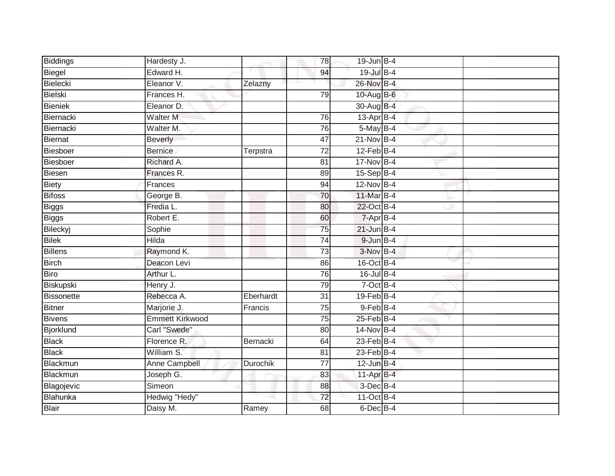| <b>Biddings</b>   | Hardesty J.            |                 | 78              | $19$ -Jun $B-4$   |  |
|-------------------|------------------------|-----------------|-----------------|-------------------|--|
| Biegel            | Edward H.              |                 | 94              | $19$ -Jul $B-4$   |  |
| Bielecki          | Eleanor V.             | Zelazny         |                 | 26-Nov B-4        |  |
| Bielski           | Frances H.             |                 | 79              | 10-Aug B-6        |  |
| <b>Bieniek</b>    | Eleanor D.             |                 |                 | 30-Aug B-4        |  |
| Biernacki         | <b>Walter M</b>        |                 | 76              | $13$ -Apr $B-4$   |  |
| Biernacki         | Walter M.              |                 | 76              | $5$ -May $B-4$    |  |
| Biernat           | <b>Beverly</b>         |                 | 47              | $21-Nov$ B-4      |  |
| Biesboer          | <b>Bernice</b>         | Terpstra        | $\overline{72}$ | $12$ -Feb $B-4$   |  |
| Biesboer          | Richard A.             |                 | 81              | 17-Nov B-4        |  |
| <b>Biesen</b>     | Frances R.             |                 | 89              | 15-Sep B-4        |  |
| <b>Biety</b>      | Frances                |                 | 94              | $12$ -Nov $B-4$   |  |
| <b>Bifoss</b>     | George B.              |                 | 70              | 11-Mar B-4        |  |
| Biggs             | Fredia L.              |                 | 80              | 22-Oct B-4        |  |
| <b>Biggs</b>      | Robert E.              |                 | 60              | 7-Apr B-4         |  |
| Bileckyj          | Sophie                 |                 | 75              | $21$ -Jun B-4     |  |
| <b>Bilek</b>      | Hilda                  |                 | $\overline{74}$ | $9$ -Jun $B-4$    |  |
| <b>Billens</b>    | Raymond K.             |                 | 73              | $3-Nov$ B-4       |  |
| <b>Birch</b>      | Deacon Levi            |                 | 86              | 16-Oct B-4        |  |
| Biro              | Arthur L.              |                 | 76              | $16$ -Jul B-4     |  |
| Biskupski         | Henry J.               |                 | 79              | $7$ -Oct B-4      |  |
| <b>Bissonette</b> | Rebecca A.             | Eberhardt       | $\overline{31}$ | $19$ -Feb $ B-4 $ |  |
| <b>Bitner</b>     | Marjorie J.            | Francis         | 75              | $9$ -Feb $B$ -4   |  |
| <b>Bivens</b>     | <b>Emmett Kirkwood</b> |                 | 75              | $25$ -Feb $ B-4 $ |  |
| Bjorklund         | Carl "Swede"           |                 | 80              | 14-Nov B-4        |  |
| <b>Black</b>      | Florence R.            | Bernacki        | 64              | $23$ -Feb $B-4$   |  |
| <b>Black</b>      | William S.             |                 | $\overline{81}$ | $23$ -Feb $B-4$   |  |
| Blackmun          | <b>Anne Campbell</b>   | <b>Durochik</b> | 77              | $12$ -Jun $B-4$   |  |
| Blackmun          | Joseph G.              |                 | 83              | 11-Apr B-4        |  |
| Blagojevic        | Simeon                 |                 | 88              | 3-Dec B-4         |  |
| Blahunka          | Hedwig "Hedy"          |                 | 72              | $11-Oct$ B-4      |  |
| <b>Blair</b>      | Daisy M.               | Ramey           | 68              | 6-Dec B-4         |  |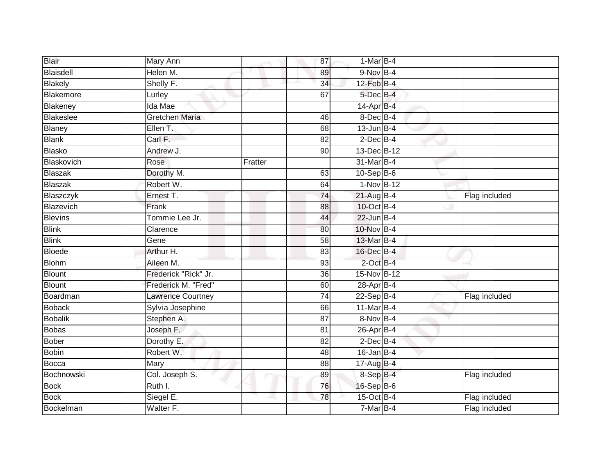| Blair            | Mary Ann                 |         | 87              | $1-MarB-4$      |               |
|------------------|--------------------------|---------|-----------------|-----------------|---------------|
| <b>Blaisdell</b> | Helen M.                 |         | 89              | 9-Nov B-4       |               |
| <b>Blakely</b>   | Shelly F.                |         | 34              | $12$ -Feb $B-4$ |               |
| Blakemore        | Lurley                   |         | 67              | $5$ -Dec $B$ -4 |               |
| Blakeney         | Ida Mae                  |         |                 | 14-Apr B-4      |               |
| Blakeslee        | <b>Gretchen Maria</b>    |         | 46              | 8-Dec B-4       |               |
| <b>Blaney</b>    | Ellen T.                 |         | 68              | $13$ -Jun $B-4$ |               |
| <b>Blank</b>     | Carl F.                  |         | $\overline{82}$ | $2$ -Dec $B-4$  |               |
| <b>Blasko</b>    | Andrew J.                |         | 90              | 13-Dec B-12     |               |
| Blaskovich       | Rose                     | Fratter |                 | 31-Mar B-4      |               |
| Blaszak          | Dorothy M.               |         | 63              | $10-SepB-6$     |               |
| Blaszak          | Robert W.                |         | 64              | $1-Nov$ B-12    |               |
| Blaszczyk        | Ernest T.                |         | 74              | $21-AugB-4$     | Flag included |
| Blazevich        | Frank                    |         | 88              | 10-Oct B-4      |               |
| <b>Blevins</b>   | Tommie Lee Jr.           |         | 44              | $22$ -Jun $B-4$ |               |
| <b>Blink</b>     | Clarence                 |         | 80              | 10-Nov B-4      |               |
| <b>Blink</b>     | Gene                     |         | $\overline{58}$ | $13-Mar$ B-4    |               |
| <b>Bloede</b>    | Arthur H.                |         | 83              | 16-Dec B-4      |               |
| <b>Blohm</b>     | Aileen M.                |         | 93              | 2-Oct B-4       |               |
| <b>Blount</b>    | Frederick "Rick" Jr.     |         | $\overline{36}$ | 15-Nov B-12     |               |
| <b>Blount</b>    | Frederick M. "Fred"      |         | 60              | 28-Apr B-4      |               |
| Boardman         | <b>Lawrence Courtney</b> |         | $\overline{74}$ | $22-Sep$ B-4    | Flag included |
| <b>Boback</b>    | Sylvia Josephine         |         | 66              | $11$ -Mar $B-4$ |               |
| <b>Bobalik</b>   | Stephen A.               |         | 87              | $8-NovB-4$      |               |
| <b>Bobas</b>     | Joseph F.                |         | 81              | 26-Apr B-4      |               |
| Bober            | Dorothy E.               |         | 82              | $2$ -Dec $B-4$  |               |
| <b>Bobin</b>     | Robert W.                |         | $\overline{48}$ | $16$ -Jan $B-4$ |               |
| Bocca            | Mary                     |         | $\overline{88}$ | 17-Aug B-4      |               |
| Bochnowski       | Col. Joseph S.           |         | 89              | 8-Sep B-4       | Flag included |
| <b>Bock</b>      | Ruth I.                  |         | 76              | 16-Sep B-6      |               |
| <b>Bock</b>      | Siegel E.                |         | 78              | $15$ -Oct B-4   | Flag included |
| Bockelman        | Walter F.                |         |                 | $7-MarB-4$      | Flag included |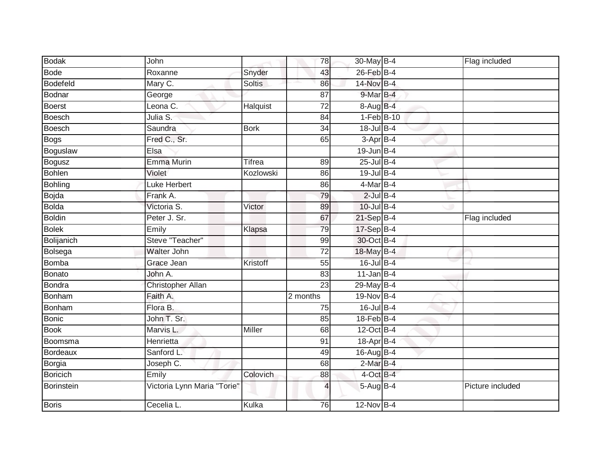| <b>Bodak</b>    | <b>John</b>                 |               | 78              | 30-May B-4       | Flag included    |
|-----------------|-----------------------------|---------------|-----------------|------------------|------------------|
| <b>Bode</b>     | Roxanne                     | Snyder        | 43              | $26$ -Feb $B-4$  |                  |
| <b>Bodefeld</b> | Mary C.                     | <b>Soltis</b> | 86              | 14-Nov B-4       |                  |
| Bodnar          | George                      |               | 87              | 9-Mar B-4        |                  |
| <b>Boerst</b>   | Leona C.                    | Halquist      | $\overline{72}$ | $8-AugB-4$       |                  |
| <b>Boesch</b>   | Julia S.                    |               | $\overline{84}$ | $1-FebB-10$      |                  |
| <b>Boesch</b>   | Saundra                     | <b>Bork</b>   | 34              | $18$ -Jul $B-4$  |                  |
| <b>Bogs</b>     | Fred C., Sr.                |               | 65              | $3-AprB-4$       |                  |
| Boguslaw        | Elsa                        |               |                 | $19 - Jun$ B-4   |                  |
| <b>Bogusz</b>   | <b>Emma Murin</b>           | <b>Tifrea</b> | 89              | $25$ -Jul B-4    |                  |
| <b>Bohlen</b>   | Violet                      | Kozlowski     | 86              | $19$ -Jul $B-4$  |                  |
| <b>Bohling</b>  | Luke Herbert                |               | 86              | $4$ -Mar $B-4$   |                  |
| Bojda           | Frank A.                    |               | 79              | $2$ -Jul $B-4$   |                  |
| <b>Bolda</b>    | Victoria S.                 | Victor        | 89              | $10$ -Jul $B-4$  |                  |
| <b>Boldin</b>   | Peter J. Sr.                |               | 67              | $21-Sep$ B-4     | Flag included    |
| <b>Bolek</b>    | Emily                       | Klapsa        | 79              | 17-Sep B-4       |                  |
| Bolijanich      | Steve "Teacher"             |               | 99              | 30-Oct B-4       |                  |
| <b>Bolsega</b>  | <b>Walter John</b>          |               | 72              | 18-May B-4       |                  |
| <b>Bomba</b>    | Grace Jean                  | Kristoff      | $\overline{55}$ | 16-Jul B-4       |                  |
| Bonato          | John A.                     |               | 83              | $11$ -Jan $B-4$  |                  |
| <b>Bondra</b>   | Christopher Allan           |               | $\overline{23}$ | 29-May B-4       |                  |
| <b>Bonham</b>   | Faith A.                    |               | 2 months        | 19-Nov B-4       |                  |
| Bonham          | Flora B.                    |               | 75              | $16$ -Jul $B-4$  |                  |
| <b>Bonic</b>    | John T. Sr.                 |               | 85              | $18$ -Feb $B$ -4 |                  |
| <b>Book</b>     | Marvis L.                   | <b>Miller</b> | 68              | $12$ -Oct B-4    |                  |
| Boomsma         | Henrietta                   |               | 91              | 18-Apr B-4       |                  |
| <b>Bordeaux</b> | Sanford L.                  |               | 49              | 16-Aug B-4       |                  |
| <b>Borgia</b>   | Joseph C.                   |               | 68              | $2-MarB-4$       |                  |
| <b>Boricich</b> | Emily                       | Colovich      | $\overline{88}$ | $4$ -Oct B-4     |                  |
| Borinstein      | Victoria Lynn Maria "Torie" |               | 4               | 5-Aug B-4        | Picture included |
| Boris           | Cecelia L.                  | Kulka         | 76              | $12$ -Nov $B-4$  |                  |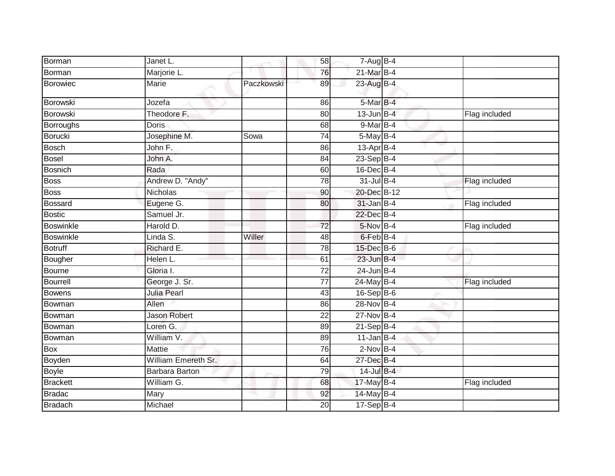| Borman           | Janet L.            |            | 58              | $7-AugB-4$             |               |
|------------------|---------------------|------------|-----------------|------------------------|---------------|
| Borman           | Marjorie L.         |            | 76              | $21$ -Mar $B-4$        |               |
| Borowiec         | Marie               | Paczkowski | 89              | 23-Aug B-4             |               |
| Borowski         | Jozefa              |            | 86              | 5-Mar B-4              |               |
| Borowski         | Theodore F.         |            | 80              | 13-Jun B-4             | Flag included |
| Borroughs        | <b>Doris</b>        |            | 68              | $9-MarB-4$             |               |
| <b>Borucki</b>   | Josephine M.        | Sowa       | 74              | $5-MayB-4$             |               |
| <b>Bosch</b>     | John F.             |            | 86              | $13-Apr$ B-4           |               |
| <b>Bosel</b>     | John A.             |            | 84              | $23-Sep$ B-4           |               |
| <b>Bosnich</b>   | Rada                |            | 60              | $16$ -Dec $B-4$        |               |
| <b>Boss</b>      | Andrew D. "Andy"    |            | 78              | $31$ -Jul B-4          | Flag included |
| <b>Boss</b>      | <b>Nicholas</b>     |            | 90              | 20-Dec B-12            |               |
| <b>Bossard</b>   | Eugene G.           |            | 80              | $31$ -Jan B-4          | Flag included |
| <b>Bostic</b>    | Samuel Jr.          |            |                 | 22-Dec B-4             |               |
| <b>Boswinkle</b> | Harold D.           |            | $\overline{72}$ | 5-Nov B-4              | Flag included |
| <b>Boswinkle</b> | Linda S.            | Willer     | 48              | 6-Feb B-4              |               |
| <b>Botruff</b>   | Richard E.          |            | 78              | $15$ -Dec $B$ -6       |               |
| Bougher          | Helen L.            |            | 61              | $23$ -Jun $B-4$        |               |
| Bourne           | Gloria I.           |            | 72              | $24$ -Jun $B-4$        |               |
| <b>Bourrell</b>  | George J. Sr.       |            | 77              | 24-May B-4             | Flag included |
| <b>Bowens</b>    | Julia Pearl         |            | 43              | $16 - \text{Sep}B - 6$ |               |
| Bowman           | Allen               |            | 86              | 28-Nov B-4             |               |
| Bowman           | <b>Jason Robert</b> |            | 22              | 27-Nov B-4             |               |
| Bowman           | Loren G.            |            | 89              | $21-SepB-4$            |               |
| Bowman           | William V.          |            | 89              | $11$ -Jan B-4          |               |
| Box              | Mattie              |            | 76              | $2-Nov$ B-4            |               |
| Boyden           | William Emereth Sr. |            | 64              | 27-Dec B-4             |               |
| <b>Boyle</b>     | Barbara Barton      |            | 79              | $14$ -Jul B-4          |               |
| <b>Brackett</b>  | William G.          |            | 68              | 17-May B-4             | Flag included |
| <b>Bradac</b>    | Mary                |            | 92              | 14-May B-4             |               |
| <b>Bradach</b>   | Michael             |            | 20              | 17-Sep B-4             |               |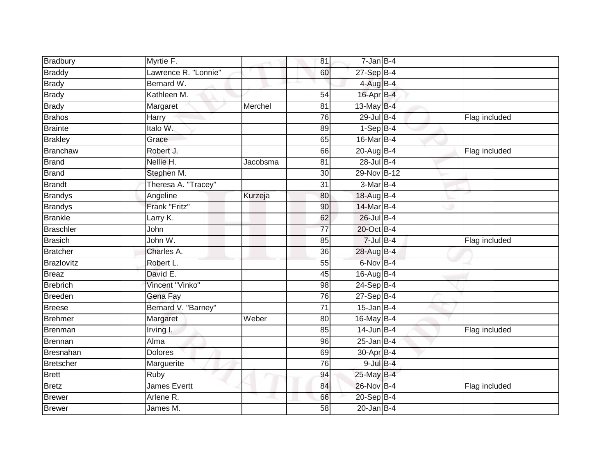| Bradbury         | $\overline{My}$ rtie F. |          | 81              | $7$ -Jan B-4    |               |
|------------------|-------------------------|----------|-----------------|-----------------|---------------|
| <b>Braddy</b>    | Lawrence R. "Lonnie"    |          | 60              | $27-Sep$ B-4    |               |
| <b>Brady</b>     | Bernard W.              |          |                 | $4$ -Aug B-4    |               |
| <b>Brady</b>     | Kathleen M.             |          | 54              | 16-Apr B-4      |               |
| <b>Brady</b>     | Margaret                | Merchel  | $\overline{81}$ | 13-May B-4      |               |
| <b>Brahos</b>    | Harry                   |          | 76              | 29-Jul B-4      | Flag included |
| <b>Brainte</b>   | Italo W.                |          | 89              | $1-Sep$ B-4     |               |
| <b>Brakley</b>   | Grace                   |          | 65              | $16$ -Mar $B-4$ |               |
| Branchaw         | Robert J.               |          | 66              | 20-Aug B-4      | Flag included |
| <b>Brand</b>     | Nellie H.               | Jacobsma | 81              | $28$ -Jul $B-4$ |               |
| <b>Brand</b>     | Stephen M.              |          | 30              | 29-Nov B-12     |               |
| <b>Brandt</b>    | Theresa A. "Tracey"     |          | 31              | 3-Mar B-4       |               |
| <b>Brandys</b>   | Angeline                | Kurzeja  | 80              | 18-Aug B-4      |               |
| <b>Brandys</b>   | Frank "Fritz"           |          | 90              | $14$ -Mar $B-4$ |               |
| <b>Brankle</b>   | Larry K.                |          | 62              | $26$ -Jul B-4   |               |
| <b>Braschler</b> | John                    |          | $\overline{77}$ | 20-Oct B-4      |               |
| <b>Brasich</b>   | John W.                 |          | 85              | $7$ -Jul $B-4$  | Flag included |
| Bratcher         | Charles A.              |          | 36              | 28-Aug B-4      |               |
| Brazlovitz       | Robert L.               |          | 55              | $6$ -Nov B-4    |               |
| <b>Breaz</b>     | David E.                |          | 45              | 16-Aug B-4      |               |
| <b>Brebrich</b>  | Vincent "Vinko"         |          | 98              | $24-Sep B-4$    |               |
| <b>Breeden</b>   | Gena Fay                |          | 76              | $27-Sep B-4$    |               |
| <b>Breese</b>    | Bernard V. "Barney"     |          | 71              | $15$ -Jan B-4   |               |
| <b>Brehmer</b>   | Margaret                | Weber    | 80              | 16-May B-4      |               |
| Brenman          | Irving I.               |          | 85              | $14$ -Jun $B-4$ | Flag included |
| Brennan          | Alma                    |          | 96              | $25$ -Jan B-4   |               |
| Bresnahan        | <b>Dolores</b>          |          | 69              | 30-Apr B-4      |               |
| <b>Bretscher</b> | Marguerite              |          | 76              | $9$ -Jul $B$ -4 |               |
| <b>Brett</b>     | Ruby                    |          | 94              | 25-May B-4      |               |
| Bretz            | James Evertt            |          | 84              | 26-Nov B-4      | Flag included |
| <b>Brewer</b>    | Arlene R.               |          | 66              | $20-Sep B-4$    |               |
| <b>Brewer</b>    | James M.                |          | 58              | $20$ -Jan B-4   |               |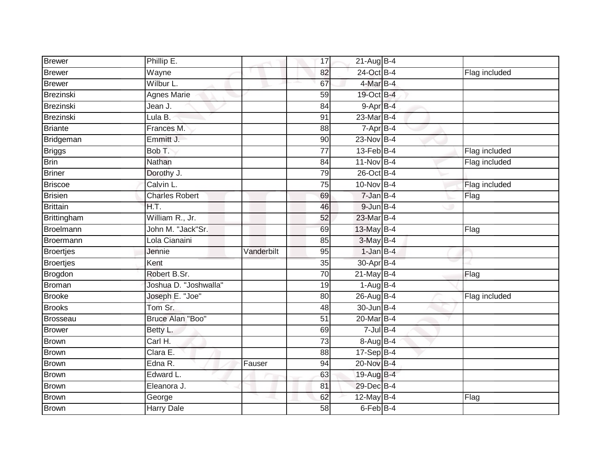| <b>Brewer</b>    | Phillip E.            |            | 17              | $21$ -Aug $B-4$          |               |
|------------------|-----------------------|------------|-----------------|--------------------------|---------------|
| <b>Brewer</b>    | Wayne                 |            | 82              | 24-Oct B-4               | Flag included |
| <b>Brewer</b>    | Wilbur L.             |            | 67              | 4-Mar B-4                |               |
| Brezinski        | <b>Agnes Marie</b>    |            | 59              | 19-Oct B-4               |               |
| Brezinski        | Jean J.               |            | $\overline{84}$ | 9-Apr B-4                |               |
| Brezinski        | Lula B.               |            | 91              | 23-Mar B-4               |               |
| <b>Briante</b>   | Frances M.            |            | 88              | $7 - \overline{Apr}$ B-4 |               |
| Bridgeman        | Emmitt J.             |            | 90              | $23-Nov$ B-4             |               |
| <b>Briggs</b>    | Bob T.                |            | 77              | $13$ -Feb $B-4$          | Flag included |
| <b>Brin</b>      | Nathan                |            | $\overline{84}$ | $11$ -Nov $B-4$          | Flag included |
| <b>Briner</b>    | Dorothy J.            |            | 79              | 26-Oct B-4               |               |
| <b>Briscoe</b>   | Calvin L.             |            | $\overline{75}$ | $10-Nov$ B-4             | Flag included |
| <b>Brisien</b>   | <b>Charles Robert</b> |            | 69              | $7$ -Jan $B-4$           | Flag          |
| <b>Brittain</b>  | H.T.                  |            | 46              | $9$ -Jun $B-4$           |               |
| Brittingham      | William R., Jr.       |            | 52              | 23-Mar B-4               |               |
| Broelmann        | John M. "Jack"Sr.     |            | 69              | $13$ -May B-4            | Flag          |
| Broermann        | Lola Cianaini         |            | 85              | $3-MayB-4$               |               |
| <b>Broertjes</b> | Jennie                | Vanderbilt | 95              | $1-Jan$ B-4              |               |
| <b>Broertjes</b> | Kent                  |            | 35              | 30-Apr B-4               |               |
| <b>Brogdon</b>   | Robert B.Sr.          |            | $\overline{70}$ | $21$ -May B-4            | Flag          |
| Broman           | Joshua D. "Joshwalla" |            | 19              | $1-AugB-4$               |               |
| <b>Brooke</b>    | Joseph E. "Joe"       |            | $\overline{80}$ | 26-Aug B-4               | Flag included |
| <b>Brooks</b>    | Tom Sr.               |            | 48              | $30 - Jun$ B-4           |               |
| <b>Brosseau</b>  | Bruce Alan "Boo"      |            | 51              | $20$ -Mar $B-4$          |               |
| <b>Brower</b>    | Betty L.              |            | 69              | $7$ -Jul B-4             |               |
| <b>Brown</b>     | Carl H.               |            | $\overline{73}$ | $8-AugB-4$               |               |
| <b>Brown</b>     | Clara E.              |            | 88              | 17-Sep B-4               |               |
| Brown            | Edna R.               | Fauser     | 94              | 20-Nov B-4               |               |
| <b>Brown</b>     | Edward L.             |            | 63              | 19-Aug B-4               |               |
| <b>Brown</b>     | Eleanora J.           |            | 81              | 29-Dec B-4               |               |
| Brown            | George                |            | 62              | $12$ -May B-4            | Flag          |
| <b>Brown</b>     | Harry Dale            |            | 58              | 6-Feb B-4                |               |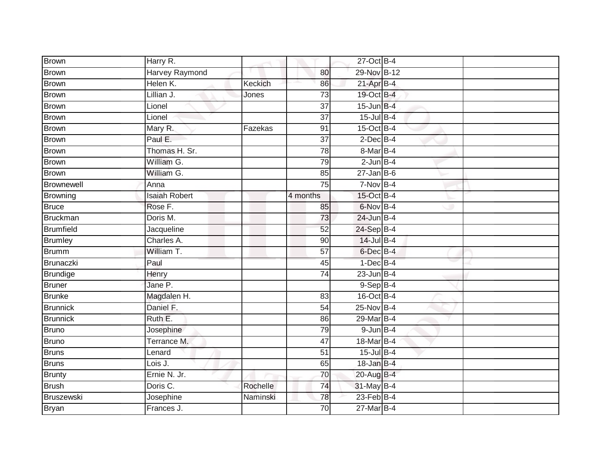| Brown           | Harry R.              |          |                 | $27$ -Oct B-4     |  |
|-----------------|-----------------------|----------|-----------------|-------------------|--|
| <b>Brown</b>    | <b>Harvey Raymond</b> |          | 80              | 29-Nov B-12       |  |
| Brown           | Helen K.              | Keckich  | 86              | $21-AprB-4$       |  |
| Brown           | Lillian J.            | Jones    | $\overline{73}$ | 19-Oct B-4        |  |
| <b>Brown</b>    | Lionel                |          | $\overline{37}$ | 15-Jun B-4        |  |
| Brown           | Lionel                |          | $\overline{37}$ | $15$ -Jul $B-4$   |  |
| Brown           | Mary R.               | Fazekas  | $\overline{91}$ | $15$ -Oct B-4     |  |
| <b>Brown</b>    | Paul E.               |          | $\overline{37}$ | $2$ -Dec $B-4$    |  |
| <b>Brown</b>    | Thomas H. Sr.         |          | $\overline{78}$ | 8-Mar B-4         |  |
| Brown           | William G.            |          | 79              | $2$ -Jun $B-4$    |  |
| <b>Brown</b>    | William G.            |          | $\overline{85}$ | $27$ -Jan B-6     |  |
| Brownewell      | Anna                  |          | $\overline{75}$ | $7-Nov$ B-4       |  |
| Browning        | <b>Isaiah Robert</b>  |          | 4 months        | 15-Oct B-4        |  |
| <b>Bruce</b>    | Rose F.               |          | 85              | 6-Nov B-4         |  |
| Bruckman        | Doris M.              |          | 73              | $24$ -Jun B-4     |  |
| Brumfield       | Jacqueline            |          | 52              | 24-Sep B-4        |  |
| <b>Brumley</b>  | Charles A.            |          | 90              | $14$ -Jul B-4     |  |
| <b>Brumm</b>    | William T.            |          | 57              | 6-Dec B-4         |  |
| Brunaczki       | Paul                  |          | 45              | $1-Dec$ B-4       |  |
| Brundige        | Henry                 |          | 74              | $23$ -Jun B-4     |  |
| <b>Bruner</b>   | Jane P.               |          |                 | $9-$ Sep $B-4$    |  |
| <b>Brunke</b>   | Magdalen H.           |          | 83              | 16-Oct B-4        |  |
| <b>Brunnick</b> | Daniel F.             |          | 54              | 25-Nov B-4        |  |
| Brunnick        | Ruth E.               |          | 86              | 29-Mar B-4        |  |
| Bruno           | Josephine             |          | 79              | $9$ -Jun $B-4$    |  |
| Bruno           | Terrance M.           |          | $\overline{47}$ | 18-Mar B-4        |  |
| <b>Bruns</b>    | Lenard                |          | $\overline{51}$ | 15-Jul B-4        |  |
| <b>Bruns</b>    | Lois J.               |          | 65              | 18-Jan B-4        |  |
| <b>Brunty</b>   | Ernie N. Jr.          |          | 70              | 20-Aug B-4        |  |
| <b>Brush</b>    | Doris C.              | Rochelle | 74              | 31-May B-4        |  |
| Bruszewski      | Josephine             | Naminski | 78              | $23$ -Feb $ B-4 $ |  |
| <b>Bryan</b>    | Frances J.            |          | 70              | $27$ -Mar $B-4$   |  |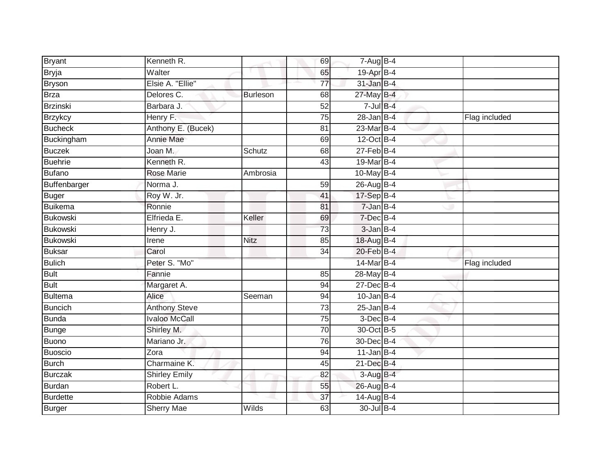| <b>Bryant</b>   | Kenneth R.           |                 | 69              | $7-Aug$ B-4      |               |
|-----------------|----------------------|-----------------|-----------------|------------------|---------------|
| Bryja           | Walter               |                 | 65              | 19-Apr B-4       |               |
| Bryson          | Elsie A. "Ellie"     |                 | $\overline{77}$ | $31$ -Jan B-4    |               |
| <b>Brza</b>     | Delores C.           | <b>Burleson</b> | 68              | 27-May B-4       |               |
| <b>Brzinski</b> | Barbara J.           |                 | 52              | $7$ -Jul $B-4$   |               |
| <b>Brzykcy</b>  | Henry F.             |                 | 75              | $28$ -Jan B-4    | Flag included |
| <b>Bucheck</b>  | Anthony E. (Bucek)   |                 | 81              | 23-Mar B-4       |               |
| Buckingham      | Annie Mae            |                 | 69              | $12$ -Oct B-4    |               |
| <b>Buczek</b>   | Joan M.              | Schutz          | 68              | $27$ -Feb $B-4$  |               |
| <b>Buehrie</b>  | Kenneth R.           |                 | 43              | 19-Mar B-4       |               |
| Bufano          | <b>Rose Marie</b>    | Ambrosia        |                 | 10-May B-4       |               |
| Buffenbarger    | Norma J.             |                 | 59              | $26$ -Aug B-4    |               |
| <b>Buger</b>    | Roy W. Jr.           |                 | 41              | 17-Sep B-4       |               |
| Buikema         | Ronnie               |                 | 81              | $7 - Jan$ B-4    |               |
| <b>Bukowski</b> | Elfrieda E.          | Keller          | 69              | 7-Dec B-4        |               |
| <b>Bukowski</b> | Henry J.             |                 | 73              | $3$ -Jan $B-4$   |               |
| Bukowski        | Irene                | Nitz            | 85              | 18-Aug B-4       |               |
| <b>Buksar</b>   | Carol                |                 | 34              | 20-Feb B-4       |               |
| <b>Bulich</b>   | Peter S. "Mo"        |                 |                 | 14-Mar B-4       | Flag included |
| <b>Bult</b>     | Fannie               |                 | 85              | 28-May B-4       |               |
| <b>Bult</b>     | Margaret A.          |                 | 94              | $27$ -Dec $B-4$  |               |
| <b>Bultema</b>  | Alice                | Seeman          | 94              | $10$ -Jan B-4    |               |
| <b>Buncich</b>  | <b>Anthony Steve</b> |                 | 73              | $25$ -Jan B-4    |               |
| <b>Bunda</b>    | <b>Ivaloo McCall</b> |                 | 75              | $3$ -Dec $B-4$   |               |
| <b>Bunge</b>    | Shirley M.           |                 | 70              | 30-Oct B-5       |               |
| Buono           | Mariano Jr.          |                 | 76              | 30-Dec B-4       |               |
| Buoscio         | Zora                 |                 | 94              | $11$ -Jan B-4    |               |
| Burch           | Charmaine K.         |                 | 45              | 21-Dec B-4       |               |
| Burczak         | <b>Shirley Emily</b> |                 | 82              | $3-AugB-4$       |               |
| Burdan          | Robert L.            |                 | 55              | 26-Aug B-4       |               |
| <b>Burdette</b> | Robbie Adams         |                 | 37              | $14$ -Aug $B$ -4 |               |
| <b>Burger</b>   | <b>Sherry Mae</b>    | Wilds           | 63              | 30-Jul B-4       |               |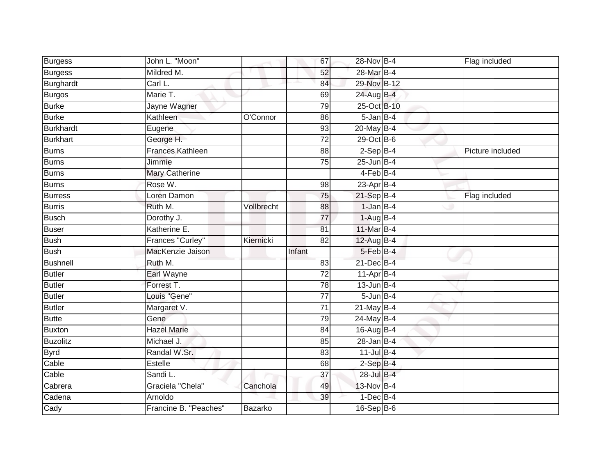| <b>Burgess</b>   | John L. "Moon"          |                | 67              | 28-Nov B-4        | Flag included    |
|------------------|-------------------------|----------------|-----------------|-------------------|------------------|
| <b>Burgess</b>   | Mildred M.              |                | 52              | 28-Mar B-4        |                  |
| Burghardt        | Carl L.                 |                | 84              | 29-Nov B-12       |                  |
| <b>Burgos</b>    | Marie T.                |                | 69              | 24-Aug B-4        |                  |
| <b>Burke</b>     | Jayne Wagner            |                | 79              | 25-Oct B-10       |                  |
| <b>Burke</b>     | Kathleen                | O'Connor       | 86              | $5$ -Jan $B-4$    |                  |
| <b>Burkhardt</b> | Eugene                  |                | 93              | 20-May B-4        |                  |
| <b>Burkhart</b>  | George H.               |                | 72              | 29-Oct B-6        |                  |
| <b>Burns</b>     | <b>Frances Kathleen</b> |                | $\overline{88}$ | $2-SepB-4$        | Picture included |
| <b>Burns</b>     | Jimmie                  |                | $\overline{75}$ | $25$ -Jun $B-4$   |                  |
| <b>Burns</b>     | Mary Catherine          |                |                 | $4$ -Feb $ B-4 $  |                  |
| <b>Burns</b>     | Rose W.                 |                | 98              | $23$ -Apr $B-4$   |                  |
| <b>Burress</b>   | Loren Damon             |                | 75              | $21-SepB-4$       | Flag included    |
| <b>Burris</b>    | Ruth M.                 | Vollbrecht     | 88              | $1-Jan$ B-4       |                  |
| <b>Busch</b>     | Dorothy J.              |                | $\overline{77}$ | $1-AugB-4$        |                  |
| Buser            | Katherine E.            |                | 81              | 11-Mar B-4        |                  |
| <b>Bush</b>      | Frances "Curley"        | Kiernicki      | $\overline{82}$ | 12-Aug B-4        |                  |
| <b>Bush</b>      | MacKenzie Jaison        |                | Infant          | 5-Feb B-4         |                  |
| <b>Bushnell</b>  | Ruth M.                 |                | 83              | 21-Dec B-4        |                  |
| <b>Butler</b>    | Earl Wayne              |                | $\overline{72}$ | $11-Apr$ B-4      |                  |
| <b>Butler</b>    | Forrest T.              |                | $\overline{78}$ | $13$ -Jun $B-4$   |                  |
| <b>Butler</b>    | Louis "Gene"            |                | $\overline{77}$ | $5 - Jun$ $B - 4$ |                  |
| <b>Butler</b>    | Margaret V.             |                | 71              | $21$ -May B-4     |                  |
| <b>Butte</b>     | Gene                    |                | 79              | 24-May B-4        |                  |
| <b>Buxton</b>    | <b>Hazel Marie</b>      |                | 84              | $16$ -Aug $B-4$   |                  |
| <b>Buzolitz</b>  | Michael J.              |                | 85              | $28$ -Jan B-4     |                  |
| <b>Byrd</b>      | Randal W.Sr.            |                | 83              | $11$ -Jul B-4     |                  |
| Cable            | Estelle                 |                | 68              | $2-SepB-4$        |                  |
| Cable            | Sandi L.                |                | $\overline{37}$ | 28-Jul B-4        |                  |
| Cabrera          | Graciela "Chela"        | Canchola       | 49              | 13-Nov B-4        |                  |
| Cadena           | Arnoldo                 |                | 39              | $1-Dec$ B-4       |                  |
| Cady             | Francine B. "Peaches"   | <b>Bazarko</b> |                 | $16-SepB-6$       |                  |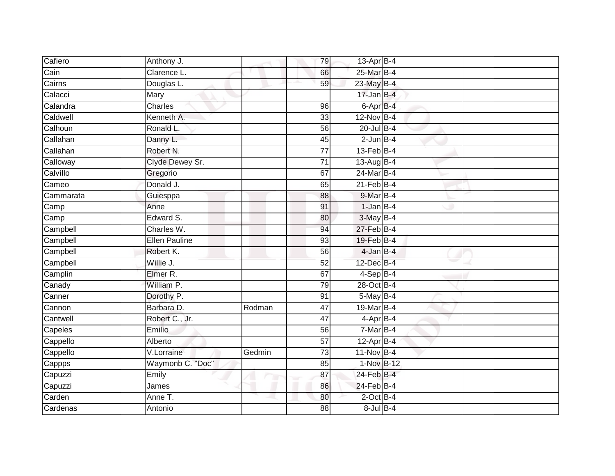| Cafiero   | Anthony J.           |        | 79              | $13-Apr$ B-4      |  |
|-----------|----------------------|--------|-----------------|-------------------|--|
| Cain      | Clarence L.          |        | 66              | 25-Mar B-4        |  |
| Cairns    | Douglas L.           |        | 59              | 23-May B-4        |  |
| Calacci   | Mary                 |        |                 | $17 - Jan$ B-4    |  |
| Calandra  | Charles              |        | 96              | 6-Apr B-4         |  |
| Caldwell  | Kenneth A.           |        | 33              | 12-Nov B-4        |  |
| Calhoun   | Ronald L.            |        | 56              | $20$ -Jul B-4     |  |
| Callahan  | Danny L.             |        | 45              | $2$ -Jun $B-4$    |  |
| Callahan  | Robert N.            |        | $\overline{77}$ | $13$ -Feb $ B-4 $ |  |
| Calloway  | Clyde Dewey Sr.      |        | $\overline{71}$ | 13-Aug B-4        |  |
| Calvillo  | Gregorio             |        | 67              | 24-Mar B-4        |  |
| Cameo     | Donald J.            |        | 65              | $21$ -Feb $ B-4 $ |  |
| Cammarata | Guiesppa             |        | 88              | 9-Mar B-4         |  |
| Camp      | Anne                 |        | 91              | $1-JanB-4$        |  |
| Camp      | Edward S.            |        | 80              | $3-May$ B-4       |  |
| Campbell  | Charles W.           |        | 94              | $27$ -Feb $B-4$   |  |
| Campbell  | <b>Ellen Pauline</b> |        | 93              | $19$ -Feb $B$ -4  |  |
| Campbell  | Robert K.            |        | 56              | 4-Jan B-4         |  |
| Campbell  | Willie J.            |        | 52              | 12-Dec B-4        |  |
| Camplin   | Elmer R.             |        | 67              | $4-Sep$ B-4       |  |
| Canady    | William P.           |        | 79              | 28-Oct B-4        |  |
| Canner    | Dorothy P.           |        | 91              | $5$ -May $B-4$    |  |
| Cannon    | Barbara D.           | Rodman | 47              | 19-Mar B-4        |  |
| Cantwell  | Robert C., Jr.       |        | 47              | $4-Apr$ B-4       |  |
| Capeles   | Emilio               |        | 56              | $7-MarB-4$        |  |
| Cappello  | Alberto              |        | $\overline{57}$ | $12-Apr$ B-4      |  |
| Cappello  | V.Lorraine           | Gedmin | 73              | $11-Nov$ B-4      |  |
| Cappps    | Waymonb C. "Doc"     |        | 85              | 1-Nov B-12        |  |
| Capuzzi   | Emily                |        | 87              | $24$ -Feb $B-4$   |  |
| Capuzzi   | James                |        | 86              | 24-Feb B-4        |  |
| Carden    | Anne T.              |        | 80              | $2$ -Oct B-4      |  |
| Cardenas  | Antonio              |        | 88              | $8$ -Jul $B-4$    |  |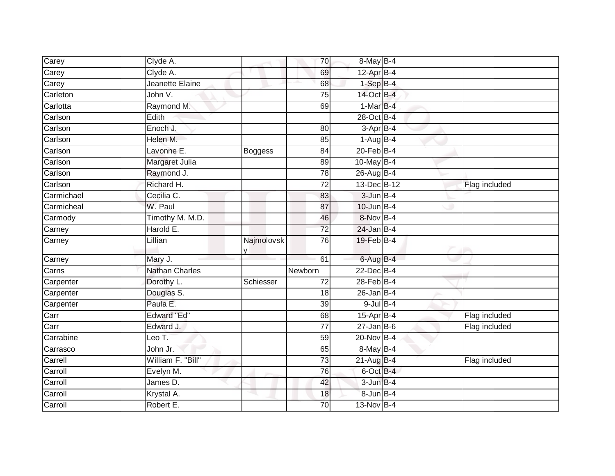| Carey      | Clyde A.              |                | 70              | 8-May B-4         |               |
|------------|-----------------------|----------------|-----------------|-------------------|---------------|
| Carey      | Clyde A.              |                | 69              | $12$ -Apr $B-4$   |               |
| Carey      | Jeanette Elaine       |                | 68              | $1-SepB-4$        |               |
| Carleton   | John V.               |                | 75              | 14-Oct B-4        |               |
| Carlotta   | Raymond M.            |                | 69              | 1-Mar B-4         |               |
| Carlson    | Edith                 |                |                 | 28-Oct B-4        |               |
| Carlson    | Enoch J.              |                | 80              | $3-AprB-4$        |               |
| Carlson    | Helen M.              |                | 85              | $1-AugB-4$        |               |
| Carlson    | Lavonne E.            | <b>Boggess</b> | 84              | $20-FebB-4$       |               |
| Carlson    | Margaret Julia        |                | 89              | 10-May B-4        |               |
| Carlson    | Raymond J.            |                | $\overline{78}$ | 26-Aug B-4        |               |
| Carlson    | Richard H.            |                | $\overline{72}$ | 13-Dec B-12       | Flag included |
| Carmichael | Cecilia C.            |                | 83              | $3-JunB-4$        |               |
| Carmicheal | W. Paul               |                | 87              | 10-Jun B-4        |               |
| Carmody    | Timothy M. M.D.       |                | 46              | 8-Nov B-4         |               |
| Carney     | Harold E.             |                | 72              | $24$ -Jan $B-4$   |               |
| Carney     | Lillian               | Najmolovsk     | 76              | $19$ -Feb $ B-4 $ |               |
| Carney     | Mary J.               |                | 61              | $6$ -Aug $B-4$    |               |
| Carns      | <b>Nathan Charles</b> |                | Newborn         | 22-Dec B-4        |               |
| Carpenter  | Dorothy L.            | Schiesser      | $\overline{72}$ | $28$ -Feb $B-4$   |               |
| Carpenter  | Douglas S.            |                | 18              | $26$ -Jan B-4     |               |
| Carpenter  | Paula E.              |                | 39              | $9$ -Jul $B$ -4   |               |
| Carr       | <b>Edward "Ed"</b>    |                | 68              | $15$ -Apr $B-4$   | Flag included |
| Carr       | Edward J.             |                | 77              | $27$ -Jan B-6     | Flag included |
| Carrabine  | $Leo T$ .             |                | 59              | $20$ -Nov $B-4$   |               |
| Carrasco   | John Jr.              |                | 65              | 8-May B-4         |               |
| Carrell    | William F. "Bill"     |                | $\overline{73}$ | $21-AugB-4$       | Flag included |
| Carroll    | Evelyn M.             |                | 76              | $6$ -Oct $B-4$    |               |
| Carroll    | James D.              |                | 42              | $3$ -Jun $B-4$    |               |
| Carroll    | Krystal A.            |                | 18              | $8 - Jun$ $B - 4$ |               |
| Carroll    | Robert E.             |                | 70              | $13-Nov$ B-4      |               |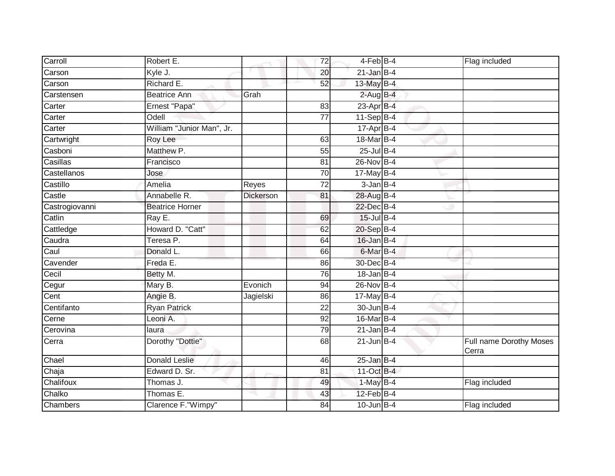| Carroll        | Robert E.                 |           | 72              | $4$ -Feb $B-4$   | Flag included                           |
|----------------|---------------------------|-----------|-----------------|------------------|-----------------------------------------|
| Carson         | Kyle J.                   |           | $\overline{20}$ | $21$ -Jan B-4    |                                         |
| Carson         | Richard E.                |           | 52              | 13-May B-4       |                                         |
| Carstensen     | <b>Beatrice Ann</b>       | Grah      |                 | $2$ -Aug $B-4$   |                                         |
| Carter         | <b>Ernest "Papa"</b>      |           | 83              | 23-Apr B-4       |                                         |
| Carter         | Odell                     |           | 77              | 11-Sep B-4       |                                         |
| Carter         | William "Junior Man", Jr. |           |                 | $17$ -Apr $ B-4$ |                                         |
| Cartwright     | Roy Lee                   |           | 63              | 18-Mar B-4       |                                         |
| Casboni        | Matthew P.                |           | 55              | $25 -$ Jul $B-4$ |                                         |
| Casillas       | Francisco                 |           | 81              | 26-Nov B-4       |                                         |
| Castellanos    | Jose                      |           | 70              | 17-May $B-4$     |                                         |
| Castillo       | Amelia                    | Reyes     | $\overline{72}$ | $3$ -Jan $B-4$   |                                         |
| Castle         | Annabelle R.              | Dickerson | 81              | 28-Aug B-4       |                                         |
| Castrogiovanni | <b>Beatrice Horner</b>    |           |                 | 22-Dec B-4       |                                         |
| Catlin         | Ray E.                    |           | 69              | $15$ -Jul B-4    |                                         |
| Cattledge      | Howard D. "Catt"          |           | 62              | 20-Sep B-4       |                                         |
| Caudra         | Teresa P.                 |           | 64              | $16$ -Jan B-4    |                                         |
| Caul           | Donald L.                 |           | 66              | $6$ -Mar $B$ -4  |                                         |
| Cavender       | Freda E.                  |           | 86              | 30-Dec B-4       |                                         |
| Cecil          | Betty M.                  |           | $\overline{76}$ | $18$ -Jan B-4    |                                         |
| Cegur          | Mary B.                   | Evonich   | 94              | 26-Nov B-4       |                                         |
| Cent           | Angie B.                  | Jagielski | 86              | $17$ -May B-4    |                                         |
| Centifanto     | <b>Ryan Patrick</b>       |           | 22              | $30 - Jun$ $B-4$ |                                         |
| Cerne          | Leoni A.                  |           | 92              | $16$ -Mar $B$ -4 |                                         |
| Cerovina       | laura                     |           | 79              | $21$ -Jan B-4    |                                         |
| Cerra          | Dorothy "Dottie"          |           | 68              | $21$ -Jun $B-4$  | <b>Full name Dorothy Moses</b><br>Cerra |
| Chael          | <b>Donald Leslie</b>      |           | 46              | $25$ -Jan $B-4$  |                                         |
| Chaja          | Edward D. Sr.             |           | 81              | 11-Oct B-4       |                                         |
| Chalifoux      | Thomas J.                 |           | 49              | $1-MayB-4$       | Flag included                           |
| Chalko         | Thomas E.                 |           | 43              | $12$ -Feb $B-4$  |                                         |
| Chambers       | Clarence F."Wimpy"        |           | 84              | $10$ -Jun $B-4$  | Flag included                           |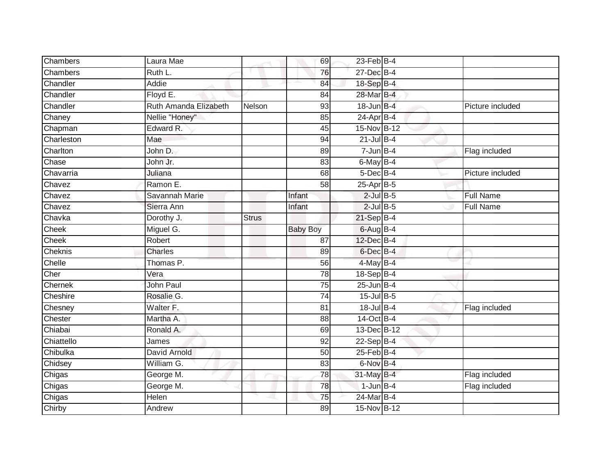| Chambers   | Laura Mae             |              | 69              | $23$ -Feb $ B-4 $ |                  |
|------------|-----------------------|--------------|-----------------|-------------------|------------------|
| Chambers   | Ruth L.               |              | 76              | $27$ -Dec $B-4$   |                  |
| Chandler   | Addie                 |              | 84              | 18-Sep B-4        |                  |
| Chandler   | Floyd E.              |              | 84              | 28-Mar B-4        |                  |
| Chandler   | Ruth Amanda Elizabeth | Nelson       | $\overline{93}$ | 18-Jun B-4        | Picture included |
| Chaney     | Nellie "Honey"        |              | 85              | $24$ -Apr $B-4$   |                  |
| Chapman    | Edward R.             |              | 45              | 15-Nov B-12       |                  |
| Charleston | Mae                   |              | 94              | $21$ -Jul B-4     |                  |
| Charlton   | John D.               |              | 89              | $7 - Jun$ B-4     | Flag included    |
| Chase      | John Jr.              |              | 83              | $6$ -May $B-4$    |                  |
| Chavarria  | Juliana               |              | 68              | $5$ -Dec $B$ -4   | Picture included |
| Chavez     | Ramon E.              |              | 58              | $25$ -Apr $B$ -5  |                  |
| Chavez     | Savannah Marie        |              | Infant          | $2$ -Jul $B$ -5   | <b>Full Name</b> |
| Chavez     | Sierra Ann            |              | Infant          | $2$ -Jul B-5      | <b>Full Name</b> |
| Chavka     | Dorothy J.            | <b>Strus</b> |                 | $21-Sep$ B-4      |                  |
| Cheek      | Miguel G.             |              | <b>Baby Boy</b> | $6$ -Aug $B-4$    |                  |
| Cheek      | Robert                |              | 87              | 12-Dec B-4        |                  |
| Cheknis    | Charles               |              | 89              | $6$ -Dec $B$ -4   |                  |
| Chelle     | Thomas P.             |              | 56              | $4$ -May B-4      |                  |
| Cher       | Vera                  |              | 78              | $18-Sep B-4$      |                  |
| Chernek    | John Paul             |              | 75              | $25$ -Jun $B-4$   |                  |
| Cheshire   | Rosalie G.            |              | 74              | $15$ -Jul B-5     |                  |
| Chesney    | Walter F.             |              | 81              | $18$ -Jul B-4     | Flag included    |
| Chester    | Martha A.             |              | 88              | 14-Oct B-4        |                  |
| Chiabai    | Ronald A.             |              | 69              | 13-Dec B-12       |                  |
| Chiattello | James                 |              | 92              | $22-Sep$ B-4      |                  |
| Chibulka   | David Arnold          |              | 50              | $25$ -Feb $B-4$   |                  |
| Chidsey    | William G.            |              | 83              | 6-Nov B-4         |                  |
| Chigas     | George M.             |              | 78              | 31-May B-4        | Flag included    |
| Chigas     | George M.             |              | 78              | $1$ -Jun $B-4$    | Flag included    |
| Chigas     | Helen                 |              | 75              | 24-Mar B-4        |                  |
| Chirby     | Andrew                |              | 89              | 15-Nov B-12       |                  |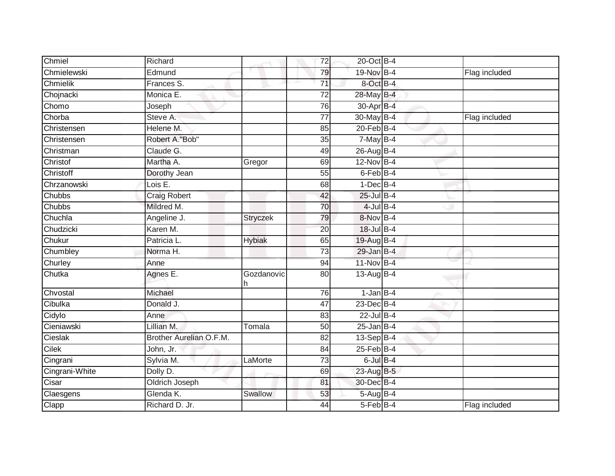| Chmiel         | Richard                 |                 | 72              | 20-Oct B-4           |               |
|----------------|-------------------------|-----------------|-----------------|----------------------|---------------|
| Chmielewski    | Edmund                  |                 | 79              | 19-Nov B-4           | Flag included |
| Chmielik       | Frances S.              |                 | $\overline{71}$ | 8-Oct B-4            |               |
| Chojnacki      | Monica E.               |                 | 72              | 28-May B-4           |               |
| Chomo          | Joseph                  |                 | $\overline{76}$ | 30-Apr B-4           |               |
| Chorba         | Steve A.                |                 | 77              | 30-May B-4           | Flag included |
| Christensen    | Helene M.               |                 | 85              | $20$ -Feb $B-4$      |               |
| Christensen    | Robert A."Bob"          |                 | $\overline{35}$ | $7$ -May B-4         |               |
| Christman      | Claude G.               |                 | 49              | 26-Aug B-4           |               |
| Christof       | Martha A.               | Gregor          | 69              | $12$ -Nov B-4        |               |
| Christoff      | Dorothy Jean            |                 | 55              | 6-Feb B-4            |               |
| Chrzanowski    | Lois E.                 |                 | 68              | $1-Dec$ B-4          |               |
| Chubbs         | <b>Craig Robert</b>     |                 | 42              | $25$ -Jul $B-4$      |               |
| Chubbs         | Mildred M.              |                 | 70              | $4$ -Jul B-4         |               |
| Chuchla        | Angeline J.             | <b>Stryczek</b> | 79              | 8-Nov B-4            |               |
| Chudzicki      | Karen M.                |                 | $\overline{20}$ | 18-Jul B-4           |               |
| Chukur         | Patricia L.             | <b>Hybiak</b>   | 65              | 19-Aug B-4           |               |
| Chumbley       | Norma H.                |                 | 73              | $29$ -Jan B-4        |               |
| Churley        | Anne                    |                 | 94              | $11-Nov$ B-4         |               |
| Chutka         | Agnes E.                | Gozdanovic<br>h | 80              | 13-Aug B-4           |               |
| Chvostal       | Michael                 |                 | $\overline{76}$ | $1-Jan$ B-4          |               |
| Cibulka        | Donald J.               |                 | 47              | $23$ -Dec $B-4$      |               |
| Cidylo         | Anne                    |                 | 83              | $22$ -Jul $B-4$      |               |
| Cieniawski     | Lillian M.              | Tomala          | 50              | $25 - Jan$ $B-4$     |               |
| Cieslak        | Brother Aurelian O.F.M. |                 | $\overline{82}$ | 13-Sep B-4           |               |
| <b>Cilek</b>   | John, Jr.               |                 | 84              | $25$ -Feb $B-4$      |               |
| Cingrani       | Sylvia M.               | LaMorte         | $\overline{73}$ | 6-Jul B-4            |               |
| Cingrani-White | Dolly D.                |                 | 69              | 23-Aug B-5           |               |
| Cisar          | Oldrich Joseph          |                 | 81              | 30-Dec B-4           |               |
| Claesgens      | Glenda K.               | Swallow         | 53              | $5-Aug$ B-4          |               |
| Clapp          | Richard D. Jr.          |                 | 44              | 5-Feb <sup>B-4</sup> | Flag included |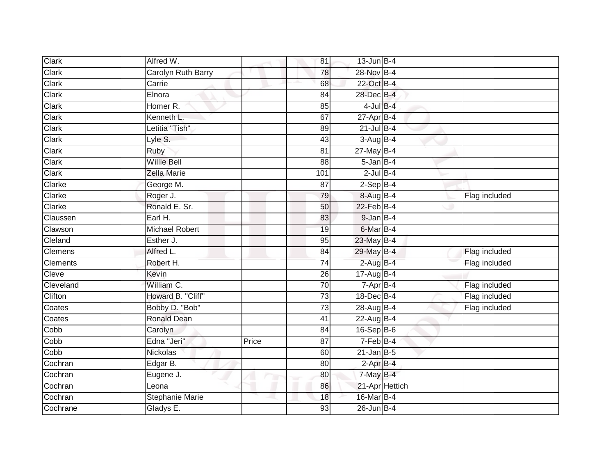| Clark          | Alfred W.             |       | 81              | $13$ -Jun $B-4$ |                |               |
|----------------|-----------------------|-------|-----------------|-----------------|----------------|---------------|
| Clark          | Carolyn Ruth Barry    |       | 78              | 28-Nov B-4      |                |               |
| Clark          | Carrie                |       | 68              | 22-Oct B-4      |                |               |
| Clark          | Elnora                |       | 84              | 28-Dec B-4      |                |               |
| Clark          | Homer R.              |       | 85              | $4$ -Jul $B-4$  |                |               |
| Clark          | Kenneth L.            |       | 67              | $27$ -Apr $B-4$ |                |               |
| Clark          | Letitia "Tish"        |       | 89              | $21$ -Jul B-4   |                |               |
| Clark          | Lyle S.               |       | 43              | $3-Aug$ B-4     |                |               |
| Clark          | Ruby                  |       | 81              | $27$ -May B-4   |                |               |
| Clark          | <b>Willie Bell</b>    |       | 88              | $5 - Jan$ $B-4$ |                |               |
| Clark          | Zella Marie           |       | 101             | $2$ -Jul $B-4$  |                |               |
| Clarke         | George M.             |       | 87              | $2-Sep$ B-4     |                |               |
| Clarke         | Roger J.              |       | 79              | 8-Aug B-4       |                | Flag included |
| Clarke         | Ronald E. Sr.         |       | 50              | $22$ -Feb $B-4$ |                |               |
| Claussen       | Earl H.               |       | 83              | $9$ -Jan $B-4$  |                |               |
| Clawson        | <b>Michael Robert</b> |       | 19              | 6-Mar B-4       |                |               |
| Cleland        | Esther J.             |       | 95              | $23$ -May B-4   |                |               |
| <b>Clemens</b> | Alfred L.             |       | 84              | 29-May B-4      |                | Flag included |
| Clements       | Robert H.             |       | $\overline{74}$ | $2-Aug$ B-4     |                | Flag included |
| Cleve          | Kevin                 |       | $\overline{26}$ | $17 - Aug$ B-4  |                |               |
| Cleveland      | William C.            |       | $\overline{70}$ | $7 - Apr$ B-4   |                | Flag included |
| Clifton        | Howard B. "Cliff"     |       | $\overline{73}$ | $18$ -Dec $B-4$ |                | Flag included |
| Coates         | Bobby D. "Bob"        |       | $\overline{73}$ | 28-Aug B-4      |                | Flag included |
| Coates         | Ronald Dean           |       | 41              | $22$ -Aug $B-4$ |                |               |
| Cobb           | Carolyn               |       | 84              | $16-Sep$ B-6    |                |               |
| Copp           | Edna "Jeri"           | Price | 87              | $7-Feb$ B-4     |                |               |
| Copp           | Nickolas              |       | 60              | $21$ -Jan B-5   |                |               |
| Cochran        | Edgar B.              |       | 80              | $2$ -Apr $B-4$  |                |               |
| Cochran        | Eugene J.             |       | 80              | $7$ -May B-4    |                |               |
| Cochran        | Leona                 |       | 86              |                 | 21-Apr Hettich |               |
| Cochran        | Stephanie Marie       |       | 18              | 16-Mar B-4      |                |               |
| Cochrane       | Gladys E.             |       | 93              | $26$ -Jun $B-4$ |                |               |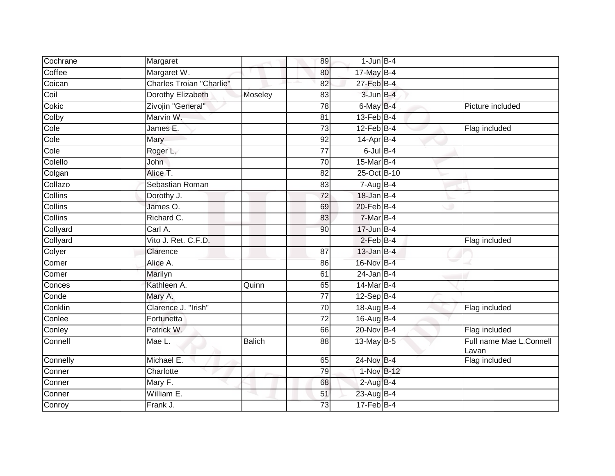| Cochrane                  | Margaret                        |               | 89              | $1$ -Jun $B-4$           |                                  |
|---------------------------|---------------------------------|---------------|-----------------|--------------------------|----------------------------------|
| Coffee                    | Margaret W.                     |               | 80              | 17-May B-4               |                                  |
| Coican                    | <b>Charles Troian "Charlie"</b> |               | 82              | $27$ -Feb $B-4$          |                                  |
| Coil                      | Dorothy Elizabeth               | Moseley       | 83              | $3$ -Jun $B-4$           |                                  |
| Cokic                     | Zivojin "General"               |               | 78              | 6-May B-4                | Picture included                 |
| $\overline{\text{Colby}}$ | Marvin W.                       |               | 81              | $13$ -Feb $B-4$          |                                  |
| Cole                      | James E.                        |               | 73              | $12$ -Feb $ B-4$         | Flag included                    |
| Cole                      | Mary                            |               | 92              | $14$ -Apr $B$ -4         |                                  |
| Cole                      | Roger L.                        |               | $\overline{77}$ | $6$ -Jul $B-4$           |                                  |
| Colello                   | John                            |               | $\overline{70}$ | 15-Mar B-4               |                                  |
| Colgan                    | Alice T.                        |               | 82              | 25-Oct B-10              |                                  |
| Collazo                   | Sebastian Roman                 |               | 83              | $7 - \overline{Aug}$ B-4 |                                  |
| Collins                   | Dorothy J.                      |               | 72              | 18-Jan B-4               |                                  |
| Collins                   | James O.                        |               | 69              | $20$ -Feb $B-4$          |                                  |
| Collins                   | Richard C.                      |               | 83              | $7-MarB-4$               |                                  |
| Collyard                  | Carl A.                         |               | 90              | $17$ -Jun $B-4$          |                                  |
| Collyard                  | Vito J. Ret. C.F.D.             |               |                 | $2$ -Feb $B$ -4          | Flag included                    |
| Colyer                    | Clarence                        |               | 87              | $13$ -Jan B-4            |                                  |
| Comer                     | Alice A.                        |               | 86              | 16-Nov B-4               |                                  |
| Comer                     | Marilyn                         |               | 61              | $24$ -Jan B-4            |                                  |
| Conces                    | Kathleen A.                     | Quinn         | 65              | $14$ -Mar $ B-4 $        |                                  |
| Conde                     | Mary A.                         |               | $\overline{77}$ | $12-SepB-4$              |                                  |
| Conklin                   | Clarence J. "Irish"             |               | 70              | 18-Aug B-4               | Flag included                    |
| Conlee                    | Fortunetta                      |               | $\overline{72}$ | 16-Aug B-4               |                                  |
| Conley                    | Patrick W.                      |               | 66              | 20-Nov B-4               | Flag included                    |
| Connell                   | Mae L.                          | <b>Balich</b> | 88              | 13-May $B-5$             | Full name Mae L.Connell<br>Lavan |
| Connelly                  | Michael E.                      |               | 65              | 24-Nov B-4               | Flag included                    |
| Conner                    | Charlotte                       |               | 79              | 1-Nov B-12               |                                  |
| Conner                    | Mary F.                         |               | 68              | $2-AugB-4$               |                                  |
| Conner                    | William E.                      |               | 51              | 23-Aug B-4               |                                  |
| Conroy                    | Frank J.                        |               | 73              | $17-Feb$ B-4             |                                  |
|                           |                                 |               |                 |                          |                                  |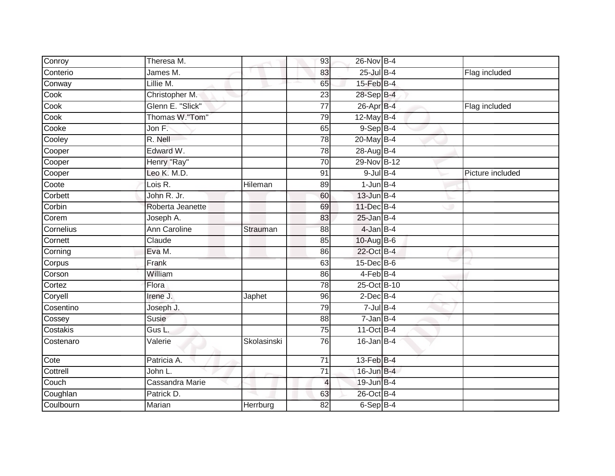| Conroy    | Theresa M.          |             | 93              | $26$ -Nov $B-4$   |                  |
|-----------|---------------------|-------------|-----------------|-------------------|------------------|
| Conterio  | James M.            |             | 83              | $25$ -Jul $B-4$   | Flag included    |
| Conway    | Lillie M.           |             | 65              | $15$ -Feb $B$ -4  |                  |
| Cook      | Christopher M.      |             | $\overline{23}$ | 28-Sep B-4        |                  |
| Cook      | Glenn E. "Slick"    |             | $\overline{77}$ | 26-Apr B-4        | Flag included    |
| Cook      | Thomas W."Tom"      |             | 79              | 12-May B-4        |                  |
| Cooke     | Jon F.              |             | 65              | $9-Sep B-4$       |                  |
| Cooley    | R. Nell             |             | 78              | $20$ -May B-4     |                  |
| Cooper    | Edward W.           |             | $\overline{78}$ | 28-Aug B-4        |                  |
| Cooper    | Henry "Ray"         |             | $\overline{70}$ | 29-Nov B-12       |                  |
| Cooper    | Leo K. M.D.         |             | 91              | $9$ -Jul $B$ -4   | Picture included |
| Coote     | Lois R.             | Hileman     | 89              | $1-JunB-4$        |                  |
| Corbett   | John R. Jr.         |             | 60              | $13$ -Jun $B-4$   |                  |
| Corbin    | Roberta Jeanette    |             | 69              | 11-Dec B-4        |                  |
| Corem     | Joseph A.           |             | 83              | $25 - Jan$ $B-4$  |                  |
| Cornelius | <b>Ann Caroline</b> | Strauman    | 88              | $4-JanB-4$        |                  |
| Cornett   | Claude              |             | $\overline{85}$ | 10-Aug B-6        |                  |
| Corning   | Eva M.              |             | 86              | 22-Oct B-4        |                  |
| Corpus    | Frank               |             | 63              | $15$ -Dec $B$ -6  |                  |
| Corson    | William             |             | 86              | 4-Feb B-4         |                  |
| Cortez    | Flora               |             | 78              | 25-Oct B-10       |                  |
| Coryell   | Irene J.            | Japhet      | 96              | $2$ -Dec $B-4$    |                  |
| Cosentino | Joseph J.           |             | 79              | $7 -$ Jul $B - 4$ |                  |
| Cossey    | Susie               |             | 88              | $7 - Jan$ $B-4$   |                  |
| Costakis  | Gus L.              |             | $\overline{75}$ | $11-Oct$ B-4      |                  |
| Costenaro | Valerie             | Skolasinski | 76              | $16$ -Jan $B-4$   |                  |
| Cote      | Patricia A.         |             | $\overline{71}$ | $13$ -Feb $B-4$   |                  |
| Cottrell  | John L.             |             | $\overline{71}$ | 16-Jun B-4        |                  |
| Couch     | Cassandra Marie     |             | $\overline{4}$  | 19-Jun B-4        |                  |
| Coughlan  | Patrick D.          |             | 63              | 26-Oct B-4        |                  |
| Coulbourn | Marian              | Herrburg    | 82              | $6-Sep B-4$       |                  |
|           |                     |             |                 |                   |                  |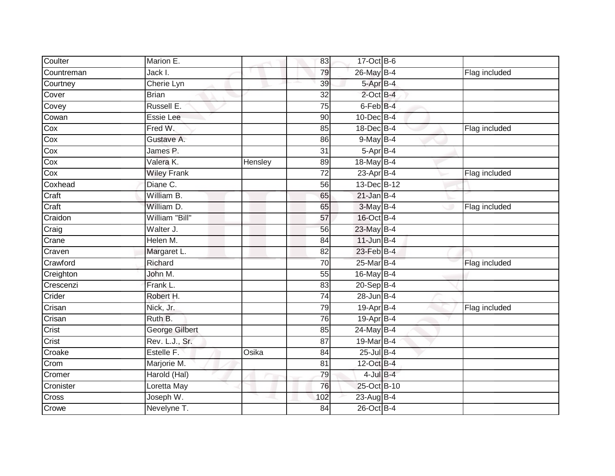| Coulter    | Marion E.             |         | 83              | $17-Oct$ B-6      |               |
|------------|-----------------------|---------|-----------------|-------------------|---------------|
| Countreman | Jack I.               |         | 79              | 26-May B-4        | Flag included |
| Courtney   | Cherie Lyn            |         | 39              | $5-AprB-4$        |               |
| Cover      | <b>Brian</b>          |         | $\overline{32}$ | $2$ -Oct $B-4$    |               |
| Covey      | Russell E.            |         | $\overline{75}$ | 6-Feb B-4         |               |
| Cowan      | <b>Essie Lee</b>      |         | 90              | $10$ -Dec $B-4$   |               |
| Cox        | Fred W.               |         | 85              | $18$ -Dec $B-4$   | Flag included |
| Cox        | Gustave A.            |         | 86              | $9$ -May B-4      |               |
| Cox        | James P.              |         | $\overline{31}$ | 5-Apr B-4         |               |
| Cox        | Valera K.             | Hensley | 89              | 18-May B-4        |               |
| Cox        | <b>Wiley Frank</b>    |         | $\overline{72}$ | $23$ -Apr $ B-4 $ | Flag included |
| Coxhead    | Diane C.              |         | 56              | 13-Dec B-12       |               |
| Craft      | William B.            |         | 65              | $21$ -Jan B-4     |               |
| Craft      | William D.            |         | 65              | $3-May$ B-4       | Flag included |
| Craidon    | William "Bill"        |         | 57              | 16-Oct B-4        |               |
| Craig      | Walter J.             |         | 56              | 23-May B-4        |               |
| Crane      | Helen M.              |         | 84              | $11$ -Jun $B-4$   |               |
| Craven     | Margaret L.           |         | 82              | $23$ -Feb $B-4$   |               |
| Crawford   | Richard               |         | 70              | 25-Mar B-4        | Flag included |
| Creighton  | John M.               |         | 55              | 16-May B-4        |               |
| Crescenzi  | Frank L.              |         | 83              | $20-Sep B-4$      |               |
| Crider     | Robert H.             |         | $\overline{74}$ | $28$ -Jun $B-4$   |               |
| Crisan     | Nick, Jr.             |         | 79              | 19-Apr B-4        | Flag included |
| Crisan     | Ruth B.               |         | 76              | $19-AprB-4$       |               |
| Crist      | <b>George Gilbert</b> |         | 85              | 24-May B-4        |               |
| Crist      | Rev. L.J., Sr.        |         | 87              | 19-Mar B-4        |               |
| Croake     | Estelle F.            | Osika   | 84              | 25-Jul B-4        |               |
| Crom       | Marjorie M.           |         | 81              | 12-Oct B-4        |               |
| Cromer     | Harold (Hal)          |         | 79              | $4$ -Jul $B-4$    |               |
| Cronister  | Loretta May           |         | 76              | 25-Oct B-10       |               |
| Cross      | Joseph W.             |         | 102             | 23-Aug $B-4$      |               |
| Crowe      | Nevelyne T.           |         | 84              | $26$ -Oct B-4     |               |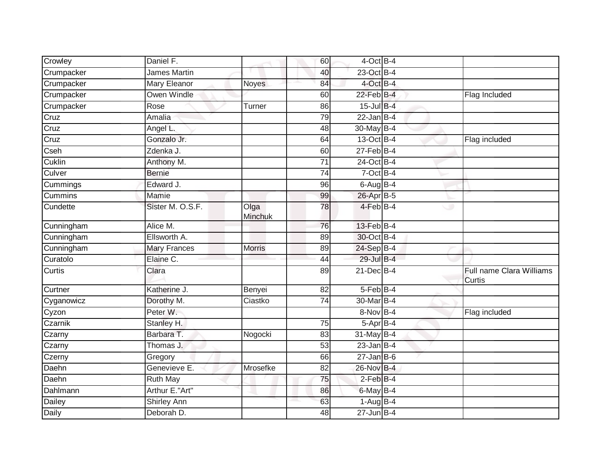| Crowley                  | Daniel F.           |                 | 60              | 4-Oct B-4               |                                           |
|--------------------------|---------------------|-----------------|-----------------|-------------------------|-------------------------------------------|
| Crumpacker               | James Martin        |                 | 40              | 23-Oct B-4              |                                           |
| Crumpacker               | <b>Mary Eleanor</b> | <b>Noyes</b>    | 84              | $4$ -Oct B-4            |                                           |
| Crumpacker               | Owen Windle         |                 | 60              | 22-Feb B-4              | Flag Included                             |
| Crumpacker               | Rose                | Turner          | 86              | 15-Jul B-4              |                                           |
| Cruz                     | Amalia              |                 | 79              | $22$ -Jan B-4           |                                           |
| $\overline{\text{Cruz}}$ | Angel L.            |                 | 48              | 30-May B-4              |                                           |
| Cruz                     | Gonzalo Jr.         |                 | 64              | 13-Oct B-4              | Flag included                             |
| Cseh                     | Zdenka J.           |                 | 60              | $27$ -Feb $B-4$         |                                           |
| Cuklin                   | Anthony M.          |                 | $\overline{71}$ | $24$ -Oct B-4           |                                           |
| Culver                   | <b>Bernie</b>       |                 | 74              | $7$ -Oct $B-4$          |                                           |
| Cummings                 | Edward J.           |                 | 96              | $6$ -Aug $B-4$          |                                           |
| Cummins                  | Mamie               |                 | 99              | 26-Apr B-5              |                                           |
| Cundette                 | Sister M. O.S.F.    | Olga<br>Minchuk | 78              | 4-Feb B-4               |                                           |
| Cunningham               | Alice M.            |                 | 76              | $13$ -Feb $B-4$         |                                           |
| Cunningham               | Ellsworth A.        |                 | 89              | 30-Oct B-4              |                                           |
| Cunningham               | <b>Mary Frances</b> | <b>Morris</b>   | 89              | 24-Sep B-4              |                                           |
| Curatolo                 | Elaine C.           |                 | 44              | $29$ -Jul $B-4$         |                                           |
| Curtis                   | Clara               |                 | 89              | $21$ -Dec $B-4$         | <b>Eull name Clara Williams</b><br>Curtis |
| Curtner                  | Katherine J.        | Benyei          | 82              | 5-Feb B-4               |                                           |
| Cyganowicz               | Dorothy M.          | Ciastko         | 74              | 30-Mar B-4              |                                           |
| Cyzon                    | Peter W.            |                 |                 | $8-NovB-4$              | Flag included                             |
| Czarnik                  | Stanley H.          |                 | 75              | $5 -$ Apr $B - 4$       |                                           |
| Czarny                   | Barbara T.          | Nogocki         | 83              | 31-May B-4              |                                           |
| Czarny                   | Thomas J.           |                 | $\overline{53}$ | $23$ -Jan B-4           |                                           |
| Czerny                   | Gregory             |                 | 66              | $27$ -Jan B-6           |                                           |
| Daehn                    | Genevieve E.        | Mrosefke        | 82              | 26-Nov B-4              |                                           |
| Daehn                    | Ruth May            |                 | 75              | $2-FebB-4$              |                                           |
| Dahlmann                 | Arthur E."Art"      |                 | 86              | 6-May B-4               |                                           |
| Dailey                   | <b>Shirley Ann</b>  |                 | 63              | $1 - \overline{AugB-4}$ |                                           |
| Daily                    | Deborah D.          |                 | 48              | $27$ -Jun $B-4$         |                                           |
|                          |                     |                 |                 |                         |                                           |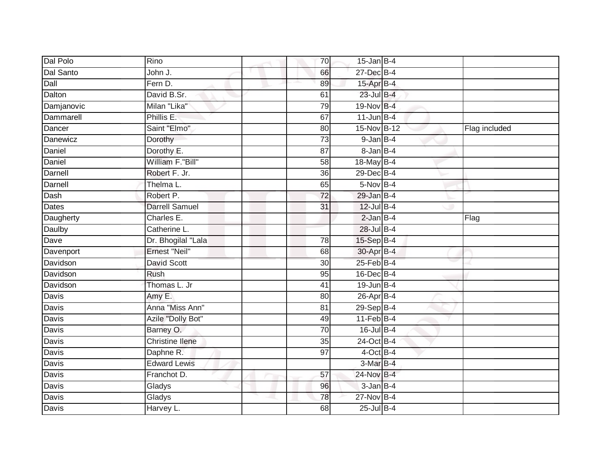| Dal Polo     | Rino                  | 70              | $15$ -Jan B-4    |               |
|--------------|-----------------------|-----------------|------------------|---------------|
| Dal Santo    | John J.               | 66              | $27$ -Dec $B-4$  |               |
| Dall         | Fern D.               | 89              | 15-Apr B-4       |               |
| Dalton       | David B.Sr.           | 61              | 23-Jul B-4       |               |
| Damjanovic   | Milan "Lika"          | 79              | 19-Nov B-4       |               |
| Dammarell    | Phillis E.            | 67              | $11$ -Jun $B-4$  |               |
| Dancer       | Saint "Elmo"          | 80              | 15-Nov B-12      | Flag included |
| Danewicz     | Dorothy               | $\overline{73}$ | $9$ -Jan $B$ -4  |               |
| Daniel       | Dorothy E.            | $\overline{87}$ | 8-Jan B-4        |               |
| Daniel       | William F."Bill"      | 58              | 18-May B-4       |               |
| Darnell      | Robert F. Jr.         | 36              | 29-Dec B-4       |               |
| Darnell      | Thelma L.             | 65              | $5-Nov$ B-4      |               |
| Dash         | Robert P.             | 72              | $29$ -Jan B-4    |               |
| <b>Dates</b> | <b>Darrell Samuel</b> | 31              | $12$ -Jul B-4    |               |
| Daugherty    | Charles E.            |                 | $2$ -Jan $B-4$   | Flag          |
| Daulby       | Catherine L.          |                 | 28-Jul B-4       |               |
| Dave         | Dr. Bhogilal "Lala    | $\overline{78}$ | 15-Sep B-4       |               |
| Davenport    | Ernest "Neil"         | 68              | 30-Apr B-4       |               |
| Davidson     | David Scott           | 30              | $25$ -Feb $B$ -4 |               |
| Davidson     | <b>Rush</b>           | 95              | 16-Dec B-4       |               |
| Davidson     | Thomas L. Jr          | 41              | $19$ -Jun $B-4$  |               |
| Davis        | Amy E.                | 80              | $26$ -Apr $B-4$  |               |
| Davis        | Anna "Miss Ann"       | 81              | 29-Sep B-4       |               |
| Davis        | Azile "Dolly Bot"     | 49              | $11-Feb$ B-4     |               |
| Davis        | Barney O.             | $\overline{70}$ | $16$ -Jul B-4    |               |
| Davis        | Christine Ilene       | 35              | 24-Oct B-4       |               |
| Davis        | Daphne R.             | $\overline{97}$ | $4$ -Oct B-4     |               |
| Davis        | <b>Edward Lewis</b>   |                 | 3-Mar B-4        |               |
| Davis        | Franchot D.           | 57              | 24-Nov B-4       |               |
| Davis        | Gladys                | 96              | $3$ -Jan $B$ -4  |               |
| Davis        | Gladys                | 78              | $27$ -Nov B-4    |               |
| <b>Davis</b> | Harvey L.             | 68              | $25$ -Jul B-4    |               |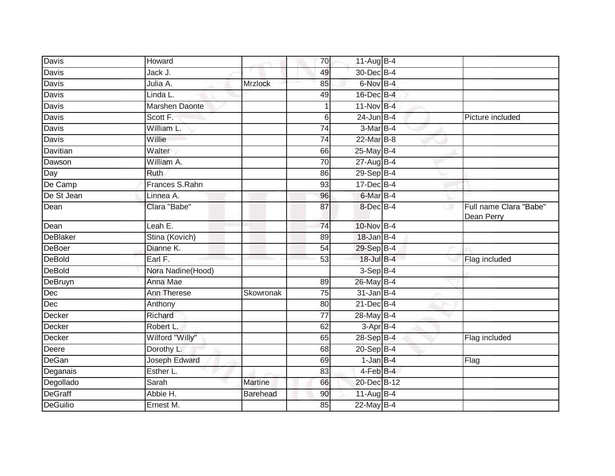| Davis           | Howard                |                 | 70              | 11-Aug $B-4$          |   |                                      |
|-----------------|-----------------------|-----------------|-----------------|-----------------------|---|--------------------------------------|
| Davis           | Jack J.               |                 | 49              | 30-Dec B-4            |   |                                      |
| Davis           | Julia A.              | <b>Mrzlock</b>  | 85              | 6-Nov B-4             |   |                                      |
| Davis           | Linda L.              |                 | 49              | 16-Dec B-4            |   |                                      |
| Davis           | <b>Marshen Daonte</b> |                 |                 | 11-Nov B-4            |   |                                      |
| Davis           | Scott F.              |                 | 6               | $24$ -Jun B-4         |   | Picture included                     |
| Davis           | William L.            |                 | 74              | $3-Mar$ B-4           |   |                                      |
| Davis           | Willie                |                 | 74              | 22-Mar B-8            |   |                                      |
| Davitian        | Walter                |                 | 66              | 25-May B-4            |   |                                      |
| Dawson          | William A.            |                 | $\overline{70}$ | 27-Aug B-4            |   |                                      |
| Day             | Ruth                  |                 | 86              | $29-Sep$ B-4          |   |                                      |
| De Camp         | Frances S.Rahn        |                 | 93              | 17-Dec B-4            |   |                                      |
| De St Jean      | Linnea A.             |                 | 96              | 6-Mar B-4             |   |                                      |
| Dean            | Clara "Babe"          |                 | 87              | 8-Dec B-4             | ◡ | Full name Clara "Babe"<br>Dean Perry |
| Dean            | Leah E.               |                 | $\overline{74}$ | 10-Nov B-4            |   |                                      |
| <b>DeBlaker</b> | Stina (Kovich)        |                 | 89              | $18$ -Jan B-4         |   |                                      |
| <b>DeBoer</b>   | Dianne K.             |                 | 54              | 29-Sep B-4            |   |                                      |
| <b>DeBold</b>   | Earl $F.$             |                 | 53              | 18-Jul B-4            |   | Flag included                        |
| <b>DeBold</b>   | Nora Nadine(Hood)     |                 |                 | $3-Sep B-4$           |   |                                      |
| DeBruyn         | Anna Mae              |                 | 89              | 26-May B-4            |   |                                      |
| Dec             | Ann Therese           | Skowronak       | 75              | $31$ -Jan B-4         |   |                                      |
| Dec             | Anthony               |                 | 80              | $21$ -Dec $B-4$       |   |                                      |
| Decker          | Richard               |                 | $\overline{77}$ | 28-May B-4            |   |                                      |
| Decker          | Robert L.             |                 | 62              | $3-Apr\overline{B-4}$ |   |                                      |
| Decker          | Wilford "Willy"       |                 | 65              | 28-Sep B-4            |   | Flag included                        |
| Deere           | Dorothy L.            |                 | 68              | $20-Sep$ B-4          |   |                                      |
| DeGan           | Joseph Edward         |                 | 69              | $1$ -Jan $B-4$        |   | Flag                                 |
| Deganais        | Esther L.             |                 | 83              | $4$ -Feb $B$ -4       |   |                                      |
| Degollado       | Sarah                 | Martine         | 66              | 20-Dec B-12           |   |                                      |
| <b>DeGraff</b>  | Abbie H.              | <b>Barehead</b> | 90              | 11-Aug B-4            |   |                                      |
| <b>DeGuilio</b> | Ernest M.             |                 | 85              | 22-May B-4            |   |                                      |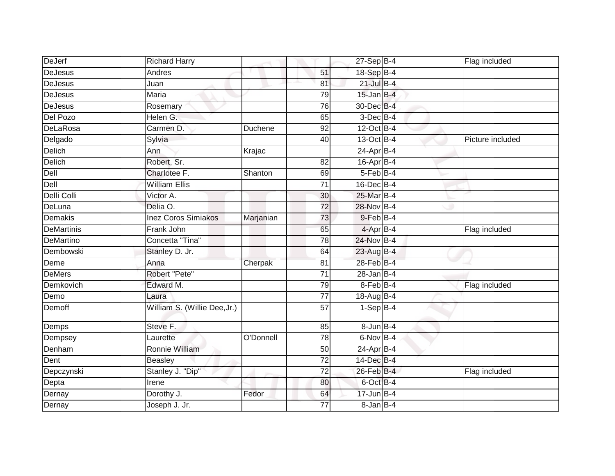| <b>DeJerf</b>     | <b>Richard Harry</b>         |           |                 | $27 - SepB-4$        | Flag included    |
|-------------------|------------------------------|-----------|-----------------|----------------------|------------------|
| <b>DeJesus</b>    | Andres                       |           | 51              | 18-Sep B-4           |                  |
| <b>DeJesus</b>    | Juan                         |           | 81              | $21$ -Jul $B-4$      |                  |
| <b>DeJesus</b>    | Maria                        |           | 79              | $15$ -Jan B-4        |                  |
| <b>DeJesus</b>    | Rosemary                     |           | $\overline{76}$ | 30-Dec B-4           |                  |
| Del Pozo          | Helen G.                     |           | 65              | $3$ -Dec $B-4$       |                  |
| DeLaRosa          | Carmen D.                    | Duchene   | 92              | $12-Oct$ B-4         |                  |
| Delgado           | Sylvia                       |           | 40              | $13-Oct$ B-4         | Picture included |
| Delich            | Ann                          | Krajac    |                 | $24-Apr$ B-4         |                  |
| <b>Delich</b>     | Robert, Sr.                  |           | 82              | 16-Apr B-4           |                  |
| Dell              | Charlotee F.                 | Shanton   | 69              | 5-Feb <sup>B-4</sup> |                  |
| Dell              | <b>William Ellis</b>         |           | $\overline{71}$ | $16$ -Dec B-4        |                  |
| Delli Colli       | Victor A.                    |           | 30              | 25-Mar B-4           |                  |
| DeLuna            | Delia O.                     |           | 72              | 28-Nov B-4           |                  |
| <b>Demakis</b>    | <b>Inez Coros Simiakos</b>   | Marjanian | 73              | $9$ -Feb $B$ -4      |                  |
| <b>DeMartinis</b> | Frank John                   |           | 65              | $4$ -Apr $B$ -4      | Flag included    |
| <b>DeMartino</b>  | Concetta "Tina"              |           | $\overline{78}$ | 24-Nov B-4           |                  |
| Dembowski         | Stanley D. Jr.               |           | 64              | 23-Aug B-4           |                  |
| Deme              | Anna                         | Cherpak   | 81              | $28$ -Feb $ B-4 $    |                  |
| <b>DeMers</b>     | Robert "Pete"                |           | $\overline{71}$ | $28 - Jan$ B-4       |                  |
| Demkovich         | Edward M.                    |           | 79              | $8-Feb$ B-4          | Flag included    |
| Demo              | Laura                        |           | $\overline{77}$ | 18-Aug B-4           |                  |
| Demoff            | William S. (Willie Dee, Jr.) |           | 57              | $1-Sep B-4$          |                  |
| Demps             | Steve F.                     |           | 85              | 8-Jun B-4            |                  |
| Dempsey           | Laurette                     | O'Donnell | $\overline{78}$ | 6-Nov B-4            |                  |
| Denham            | Ronnie William               |           | 50              | $24-Apr$ B-4         |                  |
| Dent              | Beasley                      |           | $\overline{72}$ | 14-Dec B-4           |                  |
| Depczynski        | Stanley J. "Dip"             |           | $\overline{72}$ | 26-Feb B-4           | Flag included    |
| Depta             | Irene                        |           | 80              | 6-Oct B-4            |                  |
| Dernay            | Dorothy J.                   | Fedor     | 64              | 17-Jun B-4           |                  |
| Dernay            | Joseph J. Jr.                |           | 77              | $8$ -Jan $B$ -4      |                  |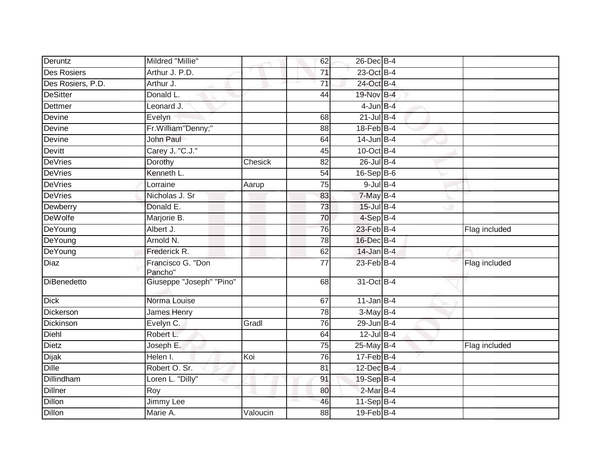| Deruntz            | Mildred "Millie"             |          | 62              | 26-Dec B-4                 |               |
|--------------------|------------------------------|----------|-----------------|----------------------------|---------------|
| Des Rosiers        | Arthur J. P.D.               |          | 71              | 23-Oct B-4                 |               |
| Des Rosiers, P.D.  | Arthur J.                    |          | $\overline{71}$ | 24-Oct B-4                 |               |
| <b>DeSitter</b>    | Donald L.                    |          | 44              | 19-Nov B-4                 |               |
| Dettmer            | Leonard J.                   |          |                 | $4$ -Jun $B-4$             |               |
| Devine             | Evelyn                       |          | 68              | $21$ -Jul B-4              |               |
| Devine             | Fr.William"Denny;"           |          | 88              | $18$ -Feb $B$ -4           |               |
| Devine             | John Paul                    |          | 64              | $14$ -Jun $B-4$            |               |
| Devitt             | Carey J. "C.J."              |          | 45              | $10$ -Oct B-4              |               |
| <b>DeVries</b>     | Dorothy                      | Chesick  | 82              | $26$ -Jul $B-4$            |               |
| <b>DeVries</b>     | Kenneth L.                   |          | 54              | 16-Sep B-6                 |               |
| <b>DeVries</b>     | Lorraine                     | Aarup    | $\overline{75}$ | $9$ -Jul $B$ -4            |               |
| <b>DeVries</b>     | Nicholas J. Sr               |          | 83              | $7$ -May B-4               |               |
| Dewberry           | Donald E.                    |          | 73              | $15 -$ Jul $B - 4$         |               |
| <b>DeWolfe</b>     | Marjorie B.                  |          | 70              | $4-Sep$ B-4                |               |
| DeYoung            | Albert J.                    |          | 76              | $23$ -Feb $ B-4 $          | Flag included |
| DeYoung            | Arnold N.                    |          | $\overline{78}$ | 16-Dec B-4                 |               |
| DeYoung            | Frederick R.                 |          | 62              | $14$ -Jan B-4              |               |
| <b>Diaz</b>        | Francisco G. "Don<br>Pancho" |          | 77              | $23$ -Feb $B-4$            | Flag included |
| <b>DiBenedetto</b> | Giuseppe "Joseph" "Pino"     |          | 68              | 31-Oct B-4                 |               |
| <b>Dick</b>        | Norma Louise                 |          | 67              | $11$ -Jan $B-4$            |               |
| Dickerson          | James Henry                  |          | $\overline{78}$ | $3-May$ B-4                |               |
| Dickinson          | Evelyn C.                    | Gradl    | 76              | $29$ -Jun $\overline{B-4}$ |               |
| Diehl              | Robert L.                    |          | 64              | $12$ -Jul B-4              |               |
| <b>Dietz</b>       | Joseph E.                    |          | $\overline{75}$ | 25-May B-4                 | Flag included |
| <b>Dijak</b>       | Helen I.                     | Koi      | 76              | $17-Feb$ B-4               |               |
| <b>Dille</b>       | Robert O. Sr.                |          | 81              | 12-Dec B-4                 |               |
| <b>Dillindham</b>  | Loren L. "Dilly"             |          | 91              | 19-Sep B-4                 |               |
| <b>Dillner</b>     | Roy                          |          | 80              | $2$ -Mar $B-4$             |               |
| <b>Dillon</b>      | Jimmy Lee                    |          | 46              | $11-SepB-4$                |               |
| <b>Dillon</b>      | Marie A.                     | Valoucin | 88              | $19$ -Feb $B$ -4           |               |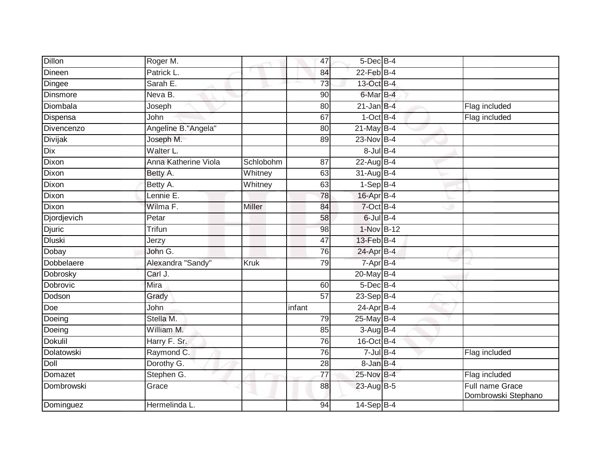| Dillon         | Roger M.             |             | 47              | $5$ -Dec $B$ -4       |                                        |
|----------------|----------------------|-------------|-----------------|-----------------------|----------------------------------------|
| Dineen         | Patrick L.           |             | 84              | $22$ -Feb $B-4$       |                                        |
| Dingee         | Sarah E.             |             | 73              | 13-Oct B-4            |                                        |
| Dinsmore       | Neva B.              |             | 90              | 6-Mar B-4             |                                        |
| Diombala       | Joseph               |             | 80              | $21$ -Jan $B-4$       | Flag included                          |
| Dispensa       | John                 |             | 67              | $1-Oct$ B-4           | Flag included                          |
| Divencenzo     | Angeline B. "Angela" |             | 80              | $21$ -May B-4         |                                        |
| <b>Divijak</b> | Joseph M.            |             | 89              | 23-Nov B-4            |                                        |
| Dix            | Walter L.            |             |                 | $8$ -Jul $B$ -4       |                                        |
| Dixon          | Anna Katherine Viola | Schlobohm   | $\overline{87}$ | 22-Aug B-4            |                                        |
| Dixon          | Betty A.             | Whitney     | 63              | 31-Aug B-4            |                                        |
| Dixon          | Betty A.             | Whitney     | 63              | $1-Sep\overline{B-4}$ |                                        |
| Dixon          | Lennie E.            |             | 78              | 16-Apr B-4            |                                        |
| Dixon          | Wilma F.             | Miller      | 84              | $7$ -Oct $B-4$        |                                        |
| Djordjevich    | Petar                |             | 58              | $6$ -Jul $B-4$        |                                        |
| <b>Djuric</b>  | Trifun               |             | 98              | 1-Nov B-12            |                                        |
| <b>Dluski</b>  | Jerzy                |             | 47              | $13$ -Feb $ B-4 $     |                                        |
| Dobay          | John G.              |             | 76              | $24$ -Apr $B-4$       |                                        |
| Dobbelaere     | Alexandra "Sandy"    | <b>Kruk</b> | 79              | 7-Apr B-4             |                                        |
| Dobrosky       | Carl J.              |             |                 | $20$ -May B-4         |                                        |
| Dobrovic       | Mira                 |             | 60              | $5$ -Dec $B$ -4       |                                        |
| Dodson         | Grady                |             | $\overline{57}$ | $23-Sep$ B-4          |                                        |
| Doe            | John                 |             | infant          | $24-AprB-4$           |                                        |
| Doeing         | Stella M.            |             | 79              | 25-May B-4            |                                        |
| Doeing         | William M.           |             | 85              | $3-AugB-4$            |                                        |
| Dokulil        | Harry F. Sr.         |             | 76              | $16$ -Oct $B-4$       |                                        |
| Dolatowski     | Raymond C.           |             | $\overline{76}$ | $7$ -Jul $B-4$        | Flag included                          |
| Doll           | Dorothy G.           |             | 28              | 8-Jan B-4             |                                        |
| Domazet        | Stephen G.           |             | $\overline{77}$ | 25-Nov B-4            | Flag included                          |
| Dombrowski     | Grace                |             | 88              | 23-Aug B-5            | Full name Grace<br>Dombrowski Stephano |
| Dominguez      | Hermelinda L.        |             | 94              | $14-Sep$ B-4          |                                        |
|                |                      |             |                 |                       |                                        |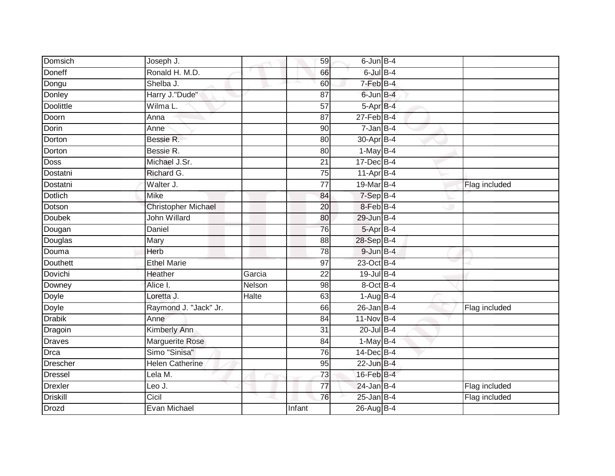| Domsich          | Joseph J.                  |              | 59              | $6$ -Jun $B-4$   |               |
|------------------|----------------------------|--------------|-----------------|------------------|---------------|
| Doneff           | Ronald H. M.D.             |              | 66              | $6$ -Jul $B-4$   |               |
| Dongu            | Shelba J.                  |              | 60              | 7-Feb B-4        |               |
| Donley           | Harry J."Dude"             |              | 87              | 6-Jun B-4        |               |
| <b>Doolittle</b> | Wilma L.                   |              | $\overline{57}$ | 5-Apr B-4        |               |
| Doorn            | Anna                       |              | 87              | $27$ -Feb $B-4$  |               |
| Dorin            | Anne                       |              | 90              | $7 - Jan$ B-4    |               |
| Dorton           | Bessie R.                  |              | 80              | $30-AprB-4$      |               |
| Dorton           | Bessie R.                  |              | 80              | $1-May$ B-4      |               |
| <b>Doss</b>      | Michael J.Sr.              |              | $\overline{21}$ | 17-Dec B-4       |               |
| Dostatni         | Richard G.                 |              | 75              | $11-Apr$ B-4     |               |
| Dostatni         | Walter J.                  |              | $\overline{77}$ | 19-Mar B-4       | Flag included |
| <b>Dotlich</b>   | <b>Mike</b>                |              | 84              | $7-SepB-4$       |               |
| Dotson           | <b>Christopher Michael</b> |              | 20              | 8-Feb B-4        |               |
| <b>Doubek</b>    | <b>John Willard</b>        |              | 80              | $29$ -Jun B-4    |               |
| Dougan           | Daniel                     |              | $\overline{76}$ | $5-Apr$ B-4      |               |
| Douglas          | <b>Mary</b>                |              | 88              | 28-Sep B-4       |               |
| Douma            | Herb                       |              | $\overline{78}$ | $9$ -Jun $B-4$   |               |
| <b>Douthett</b>  | <b>Ethel Marie</b>         |              | 97              | 23-Oct B-4       |               |
| Dovichi          | Heather                    | Garcia       | $\overline{22}$ | $19$ -Jul B-4    |               |
| Downey           | Alice I.                   | Nelson       | $\overline{98}$ | 8-Oct B-4        |               |
| <b>Doyle</b>     | Loretta J.                 | <b>Halte</b> | 63              | $1-AugB-4$       |               |
| Doyle            | Raymond J. "Jack" Jr.      |              | 66              | $26$ -Jan B-4    | Flag included |
| <b>Drabik</b>    | Anne                       |              | 84              | $11-Nov$ B-4     |               |
| Dragoin          | Kimberly Ann               |              | $\overline{31}$ | $20$ -Jul B-4    |               |
| <b>Draves</b>    | <b>Marguerite Rose</b>     |              | 84              | $1-May$ B-4      |               |
| Drca             | Simo "Sinisa"              |              | 76              | 14-Dec B-4       |               |
| <b>Drescher</b>  | <b>Helen Catherine</b>     |              | 95              | $22$ -Jun $B-4$  |               |
| Dressel          | Lela M.                    |              | 73              | $16$ -Feb $B$ -4 |               |
| Drexler          | Leo J.                     |              | 77              | $24$ -Jan $B-4$  | Flag included |
| <b>Driskill</b>  | Cicil                      |              | 76              | $25$ -Jan B-4    | Flag included |
| Drozd            | Evan Michael               |              | Infant          | 26-Aug B-4       |               |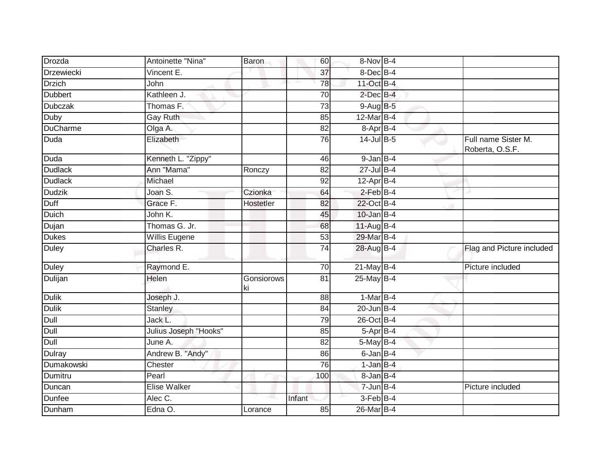| Drozda          | Antoinette "Nina"     | Baron            | 60              | 8-Nov B-4        |                                        |
|-----------------|-----------------------|------------------|-----------------|------------------|----------------------------------------|
| Drzewiecki      | Vincent E.            |                  | 37              | 8-Dec B-4        |                                        |
| <b>Drzich</b>   | <b>John</b>           |                  | 78              | 11-Oct B-4       |                                        |
| <b>Dubbert</b>  | Kathleen J.           |                  | 70              | 2-Dec B-4        |                                        |
| <b>Dubczak</b>  | Thomas F.             |                  | $\overline{73}$ | 9-Aug B-5        |                                        |
| Duby            | <b>Gay Ruth</b>       |                  | 85              | 12-Mar B-4       |                                        |
| <b>DuCharme</b> | Olga A.               |                  | 82              | 8-Apr B-4        |                                        |
| Duda            | Elizabeth             |                  | 76              | $14$ -Jul B-5    | Full name Sister M.<br>Roberta, O.S.F. |
| Duda            | Kenneth L. "Zippy"    |                  | 46              | $9$ -Jan $B-4$   |                                        |
| <b>Dudlack</b>  | Ann "Mama"            | Ronczy           | 82              | $27 -$ Jul $B-4$ |                                        |
| <b>Dudlack</b>  | Michael               |                  | 92              | $12-Apr$ B-4     |                                        |
| <b>Dudzik</b>   | Joan S.               | Czionka          | 64              | $2$ -Feb $B-4$   |                                        |
| Duff            | Grace F.              | Hostetler        | 82              | 22-Oct B-4       |                                        |
| <b>Duich</b>    | John K.               |                  | 45              | $10$ -Jan B-4    |                                        |
| Dujan           | Thomas G. Jr.         |                  | 68              | 11-Aug B-4       |                                        |
| <b>Dukes</b>    | Willis Eugene         |                  | 53              | 29-Mar B-4       |                                        |
| <b>Duley</b>    | Charles R.            |                  | 74              | 28-Aug B-4       | Flag and Picture included              |
| <b>Duley</b>    | Raymond E.            |                  | 70              | $21$ -May B-4    | Picture included                       |
| Dulijan         | Helen                 | Gonsiorows<br>ki | 81              | 25-May B-4       |                                        |
| <b>Dulik</b>    | Joseph J.             |                  | 88              | $1-MarB-4$       |                                        |
| <b>Dulik</b>    | <b>Stanley</b>        |                  | 84              | $20 - Jun$ B-4   |                                        |
| Dull            | Jack L.               |                  | 79              | 26-Oct B-4       |                                        |
| Dull            | Julius Joseph "Hooks" |                  | 85              | $5-Apr$ B-4      |                                        |
| Dull            | June A.               |                  | $\overline{82}$ | $5$ -May $B-4$   |                                        |
| <b>Dulray</b>   | Andrew B. "Andy"      |                  | 86              | $6$ -Jan $B-4$   |                                        |
| Dumakowski      | Chester               |                  | $\overline{76}$ | $1$ -Jan $B-4$   |                                        |
| Dumitru         | Pearl                 |                  | 100             | 8-Jan B-4        |                                        |
| Duncan          | <b>Elise Walker</b>   |                  |                 | $7 - Jun$ $B-4$  | Picture included                       |
| Dunfee          | Alec C.               |                  | Infant          | $3-Feb B-4$      |                                        |
| Dunham          | Edna O.               | Lorance          | 85              | 26-Mar B-4       |                                        |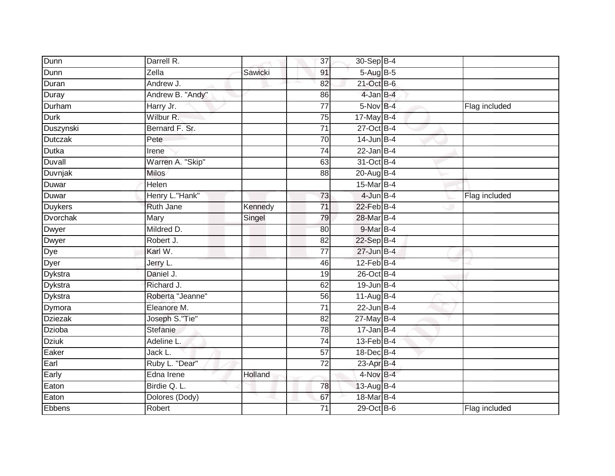| Dunn           | Darrell R.       |         | 37              | 30-Sep B-4        |               |
|----------------|------------------|---------|-----------------|-------------------|---------------|
| Dunn           | Zella            | Sawicki | 91              | $5-AugB-5$        |               |
| Duran          | Andrew J.        |         | 82              | 21-Oct B-6        |               |
| Duray          | Andrew B. "Andy" |         | 86              | 4-Jan B-4         |               |
| Durham         | Harry Jr.        |         | $\overline{77}$ | 5-Nov B-4         | Flag included |
| Durk           | Wilbur R.        |         | 75              | 17-May B-4        |               |
| Duszynski      | Bernard F. Sr.   |         | $\overline{71}$ | $27-Oct$ B-4      |               |
| <b>Dutczak</b> | Pete             |         | 70              | $14$ -Jun $B-4$   |               |
| Dutka          | Irene            |         | 74              | $22$ -Jan B-4     |               |
| <b>Duvall</b>  | Warren A. "Skip" |         | 63              | 31-Oct B-4        |               |
| Duvnjak        | <b>Milos</b>     |         | 88              | 20-Aug B-4        |               |
| Duwar          | Helen            |         |                 | 15-Mar B-4        |               |
| Duwar          | Henry L."Hank"   |         | 73              | $4$ -Jun $B-4$    | Flag included |
| <b>Duykers</b> | Ruth Jane        | Kennedy | $\overline{71}$ | $22$ -Feb $B-4$   |               |
| Dvorchak       | Mary             | Singel  | 79              | 28-Mar B-4        |               |
| Dwyer          | Mildred D.       |         | 80              | 9-Mar B-4         |               |
| <b>Dwyer</b>   | Robert J.        |         | $\overline{82}$ | $22-Sep$ B-4      |               |
| Dye            | Karl W.          |         | $\overline{77}$ | $27 - Jun$ B-4    |               |
| Dyer           | Jerry L.         |         | 46              | $12$ -Feb $B-4$   |               |
| Dykstra        | Daniel J.        |         | $\overline{19}$ | 26-Oct B-4        |               |
| Dykstra        | Richard J.       |         | 62              | 19-Jun B-4        |               |
| <b>Dykstra</b> | Roberta "Jeanne" |         | 56              | 11-Aug B-4        |               |
| Dymora         | Eleanore M.      |         | $\overline{71}$ | $22$ -Jun B-4     |               |
| <b>Dziezak</b> | Joseph S."Tie"   |         | $\overline{82}$ | 27-May B-4        |               |
| <b>Dzioba</b>  | Stefanie         |         | $\overline{78}$ | $17 - Jan$ B-4    |               |
| <b>Dziuk</b>   | Adeline L.       |         | $\overline{74}$ | $13$ -Feb $ B-4 $ |               |
| Eaker          | Jack L.          |         | $\overline{57}$ | 18-Dec B-4        |               |
| Earl           | Ruby L. "Dear"   |         | $\overline{72}$ | 23-Apr B-4        |               |
| Early          | Edna Irene       | Holland |                 | 4-Nov B-4         |               |
| Eaton          | Birdie Q. L.     |         | 78              | 13-Aug B-4        |               |
| Eaton          | Dolores (Dody)   |         | 67              | 18-Mar B-4        |               |
| Ebbens         | Robert           |         | $\overline{71}$ | $29$ -Oct B-6     | Flag included |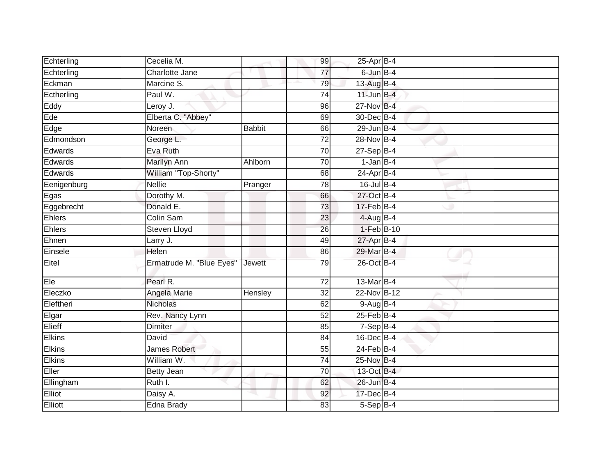| Echterling     | Cecelia M.               |               | 99              | $25-Apr$ B-4          |  |
|----------------|--------------------------|---------------|-----------------|-----------------------|--|
| Echterling     | <b>Charlotte Jane</b>    |               | $\overline{77}$ | $6$ -Jun $B-4$        |  |
| Eckman         | Marcine S.               |               | 79              | 13-Aug B-4            |  |
| Ectherling     | Paul W.                  |               | $\overline{74}$ | $11$ -Jun $B-4$       |  |
| Eddy           | Leroy J.                 |               | 96              | 27-Nov B-4            |  |
| Ede            | Elberta C. "Abbey"       |               | 69              | 30-Dec B-4            |  |
| Edge           | Noreen                   | <b>Babbit</b> | 66              | $29$ -Jun $B-4$       |  |
| Edmondson      | George L.                |               | 72              | 28-Nov B-4            |  |
| Edwards        | Eva Ruth                 |               | $\overline{70}$ | $27-Sep$ B-4          |  |
| Edwards        | Marilyn Ann              | Ahlborn       | $\overline{70}$ | $1$ -Jan $B-4$        |  |
| Edwards        | William "Top-Shorty"     |               | 68              | $24-Apr$ B-4          |  |
| Eenigenburg    | <b>Nellie</b>            | Pranger       | 78              | $16 -$ Jul $B - 4$    |  |
| Egas           | Dorothy M.               |               | 66              | 27-Oct B-4            |  |
| Eggebrecht     | Donald E.                |               | 73              | $17$ -Feb $B$ -4      |  |
| <b>Ehlers</b>  | <b>Colin Sam</b>         |               | 23              | $4-AugB-4$            |  |
| Ehlers         | Steven Lloyd             |               | $\overline{26}$ | $1-FebB-10$           |  |
| Ehnen          | Larry J.                 |               | 49              | $27$ -Apr $B-4$       |  |
| Einsele        | Helen                    |               | 86              | 29-Mar B-4            |  |
| Eitel          | Ermatrude M. "Blue Eyes" | <b>Jewett</b> | 79              | 26-Oct B-4            |  |
| Ele            | Pearl R.                 |               | 72              | 13-Mar <sub>B-4</sub> |  |
| Eleczko        | Angela Marie             | Hensley       | 32              | $22-Nov$ B-12         |  |
| Eleftheri      | Nicholas                 |               | 62              | $9-Aug$ B-4           |  |
| Elgar          | Rev. Nancy Lynn          |               | $\overline{52}$ | $25$ -Feb $ B-4 $     |  |
| Elieff         | <b>Dimiter</b>           |               | 85              | $7-Sep$ B-4           |  |
| <b>Elkins</b>  | <b>David</b>             |               | 84              | 16-Dec B-4            |  |
| <b>Elkins</b>  | <b>James Robert</b>      |               | 55              | $24$ -Feb $B-4$       |  |
| <b>Elkins</b>  | William W.               |               | $\overline{74}$ | 25-Nov B-4            |  |
| Eller          | Betty Jean               |               | 70              | 13-Oct B-4            |  |
| Ellingham      | Ruth I.                  |               | 62              | 26-Jun B-4            |  |
| Elliot         | Daisy A.                 |               | 92              | 17-Dec B-4            |  |
| <b>Elliott</b> | Edna Brady               |               | 83              | $5-Sep$ B-4           |  |
|                |                          |               |                 |                       |  |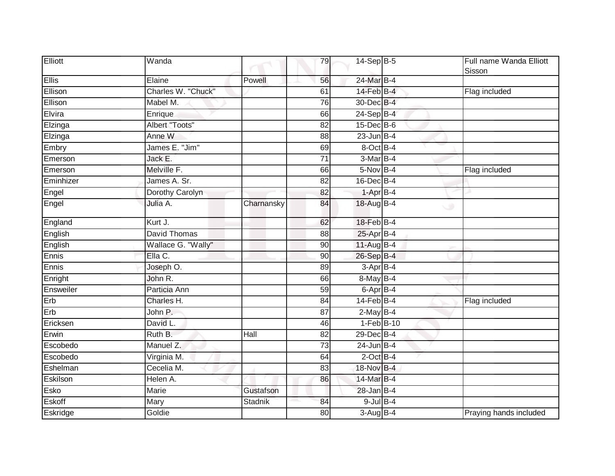| Elliott      | Wanda              |            | 79              | $14-SepB-5$       | Full name Wanda Elliott<br>Sisson |
|--------------|--------------------|------------|-----------------|-------------------|-----------------------------------|
| Ellis        | Elaine             | Powell     | 56              | 24-Mar B-4        |                                   |
| Ellison      | Charles W. "Chuck" |            | 61              | $14$ -Feb $B$ -4  | Flag included                     |
| Ellison      | Mabel M.           |            | 76              | 30-Dec B-4        |                                   |
| Elvira       | Enrique            |            | 66              | 24-Sep B-4        |                                   |
| Elzinga      | Albert "Toots"     |            | 82              | $15$ -Dec $B$ -6  |                                   |
| Elzinga      | Anne W             |            | 88              | $23$ -Jun $B-4$   |                                   |
| Embry        | James E. "Jim"     |            | 69              | $8$ -Oct $B-4$    |                                   |
| Emerson      | Jack E.            |            | $\overline{71}$ | $3-MarB-4$        |                                   |
| Emerson      | Melville F.        |            | 66              | 5-Nov B-4         | Flag included                     |
| Eminhizer    | James A. Sr.       |            | 82              | $16$ -Dec $B-4$   |                                   |
| Engel        | Dorothy Carolyn    |            | 82              | $1-Apr$ B-4       |                                   |
| Engel        | Julia A.           | Charnansky | 84              | 18-Aug B-4        | ی                                 |
| England      | Kurt J.            |            | 62              | $18$ -Feb $B$ -4  |                                   |
| English      | David Thomas       |            | 88              | $25$ -Apr $B$ -4  |                                   |
| English      | Wallace G. "Wally" |            | 90              | 11-Aug B-4        |                                   |
| Ennis        | Ella C.            |            | 90              | 26-Sep B-4        |                                   |
| <b>Ennis</b> | Joseph O.          |            | 89              | $3-Apr$ B-4       |                                   |
| Enright      | John R.            |            | 66              | $8$ -May $B$ -4   |                                   |
| Ensweiler    | Particia Ann       |            | $\overline{59}$ | $6 -$ Apr $B - 4$ |                                   |
| Erb          | Charles H.         |            | 84              | $14$ -Feb $B$ -4  | Flag included                     |
| Erb          | John P.            |            | $\overline{87}$ | $2$ -May $B-4$    |                                   |
| Ericksen     | David L.           |            | 46              | $1-FebB-10$       |                                   |
| Erwin        | Ruth B.            | Hall       | 82              | 29-Dec B-4        |                                   |
| Escobedo     | Manuel Z.          |            | $\overline{73}$ | $24$ -Jun B-4     |                                   |
| Escobedo     | Virginia M.        |            | 64              | $2$ -Oct $B-4$    |                                   |
| Eshelman     | Cecelia M.         |            | $\overline{83}$ | 18-Nov B-4        |                                   |
| Eskilson     | Helen A.           |            | 86              | 14-Mar B-4        |                                   |
| Esko         | Marie              | Gustafson  |                 | 28-Jan B-4        |                                   |
| Eskoff       | Mary               | Stadnik    | 84              | $9$ -Jul $B$ -4   |                                   |
| Eskridge     | Goldie             |            | 80              | 3-Aug B-4         | Praying hands included            |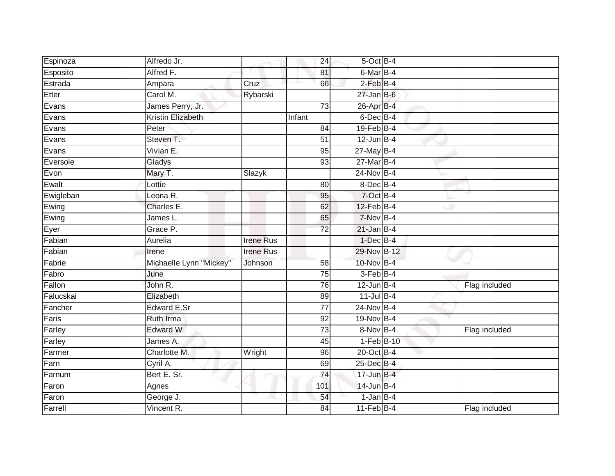| Espinoza  | Alfredo Jr.             |                  | 24              | 5-Oct B-4        |               |
|-----------|-------------------------|------------------|-----------------|------------------|---------------|
| Esposito  | Alfred F.               |                  | 81              | 6-Mar B-4        |               |
| Estrada   | Ampara                  | Cruz             | 66              | 2-Feb B-4        |               |
| Etter     | Carol M.                | Rybarski         |                 | $27 - Jan$ B-6   |               |
| Evans     | James Perry, Jr.        |                  | 73              | 26-Apr B-4       |               |
| Evans     | Kristin Elizabeth       |                  | Infant          | 6-Dec B-4        |               |
| Evans     | Peter                   |                  | 84              | $19$ -Feb $B$ -4 |               |
| Evans     | Steven T.               |                  | $\overline{51}$ | $12$ -Jun B-4    |               |
| Evans     | Vivian E.               |                  | 95              | $27 - MayB-4$    |               |
| Eversole  | Gladys                  |                  | 93              | 27-Mar B-4       |               |
| Evon      | Mary T.                 | Slazyk           |                 | 24-Nov B-4       |               |
| Ewalt     | Lottie                  |                  | 80              | $8$ -Dec $B$ -4  |               |
| Ewigleban | Leona R.                |                  | 95              | 7-Oct B-4        |               |
| Ewing     | Charles E.              |                  | 62              | $12$ -Feb $B-4$  |               |
| Ewing     | James L.                |                  | 65              | $7-Nov$ B-4      |               |
| Eyer      | Grace P.                |                  | $\overline{72}$ | $21$ -Jan B-4    |               |
| Fabian    | Aurelia                 | <b>Irene Rus</b> |                 | $1-Dec$ B-4      |               |
| Fabian    | Irene                   | <b>Irene Rus</b> |                 | 29-Nov B-12      |               |
| Fabrie    | Michaelle Lynn "Mickey" | Johnson          | 58              | 10-Nov B-4       |               |
| Fabro     | June                    |                  | $\overline{75}$ | 3-Feb B-4        |               |
| Fallon    | John R.                 |                  | 76              | $12$ -Jun $B-4$  | Flag included |
| Falucskai | Elizabeth               |                  | 89              | $11$ -Jul B-4    |               |
| Fancher   | <b>Edward E.Sr</b>      |                  | 77              | 24-Nov B-4       |               |
| Faris     | <b>Ruth Irma</b>        |                  | 92              | $19-NovB-4$      |               |
| Farley    | Edward W.               |                  | 73              | $8-Nov$ B-4      | Flag included |
| Farley    | James A.                |                  | 45              | $1-Feb$ B-10     |               |
| Farmer    | Charlotte M.            | Wright           | 96              | 20-Oct B-4       |               |
| Farn      | Cyril A.                |                  | 69              | 25-Dec B-4       |               |
| Farnum    | Bert E. Sr.             |                  | $\overline{74}$ | $17$ -Jun $B-4$  |               |
| Faron     | Agnes                   |                  | 101             | $14$ -Jun $B-4$  |               |
| Faron     | George J.               |                  | 54              | $1-Jan$ B-4      |               |
| Farrell   | Vincent R.              |                  | 84              | $11-Feb$ B-4     | Flag included |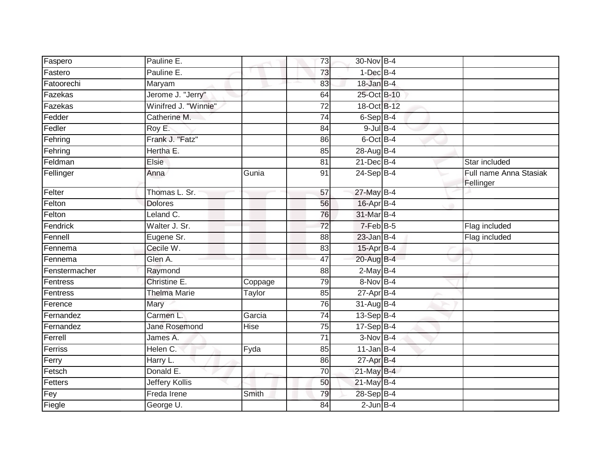| Faspero       | Pauline E.           |         | 73              | 30-Nov B-4       |                                     |
|---------------|----------------------|---------|-----------------|------------------|-------------------------------------|
| Fastero       | Pauline E.           |         | 73              | $1$ -Dec $B-4$   |                                     |
| Fatoorechi    | Maryam               |         | 83              | $18$ -Jan B-4    |                                     |
| Fazekas       | Jerome J. "Jerry"    |         | 64              | 25-Oct B-10      |                                     |
| Fazekas       | Winifred J. "Winnie" |         | $\overline{72}$ | 18-Oct B-12      |                                     |
| Fedder        | Catherine M.         |         | 74              | $6-SepB-4$       |                                     |
| Fedler        | Roy E.               |         | 84              | $9$ -Jul $B$ -4  |                                     |
| Fehring       | Frank J. "Fatz"      |         | 86              | 6-Oct B-4        |                                     |
| Fehring       | Hertha E.            |         | 85              | 28-Aug B-4       |                                     |
| Feldman       | Elsie                |         | 81              | $21$ -Dec $B-4$  | Star included                       |
| Fellinger     | Anna                 | Gunia   | 91              | $24-Sep B-4$     | Full name Anna Stasiak<br>Fellinger |
| Felter        | Thomas L. Sr.        |         | 57              | $27$ -May $B-4$  |                                     |
| Felton        | <b>Dolores</b>       |         | 56              | $16$ -Apr $B-4$  |                                     |
| Felton        | Leland C.            |         | 76              | 31-Mar B-4       |                                     |
| Fendrick      | Walter J. Sr.        |         | $\overline{72}$ | $7-FebB-5$       | Flag included                       |
| Fennell       | Eugene Sr.           |         | 88              | $23$ -Jan $B-4$  | Flag included                       |
| Fennema       | Cecile W.            |         | 83              | $15$ -Apr $B$ -4 |                                     |
| Fennema       | Glen A.              |         | 47              | 20-Aug B-4       |                                     |
| Fenstermacher | Raymond              |         | 88              | $2$ -May $B-4$   |                                     |
| Fentress      | Christine E.         | Coppage | 79              | 8-Nov B-4        |                                     |
| Fentress      | <b>Thelma Marie</b>  | Taylor  | 85              | $27 - Apr$ B-4   |                                     |
| Ference       | Mary                 |         | 76              | 31-Aug B-4       |                                     |
| Fernandez     | Carmen L.            | Garcia  | $\overline{74}$ | $13-SepB-4$      |                                     |
| Fernandez     | Jane Rosemond        | Hise    | 75              | $17-Sep$ B-4     |                                     |
| Ferrell       | James A.             |         | $\overline{71}$ | $3-NovB-4$       |                                     |
| Ferriss       | Helen C.             | Fyda    | 85              | $11$ -Jan B-4    |                                     |
| Ferry         | Harry L.             |         | 86              | 27-Apr B-4       |                                     |
| Fetsch        | Donald E.            |         | $\overline{70}$ | $21$ -May B-4    |                                     |
| Fetters       | Jeffery Kollis       |         | 50              | 21-May B-4       |                                     |
| Fey           | Freda Irene          | Smith   | 79              | 28-Sep B-4       |                                     |
| Fiegle        | George U.            |         | 84              | $2$ -Jun $B$ -4  |                                     |
|               |                      |         |                 |                  |                                     |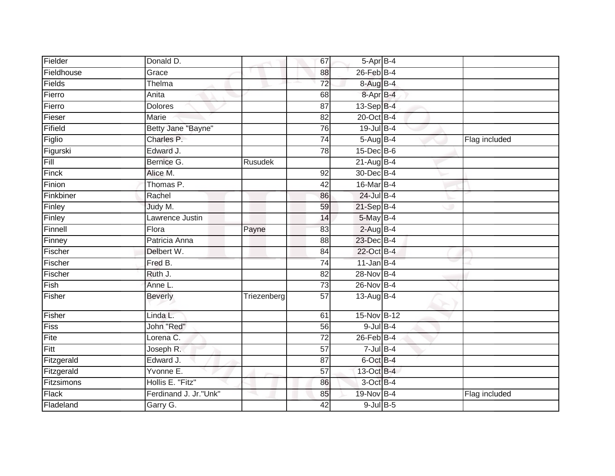| Fielder    | Donald D.             |                | 67              | $5-Apr$ B-4       |               |
|------------|-----------------------|----------------|-----------------|-------------------|---------------|
| Fieldhouse | Grace                 |                | 88              | $26$ -Feb $B-4$   |               |
| Fields     | Thelma                |                | 72              | 8-Aug B-4         |               |
| Fierro     | Anita                 |                | 68              | 8-Apr B-4         |               |
| Fierro     | <b>Dolores</b>        |                | 87              | 13-Sep B-4        |               |
| Fieser     | Marie                 |                | 82              | 20-Oct B-4        |               |
| Fifield    | Betty Jane "Bayne"    |                | 76              | $19$ -Jul B-4     |               |
| Figlio     | Charles P.            |                | $\overline{74}$ | 5-Aug B-4         | Flag included |
| Figurski   | Edward J.             |                | 78              | $15$ -Dec $B$ -6  |               |
| Fill       | Bernice G.            | <b>Rusudek</b> |                 | $21-AugB-4$       |               |
| Finck      | Alice M.              |                | $\overline{92}$ | 30-Dec B-4        |               |
| Finion     | Thomas <sub>P.</sub>  |                | 42              | 16-Mar B-4        |               |
| Finkbiner  | Rachel                |                | 86              | $24$ -Jul $B-4$   |               |
| Finley     | Judy M.               |                | 59              | $21-Sep$ B-4      |               |
| Finley     | Lawrence Justin       |                | 14              | $5$ -May $B-4$    |               |
| Finnell    | Flora                 | Payne          | 83              | $2$ -Aug B-4      |               |
| Finney     | Patricia Anna         |                | 88              | 23-Dec B-4        |               |
| Fischer    | Delbert W.            |                | 84              | 22-Oct B-4        |               |
| Fischer    | Fred B.               |                | $\overline{74}$ | $11$ -Jan B-4     |               |
| Fischer    | Ruth J.               |                | $\overline{82}$ | 28-Nov B-4        |               |
| Fish       | Anne L.               |                | 73              | $26$ -Nov $B-4$   |               |
| Fisher     | <b>Beverly</b>        | Triezenberg    | $\overline{57}$ | 13-Aug B-4        |               |
| Fisher     | Linda L.              |                | 61              | 15-Nov B-12       |               |
| Fiss       | John "Red"            |                | 56              | $9$ -Jul B-4      |               |
| Fite       | Lorena C.             |                | $\overline{72}$ | $26$ -Feb $B-4$   |               |
| Fitt       | Joseph R.             |                | 57              | $7 -$ Jul $B - 4$ |               |
| Fitzgerald | Edward J.             |                | 87              | 6-Oct B-4         |               |
| Fitzgerald | Yvonne E.             |                | 57              | 13-Oct B-4        |               |
| Fitzsimons | Hollis E. "Fitz"      |                | 86              | 3-Oct B-4         |               |
| Flack      | Ferdinand J. Jr."Unk" |                | 85              | 19-Nov B-4        | Flag included |
| Fladeland  | Garry G.              |                | 42              | $9$ -Jul $B$ -5   |               |
|            |                       |                |                 |                   |               |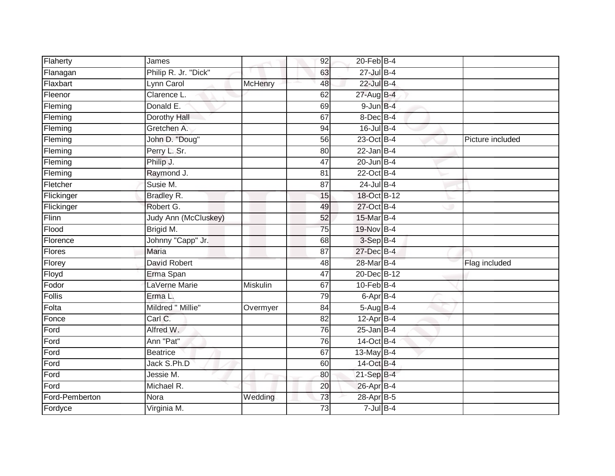| Flaherty       | James                |                | 92              | $20$ -Feb $B-4$   |                  |
|----------------|----------------------|----------------|-----------------|-------------------|------------------|
| Flanagan       | Philip R. Jr. "Dick" |                | 63              | $27 -$ Jul $B-4$  |                  |
| Flaxbart       | Lynn Carol           | <b>McHenry</b> | 48              | $22$ -Jul $B-4$   |                  |
| Fleenor        | Clarence L.          |                | 62              | 27-Aug B-4        |                  |
| Fleming        | Donald E.            |                | 69              | $9$ -Jun $B-4$    |                  |
| Fleming        | Dorothy Hall         |                | 67              | 8-Dec B-4         |                  |
| Fleming        | Gretchen A.          |                | 94              | $16$ -Jul $B-4$   |                  |
| Fleming        | John D. "Doug"       |                | $\overline{56}$ | $23-Oct$ B-4      | Picture included |
| Fleming        | Perry L. Sr.         |                | 80              | $22$ -Jan B-4     |                  |
| Fleming        | Philip J.            |                | 47              | $20$ -Jun $B-4$   |                  |
| Fleming        | Raymond J.           |                | 81              | 22-Oct B-4        |                  |
| Fletcher       | Susie M.             |                | 87              | $24$ -Jul B-4     |                  |
| Flickinger     | Bradley R.           |                | 15              | 18-Oct B-12       |                  |
| Flickinger     | Robert G.            |                | 49              | 27-Oct B-4        |                  |
| Flinn          | Judy Ann (McCluskey) |                | 52              | 15-Mar B-4        |                  |
| Flood          | Brigid M.            |                | $\overline{75}$ | 19-Nov B-4        |                  |
| Florence       | Johnny "Capp" Jr.    |                | $\overline{68}$ | $3-Sep$ $B-4$     |                  |
| <b>Flores</b>  | Maria                |                | $\overline{87}$ | 27-Dec B-4        |                  |
| Florey         | David Robert         |                | 48              | 28-Mar B-4        | Flag included    |
| Floyd          | Erma Span            |                | 47              | 20-Dec B-12       |                  |
| Fodor          | LaVerne Marie        | Miskulin       | 67              | $10$ -Feb $B-4$   |                  |
| Follis         | Erma L.              |                | 79              | $6 -$ Apr $B - 4$ |                  |
| Folta          | Mildred " Millie"    | Overmyer       | 84              | 5-Aug B-4         |                  |
| Fonce          | Carl C.              |                | 82              | $12$ -Apr $B-4$   |                  |
| Ford           | Alfred W.            |                | 76              | $25$ -Jan B-4     |                  |
| Ford           | Ann "Pat"            |                | 76              | $14-Oct$ B-4      |                  |
| Ford           | <b>Beatrice</b>      |                | 67              | 13-May B-4        |                  |
| Ford           | Jack S.Ph.D          |                | 60              | 14-Oct B-4        |                  |
| Ford           | Jessie M.            |                | 80              | 21-Sep B-4        |                  |
| Ford           | Michael R.           |                | 20              | 26-Apr B-4        |                  |
| Ford-Pemberton | Nora                 | Wedding        | 73              | $28-Apr$ B-5      |                  |
| Fordyce        | Virginia M.          |                | $\overline{73}$ | $7 -$ Jul $B - 4$ |                  |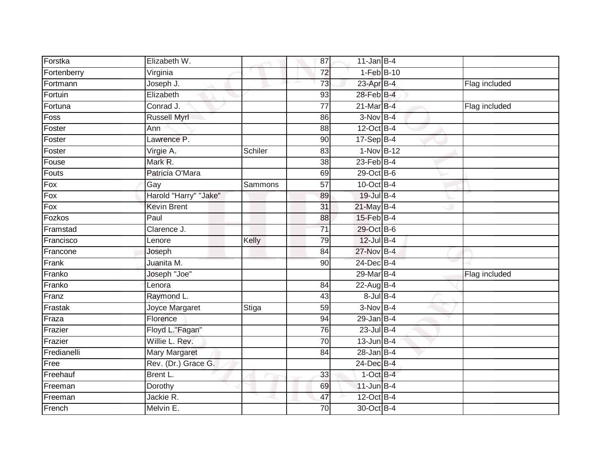| Forstka     | Elizabeth W.          |         | $\overline{87}$ | $11$ -Jan B-4     |               |
|-------------|-----------------------|---------|-----------------|-------------------|---------------|
| Fortenberry | Virginia              |         | $\overline{72}$ | $1-FebB-10$       |               |
| Fortmann    | Joseph J.             |         | $\overline{73}$ | 23-Apr B-4        | Flag included |
| Fortuin     | Elizabeth             |         | 93              | 28-Feb B-4        |               |
| Fortuna     | Conrad J.             |         | $\overline{77}$ | 21-Mar B-4        | Flag included |
| Foss        | <b>Russell Myrl</b>   |         | 86              | 3-Nov B-4         |               |
| Foster      | Ann                   |         | 88              | $12$ -Oct B-4     |               |
| Foster      | Lawrence P.           |         | 90              | $17-Sep$ B-4      |               |
| Foster      | Virgie A.             | Schiler | 83              | $1-Nov$ B-12      |               |
| Fouse       | Mark R.               |         | $\overline{38}$ | $23$ -Feb $ B-4 $ |               |
| Fouts       | Patricia O'Mara       |         | 69              | $29$ -Oct B-6     |               |
| Fox         | Gay                   | Sammons | 57              | $10$ -Oct B-4     |               |
| Fox         | Harold "Harry" "Jake" |         | 89              | 19-Jul B-4        |               |
| Fox         | <b>Kevin Brent</b>    |         | 31              | $21$ -May B-4     |               |
| Fozkos      | Paul                  |         | 88              | $15$ -Feb $B$ -4  |               |
| Framstad    | Clarence J.           |         | $\overline{71}$ | 29-Oct B-6        |               |
| Francisco   | Lenore                | Kelly   | 79              | $12$ -Jul B-4     |               |
| Francone    | Joseph                |         | 84              | 27-Nov B-4        |               |
| Frank       | Juanita M.            |         | 90              | $24$ -Dec $B-4$   |               |
| Franko      | Joseph "Joe"          |         |                 | $29$ -Mar $B-4$   | Flag included |
| Franko      | Lenora                |         | 84              | 22-Aug B-4        |               |
| Franz       | Raymond L.            |         | 43              | $8$ -Jul $B-4$    |               |
| Frastak     | Joyce Margaret        | Stiga   | 59              | $3-Nov$ B-4       |               |
| Fraza       | Florence              |         | 94              | $29$ -Jan B-4     |               |
| Frazier     | Floyd L."Fagan"       |         | 76              | $23$ -Jul B-4     |               |
| Frazier     | Willie L. Rev.        |         | $\overline{70}$ | $13$ -Jun $B-4$   |               |
| Fredianelli | <b>Mary Margaret</b>  |         | 84              | $28$ -Jan B-4     |               |
| Free        | Rev. (Dr.) Grace G.   |         |                 | 24-Dec B-4        |               |
| Freehauf    | Brent L.              |         | 33              | $1-OctB-4$        |               |
| Freeman     | Dorothy               |         | 69              | $11$ -Jun $B-4$   |               |
| Freeman     | Jackie R.             |         | 47              | $12$ -Oct B-4     |               |
| French      | Melvin E.             |         | 70              | 30-Oct B-4        |               |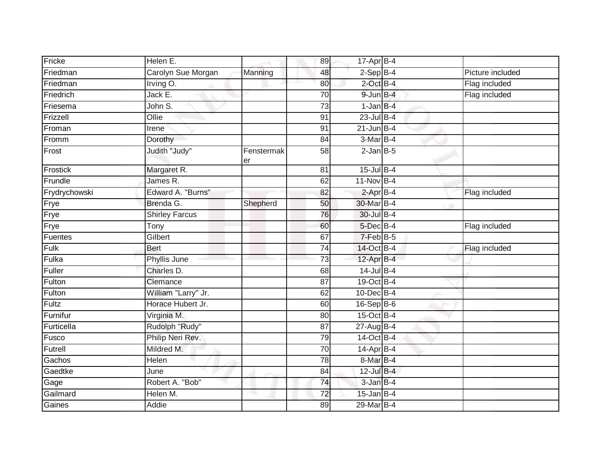| Fricke        | Helen E.                |                  | 89              | $17$ -Apr $ B-4$ |                  |
|---------------|-------------------------|------------------|-----------------|------------------|------------------|
| Friedman      | Carolyn Sue Morgan      | Manning          | 48              | $2-SepB-4$       | Picture included |
| Friedman      | Irving $\overline{O}$ . |                  | 80              | $2$ -Oct $B-4$   | Flag included    |
| Friedrich     | Jack E.                 |                  | $\overline{70}$ | $9$ -Jun $B-4$   | Flag included    |
| Friesema      | John S.                 |                  | 73              | $1$ -Jan $B-4$   |                  |
| Frizzell      | Ollie                   |                  | 91              | $23$ -Jul $B-4$  |                  |
| Froman        | Irene                   |                  | 91              | $21$ -Jun $B-4$  |                  |
| Fromm         | Dorothy                 |                  | 84              | $3-MarB-4$       |                  |
| Frost         | Judith "Judy"           | Fenstermak<br>er | 58              | $2$ -Jan $B$ -5  |                  |
| Frostick      | Margaret R.             |                  | 81              | $15$ -Jul B-4    |                  |
| Frundle       | James R.                |                  | 62              | 11-Nov B-4       |                  |
| Frydrychowski | Edward A. "Burns"       |                  | 82              | $2$ -Apr $B-4$   | Flag included    |
| Frye          | Brenda G.               | Shepherd         | 50              | 30-Mar B-4       |                  |
| Frye          | <b>Shirley Farcus</b>   |                  | 76              | 30-Jul B-4       |                  |
| Frye          | Tony                    |                  | 60              | 5-Dec B-4        | Flag included    |
| Fuentes       | Gilbert                 |                  | 67              | $7-Feb$ B-5      |                  |
| Fulk          | <b>Bert</b>             |                  | 74              | $14-Oct$ B-4     | Flag included    |
| Fulka         | Phyllis June            |                  | 73              | $12-AprB-4$      |                  |
| Fuller        | Charles D.              |                  | 68              | $14$ -Jul $B-4$  |                  |
| Fulton        | Clemance                |                  | $\overline{87}$ | $19-Oct$ B-4     |                  |
| Fulton        | William "Larry" Jr.     |                  | 62              | 10-Dec B-4       |                  |
| Fultz         | Horace Hubert Jr.       |                  | 60              | $16-Sep B-6$     |                  |
| Furnifur      | Virginia M.             |                  | 80              | $15$ -Oct B-4    |                  |
| Furticella    | Rudolph "Rudy"          |                  | 87              | $27$ -Aug $B-4$  |                  |
| Fusco         | Philip Neri Rev.        |                  | 79              | 14-Oct B-4       |                  |
| Futrell       | Mildred M.              |                  | 70              | $14$ -Apr $B$ -4 |                  |
| Gachos        | Helen                   |                  | 78              | 8-Mar B-4        |                  |
| Gaedtke       | June                    |                  | 84              | $12$ -Jul $B-4$  |                  |
| Gage          | Robert A. "Bob"         |                  | 74              | 3-Jan B-4        |                  |
| Gailmard      | Helen M.                |                  | 72              | $15 - JanB-4$    |                  |
| Gaines        | Addie                   |                  | 89              | 29-Mar B-4       |                  |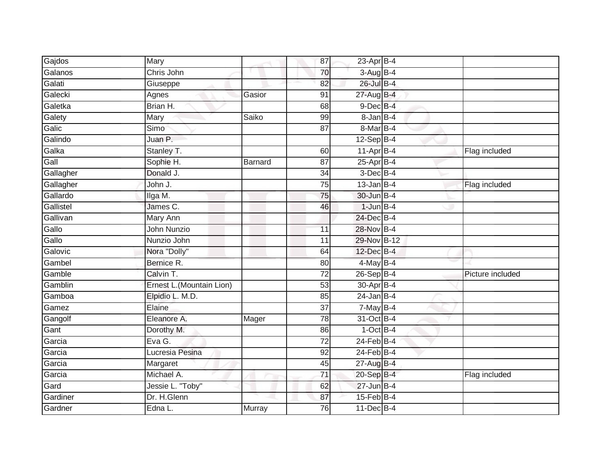| Gajdos    | Mary                      |                | 87              | $23$ -Apr $B-4$  |                  |
|-----------|---------------------------|----------------|-----------------|------------------|------------------|
| Galanos   | Chris John                |                | 70              | $3-Aug$ B-4      |                  |
| Galati    | Giuseppe                  |                | 82              | 26-Jul B-4       |                  |
| Galecki   | Agnes                     | Gasior         | 91              | 27-Aug B-4       |                  |
| Galetka   | Brian H.                  |                | 68              | $9$ -Dec $B$ -4  |                  |
| Galety    | Mary                      | Saiko          | 99              | $8$ -Jan $B$ -4  |                  |
| Galic     | Simo                      |                | 87              | 8-Mar B-4        |                  |
| Galindo   | Juan P.                   |                |                 | $12-Sep$ B-4     |                  |
| Galka     | Stanley T.                |                | 60              | $11-Apr$ B-4     | Flag included    |
| Gall      | Sophie H.                 | <b>Barnard</b> | $\overline{87}$ | $25-AprB-4$      |                  |
| Gallagher | Donald J.                 |                | 34              | $3$ -Dec $B-4$   |                  |
| Gallagher | John J.                   |                | 75              | $13$ -Jan B-4    | Flag included    |
| Gallardo  | Ilga M.                   |                | 75              | 30-Jun B-4       |                  |
| Gallistel | James C.                  |                | 46              | $1$ -Jun $B-4$   |                  |
| Gallivan  | <b>Mary Ann</b>           |                |                 | 24-Dec B-4       |                  |
| Gallo     | <b>John Nunzio</b>        |                | 11              | 28-Nov B-4       |                  |
| Gallo     | Nunzio John               |                | 11              | 29-Nov B-12      |                  |
| Galovic   | Nora "Dolly"              |                | 64              | 12-Dec B-4       |                  |
| Gambel    | Bernice R.                |                | 80              | $4$ -May B-4     |                  |
| Gamble    | Calvin T.                 |                | $\overline{72}$ | $26 - Sep$ B-4   | Picture included |
| Gamblin   | Ernest L. (Mountain Lion) |                | 53              | 30-Apr B-4       |                  |
| Gamboa    | Elpidio L. M.D.           |                | 85              | $24$ -Jan B-4    |                  |
| Gamez     | Elaine                    |                | 37              | $7$ -May B-4     |                  |
| Gangolf   | Eleanore A.               | Mager          | 78              | 31-Oct B-4       |                  |
| Gant      | Dorothy M.                |                | 86              | $1$ -Oct $B-4$   |                  |
| Garcia    | Eva G.                    |                | $\overline{72}$ | $24$ -Feb $B-4$  |                  |
| Garcia    | Lucresia Pesina           |                | $\overline{92}$ | $24$ -Feb $B-4$  |                  |
| Garcia    | Margaret                  |                | 45              | 27-Aug B-4       |                  |
| Garcia    | Michael A.                |                | 71              | 20-Sep B-4       | Flag included    |
| Gard      | Jessie L. "Toby"          |                | 62              | $27$ -Jun $B-4$  |                  |
| Gardiner  | Dr. H.Glenn               |                | 87              | $15$ -Feb $B$ -4 |                  |
| Gardner   | Edna L.                   | Murray         | 76              | $11$ -Dec $B-4$  |                  |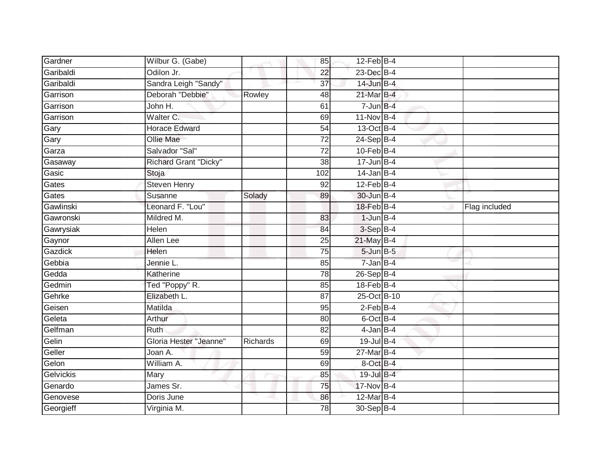| Gardner   | Wilbur G. (Gabe)             |          | 85              | $12$ -Feb $B-4$   |               |
|-----------|------------------------------|----------|-----------------|-------------------|---------------|
| Garibaldi | Odilon Jr.                   |          | 22              | $23$ -Dec $B-4$   |               |
| Garibaldi | Sandra Leigh "Sandy"         |          | $\overline{37}$ | $14$ -Jun B-4     |               |
| Garrison  | Deborah "Debbie"             | Rowley   | 48              | 21-Mar B-4        |               |
| Garrison  | John H.                      |          | 61              | $7$ -Jun $B-4$    |               |
| Garrison  | Walter C.                    |          | 69              | 11-Nov B-4        |               |
| Gary      | <b>Horace Edward</b>         |          | 54              | 13-Oct B-4        |               |
| Gary      | <b>Ollie Mae</b>             |          | $\overline{72}$ | $24-SepB-4$       |               |
| Garza     | Salvador "Sal"               |          | $\overline{72}$ | $10$ -Feb $B-4$   |               |
| Gasaway   | <b>Richard Grant "Dicky"</b> |          | 38              | $17 - Jun$ B-4    |               |
| Gasic     | Stoja                        |          | 102             | $14$ -Jan B-4     |               |
| Gates     | <b>Steven Henry</b>          |          | $\overline{92}$ | $12$ -Feb $B-4$   |               |
| Gates     | Susanne                      | Solady   | 89              | 30-Jun B-4        |               |
| Gawlinski | Leonard F. "Lou"             |          |                 | $18$ -Feb $B$ -4  | Flag included |
| Gawronski | Mildred M.                   |          | 83              | $1$ -Jun $B-4$    |               |
| Gawrysiak | Helen                        |          | 84              | $3-Sep$ B-4       |               |
| Gaynor    | Allen Lee                    |          | $\overline{25}$ | $21$ -May B-4     |               |
| Gazdick   | Helen                        |          | $\overline{75}$ | $5 - Jun$ $B - 5$ |               |
| Gebbia    | Jennie L.                    |          | 85              | $7 - Jan$ $B-4$   |               |
| Gedda     | Katherine                    |          | 78              | $26-Sep$ B-4      |               |
| Gedmin    | Ted "Poppy" R.               |          | 85              | $18$ -Feb $B - 4$ |               |
| Gehrke    | Elizabeth L.                 |          | 87              | 25-Oct B-10       |               |
| Geisen    | Matilda                      |          | 95              | $2-Feb$ B-4       |               |
| Geleta    | Arthur                       |          | 80              | 6-Oct B-4         |               |
| Gelfman   | Ruth                         |          | 82              | $4$ -Jan $B-4$    |               |
| Gelin     | Gloria Hester "Jeanne"       | Richards | 69              | $19$ -Jul B-4     |               |
| Geller    | Joan A.                      |          | 59              | $27$ -Mar $B-4$   |               |
| Gelon     | William A.                   |          | 69              | 8-Oct B-4         |               |
| Gelvickis | Mary                         |          | 85              | 19-Jul B-4        |               |
| Genardo   | James Sr.                    |          | 75              | 17-Nov B-4        |               |
| Genovese  | Doris June                   |          | 86              | $12$ -Mar $ B-4 $ |               |
| Georgieff | Virginia M.                  |          | 78              | 30-Sep B-4        |               |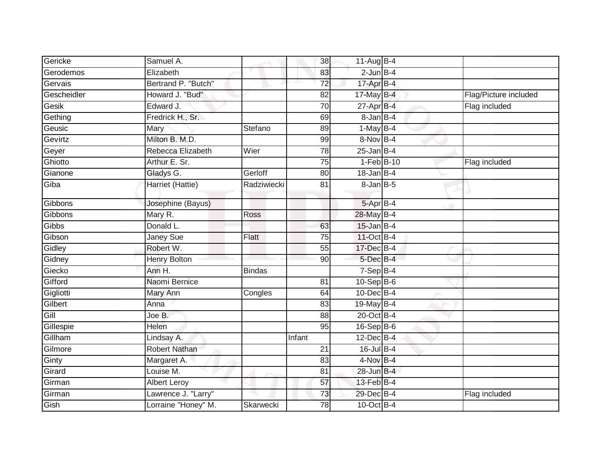| Gericke     | Samuel A.            |               | 38              | 11-Aug $B-4$     |                       |
|-------------|----------------------|---------------|-----------------|------------------|-----------------------|
| Gerodemos   | Elizabeth            |               | 83              | $2$ -Jun $B-4$   |                       |
| Gervais     | Bertrand P. "Butch"  |               | $\overline{72}$ | 17-Apr B-4       |                       |
| Gescheidler | Howard J. "Bud"      |               | 82              | 17-May B-4       | Flag/Picture included |
| Gesik       | Edward J.            |               | $\overline{70}$ | 27-Apr B-4       | Flag included         |
| Gething     | Fredrick H., Sr.     |               | 69              | $8 - Jan$ B-4    |                       |
| Geusic      | Mary                 | Stefano       | 89              | $1-May$ B-4      |                       |
| Gevirtz     | Milton B. M.D.       |               | 99              | 8-Nov B-4        |                       |
| Geyer       | Rebecca Elizabeth    | Wier          | 78              | $25$ -Jan B-4    |                       |
| Ghiotto     | Arthur E. Sr.        |               | $\overline{75}$ | $1-Feb$ B-10     | Flag included         |
| Gianone     | Gladys G.            | Gerloff       | 80              | $18 - Jan$ $B-4$ |                       |
| Giba        | Harriet (Hattie)     | Radziwiecki   | 81              | $8$ -Jan $B$ -5  |                       |
| Gibbons     | Josephine (Bayus)    |               |                 | $5-AprB-4$       |                       |
| Gibbons     | Mary R.              | <b>Ross</b>   |                 | 28-May B-4       |                       |
| Gibbs       | Donald L.            |               | 63              | $15$ -Jan B-4    |                       |
| Gibson      | Janey Sue            | Flatt         | $\overline{75}$ | $11-Oct$ B-4     |                       |
| Gidley      | Robert W.            |               | 55              | 17-Dec B-4       |                       |
| Gidney      | <b>Henry Bolton</b>  |               | 90              | $5$ -Dec $B-4$   |                       |
| Giecko      | Ann H.               | <b>Bindas</b> |                 | $7-Sep B-4$      |                       |
| Gifford     | Naomi Bernice        |               | $\overline{81}$ | $10-Sep$ B-6     |                       |
| Gigliotti   | Mary Ann             | Congles       | 64              | 10-Dec B-4       |                       |
| Gilbert     | Anna                 |               | 83              | 19-May B-4       |                       |
| Gill        | Joe B.               |               | 88              | $20$ -Oct B-4    |                       |
| Gillespie   | Helen                |               | 95              | $16 - SepB-6$    |                       |
| Gillham     | Lindsay A.           |               | Infant          | $12$ -Dec $B-4$  |                       |
| Gilmore     | <b>Robert Nathan</b> |               | $\overline{21}$ | $16$ -Jul $B-4$  |                       |
| Ginty       | Margaret A.          |               | 83              | 4-Nov B-4        |                       |
| Girard      | Louise M.            |               | 81              | 28-Jun B-4       |                       |
| Girman      | <b>Albert Leroy</b>  |               | 57              | 13-Feb B-4       |                       |
| Girman      | Lawrence J. "Larry"  |               | 73              | 29-Dec B-4       | Flag included         |
| Gish        | Lorraine "Honey" M.  | Skarwecki     | 78              | $10$ -Oct B-4    |                       |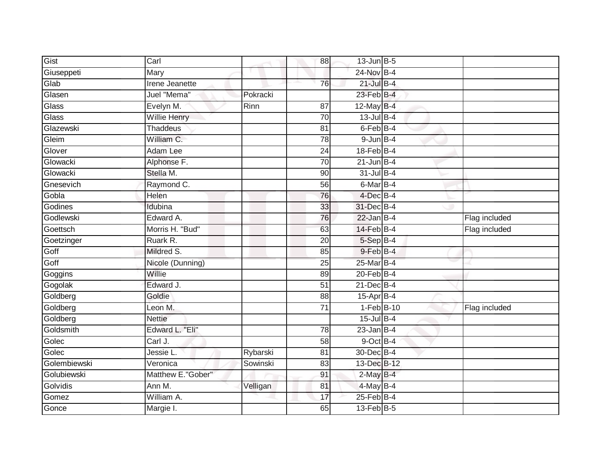| Gist         | Carl                  |          | 88              | $13$ -Jun $B-5$      |               |
|--------------|-----------------------|----------|-----------------|----------------------|---------------|
| Giuseppeti   | Mary                  |          |                 | $24$ -Nov B-4        |               |
| Glab         | <b>Irene Jeanette</b> |          | 76              | $21$ -Jul $B-4$      |               |
| Glasen       | Juel "Mema"           | Pokracki |                 | 23-Feb B-4           |               |
| Glass        | Evelyn M.             | Rinn     | 87              | 12-May B-4           |               |
| Glass        | <b>Willie Henry</b>   |          | 70              | $13$ -Jul B-4        |               |
| Glazewski    | Thaddeus              |          | 81              | 6-Feb <sup>B-4</sup> |               |
| Gleim        | William C.            |          | 78              | $9$ -Jun $B-4$       |               |
| Glover       | Adam Lee              |          | 24              | $18$ -Feb $B$ -4     |               |
| Glowacki     | Alphonse F.           |          | $\overline{70}$ | $21 - Jun$ B-4       |               |
| Glowacki     | Stella M.             |          | 90              | $31$ -Jul B-4        |               |
| Gnesevich    | Raymond C.            |          | $\overline{56}$ | 6-Mar B-4            |               |
| Gobla        | Helen                 |          | 76              | $4$ -Dec B-4         |               |
| Godines      | Idubina               |          | 33              | 31-Dec B-4           |               |
| Godlewski    | Edward A.             |          | 76              | $22$ -Jan B-4        | Flag included |
| Goettsch     | Morris H. "Bud"       |          | 63              | $14$ -Feb $B-4$      | Flag included |
| Goetzinger   | Ruark R.              |          | $\overline{20}$ | 5-Sep B-4            |               |
| Goff         | Mildred S.            |          | 85              | $9$ -Feb $B$ -4      |               |
| Goff         | Nicole (Dunning)      |          | 25              | 25-Mar B-4           |               |
| Goggins      | Willie                |          | 89              | $20$ -Feb $B-4$      |               |
| Gogolak      | Edward J.             |          | $\overline{51}$ | $21$ -Dec $B-4$      |               |
| Goldberg     | Goldie                |          | 88              | $15-Apr$ B-4         |               |
| Goldberg     | Leon M.               |          | 71              | $1-FebB-10$          | Flag included |
| Goldberg     | <b>Nettie</b>         |          |                 | $15$ -Jul B-4        |               |
| Goldsmith    | Edward L. "Eli"       |          | 78              | $23$ -Jan B-4        |               |
| Golec        | Carl J.               |          | 58              | 9-Oct B-4            |               |
| Golec        | Jessie L.             | Rybarski | $\overline{81}$ | 30-Dec B-4           |               |
| Golembiewski | Veronica              | Sowinski | 83              | 13-Dec B-12          |               |
| Golubiewski  | Matthew E."Gober"     |          | 91              | $2$ -May $B-4$       |               |
| Golvidis     | Ann M.                | Velligan | 81              | $4$ -May B-4         |               |
| Gomez        | William A.            |          | 17              | $25$ -Feb $B$ -4     |               |
| Gonce        | Margie I.             |          | 65              | $13$ -Feb $ B-5 $    |               |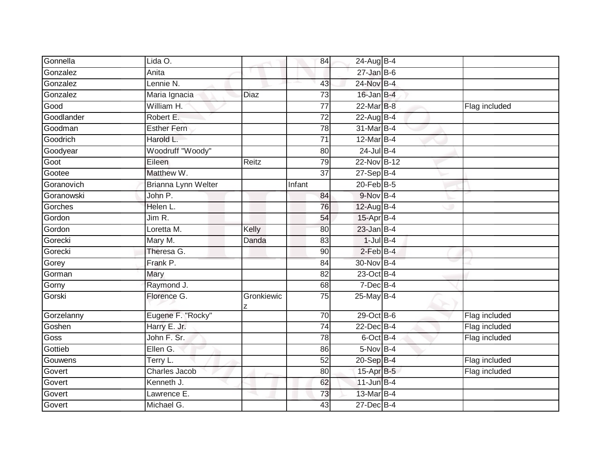| Gonnella    | Lida O.             |                 | 84              | 24-Aug B-4       |               |
|-------------|---------------------|-----------------|-----------------|------------------|---------------|
| Gonzalez    | Anita               |                 |                 | $27 - Jan$ $B-6$ |               |
| Gonzalez    | Lennie N.           |                 | 43              | 24-Nov B-4       |               |
| Gonzalez    | Maria Ignacia       | Diaz            | $\overline{73}$ | $16$ -Jan B-4    |               |
| Good        | William H.          |                 | $\overline{77}$ | 22-Mar B-8       | Flag included |
| Goodlander  | Robert E.           |                 | $\overline{72}$ | $22$ -Aug $B-4$  |               |
| Goodman     | <b>Esther Fern</b>  |                 | 78              | 31-Mar B-4       |               |
| Goodrich    | Harold L.           |                 | 71              | $12$ -Mar $B-4$  |               |
| Goodyear    | Woodruff "Woody"    |                 | 80              | $24$ -Jul $B-4$  |               |
| Goot        | Eileen              | Reitz           | 79              | 22-Nov B-12      |               |
| Gootee      | Matthew W.          |                 | $\overline{37}$ | $27 - SepB-4$    |               |
| Goranovich  | Brianna Lynn Welter |                 | Infant          | 20-Feb B-5       |               |
| Goranowski  | John P.             |                 | 84              | $9-Nov$ B-4      |               |
| Gorches     | Helen L.            |                 | 76              | 12-Aug B-4       |               |
| Gordon      | Jim R.              |                 | 54              | 15-Apr B-4       |               |
| Gordon      | Loretta M.          | Kelly           | 80              | $23$ -Jan $B-4$  |               |
| Gorecki     | Mary M.             | Danda           | 83              | $1$ -Jul $B-4$   |               |
| Gorecki     | Theresa G.          |                 | 90              | $2$ -Feb $B$ -4  |               |
| Gorey       | Frank P.            |                 | 84              | 30-Nov B-4       |               |
| Gorman      | Mary                |                 | $\overline{82}$ | $23-Oct$ B-4     |               |
| Gorny       | Raymond J.          |                 | 68              | $7$ -Dec $B-4$   |               |
| Gorski      | Florence G.         | Gronkiewic<br>Z | $\overline{75}$ | $25$ -May B-4    |               |
| Gorzelanny  | Eugene F. "Rocky"   |                 | $\overline{70}$ | 29-Oct B-6       | Flag included |
| Goshen      | Harry E. Jr.        |                 | 74              | $22$ -Dec $B-4$  | Flag included |
| <b>Goss</b> | John F. Sr.         |                 | $\overline{78}$ | $6$ -Oct B-4     | Flag included |
| Gottieb     | Ellen G.            |                 | 86              | 5-Nov B-4        |               |
| Gouwens     | Terry L.            |                 | $\overline{52}$ | 20-Sep B-4       | Flag included |
| Govert      | Charles Jacob       |                 | 80              | 15-Apr B-5       | Flag included |
| Govert      | Kenneth J.          |                 | 62              | $11$ -Jun $B-4$  |               |
| Govert      | Lawrence E.         |                 | 73              | 13-Mar B-4       |               |
| Govert      | Michael G.          |                 | 43              | $27$ -Dec $B-4$  |               |
|             |                     |                 |                 |                  |               |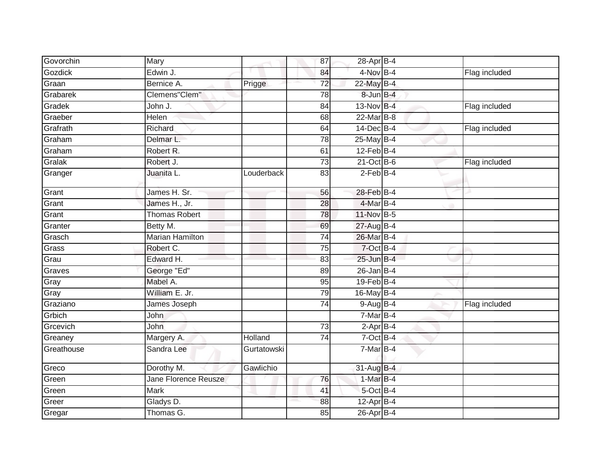| Govorchin  | Mary                 |                | 87              | 28-Apr B-4       |               |
|------------|----------------------|----------------|-----------------|------------------|---------------|
| Gozdick    | Edwin J.             |                | 84              | 4-Nov B-4        | Flag included |
| Graan      | Bernice A.           | Prigge         | $\overline{72}$ | 22-May B-4       |               |
| Grabarek   | Clemens"Clem"        |                | 78              | 8-Jun B-4        |               |
| Gradek     | John J.              |                | $\overline{84}$ | 13-Nov B-4       | Flag included |
| Graeber    | Helen                |                | 68              | 22-Mar B-8       |               |
| Grafrath   | Richard              |                | 64              | $14$ -Dec B-4    | Flag included |
| Graham     | Delmar L.            |                | 78              | 25-May B-4       |               |
| Graham     | Robert R.            |                | 61              | $12$ -Feb $B-4$  |               |
| Gralak     | Robert J.            |                | 73              | $21-Oct$ B-6     | Flag included |
| Granger    | Juanita L.           | Louderback     | 83              | $2$ -Feb $B-4$   |               |
| Grant      | James H. Sr.         |                | 56              | 28-Feb B-4       |               |
| Grant      | James H., Jr.        |                | 28              | $4$ -Mar $ B-4 $ |               |
| Grant      | <b>Thomas Robert</b> |                | 78              | 11-Nov B-5       |               |
| Granter    | Betty M.             |                | 69              | 27-Aug B-4       |               |
| Grasch     | Marian Hamilton      |                | 74              | 26-Mar B-4       |               |
| Grass      | Robert C.            |                | 75              | $7$ -Oct $B-4$   |               |
| Grau       | Edward H.            |                | 83              | $25 - Jun$ $B-4$ |               |
| Graves     | George "Ed"          |                | 89              | $26$ -Jan $B-4$  |               |
| Gray       | Mabel A.             |                | 95              | $19$ -Feb $B-4$  |               |
| Gray       | William E. Jr.       |                | 79              | 16-May $B-4$     |               |
| Graziano   | James Joseph         |                | $\overline{74}$ | $9-AugB-4$       | Flag included |
| Grbich     | John                 |                |                 | $7-Mar$ B-4      |               |
| Grcevich   | John                 |                | 73              | $2-AprB-4$       |               |
| Greaney    | Margery A.           | <b>Holland</b> | 74              | 7-Oct B-4        |               |
| Greathouse | Sandra Lee           | Gurtatowski    |                 | $7-Mar$ B-4      |               |
| Greco      | Dorothy M.           | Gawlichio      |                 | 31-Aug B-4       |               |
| Green      | Jane Florence Reusze |                | 76              | 1-Mar B-4        |               |
| Green      | Mark                 |                | 41              | $5$ -Oct $B-4$   |               |
| Greer      | Gladys D.            |                | 88              | $12-AprB-4$      |               |
| Gregar     | Thomas G.            |                | 85              | $26$ -Apr $B$ -4 |               |
|            |                      |                |                 |                  |               |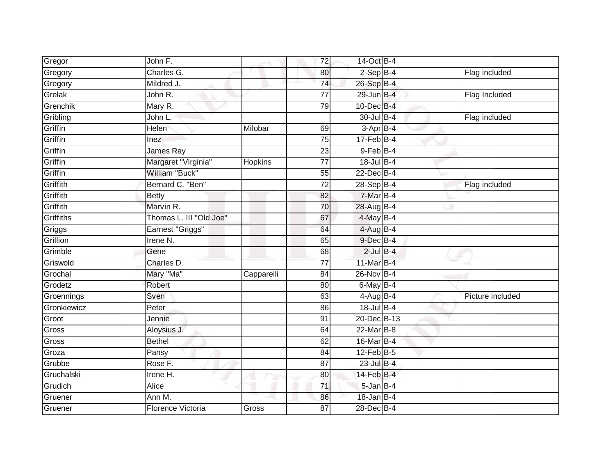| Gregor      | John F.                 |                | 72              | $14-Oct$ B-4     |                  |
|-------------|-------------------------|----------------|-----------------|------------------|------------------|
| Gregory     | Charles G.              |                | 80              | $2-SepB-4$       | Flag included    |
| Gregory     | Mildred J.              |                | 74              | 26-Sep B-4       |                  |
| Grelak      | John R.                 |                | $\overline{77}$ | 29-Jun B-4       | Flag Included    |
| Grenchik    | Mary R.                 |                | 79              | 10-Dec B-4       |                  |
| Gribling    | John L.                 |                |                 | 30-Jul B-4       | Flag included    |
| Griffin     | <b>Helen</b>            | Milobar        | 69              | $3-Apr$ B-4      |                  |
| Griffin     | Inez                    |                | 75              | $17$ -Feb $B$ -4 |                  |
| Griffin     | James Ray               |                | 23              | $9$ -Feb $B$ -4  |                  |
| Griffin     | Margaret "Virginia"     | <b>Hopkins</b> | $\overline{77}$ | $18$ -Jul B-4    |                  |
| Griffin     | William "Buck"          |                | $\overline{55}$ | $22$ -Dec $B-4$  |                  |
| Griffith    | Bernard C. "Ben"        |                | $\overline{72}$ | 28-Sep B-4       | Flag included    |
| Griffith    | <b>Betty</b>            |                | 82              | $7-Mar$ B-4      |                  |
| Griffith    | Marvin R.               |                | 70              | 28-Aug B-4       |                  |
| Griffiths   | Thomas L. III "Old Joe" |                | 67              | $4$ -May $B-4$   |                  |
| Griggs      | Earnest "Griggs"        |                | 64              | $4$ -Aug $B$ -4  |                  |
| Grillion    | Irene <sub>N.</sub>     |                | 65              | $9$ -Dec $B$ -4  |                  |
| Grimble     | Gene                    |                | 68              | $2$ -Jul $B-4$   |                  |
| Griswold    | Charles D.              |                | $\overline{77}$ | $11$ -Mar $B-4$  |                  |
| Grochal     | Mary "Ma"               | Capparelli     | 84              | 26-Nov B-4       |                  |
| Grodetz     | Robert                  |                | 80              | 6-May B-4        |                  |
| Groennings  | Sven                    |                | 63              | $4-Aug$ B-4      | Picture included |
| Gronkiewicz | Peter                   |                | 86              | $18$ -Jul $B-4$  |                  |
| Groot       | Jennie                  |                | 91              | 20-Dec B-13      |                  |
| Gross       | Aloysius J.             |                | 64              | $22$ -Mar $B-8$  |                  |
| Gross       | <b>Bethel</b>           |                | 62              | 16-Mar B-4       |                  |
| Groza       | Pansy                   |                | 84              | $12$ -Feb $B-5$  |                  |
| Grubbe      | Rose F.                 |                | 87              | 23-Jul B-4       |                  |
| Gruchalski  | Irene H.                |                | 80              | $14$ -Feb $B$ -4 |                  |
| Grudich     | Alice                   |                | $\overline{71}$ | $5$ -Jan $B-4$   |                  |
| Gruener     | Ann M.                  |                | 86              | $18 - Jan$ $B-4$ |                  |
| Gruener     | Florence Victoria       | Gross          | $\overline{87}$ | 28-Dec B-4       |                  |
|             |                         |                |                 |                  |                  |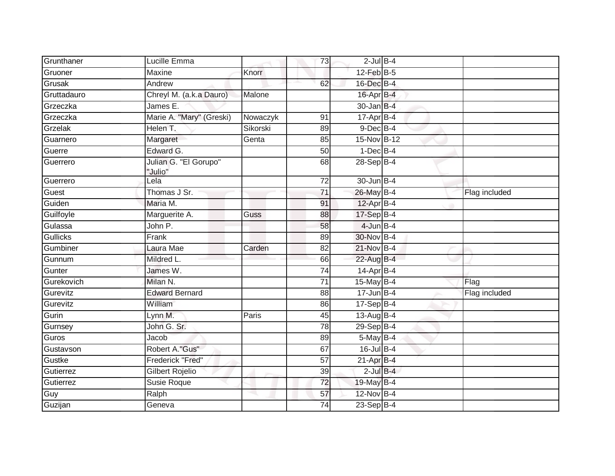| Grunthaner      | Lucille Emma                     |          | 73              | $2$ -Jul B-4      |               |
|-----------------|----------------------------------|----------|-----------------|-------------------|---------------|
| Gruoner         | Maxine                           | Knorr    |                 | $12$ -Feb $B-5$   |               |
| Grusak          | Andrew                           |          | 62              | 16-Dec B-4        |               |
| Gruttadauro     | Chreyl M. (a.k.a Dauro)          | Malone   |                 | 16-Apr B-4        |               |
| Grzeczka        | James E.                         |          |                 | $30$ -Jan $B-4$   |               |
| Grzeczka        | Marie A. "Mary" (Greski)         | Nowaczyk | 91              | $17-AprB-4$       |               |
| Grzelak         | Helen T.                         | Sikorski | 89              | $9$ -Dec $B$ -4   |               |
| Guarnero        | Margaret                         | Genta    | 85              | 15-Nov B-12       |               |
| Guerre          | Edward G.                        |          | 50              | $1$ -Dec $B-4$    |               |
| Guerrero        | Julian G. "El Gorupo"<br>"Julio" |          | 68              | 28-Sep B-4        |               |
| Guerrero        | Lela                             |          | $\overline{72}$ | 30-Jun B-4        |               |
| Guest           | Thomas J Sr.                     |          | $\overline{71}$ | 26-May B-4        | Flag included |
| Guiden          | Maria M.                         |          | 91              | 12-Apr B-4        |               |
| Guilfoyle       | Marguerite A.                    | Guss     | 88              | $17-Sep$ B-4      |               |
| Gulassa         | John P.                          |          | 58              | $4$ -Jun $B-4$    |               |
| <b>Gullicks</b> | Frank                            |          | 89              | 30-Nov B-4        |               |
| Gumbiner        | Laura Mae                        | Carden   | 82              | $21-Nov$ B-4      |               |
| Gunnum          | Mildred L.                       |          | 66              | 22-Aug B-4        |               |
| Gunter          | James W.                         |          | 74              | $14$ -Apr $ B-4 $ |               |
| Gurekovich      | Milan N.                         |          | 71              | $15$ -May B-4     | Flag          |
| Gurevitz        | <b>Edward Bernard</b>            |          | 88              | $17 - Jun$ B-4    | Flag included |
| Gurevitz        | William                          |          | 86              | $17-Sep$ B-4      |               |
| Gurin           | Lynn M.                          | Paris    | 45              | 13-Aug B-4        |               |
| Gurnsey         | John G. Sr.                      |          | 78              | $29-Sep$ B-4      |               |
| Guros           | <b>Jacob</b>                     |          | 89              | $5$ -May $B-4$    |               |
| Gustavson       | Robert A."Gus"                   |          | 67              | $16$ -Jul B-4     |               |
| Gustke          | Frederick "Fred"                 |          | 57              | $21$ -Apr $B-4$   |               |
| Gutierrez       | <b>Gilbert Rojelio</b>           |          | 39              | $2$ -Jul $B-4$    |               |
| Gutierrez       | Susie Roque                      |          | 72              | 19-May B-4        |               |
| Guy             | Ralph                            |          | 57              | $12$ -Nov $B-4$   |               |
| Guzijan         | Geneva                           |          | 74              | $23-Sep$ B-4      |               |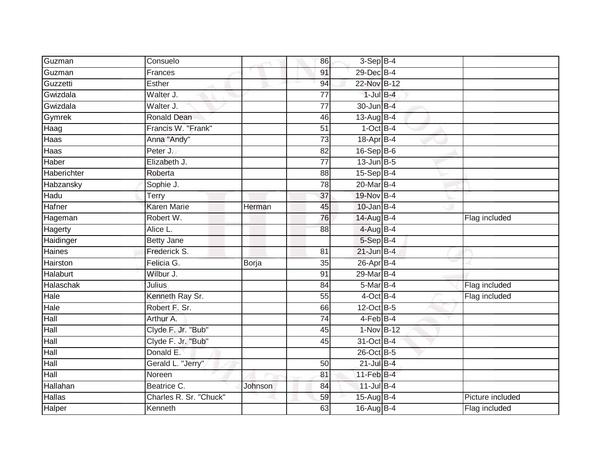| Guzman          | Consuelo               |         | 86              | $3-Sep\overline{B-4}$ |                  |
|-----------------|------------------------|---------|-----------------|-----------------------|------------------|
| Guzman          | Frances                |         | 91              | 29-Dec B-4            |                  |
| Guzzetti        | Esther                 |         | 94              | 22-Nov B-12           |                  |
| Gwizdala        | Walter J.              |         | 77              | $1$ -Jul $B-4$        |                  |
| Gwizdala        | Walter J.              |         | $\overline{77}$ | 30-Jun B-4            |                  |
| Gymrek          | <b>Ronald Dean</b>     |         | 46              | $13-AugB-4$           |                  |
| Haag            | Francis W. "Frank"     |         | 51              | $1$ -Oct B-4          |                  |
| Haas            | Anna "Andy"            |         | $\overline{73}$ | 18-Apr B-4            |                  |
| Haas            | Peter J.               |         | 82              | 16-Sep B-6            |                  |
| Haber           | Elizabeth J.           |         | $\overline{77}$ | $13$ -Jun $B-5$       |                  |
| Haberichter     | Roberta                |         | $\overline{88}$ | $15-Sep$ B-4          |                  |
| Habzansky       | Sophie J.              |         | 78              | 20-Mar B-4            |                  |
| Hadu            | Terry                  |         | 37              | 19-Nov B-4            |                  |
| Hafner          | <b>Karen Marie</b>     | Herman  | 45              | $10$ -Jan B-4         |                  |
| Hageman         | Robert W.              |         | 76              | 14-Aug B-4            | Flag included    |
| Hagerty         | Alice L.               |         | 88              | $4$ -Aug $B$ -4       |                  |
| Haidinger       | <b>Betty Jane</b>      |         |                 | $5-$ Sep $B-4$        |                  |
| Haines          | Frederick S.           |         | 81              | $21$ -Jun B-4         |                  |
| Hairston        | Felicia G.             | Borja   | 35              | 26-Apr B-4            |                  |
| <b>Halaburt</b> | Wilbur J.              |         | 91              | 29-Mar B-4            |                  |
| Halaschak       | Julius                 |         | 84              | 5-Mar B-4             | Flag included    |
| Hale            | Kenneth Ray Sr.        |         | 55              | $4$ -Oct B-4          | Flag included    |
| Hale            | Robert F. Sr.          |         | 66              | $12$ -Oct B-5         |                  |
| Hall            | Arthur A.              |         | 74              | 4-Feb B-4             |                  |
| Hall            | Clyde F. Jr. "Bub"     |         | 45              | $1-Nov$ B-12          |                  |
| Hall            | Clyde F. Jr. "Bub"     |         | $\overline{45}$ | 31-Oct B-4            |                  |
| Hall            | Donald E.              |         |                 | 26-Oct B-5            |                  |
| Hall            | Gerald L. "Jerry"      |         | 50              | $21$ -Jul B-4         |                  |
| Hall            | Noreen                 |         | 81              | $11$ -Feb $B$ -4      |                  |
| Hallahan        | Beatrice C.            | Johnson | 84              | $11$ -Jul B-4         |                  |
| Hallas          | Charles R. Sr. "Chuck" |         | 59              | 15-Aug B-4            | Picture included |
| Halper          | Kenneth                |         | 63              | 16-Aug B-4            | Flag included    |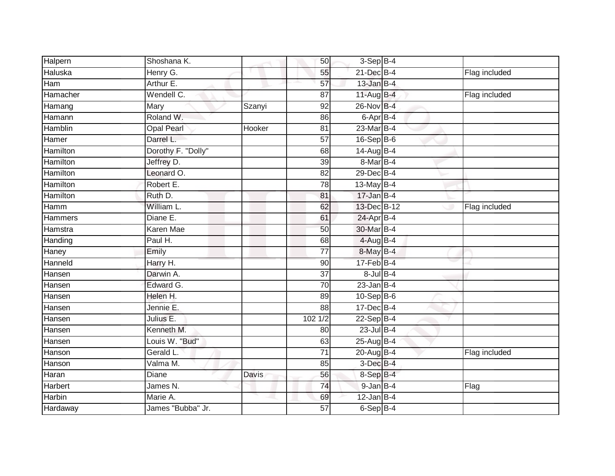| Halpern        | Shoshana K.        |        | 50              | $3-Sep$ B-4       |               |
|----------------|--------------------|--------|-----------------|-------------------|---------------|
| Haluska        | Henry G.           |        | 55              | $21$ -Dec $B-4$   | Flag included |
| Ham            | Arthur E.          |        | 57              | $13$ -Jan $B-4$   |               |
| Hamacher       | Wendell C.         |        | $\overline{87}$ | 11-Aug B-4        | Flag included |
| Hamang         | Mary               | Szanyi | 92              | 26-Nov B-4        |               |
| Hamann         | Roland W.          |        | 86              | $6 -$ Apr $B - 4$ |               |
| Hamblin        | Opal Pearl         | Hooker | 81              | 23-Mar B-4        |               |
| Hamer          | Darrel L.          |        | $\overline{57}$ | $16-Sep B-6$      |               |
| Hamilton       | Dorothy F. "Dolly" |        | 68              | 14-Aug B-4        |               |
| Hamilton       | Jeffrey D.         |        | 39              | 8-Mar B-4         |               |
| Hamilton       | Leonard O.         |        | $\overline{82}$ | 29-Dec B-4        |               |
| Hamilton       | Robert E.          |        | 78              | 13-May $B-4$      |               |
| Hamilton       | Ruth D.            |        | 81              | $17 - Jan$ B-4    |               |
| Hamm           | William L.         |        | 62              | 13-Dec B-12       | Flag included |
| <b>Hammers</b> | Diane E.           |        | 61              | $24$ -Apr $B-4$   |               |
| Hamstra        | Karen Mae          |        | 50              | 30-Mar B-4        |               |
| Handing        | Paul H.            |        | 68              | $4$ -Aug B-4      |               |
| Haney          | Emily              |        | 77              | 8-May B-4         |               |
| Hanneld        | Harry H.           |        | 90              | $17-Feb$ B-4      |               |
| Hansen         | Darwin A.          |        | $\overline{37}$ | $8$ -Jul $B-4$    |               |
| Hansen         | Edward G.          |        | 70              | $23$ -Jan B-4     |               |
| Hansen         | Helen H.           |        | 89              | $10-Sep$ B-6      |               |
| Hansen         | Jennie E.          |        | 88              | 17-Dec B-4        |               |
| Hansen         | Julius E.          |        | 102 1/2         | $22-Sep$ B-4      |               |
| Hansen         | Kenneth M.         |        | 80              | $23$ -Jul B-4     |               |
| Hansen         | Louis W. "Bud"     |        | 63              | $25-Aug$ B-4      |               |
| Hanson         | Gerald L.          |        | $\overline{71}$ | 20-Aug B-4        | Flag included |
| Hanson         | Valma M.           |        | 85              | 3-Dec B-4         |               |
| Haran          | Diane              | Davis  | 56              | 8-Sep B-4         |               |
| Harbert        | James N.           |        | 74              | $9$ -Jan $B$ -4   | Flag          |
| Harbin         | Marie A.           |        | 69              | $12$ -Jan B-4     |               |
| Hardaway       | James "Bubba" Jr.  |        | 57              | $6-SepB-4$        |               |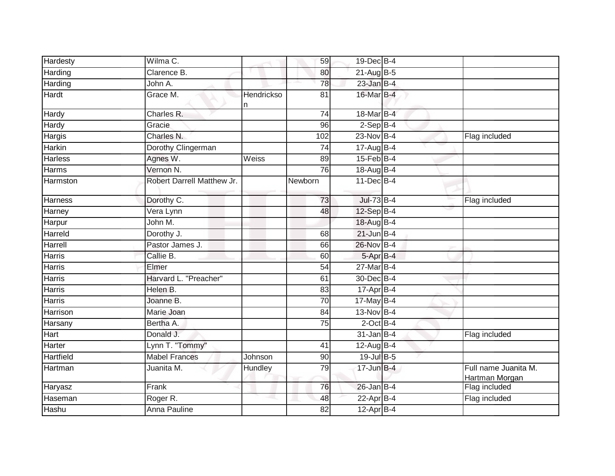| Hardesty      | Wilma C.                   |                 | 59              | $19$ -Dec $B-4$   |                                        |
|---------------|----------------------------|-----------------|-----------------|-------------------|----------------------------------------|
| Harding       | Clarence B.                |                 | 80              | 21-Aug B-5        |                                        |
| Harding       | John A.                    |                 | 78              | $23$ -Jan B-4     |                                        |
| Hardt         | Grace M.                   | Hendrickso<br>n | 81              | 16-Mar B-4        |                                        |
| Hardy         | Charles R.                 |                 | $\overline{74}$ | 18-Mar B-4        |                                        |
| Hardy         | Gracie                     |                 | 96              | $2-Sep B-4$       |                                        |
| Hargis        | Charles N.                 |                 | 102             | $23-Nov$ B-4      | Flag included                          |
| <b>Harkin</b> | Dorothy Clingerman         |                 | $\overline{74}$ | 17-Aug B-4        |                                        |
| Harless       | Agnes W.                   | Weiss           | 89              | $15$ -Feb $B$ -4  |                                        |
| Harms         | Vernon N.                  |                 | 76              | 18-Aug B-4        |                                        |
| Harmston      | Robert Darrell Matthew Jr. |                 | Newborn         | $11$ -Dec $B-4$   |                                        |
| Harness       | Dorothy C.                 |                 | 73              | <b>Jul-73 B-4</b> | Flag included                          |
| Harney        | Vera Lynn                  |                 | 48              | 12-Sep B-4        |                                        |
| Harpur        | John M.                    |                 |                 | 18-Aug B-4        |                                        |
| Harreld       | Dorothy J.                 |                 | 68              | $21$ -Jun $B-4$   |                                        |
| Harrell       | Pastor James J.            |                 | 66              | 26-Nov B-4        |                                        |
| Harris        | Callie B.                  |                 | 60              | $5-Apr$ B-4       |                                        |
| <b>Harris</b> | Elmer                      |                 | $\overline{54}$ | $27$ -Mar $B-4$   |                                        |
| <b>Harris</b> | Harvard L. "Preacher"      |                 | 61              | 30-Dec B-4        |                                        |
| Harris        | Helen B.                   |                 | 83              | 17-Apr B-4        |                                        |
| Harris        | Joanne B.                  |                 | 70              | $17$ -May B-4     |                                        |
| Harrison      | Marie Joan                 |                 | $\overline{84}$ | $13-Nov$ B-4      |                                        |
| Harsany       | Bertha A.                  |                 | 75              | $2$ -Oct $B-4$    |                                        |
| Hart          | Donald J.                  |                 |                 | $31$ -Jan B-4     | Flag included                          |
| Harter        | Lynn T. "Tommy"            |                 | $\overline{41}$ | 12-Aug B-4        |                                        |
| Hartfield     | <b>Mabel Frances</b>       | Johnson         | 90              | 19-Jul B-5        |                                        |
| Hartman       | Juanita M.                 | Hundley         | 79              | $17 - Jun$ B-4    | Full name Juanita M.<br>Hartman Morgan |
| Haryasz       | Frank                      |                 | 76              | 26-Jan B-4        | Flag included                          |
| Haseman       | Roger R.                   | a.              | 48              | $22$ -Apr $B-4$   | Flag included                          |
| Hashu         | Anna Pauline               |                 | $\overline{82}$ | $12$ -Apr $B-4$   |                                        |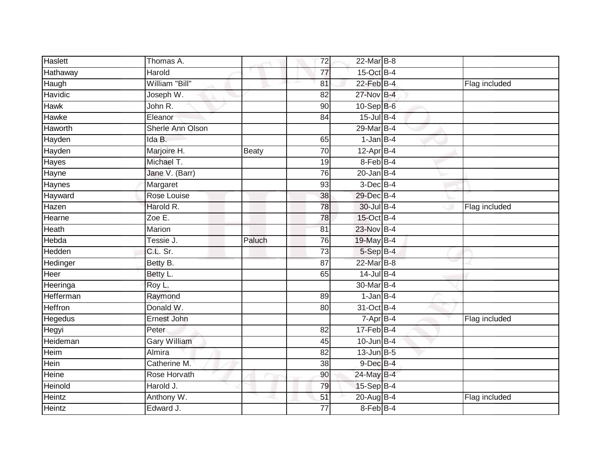| Haslett        | Thomas A.           |              | 72              | 22-Mar B-8      |               |
|----------------|---------------------|--------------|-----------------|-----------------|---------------|
| Hathaway       | Harold              |              | 77              | 15-Oct B-4      |               |
| Haugh          | William "Bill"      |              | 81              | $22$ -Feb $B-4$ | Flag included |
| Havidic        | Joseph W.           |              | 82              | 27-Nov B-4      |               |
| <b>Hawk</b>    | John R.             |              | $\overline{90}$ | 10-Sep B-6      |               |
| Hawke          | Eleanor             |              | 84              | $15$ -Jul B-4   |               |
| Haworth        | Sherle Ann Olson    |              |                 | 29-Mar B-4      |               |
| Hayden         | Ida B.              |              | 65              | $1$ -Jan $B-4$  |               |
| Hayden         | Marjoire H.         | <b>Beaty</b> | $\overline{70}$ | $12-Apr$ B-4    |               |
| Hayes          | Michael T.          |              | 19              | 8-Feb B-4       |               |
| Hayne          | Jane V. (Barr)      |              | 76              | $20$ -Jan B-4   |               |
| Haynes         | Margaret            |              | $\overline{93}$ | $3$ -Dec $B$ -4 |               |
| Hayward        | Rose Louise         |              | 38              | 29-Dec B-4      |               |
| Hazen          | Harold R.           |              | 78              | 30-Jul B-4      | Flag included |
| Hearne         | Zoe E.              |              | 78              | 15-Oct B-4      |               |
| Heath          | Marion              |              | 81              | 23-Nov B-4      |               |
| Hebda          | Tessie J.           | Paluch       | 76              | 19-May B-4      |               |
| Hedden         | C.L. Sr.            |              | $\overline{73}$ | 5-Sep B-4       |               |
| Hedinger       | Betty B.            |              | 87              | 22-Mar B-8      |               |
| <b>Heer</b>    | Betty L.            |              | 65              | $14$ -Jul B-4   |               |
| Heeringa       | Roy L.              |              |                 | 30-Mar B-4      |               |
| Hefferman      | Raymond             |              | 89              | $1$ -Jan $B-4$  |               |
| <b>Heffron</b> | Donald W.           |              | 80              | 31-Oct B-4      |               |
| <b>Hegedus</b> | Ernest John         |              |                 | $7 - Apr$ B-4   | Flag included |
| Hegyi          | Peter               |              | 82              | $17$ -Feb $B-4$ |               |
| Heideman       | <b>Gary William</b> |              | 45              | $10$ -Jun $B-4$ |               |
| Heim           | Almira              |              | $\overline{82}$ | $13$ -Jun $B-5$ |               |
| Hein           | Catherine M.        |              | 38              | 9-Dec B-4       |               |
| Heine          | Rose Horvath        |              | 90              | 24-May B-4      |               |
| Heinold        | Harold J.           |              | 79              | 15-Sep B-4      |               |
| Heintz         | Anthony W.          |              | 51              | 20-Aug $B-4$    | Flag included |
| Heintz         | Edward J.           |              | $\overline{77}$ | 8-Feb B-4       |               |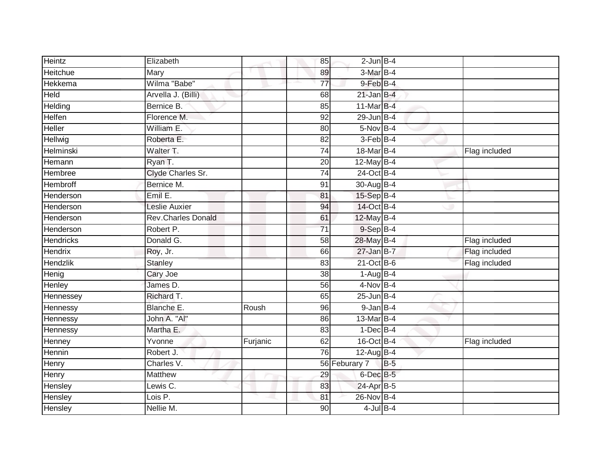| Heintz           | Elizabeth                 |          | 85              | $2$ -Jun $B-4$         |       |               |
|------------------|---------------------------|----------|-----------------|------------------------|-------|---------------|
| Heitchue         | Mary                      |          | 89              | 3-Mar B-4              |       |               |
| <b>Hekkema</b>   | Wilma "Babe"              |          | $\overline{77}$ | 9-Feb B-4              |       |               |
| Held             | Arvella J. (Billi)        |          | 68              | $21$ -Jan B-4          |       |               |
| Helding          | Bernice B.                |          | 85              | 11-Mar B-4             |       |               |
| Helfen           | Florence M.               |          | 92              | $29$ -Jun $B-4$        |       |               |
| Heller           | William E.                |          | 80              | $5-Nov$ B-4            |       |               |
| Hellwig          | Roberta E.                |          | 82              | 3-Feb B-4              |       |               |
| Helminski        | Walter T.                 |          | $\overline{74}$ | $18-Mar\overline{B-4}$ |       | Flag included |
| Hemann           | Ryan T.                   |          | $\overline{20}$ | $12$ -May B-4          |       |               |
| Hembree          | Clyde Charles Sr.         |          | $\overline{74}$ | $24-Oct$ B-4           |       |               |
| <b>Hembroff</b>  | Bernice M.                |          | 91              | 30-Aug $B-4$           |       |               |
| Henderson        | Emil E.                   |          | 81              | 15-Sep B-4             |       |               |
| Henderson        | Leslie Auxier             |          | 94              | 14-Oct B-4             |       |               |
| Henderson        | <b>Rev.Charles Donald</b> |          | 61              | $12$ -May B-4          |       |               |
| Henderson        | Robert P.                 |          | $\overline{71}$ | $9-Sep$ $B-4$          |       |               |
| <b>Hendricks</b> | Donald G.                 |          | $\overline{58}$ | 28-May B-4             |       | Flag included |
| Hendrix          | Roy, Jr.                  |          | 66              | $27$ -Jan B-7          |       | Flag included |
| Hendzlik         | Stanley                   |          | 83              | $21-Oct$ B-6           |       | Flag included |
| Henig            | Cary Joe                  |          | $\overline{38}$ | $1-AugB-4$             |       |               |
| Henley           | James D.                  |          | 56              | $4$ -Nov B-4           |       |               |
| Hennessey        | Richard T.                |          | 65              | $25$ -Jun $B-4$        |       |               |
| Hennessy         | Blanche E.                | Roush    | 96              | $9$ -Jan $B$ -4        |       |               |
| Hennessy         | John A. "Al"              |          | 86              | $13-Mar$ B-4           |       |               |
| Hennessy         | Martha E.                 |          | 83              | $1$ -Dec $B-4$         |       |               |
| Henney           | Yvonne                    | Furjanic | 62              | $16$ -Oct B-4          |       | Flag included |
| Hennin           | Robert J.                 |          | 76              | 12-Aug B-4             |       |               |
| Henry            | Charles V.                |          |                 | 56 Feburary 7          | $B-5$ |               |
| Henry            | <b>Matthew</b>            |          | 29              | 6-Dec B-5              |       |               |
| Hensley          | Lewis C.                  |          | 83              | 24-Apr B-5             |       |               |
| Hensley          | Lois P.                   |          | 81              | $26$ -Nov B-4          |       |               |
| Hensley          | Nellie M.                 |          | 90              | $4$ -Jul B-4           |       |               |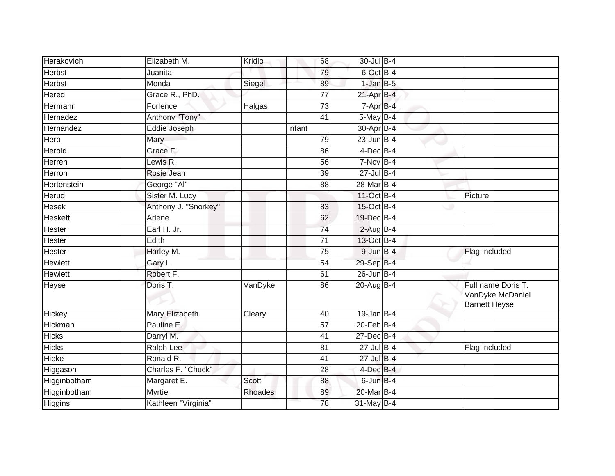| Herakovich     | Elizabeth M.         | Kridlo         | 68              | $30 -$ Jul $B - 4$   |                                                                |
|----------------|----------------------|----------------|-----------------|----------------------|----------------------------------------------------------------|
| <b>Herbst</b>  | Juanita              |                | 79              | $6$ -Oct $B-4$       |                                                                |
| <b>Herbst</b>  | Monda                | Siegel         | 89              | $1$ -Jan $B-5$       |                                                                |
| Hered          | Grace R., PhD.       |                | 77              | $21$ -Apr $B-4$      |                                                                |
| Hermann        | Forlence             | Halgas         | 73              | 7-Apr B-4            |                                                                |
| Hernadez       | Anthony "Tony"       |                | 41              | 5-May B-4            |                                                                |
| Hernandez      | Eddie Joseph         |                | infant          | $30-Apr$ B-4         |                                                                |
| Hero           | Mary                 |                | 79              | $23$ -Jun $B-4$      |                                                                |
| Herold         | Grace F.             |                | 86              | $4$ -Dec $B-4$       |                                                                |
| Herren         | Lewis R.             |                | 56              | $7-Nov$ B-4          |                                                                |
| Herron         | Rosie Jean           |                | 39              | $27 -$ Jul B-4       |                                                                |
| Hertenstein    | George "Al"          |                | 88              | 28-Mar B-4           |                                                                |
| Herud          | Sister M. Lucy       |                |                 | $11$ -Oct B-4        | Picture                                                        |
| Hesek          | Anthony J. "Snorkey" |                | 83              | $15$ -Oct $B-4$      |                                                                |
| <b>Heskett</b> | Arlene               |                | 62              | 19-Dec B-4           |                                                                |
| Hester         | Earl H. Jr.          |                | 74              | $2$ -Aug $B$ -4      |                                                                |
| Hester         | Edith                |                | $\overline{71}$ | 13-Oct B-4           |                                                                |
| Hester         | Harley M.            |                | 75              | $9$ -Jun $B-4$       | Flag included                                                  |
| Hewlett        | Gary L.              |                | 54              | 29-Sep B-4           |                                                                |
| <b>Hewlett</b> | Robert F.            |                | 61              | $26$ -Jun $B-4$      |                                                                |
| Heyse          | Doris T.             | VanDyke        | 86              | $20$ -Aug $B-4$      | Full name Doris T.<br>VanDyke McDaniel<br><b>Barnett Heyse</b> |
| Hickey         | Mary Elizabeth       | Cleary         | 40              | $19$ -Jan $ B-4 $    |                                                                |
| Hickman        | Pauline E.           |                | $\overline{57}$ | $20$ -Feb $B-4$      |                                                                |
| <b>Hicks</b>   | Darryl M.            |                | 41              | $27 - Dec$ $B-4$     |                                                                |
| <b>Hicks</b>   | Ralph Lee            |                | 81              | $27 -$ Jul B-4       | Flag included                                                  |
| Hieke          | Ronald R.            |                | 41              | $27 -$ Jul $B - 4$   |                                                                |
| Higgason       | Charles F. "Chuck"   |                | 28              | 4-Dec <sup>B-4</sup> |                                                                |
| Higginbotham   | Margaret E.          | <b>Scott</b>   | 88              | 6-Jun B-4            |                                                                |
| Higginbotham   | Myrtie               | <b>Rhoades</b> | 89              | 20-Mar B-4           |                                                                |
| Higgins        | Kathleen "Virginia"  |                | 78              | $31$ -May B-4        |                                                                |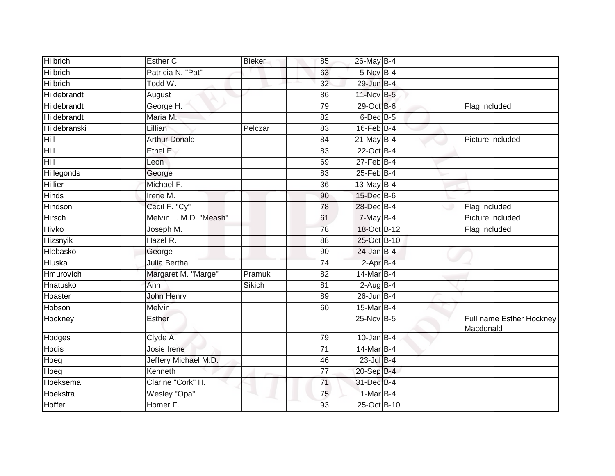| Hilbrich         | Esther C.              | <b>Bieker</b> | 85              | 26-May B-4       |                                       |
|------------------|------------------------|---------------|-----------------|------------------|---------------------------------------|
| <b>Hilbrich</b>  | Patricia N. "Pat"      |               | 63              | $5-NovB-4$       |                                       |
| <b>Hilbrich</b>  | Todd W.                |               | $\overline{32}$ | 29-Jun B-4       |                                       |
| Hildebrandt      | August                 |               | 86              | 11-Nov B-5       |                                       |
| Hildebrandt      | George H.              |               | 79              | 29-Oct B-6       | Flag included                         |
| Hildebrandt      | Maria M.               |               | 82              | $6$ -Dec $B$ -5  |                                       |
| Hildebranski     | Lillian                | Pelczar       | 83              | $16$ -Feb $B$ -4 |                                       |
| Hill             | <b>Arthur Donald</b>   |               | 84              | $21$ -May B-4    | Picture included                      |
| Hill             | Ethel E.               |               | 83              | $22-Oct$ B-4     |                                       |
| Hill             | Leon                   |               | 69              | $27$ -Feb $B-4$  |                                       |
| Hillegonds       | George                 |               | 83              | $25$ -Feb $B-4$  |                                       |
| <b>Hillier</b>   | Michael F.             |               | $\overline{36}$ | 13-May B-4       |                                       |
| <b>Hinds</b>     | Irene M.               |               | 90              | 15-Dec B-6       |                                       |
| Hindson          | Cecil F. "Cy"          |               | 78              | 28-Dec B-4       | Flag included                         |
| Hirsch           | Melvin L. M.D. "Meash" |               | 61              | $7$ -May $B-4$   | Picture included                      |
| <b>Hivko</b>     | Joseph M.              |               | 78              | 18-Oct B-12      | Flag included                         |
| <b>Hizsnyik</b>  | Hazel R.               |               | $\overline{88}$ | 25-Oct B-10      |                                       |
| Hlebasko         | George                 |               | 90              | $24$ -Jan B-4    |                                       |
| <b>Hluska</b>    | Julia Bertha           |               | 74              | $2$ -Apr $B-4$   |                                       |
| <b>Hmurovich</b> | Margaret M. "Marge"    | Pramuk        | 82              | 14-Mar B-4       |                                       |
| Hnatusko         | Ann                    | Sikich        | 81              | $2$ -Aug $B$ -4  |                                       |
| Hoaster          | John Henry             |               | 89              | $26$ -Jun $B-4$  |                                       |
| Hobson           | Melvin                 |               | 60              | 15-Mar B-4       |                                       |
| Hockney          | <b>Esther</b>          |               |                 | 25-Nov B-5       | Full name Esther Hockney<br>Macdonald |
| Hodges           | Clyde A.               |               | 79              | $10$ -Jan B-4    |                                       |
| <b>Hodis</b>     | Josie Irene            |               | $\overline{71}$ | 14-Mar B-4       |                                       |
| Hoeg             | Jeffery Michael M.D.   |               | 46              | 23-Jul B-4       |                                       |
| Hoeg             | Kenneth                |               | $\overline{77}$ | 20-Sep B-4       |                                       |
| Hoeksema         | Clarine "Cork" H.      |               | $\overline{71}$ | 31-Dec B-4       |                                       |
| Hoekstra         | Wesley "Opa"           |               | 75              | $1-MarB-4$       |                                       |
| Hoffer           | Homer F.               |               | 93              | 25-Oct B-10      |                                       |
|                  |                        |               |                 |                  |                                       |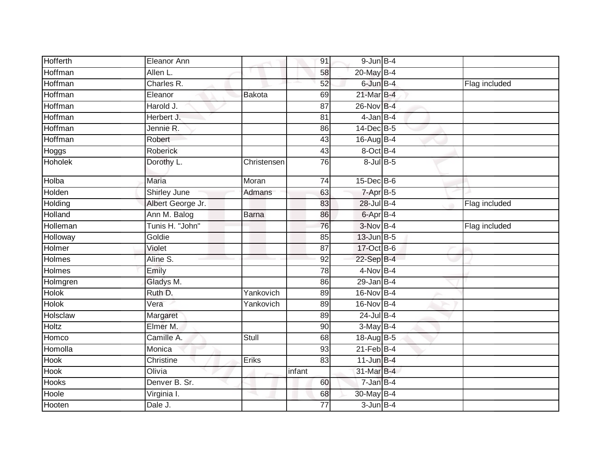| Hofferth     | Eleanor Ann         |               | 91              | $9$ -Jun $B-4$     |               |
|--------------|---------------------|---------------|-----------------|--------------------|---------------|
| Hoffman      | Allen L.            |               | 58              | 20-May B-4         |               |
| Hoffman      | Charles R.          |               | 52              | $6$ -Jun $B-4$     | Flag included |
| Hoffman      | Eleanor             | <b>Bakota</b> | 69              | 21-Mar B-4         |               |
| Hoffman      | Harold J.           |               | $\overline{87}$ | 26-Nov B-4         |               |
| Hoffman      | Herbert J.          |               | 81              | $4$ -Jan B-4       |               |
| Hoffman      | Jennie R.           |               | 86              | $14$ -Dec $B-5$    |               |
| Hoffman      | Robert              |               | 43              | 16-Aug B-4         |               |
| Hoggs        | Roberick            |               | 43              | $8$ -Oct $B-4$     |               |
| Hoholek      | Dorothy L.          | Christensen   | 76              | $8$ -Jul B-5       |               |
| Holba        | <b>Maria</b>        | Moran         | 74              | $15$ -Dec $B$ -6   |               |
| Holden       | <b>Shirley June</b> | Admans        | 63              | $7 - Apr$ $B-5$    |               |
| Holding      | Albert George Jr.   |               | 83              | $28 -$ Jul $B - 4$ | Flag included |
| Holland      | Ann M. Balog        | <b>Barna</b>  | 86              | 6-Apr B-4          |               |
| Holleman     | Tunis H. "John"     |               | 76              | $3-Nov$ B-4        | Flag included |
| Holloway     | Goldie              |               | 85              | $13$ -Jun $B-5$    |               |
| Holmer       | Violet              |               | 87              | 17-Oct B-6         |               |
| Holmes       | Aline S.            |               | 92              | 22-Sep B-4         |               |
| Holmes       | Emily               |               | 78              | $4-Nov$ B-4        |               |
| Holmgren     | Gladys M.           |               | 86              | $29$ -Jan B-4      |               |
| Holok        | Ruth D.             | Yankovich     | 89              | 16-Nov B-4         |               |
| <b>Holok</b> | Vera                | Yankovich     | 89              | 16-Nov B-4         |               |
| Holsclaw     | Margaret            |               | 89              | $24$ -Jul B-4      |               |
| Holtz        | Elmer M.            |               | 90              | $3-MayB-4$         |               |
| Homco        | Camille A.          | <b>Stull</b>  | $\overline{68}$ | $18-Aug$ B-5       |               |
| Homolla      | Monica              |               | 93              | $21$ -Feb $B-4$    |               |
| <b>Hook</b>  | Christine           | <b>Eriks</b>  | 83              | $11$ -Jun $B-4$    |               |
| <b>Hook</b>  | Olivia              |               | infant          | 31-Mar B-4         |               |
| Hooks        | Denver B. Sr.       |               | 60              | 7-Jan B-4          |               |
| Hoole        | Virginia I.         |               | 68              | 30-May B-4         |               |
| Hooten       | Dale J.             |               | 77              | $3$ -Jun $B-4$     |               |
|              |                     |               |                 |                    |               |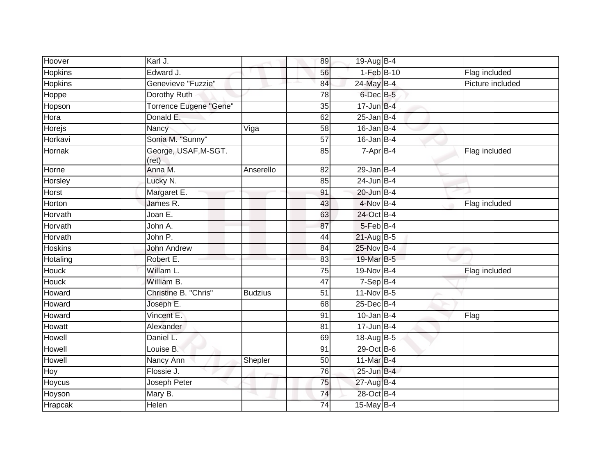| Hoover         | Karl J.                       |                | 89              | $19$ -Aug $ B-4 $ |                  |
|----------------|-------------------------------|----------------|-----------------|-------------------|------------------|
| <b>Hopkins</b> | Edward J.                     |                | 56              | $1-Feb$ B-10      | Flag included    |
| <b>Hopkins</b> | Genevieve "Fuzzie"            |                | 84              | 24-May B-4        | Picture included |
| Hoppe          | Dorothy Ruth                  |                | 78              | $6$ -Dec $B$ -5   |                  |
| Hopson         | <b>Torrence Eugene "Gene"</b> |                | 35              | 17-Jun B-4        |                  |
| Hora           | Donald E.                     |                | 62              | $25 - Jan$ $B-4$  |                  |
| Horejs         | Nancy                         | Viga           | 58              | $16$ -Jan B-4     |                  |
| Horkavi        | Sonia M. "Sunny"              |                | 57              | $16$ -Jan $B-4$   |                  |
| Hornak         | George, USAF, M-SGT.<br>(ret) |                | 85              | $7-Apr$ B-4       | Flag included    |
| Horne          | Anna M.                       | Anserello      | 82              | $29$ -Jan B-4     |                  |
| Horsley        | Lucky N.                      |                | 85              | $24$ -Jun $B-4$   |                  |
| Horst          | Margaret E.                   |                | 91              | $20$ -Jun $B-4$   |                  |
| Horton         | James R.                      |                | 43              | $4$ -Nov $B-4$    | Flag included    |
| Horvath        | Joan E.                       |                | 63              | 24-Oct B-4        |                  |
| Horvath        | John A.                       |                | 87              | 5-Feb B-4         |                  |
| Horvath        | John P.                       |                | 44              | $21$ -Aug $B-5$   |                  |
| <b>Hoskins</b> | <b>John Andrew</b>            |                | 84              | 25-Nov B-4        |                  |
| Hotaling       | Robert E.                     |                | 83              | 19-Mar B-5        |                  |
| <b>Houck</b>   | Willam L.                     |                | 75              | 19-Nov B-4        | Flag included    |
| Houck          | William B.                    |                | $\overline{47}$ | $7-SepB-4$        |                  |
| Howard         | Christine B. "Chris"          | <b>Budzius</b> | 51              | $11$ -Nov B-5     |                  |
| Howard         | Joseph E.                     |                | 68              | $25$ -Dec $B-4$   |                  |
| Howard         | Vincent E.                    |                | $\overline{91}$ | $10$ -Jan $B-4$   | Flag             |
| Howatt         | Alexander                     |                | 81              | $17 - Jun$ B-4    |                  |
| Howell         | Daniel L.                     |                | 69              | 18-Aug B-5        |                  |
| Howell         | Louise B.                     |                | 91              | 29-Oct B-6        |                  |
| Howell         | Nancy Ann                     | Shepler        | 50              | 11-Mar B-4        |                  |
| Hoy            | Flossie J.                    |                | 76              | 25-Jun B-4        |                  |
| Hoycus         | Joseph Peter                  |                | 75              | 27-Aug B-4        |                  |
| Hoyson         | Mary B.                       |                | 74              | 28-Oct B-4        |                  |
| Hrapcak        | Helen                         |                | 74              | $15$ -May B-4     |                  |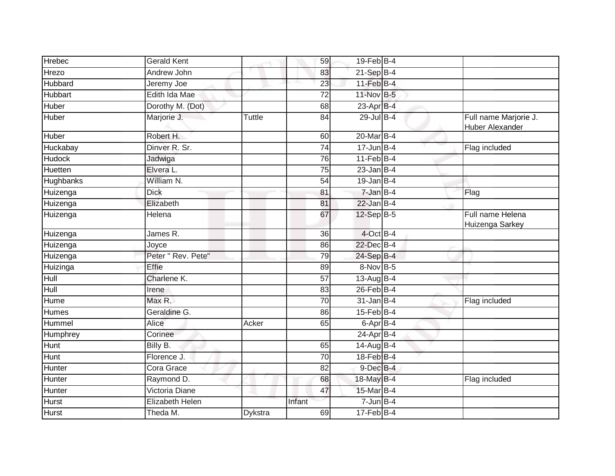| <b>Hrebec</b>  | <b>Gerald Kent</b>     |         | 59              | $19$ -Feb $B$ -4  |                                          |
|----------------|------------------------|---------|-----------------|-------------------|------------------------------------------|
| Hrezo          | Andrew John            |         | 83              | $21-Sep$ B-4      |                                          |
| <b>Hubbard</b> | Jeremy Joe             |         | $\overline{23}$ | $11$ -Feb $B$ -4  |                                          |
| Hubbart        | Edith Ida Mae          |         | $\overline{72}$ | 11-Nov B-5        |                                          |
| <b>Huber</b>   | Dorothy M. (Dot)       |         | 68              | 23-Apr B-4        |                                          |
| <b>Huber</b>   | Marjorie J.            | Tuttle  | 84              | $29$ -Jul B-4     | Full name Marjorie J.<br>Huber Alexander |
| Huber          | Robert H.              |         | 60              | 20-Mar B-4        |                                          |
| Huckabay       | Dinver R. Sr.          |         | $\overline{74}$ | $17 - Jun$ B-4    | Flag included                            |
| <b>Hudock</b>  | Jadwiga                |         | 76              | $11-Feb$ B-4      |                                          |
| Huetten        | Elvera L.              |         | 75              | $23$ -Jan B-4     |                                          |
| Hughbanks      | William N.             |         | 54              | $19$ -Jan B-4     |                                          |
| Huizenga       | <b>Dick</b>            |         | 81              | $7$ -Jan $B-4$    | Flag                                     |
| Huizenga       | Elizabeth              |         | 81              | $22$ -Jan B-4     |                                          |
| Huizenga       | Helena                 |         | 67              | 12-Sep B-5        | Full name Helena<br>Huizenga Sarkey      |
| Huizenga       | James R.               |         | 36              | $4$ -Oct $B-4$    |                                          |
| Huizenga       | Joyce                  |         | 86              | 22-Dec B-4        |                                          |
| Huizenga       | Peter " Rev. Pete"     |         | 79              | 24-Sep B-4        |                                          |
| Huizinga       | Effie                  |         | 89              | 8-Nov B-5         |                                          |
| Hull           | Charlene K.            |         | $\overline{57}$ | 13-Aug B-4        |                                          |
| Hull           | Irene                  |         | 83              | $26$ -Feb $B-4$   |                                          |
| Hume           | Max R.                 |         | $\overline{70}$ | $31$ -Jan B-4     | Flag included                            |
| Humes          | Geraldine G.           |         | 86              | $15$ -Feb $B$ -4  |                                          |
| Hummel         | Alice                  | Acker   | 65              | $6 -$ Apr $B - 4$ |                                          |
| Humphrey       | Corinee                |         |                 | $24-Apr$ B-4      |                                          |
| <b>Hunt</b>    | Billy B.               |         | 65              | 14-Aug B-4        |                                          |
| Hunt           | Florence J.            |         | 70              | $18$ -Feb $B$ -4  |                                          |
| Hunter         | Cora Grace             |         | $\overline{82}$ | 9-Dec B-4         |                                          |
| Hunter         | Raymond D.             |         | 68              | 18-May B-4        | Flag included                            |
| Hunter         | Victoria Diane         |         | 47              | 15-Mar B-4        |                                          |
| <b>Hurst</b>   | <b>Elizabeth Helen</b> |         | Infant          | $7 - Jun$ B-4     |                                          |
| <b>Hurst</b>   | Theda M.               | Dykstra | 69              | $17-Feb$ B-4      |                                          |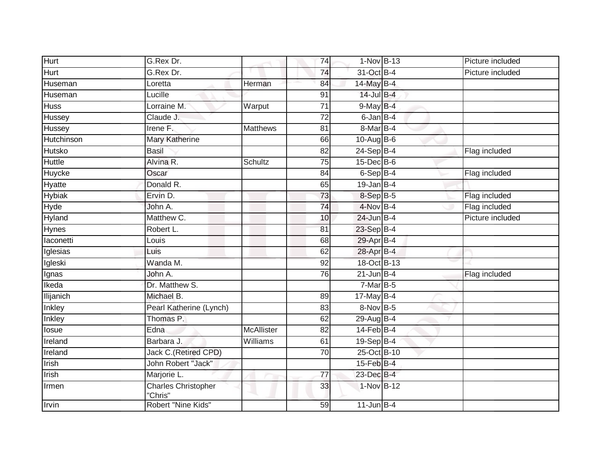| Hurt             | G.Rex Dr.                             |                   | 74              | $1-Nov$ B-13      | Picture included |
|------------------|---------------------------------------|-------------------|-----------------|-------------------|------------------|
| <b>Hurt</b>      | G.Rex Dr.                             |                   | 74              | 31-Oct B-4        | Picture included |
| Huseman          | Loretta                               | Herman            | 84              | 14-May B-4        |                  |
| Huseman          | Lucille                               |                   | 91              | $14$ -Jul B-4     |                  |
| <b>Huss</b>      | Lorraine M.                           | Warput            | $\overline{71}$ | 9-May B-4         |                  |
| Hussey           | Claude J.                             |                   | $\overline{72}$ | $6$ -Jan $B-4$    |                  |
| Hussey           | Irene F.                              | <b>Matthews</b>   | 81              | $8$ -Mar $B$ -4   |                  |
| Hutchinson       | <b>Mary Katherine</b>                 |                   | 66              | $10-Aug$ B-6      |                  |
| Hutsko           | <b>Basil</b>                          |                   | 82              | $24-SepB-4$       | Flag included    |
| <b>Huttle</b>    | Alvina R.                             | <b>Schultz</b>    | 75              | $15$ -Dec $B$ -6  |                  |
| Huycke           | Oscar                                 |                   | 84              | $6-SepB-4$        | Flag included    |
| Hyatte           | Donald R.                             |                   | 65              | $19$ -Jan $ B-4 $ |                  |
| <b>Hybiak</b>    | Ervin D.                              |                   | 73              | $8-$ Sep $B-5$    | Flag included    |
| Hyde             | John A.                               |                   | 74              | $4-Nov$ B-4       | Flag included    |
| Hyland           | Matthew C.                            |                   | 10              | $24$ -Jun $B-4$   | Picture included |
| <b>Hynes</b>     | Robert L.                             |                   | 81              | $23-Sep$ B-4      |                  |
| laconetti        | Louis                                 |                   | 68              | 29-Apr B-4        |                  |
| Iglesias         | Luis                                  |                   | 62              | 28-Apr B-4        |                  |
| Igleski          | Wanda M.                              |                   | 92              | 18-Oct B-13       |                  |
| Ignas            | John A.                               |                   | 76              | $21$ -Jun $B-4$   | Flag included    |
| Ikeda            | Dr. Matthew S.                        |                   |                 | $7-Mar$ B-5       |                  |
| <b>Ilijanich</b> | Michael B.                            |                   | 89              | 17-May B-4        |                  |
| Inkley           | Pearl Katherine (Lynch)               |                   | 83              | $8-NovB-5$        |                  |
| Inkley           | Thomas P.                             |                   | 62              | 29-Aug $B-4$      |                  |
| losue            | Edna                                  | <b>McAllister</b> | 82              | $14$ -Feb $B$ -4  |                  |
| Ireland          | Barbara J.                            | Williams          | 61              | $19-Sep$ B-4      |                  |
| Ireland          | Jack C.(Retired CPD)                  |                   | $\overline{70}$ | 25-Oct B-10       |                  |
| Irish            | John Robert "Jack"                    |                   |                 | 15-Feb B-4        |                  |
| <b>Irish</b>     | Marjorie L.                           |                   | 77              | 23-Dec B-4        |                  |
| Irmen            | <b>Charles Christopher</b><br>"Chris" |                   | 33              | 1-Nov B-12        |                  |
| Irvin            | Robert "Nine Kids"                    |                   | 59              | $11$ -Jun $B-4$   |                  |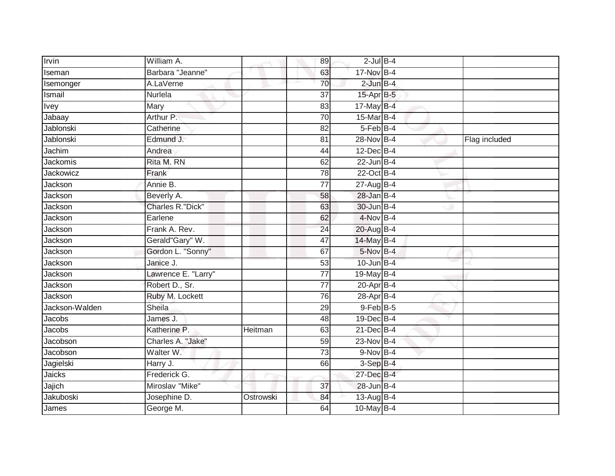| Irvin            | William A.          |           | 89              | $2$ -Jul $B-4$   |               |
|------------------|---------------------|-----------|-----------------|------------------|---------------|
| Iseman           | Barbara "Jeanne"    |           | 63              | 17-Nov B-4       |               |
| Isemonger        | A.LaVerne           |           | 70              | $2$ -Jun $B-4$   |               |
| Ismail           | Nurlela             |           | $\overline{37}$ | 15-Apr B-5       |               |
| <b>Ivey</b>      | Mary                |           | 83              | 17-May B-4       |               |
| Jabaay           | Arthur P.           |           | 70              | 15-Mar B-4       |               |
| Jablonski        | Catherine           |           | 82              | $5$ -Feb $B$ -4  |               |
| Jablonski        | Edmund J.           |           | $\overline{81}$ | 28-Nov B-4       | Flag included |
| Jachim           | Andrea              |           | 44              | $12$ -Dec $B-4$  |               |
| Jackomis         | Rita M. RN          |           | 62              | $22$ -Jun B-4    |               |
| <b>Jackowicz</b> | Frank               |           | 78              | 22-Oct B-4       |               |
| Jackson          | Annie B.            |           | $\overline{77}$ | $27 - Aug$ B-4   |               |
| Jackson          | Beverly A.          |           | 58              | $28 - Jan$ $B-4$ |               |
| Jackson          | Charles R."Dick"    |           | 63              | 30-Jun B-4       |               |
| Jackson          | Earlene             |           | 62              | $4-Nov$ B-4      |               |
| Jackson          | Frank A. Rev.       |           | $\overline{24}$ | 20-Aug B-4       |               |
| Jackson          | Gerald"Gary" W.     |           | 47              | 14-May B-4       |               |
| Jackson          | Gordon L. "Sonny"   |           | 67              | $5-Nov$ B-4      |               |
| Jackson          | Janice J.           |           | 53              | $10$ -Jun $B-4$  |               |
| Jackson          | Lawrence E. "Larry" |           | $\overline{77}$ | 19-May B-4       |               |
| Jackson          | Robert D., Sr.      |           | $\overline{77}$ | $20 - Apr$ B-4   |               |
| Jackson          | Ruby M. Lockett     |           | 76              | 28-Apr B-4       |               |
| Jackson-Walden   | Sheila              |           | 29              | $9$ -Feb $B$ -5  |               |
| Jacobs           | James J.            |           | 48              | $19$ -Dec $B-4$  |               |
| Jacobs           | Katherine P.        | Heitman   | 63              | $21$ -Dec $B-4$  |               |
| Jacobson         | Charles A. "Jake"   |           | 59              | $23$ -Nov $B-4$  |               |
| Jacobson         | Walter W.           |           | 73              | $9-Nov$ B-4      |               |
| Jagielski        | Harry J.            |           | 66              | 3-Sep B-4        |               |
| Jaicks           | Frederick G.        |           |                 | 27-Dec B-4       |               |
| Jajich           | Miroslav "Mike"     |           | 37              | 28-Jun B-4       |               |
| Jakuboski        | Josephine D.        | Ostrowski | 84              | 13-Aug $ B-4 $   |               |
| James            | George M.           |           | 64              | 10-May B-4       |               |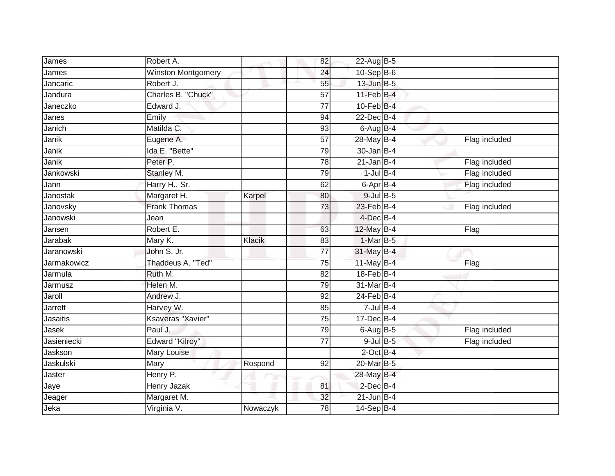| James          | Robert A.                 |          | 82              | $22$ -AugB-5      |               |
|----------------|---------------------------|----------|-----------------|-------------------|---------------|
| James          | <b>Winston Montgomery</b> |          | 24              | $10-Sep$ B-6      |               |
| Jancaric       | Robert J.                 |          | 55              | $13$ -Jun $B-5$   |               |
| Jandura        | Charles B. "Chuck"        |          | $\overline{57}$ | $11$ -Feb $B$ -4  |               |
| Janeczko       | Edward J.                 |          | $\overline{77}$ | $10$ -Feb $B-4$   |               |
| Janes          | Emily                     |          | 94              | 22-Dec B-4        |               |
| Janich         | Matilda C.                |          | 93              | $6$ -Aug $B$ -4   |               |
| Janik          | Eugene A.                 |          | 57              | 28-May B-4        | Flag included |
| Janik          | Ida E. "Bette"            |          | $\overline{79}$ | $30 - Jan$ $B-4$  |               |
| Janik          | Peter P.                  |          | 78              | $21$ -Jan B-4     | Flag included |
| Jankowski      | Stanley M.                |          | 79              | $1$ -Jul $B-4$    | Flag included |
| Jann           | Harry H., Sr.             |          | 62              | $6$ -Apr $B$ -4   | Flag included |
| Janostak       | Margaret H.               | Karpel   | 80              | $9$ -Jul $B$ -5   |               |
| Janovsky       | <b>Frank Thomas</b>       |          | 73              | $23$ -Feb $B-4$   | Flag included |
| Janowski       | Jean                      |          |                 | $4$ -Dec B-4      |               |
| Jansen         | Robert E.                 |          | 63              | $12$ -May B-4     | Flag          |
| <b>Jarabak</b> | Mary K.                   | Klacik   | 83              | $1-MarB-5$        |               |
| Jaranowski     | John S. Jr.               |          | 77              | 31-May B-4        |               |
| Jarmakowicz    | Thaddeus A. "Ted"         |          | 75              | 11-May B-4        | Flag          |
| Jarmula        | Ruth M.                   |          | $\overline{82}$ | $18$ -Feb $B-4$   |               |
| Jarmusz        | Helen M.                  |          | 79              | $31$ -Mar $ B-4 $ |               |
| Jaroll         | Andrew J.                 |          | 92              | $24$ -Feb $B-4$   |               |
| Jarrett        | Harvey W.                 |          | 85              | $7$ -Jul $B-4$    |               |
| Jasaitis       | Ksaveras "Xavier"         |          | 75              | $17 - Dec$ B-4    |               |
| Jasek          | Paul J.                   |          | 79              | $6$ -Aug $B$ -5   | Flag included |
| Jasieniecki    | Edward "Kilroy"           |          | $\overline{77}$ | $9$ -Jul $B$ -5   | Flag included |
| Jaskson        | Mary Louise               |          |                 | $2$ -Oct $B-4$    |               |
| Jaskulski      | Mary                      | Rospond  | 92              | 20-Mar B-5        |               |
| Jaster         | Henry P.                  |          |                 | 28-May B-4        |               |
| Jaye           | Henry Jazak               |          | 81              | $2$ -Dec $B-4$    |               |
| Jeager         | Margaret M.               |          | 32              | $21$ -Jun $B-4$   |               |
| Jeka           | Virginia V.               | Nowaczyk | 78              | $14-Sep$ B-4      |               |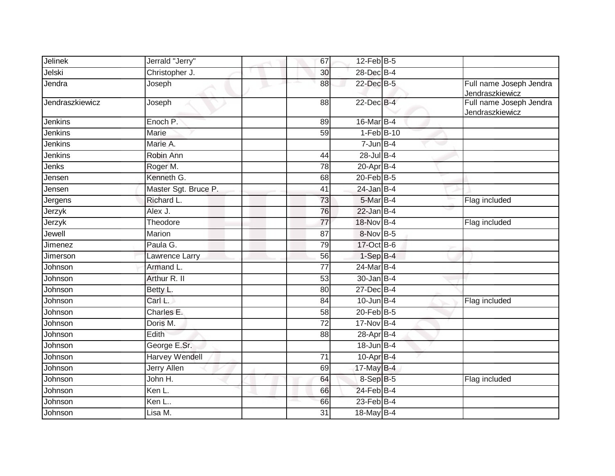| Jelinek         | Jerrald "Jerry"      | 67              | $12$ -Feb $B$ -5 |                                            |
|-----------------|----------------------|-----------------|------------------|--------------------------------------------|
| Jelski          | Christopher J.       | 30              | 28-Dec B-4       |                                            |
| Jendra          | Joseph               | 88              | 22-Dec B-5       | Full name Joseph Jendra<br>Jendraszkiewicz |
| Jendraszkiewicz | Joseph               | 88              | 22-Dec B-4       | Full name Joseph Jendra<br>Jendraszkiewicz |
| Jenkins         | Enoch P.             | 89              | 16-Mar B-4       |                                            |
| <b>Jenkins</b>  | <b>Marie</b>         | 59              | $1-Feb$ B-10     |                                            |
| Jenkins         | Marie A.             |                 | $7 - Jun$ B-4    |                                            |
| <b>Jenkins</b>  | Robin Ann            | 44              | $28$ -Jul $B-4$  |                                            |
| Jenks           | Roger M.             | 78              | $20 - Apr$ B-4   |                                            |
| Jensen          | Kenneth G.           | 68              | $20$ -Feb $B-5$  |                                            |
| Jensen          | Master Sgt. Bruce P. | 41              | $24$ -Jan B-4    |                                            |
| Jergens         | Richard L.           | 73              | 5-Mar B-4        | Flag included                              |
| Jerzyk          | Alex J.              | 76              | $22$ -Jan B-4    |                                            |
| Jerzyk          | Theodore             | 77              | 18-Nov B-4       | Flag included                              |
| Jewell          | Marion               | $\overline{87}$ | 8-Nov B-5        |                                            |
| Jimenez         | Paula G.             | 79              | 17-Oct B-6       |                                            |
| Jimerson        | Lawrence Larry       | 56              | $1-Sep B-4$      |                                            |
| Johnson         | Armand L.            | $\overline{77}$ | $24$ -Mar $B-4$  |                                            |
| Johnson         | Arthur R. II         | 53              | $30 - Jan$ B-4   |                                            |
| Johnson         | Betty L.             | 80              | 27-Dec B-4       |                                            |
| Johnson         | Carl L.              | 84              | $10$ -Jun $B-4$  | Flag included                              |
| Johnson         | Charles E.           | 58              | $20$ -Feb $B-5$  |                                            |
| Johnson         | Doris M.             | $\overline{72}$ | 17-Nov B-4       |                                            |
| Johnson         | Edith                | 88              | $28-Apr$ B-4     |                                            |
| Johnson         | George E.Sr.         |                 | 18-Jun B-4       |                                            |
| Johnson         | Harvey Wendell       | 71              | 10-Apr B-4       |                                            |
| Johnson         | <b>Jerry Allen</b>   | 69              | 17-May B-4       |                                            |
| Johnson         | John H.              | 64              | 8-Sep B-5        | Flag included                              |
| Johnson         | Ken L.               | 66              | 24-Feb B-4       |                                            |
| <b>Johnson</b>  | Ken L                | 66              | $23$ -Feb $B-4$  |                                            |
| Johnson         | Lisa M.              | 31              | 18-May B-4       |                                            |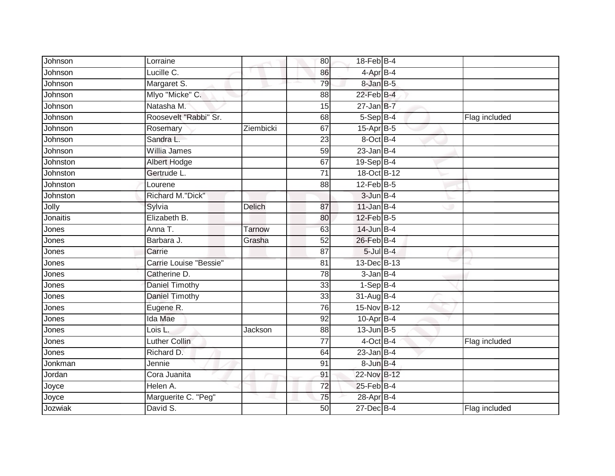| Johnson  | Lorraine               |               | 80              | $18$ -Feb $B-4$        |               |
|----------|------------------------|---------------|-----------------|------------------------|---------------|
| Johnson  | Lucille C.             |               | 86              | $4$ -Apr $B-4$         |               |
| Johnson  | Margaret S.            |               | 79              | $8$ -Jan $B$ -5        |               |
| Johnson  | Mlyo "Micke" C.        |               | 88              | 22-Feb B-4             |               |
| Johnson  | Natasha M.             |               | $\overline{15}$ | $27$ -Jan B-7          |               |
| Johnson  | Roosevelt "Rabbi" Sr.  |               | 68              | $5-SepB-4$             | Flag included |
| Johnson  | Rosemary               | Ziembicki     | 67              | 15-Apr B-5             |               |
| Johnson  | Sandra L.              |               | 23              | 8-Oct B-4              |               |
| Johnson  | Willia James           |               | 59              | $23$ -Jan $B-4$        |               |
| Johnston | Albert Hodge           |               | 67              | $19-Sep$ $B-4$         |               |
| Johnston | Gertrude L.            |               | 71              | 18-Oct B-12            |               |
| Johnston | Lourene                |               | 88              | $12$ -Feb $B$ -5       |               |
| Johnston | Richard M."Dick"       |               |                 | $3$ -Jun $B-4$         |               |
| Jolly    | Sylvia                 | Delich        | 87              | $11$ -Jan B-4          |               |
| Jonaitis | Elizabeth B.           |               | 80              | $12$ -Feb $ B-5 $      |               |
| Jones    | Anna T.                | <b>Tarnow</b> | 63              | $14$ -Jun $B-4$        |               |
| Jones    | Barbara J.             | Grasha        | 52              | $26$ -Feb $B-4$        |               |
| Jones    | Carrie                 |               | 87              | $5$ -Jul $B-4$         |               |
| Jones    | Carrie Louise "Bessie" |               | 81              | 13-Dec B-13            |               |
| Jones    | Catherine D.           |               | $\overline{78}$ | $3$ -Jan $B-4$         |               |
| Jones    | Daniel Timothy         |               | 33              | $1-Sep B-4$            |               |
| Jones    | <b>Daniel Timothy</b>  |               | $\overline{33}$ | 31-Aug B-4             |               |
| Jones    | Eugene <sub>R.</sub>   |               | 76              | 15-Nov B-12            |               |
| Jones    | Ida Mae                |               | 92              | $10-Apr\overline{B-4}$ |               |
| Jones    | Lois L.                | Jackson       | 88              | $13$ -Jun $B-5$        |               |
| Jones    | <b>Luther Collin</b>   |               | 77              | $4$ -Oct B-4           | Flag included |
| Jones    | Richard D.             |               | 64              | $23$ -Jan $B-4$        |               |
| Jonkman  | Jennie                 |               | 91              | 8-Jun B-4              |               |
| Jordan   | Cora Juanita           |               | 91              | 22-Nov B-12            |               |
| Joyce    | Helen A.               |               | $\overline{72}$ | $25$ -Feb $B-4$        |               |
| Joyce    | Marguerite C. "Peg"    |               | 75              | 28-Apr B-4             |               |
| Jozwiak  | David S.               |               | 50              | 27-Dec B-4             | Flag included |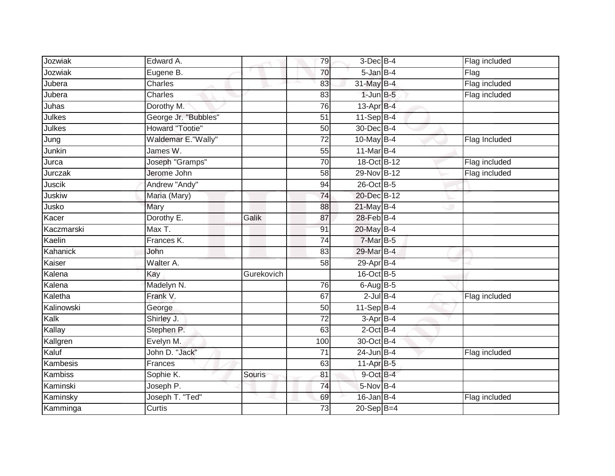| Jozwiak    | Edward A.              |            | 79              | $3$ -Dec $B-4$         | Flag included |
|------------|------------------------|------------|-----------------|------------------------|---------------|
| Jozwiak    | Eugene B.              |            | 70              | $5 - JanB - 4$         | Flag          |
| Jubera     | <b>Charles</b>         |            | 83              | 31-May B-4             | Flag included |
| Jubera     | Charles                |            | 83              | $1$ -Jun $B - 5$       | Flag included |
| Juhas      | Dorothy M.             |            | $\overline{76}$ | 13-Apr B-4             |               |
| Julkes     | George Jr. "Bubbles"   |            | $\overline{51}$ | $11$ -Sep B-4          |               |
| Julkes     | <b>Howard "Tootie"</b> |            | 50              | 30-Dec B-4             |               |
| Jung       | Waldemar E."Wally"     |            | $\overline{72}$ | $10$ -May B-4          | Flag Included |
| Junkin     | James W.               |            | 55              | 11-Mar B-4             |               |
| Jurca      | Joseph "Gramps"        |            | 70              | 18-Oct B-12            | Flag included |
| Jurczak    | Jerome John            |            | 58              | 29-Nov B-12            | Flag included |
| Juscik     | Andrew "Andy"          |            | 94              | $26$ -Oct $B-5$        |               |
| Juskiw     | Maria (Mary)           |            | 74              | 20-Dec B-12            |               |
| Jusko      | Mary                   |            | 88              | $21$ -May B-4          |               |
| Kacer      | Dorothy E.             | Galik      | 87              | 28-Feb B-4             |               |
| Kaczmarski | Max T.                 |            | 91              | 20-May B-4             |               |
| Kaelin     | Frances K.             |            | $\overline{74}$ | $7$ -Mar $B-5$         |               |
| Kahanick   | John                   |            | 83              | 29-Mar B-4             |               |
| Kaiser     | Walter A.              |            | 58              | $29-Apr$ B-4           |               |
| Kalena     | Kay                    | Gurekovich |                 | 16-Oct B-5             |               |
| Kalena     | Madelyn N.             |            | 76              | $6-AugB-5$             |               |
| Kaletha    | Frank V.               |            | 67              | $2$ -Jul $B-4$         | Flag included |
| Kalinowski | George                 |            | 50              | $11 - \text{Sep}B - 4$ |               |
| Kalk       | Shirley J.             |            | $\overline{72}$ | $3-AprB-4$             |               |
| Kallay     | Stephen P.             |            | 63              | $2$ -Oct $B-4$         |               |
| Kallgren   | Evelyn M.              |            | 100             | 30-Oct B-4             |               |
| Kaluf      | John D. "Jack"         |            | $\overline{71}$ | $24$ -Jun B-4          | Flag included |
| Kambesis   | Frances                |            | 63              | 11-Apr B-5             |               |
| Kambiss    | Sophie K.              | Souris     | 81              | 9-Oct B-4              |               |
| Kaminski   | Joseph P.              |            | 74              | 5-Nov B-4              |               |
| Kaminsky   | Joseph T. "Ted"        |            | 69              | $16$ -Jan $B-4$        | Flag included |
| Kamminga   | Curtis                 |            | $\overline{73}$ | $20-Sep$ B=4           |               |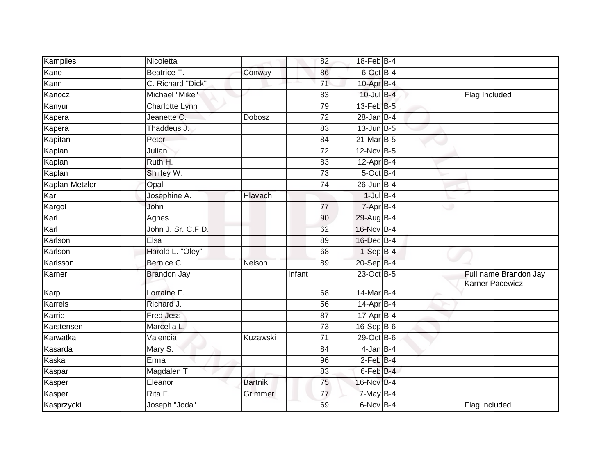| Kampiles       | Nicoletta          |                | 82              | $18-FebB-4$           |                                          |
|----------------|--------------------|----------------|-----------------|-----------------------|------------------------------------------|
| Kane           | Beatrice T.        | Conway         | 86              | 6-Oct B-4             |                                          |
| Kann           | C. Richard "Dick"  |                | $\overline{71}$ | 10-Apr <sub>B-4</sub> |                                          |
| Kanocz         | Michael "Mike"     |                | 83              | $10$ -Jul B-4         | Flag Included                            |
| Kanyur         | Charlotte Lynn     |                | 79              | 13-Feb B-5            |                                          |
| Kapera         | Jeanette C.        | Dobosz         | 72              | $28 - Jan$ $B-4$      |                                          |
| Kapera         | Thaddeus J.        |                | 83              | $13$ -Jun $B-5$       |                                          |
| Kapitan        | Peter              |                | 84              | 21-Mar B-5            |                                          |
| Kaplan         | Julian             |                | $\overline{72}$ | $12$ -Nov $B-5$       |                                          |
| Kaplan         | Ruth H.            |                | $\overline{83}$ | $12-Apr$ B-4          |                                          |
| Kaplan         | Shirley W.         |                | $\overline{73}$ | 5-Oct B-4             |                                          |
| Kaplan-Metzler | Opal               |                | $\overline{74}$ | $26$ -Jun $B-4$       |                                          |
| Kar            | Josephine A.       | Hlavach        |                 | $1$ -Jul $B-4$        |                                          |
| Kargol         | John               |                | $\overline{77}$ | $7 -$ Apr $B - 4$     |                                          |
| Karl           | Agnes              |                | 90              | 29-Aug B-4            |                                          |
| Karl           | John J. Sr. C.F.D. |                | 62              | 16-Nov B-4            |                                          |
| Karlson        | Elsa               |                | 89              | 16-Dec B-4            |                                          |
| Karlson        | Harold L. "Oley"   |                | 68              | $1-Sep$ B-4           |                                          |
| Karlsson       | Bernice C.         | Nelson         | 89              | $20-Sep$ B-4          |                                          |
| Karner         | <b>Brandon Jay</b> |                | Infant          | 23-Oct B-5            | Full name Brandon Jay<br>Karner Pacewicz |
| Karp           | Lorraine F.        |                | 68              | 14-Mar B-4            |                                          |
| Karrels        | Richard J.         |                | 56              | $14$ -Apr $B$ -4      |                                          |
| Karrie         | <b>Fred Jess</b>   |                | 87              | $17 - Apr$ B-4        |                                          |
| Karstensen     | Marcella L.        |                | 73              | $16 - SepB-6$         |                                          |
| Karwatka       | Valencia           | Kuzawski       | $\overline{71}$ | $29$ -Oct B-6         |                                          |
| Kasarda        | Mary S.            |                | 84              | $4$ -Jan $B-4$        |                                          |
| Kaska          | Erma               |                | 96              | 2-Feb B-4             |                                          |
| Kaspar         | Magdalen T.        |                | 83              | $6$ -Feb $B-4$        |                                          |
| Kasper         | Eleanor            | <b>Bartnik</b> | 75              | 16-Nov B-4            |                                          |
| Kasper         | Rita F.            | Grimmer        | 77              | $7$ -May $B-4$        |                                          |
| Kasprzycki     | Joseph "Joda"      |                | 69              | $6-NovB-4$            | Flag included                            |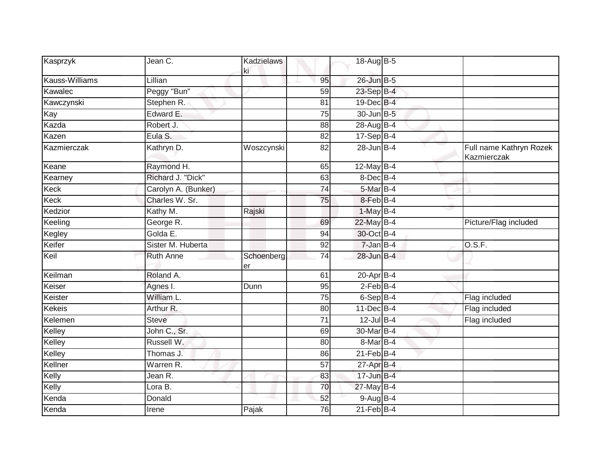| Kasprzyk       | Jean C.             | Kadzielaws<br>ki |                 | 18-Aug B-5             |   |                                        |
|----------------|---------------------|------------------|-----------------|------------------------|---|----------------------------------------|
| Kauss-Williams | Lillian             |                  | 95              | 26-Jun B-5             |   |                                        |
| Kawalec        | Peggy "Bun"         |                  | 59              | 23-Sep B-4             |   |                                        |
| Kawczynski     | Stephen R.          |                  | 81              | 19-Dec B-4             |   |                                        |
| Kay            | Edward E.           |                  | 75              | 30-Jun B-5             |   |                                        |
| Kazda          | Robert J.           |                  | 88              | 28-Aug B-4             |   |                                        |
| Kazen          | Eula S.             |                  | 82              | $17-Sep\overline{B-4}$ |   |                                        |
| Kazmierczak    | Kathryn D.          | Woszcynski       | $\overline{82}$ | $28$ -Jun $B-4$        |   | Full name Kathryn Rozek<br>Kazmierczak |
| Keane          | Raymond H.          |                  | 65              | $12$ -May B-4          |   |                                        |
| Kearney        | Richard J. "Dick"   |                  | 63              | 8-Dec B-4              |   |                                        |
| Keck           | Carolyn A. (Bunker) |                  | 74              | $5-Mar$ B-4            |   |                                        |
| Keck           | Charles W. Sr.      |                  | $\overline{75}$ | 8-Feb B-4              | ⊾ |                                        |
| Kedzior        | Kathy M.            | Rajski           |                 | $1$ -May B-4           |   |                                        |
| Keeling        | George R.           |                  | 69              | 22-May B-4             |   | Picture/Flag included                  |
| Kegley         | Golda E.            |                  | 94              | 30-Oct B-4             |   |                                        |
| Keifer         | Sister M. Huberta   |                  | $\overline{92}$ | 7-Jan B-4              |   | O.S.F.                                 |
| Keil           | <b>Ruth Anne</b>    | Schoenberg<br>er | 74              | $28$ -Jun $B-4$        |   |                                        |
| Keilman        | Roland A.           |                  | 61              | 20-Apr B-4             |   |                                        |
| Keiser         | Agnes I.            | Dunn             | 95              | $2$ -Feb $B$ -4        |   |                                        |
| Keister        | William L.          |                  | 75              | $6-Sep$ B-4            |   | Flag included                          |
| <b>Kekeis</b>  | Arthur R.           |                  | 80              | $11$ -Dec $B-4$        |   | Flag included                          |
| Kelemen        | <b>Steve</b>        |                  | $\overline{71}$ | $12$ -Jul $B-4$        |   | Flag included                          |
| Kelley         | John C., Sr.        |                  | 69              | 30-Mar B-4             |   |                                        |
| Kelley         | Russell W.          |                  | 80              | 8-Mar B-4              |   |                                        |
| Kelley         | Thomas J.           |                  | 86              | $21$ -Feb $B-4$        |   |                                        |
| Kellner        | Warren R.           |                  | 57              | 27-Apr B-4             |   |                                        |
| Kelly          | Jean R.             |                  | 83              | 17-Jun B-4             |   |                                        |
| Kelly          | Lora B.             |                  | 70              | $27$ -May B-4          |   |                                        |
| Kenda          | Donald              |                  | 52              | $9-Aug$ B-4            |   |                                        |
| Kenda          | Irene               | Pajak            | 76              | $21$ -Feb $B-4$        |   |                                        |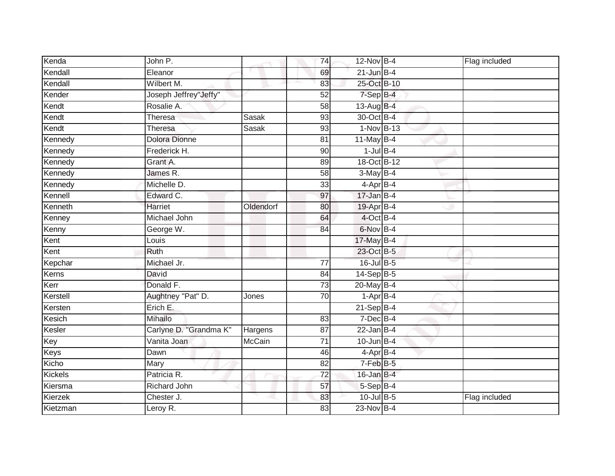| Kenda          | John P.                |           | 74              | $12-Nov$ B-4    | Flag included |
|----------------|------------------------|-----------|-----------------|-----------------|---------------|
| Kendall        | Eleanor                |           | 69              | $21$ -Jun B-4   |               |
| Kendall        | Wilbert M.             |           | 83              | 25-Oct B-10     |               |
| Kender         | Joseph Jeffrey"Jeffy"  |           | 52              | $7-SepB-4$      |               |
| Kendt          | Rosalie A.             |           | 58              | 13-Aug B-4      |               |
| Kendt          | <b>Theresa</b>         | Sasak     | 93              | 30-Oct B-4      |               |
| Kendt          | <b>Theresa</b>         | Sasak     | 93              | 1-Nov B-13      |               |
| Kennedy        | <b>Dolora Dionne</b>   |           | 81              | $11$ -May $B-4$ |               |
| Kennedy        | Frederick H.           |           | 90              | $1$ -Jul $B-4$  |               |
| Kennedy        | Grant A.               |           | 89              | 18-Oct B-12     |               |
| Kennedy        | James R.               |           | 58              | $3-May$ B-4     |               |
| Kennedy        | Michelle D.            |           | 33              | $4$ -Apr $B$ -4 |               |
| Kennell        | Edward C.              |           | 97              | $17 - Jan$ B-4  |               |
| Kenneth        | Harriet                | Oldendorf | 80              | 19-Apr B-4      |               |
| Kenney         | Michael John           |           | 64              | 4-Oct B-4       |               |
| Kenny          | George W.              |           | 84              | 6-Nov B-4       |               |
| Kent           | Louis                  |           |                 | 17-May B-4      |               |
| Kent           | Ruth                   |           |                 | 23-Oct B-5      |               |
| Kepchar        | Michael Jr.            |           | $\overline{77}$ | 16-Jul B-5      |               |
| Kerns          | David                  |           | 84              | $14-Sep$ B-5    |               |
| Kerr           | Donald F.              |           | $\overline{73}$ | 20-May B-4      |               |
| Kerstell       | Aughtney "Pat" D.      | Jones     | $\overline{70}$ | $1-AprB-4$      |               |
| Kersten        | Erich E.               |           |                 | $21-Sep$ B-4    |               |
| Kesich         | Mihailo                |           | 83              | $7$ -Dec $B-4$  |               |
| Kesler         | Carlyne D. "Grandma K" | Hargens   | $\overline{87}$ | $22$ -Jan B-4   |               |
| Key            | Vanita Joan            | McCain    | 71              | $10$ -Jun $B-4$ |               |
| <b>Keys</b>    | Dawn                   |           | 46              | $4-Apr$ B-4     |               |
| Kicho          | Mary                   |           | 82              | 7-Feb B-5       |               |
| <b>Kickels</b> | Patricia R.            |           | 72              | 16-Jan B-4      |               |
| Kiersma        | Richard John           |           | 57              | $5-Sep$ B-4     |               |
| Kierzek        | Chester J.             |           | 83              | $10$ -Jul B-5   | Flag included |
| Kietzman       | Leroy R.               |           | 83              | 23-Nov B-4      |               |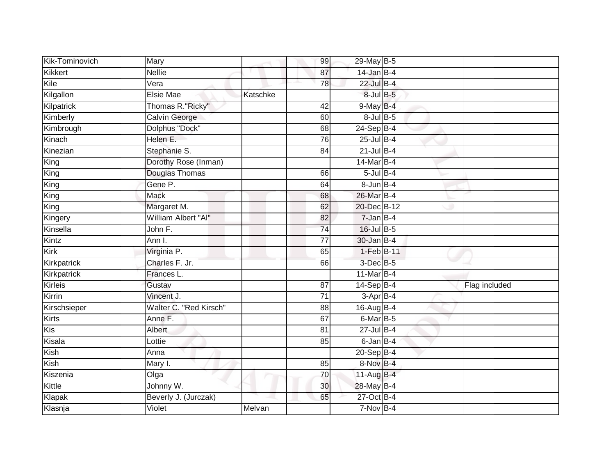| Kik-Tominovich | Mary                   |          | 99              | 29-May B-5       |               |
|----------------|------------------------|----------|-----------------|------------------|---------------|
| Kikkert        | <b>Nellie</b>          |          | 87              | $14$ -Jan B-4    |               |
| Kile           | Vera                   |          | 78              | $22$ -Jul B-4    |               |
| Kilgallon      | <b>Elsie Mae</b>       | Katschke |                 | 8-Jul B-5        |               |
| Kilpatrick     | Thomas R."Ricky"       |          | $\overline{42}$ | 9-May B-4        |               |
| Kimberly       | Calvin George          |          | 60              | $8$ -Jul $B$ -5  |               |
| Kimbrough      | Dolphus "Dock"         |          | 68              | 24-Sep B-4       |               |
| Kinach         | Helen E.               |          | 76              | $25$ -Jul $B-4$  |               |
| Kinezian       | Stephanie S.           |          | 84              | $21$ -Jul B-4    |               |
| King           | Dorothy Rose (Inman)   |          |                 | 14-Mar B-4       |               |
| King           | Douglas Thomas         |          | 66              | $5$ -Jul $B-4$   |               |
| King           | Gene P.                |          | 64              | 8-Jun B-4        |               |
| King           | Mack                   |          | 68              | 26-Mar B-4       |               |
| King           | Margaret M.            |          | 62              | 20-Dec B-12      |               |
| Kingery        | William Albert "Al"    |          | 82              | $7 - JanB - 4$   |               |
| Kinsella       | John F.                |          | $\overline{74}$ | $16$ -Jul B-5    |               |
| Kintz          | Ann I.                 |          | $\overline{77}$ | $30 - Jan$ B-4   |               |
| Kirk           | Virginia P.            |          | 65              | 1-Feb B-11       |               |
| Kirkpatrick    | Charles F. Jr.         |          | 66              | $3$ -Dec $B$ -5  |               |
| Kirkpatrick    | Frances L.             |          |                 | $11$ -Mar $B-4$  |               |
| <b>Kirleis</b> | Gustav                 |          | 87              | $14-Sep$ B-4     | Flag included |
| Kirrin         | Vincent J.             |          | $\overline{71}$ | $3-AprB-4$       |               |
| Kirschsieper   | Walter C. "Red Kirsch" |          | 88              | 16-Aug B-4       |               |
| <b>Kirts</b>   | Anne F.                |          | 67              | $6$ -Mar $B$ -5  |               |
| Kis            | Albert                 |          | 81              | $27 -$ Jul $B-4$ |               |
| Kisala         | Lottie                 |          | 85              | 6-Jan B-4        |               |
| Kish           | Anna                   |          |                 | 20-Sep B-4       |               |
| Kish           | Mary I.                |          | 85              | 8-Nov B-4        |               |
| Kiszenia       | Olga                   |          | 70              | 11-Aug B-4       |               |
| Kittle         | Johnny W.              |          | 30              | 28-May B-4       |               |
| Klapak         | Beverly J. (Jurczak)   |          | 65              | $27$ -Oct B-4    |               |
| Klasnja        | Violet                 | Melvan   |                 | $7-Nov$ B-4      |               |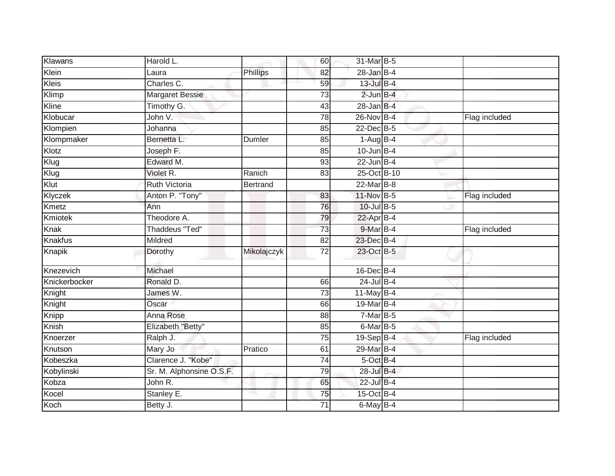| Klawans       | Harold L.                |                 | 60              | $31$ -Mar $B-5$       |               |
|---------------|--------------------------|-----------------|-----------------|-----------------------|---------------|
| Klein         | Laura                    | Phillips        | 82              | $28$ -Jan $B-4$       |               |
| Kleis         | Charles C.               |                 | 59              | $13$ -Jul $B-4$       |               |
| Klimp         | Margaret Bessie          |                 | $\overline{73}$ | $2$ -Jun $B-4$        |               |
| Kline         | Timothy G.               |                 | $\overline{43}$ | 28-Jan B-4            |               |
| Klobucar      | John V.                  |                 | 78              | 26-Nov B-4            | Flag included |
| Klompien      | Johanna                  |                 | 85              | $22$ -Dec $B-5$       |               |
| Klompmaker    | Bernetta L.              | Dumler          | 85              | $1-\overline{AugB-4}$ |               |
| Klotz         | Joseph F.                |                 | 85              | $10 - Jun$ B-4        |               |
| Klug          | Edward M.                |                 | $\overline{93}$ | $22$ -Jun B-4         |               |
| Klug          | Violet R.                | Ranich          | 83              | 25-Oct B-10           |               |
| Klut          | Ruth Victoria            | <b>Bertrand</b> |                 | $22 - \text{Mar}$ B-8 |               |
| Klyczek       | Anton P. "Tony"          |                 | 83              | 11-Nov B-5            | Flag included |
| Kmetz         | Ann                      |                 | 76              | $10$ -Jul B-5         |               |
| Kmiotek       | Theodore A.              |                 | 79              | 22-Apr B-4            |               |
| Knak          | <b>Thaddeus "Ted"</b>    |                 | 73              | 9-Mar B-4             | Flag included |
| Knakfus       | Mildred                  |                 | $\overline{82}$ | 23-Dec B-4            |               |
| Knapik        | Dorothy                  | Mikolajczyk     | 72              | 23-Oct B-5            |               |
| Knezevich     | Michael                  |                 |                 | $16$ -Dec $B-4$       |               |
| Knickerbocker | Ronald D.                |                 | 66              | $24$ -Jul B-4         |               |
| Knight        | James W.                 |                 | 73              | $11$ -May B-4         |               |
| Knight        | Oscar                    |                 | 66              | 19-Mar B-4            |               |
| Knipp         | Anna Rose                |                 | 88              | $7-MarB-5$            |               |
| Knish         | Elizabeth "Betty"        |                 | 85              | 6-Mar B-5             |               |
| Knoerzer      | Ralph J.                 |                 | $\overline{75}$ | $19-Sep$ B-4          | Flag included |
| Knutson       | Mary Jo                  | Pratico         | 61              | 29-Mar B-4            |               |
| Kobeszka      | Clarence J. "Kobe"       |                 | $\overline{74}$ | 5-Oct B-4             |               |
| Kobylinski    | Sr. M. Alphonsine O.S.F. |                 | 79              | 28-Jul B-4            |               |
| Kobza         | John R.                  |                 | 65              | 22-Jul B-4            |               |
| Kocel         | Stanley E.               |                 | 75              | 15-Oct B-4            |               |
| Koch          | Betty J.                 |                 | 71              | 6-May B-4             |               |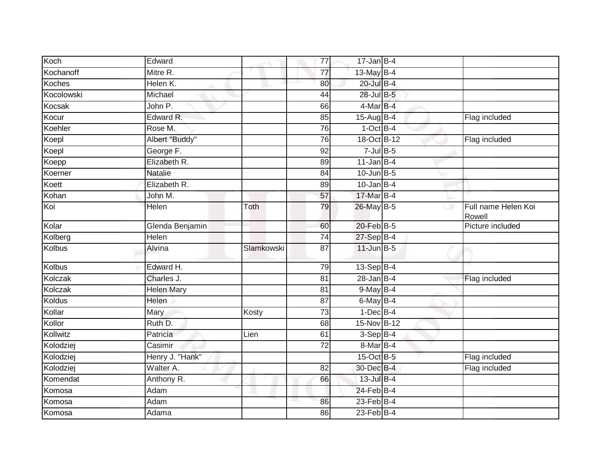| Koch          | Edward            |            | 77              | $17 - Jan$ B-4  |                               |
|---------------|-------------------|------------|-----------------|-----------------|-------------------------------|
| Kochanoff     | Mitre R.          |            | $\overline{77}$ | 13-May B-4      |                               |
| Koches        | Helen K.          |            | 80              | 20-Jul B-4      |                               |
| Kocolowski    | Michael           |            | 44              | 28-Jul B-5      |                               |
| Kocsak        | John P.           |            | 66              | 4-Mar B-4       |                               |
| Kocur         | Edward R.         |            | 85              | 15-Aug B-4      | Flag included                 |
| Koehler       | Rose M.           |            | 76              | $1$ -Oct $B-4$  |                               |
| Koepl         | Albert "Buddy"    |            | 76              | 18-Oct B-12     | Flag included                 |
| Koepl         | George F.         |            | $\overline{92}$ | $7$ -Jul $B$ -5 |                               |
| Koepp         | Elizabeth R.      |            | 89              | $11$ -Jan $B-4$ |                               |
| Koerner       | <b>Natalie</b>    |            | 84              | $10$ -Jun $B-5$ |                               |
| Koett         | Elizabeth R.      |            | 89              | $10$ -Jan B-4   |                               |
| Kohan         | John M.           |            | $\overline{57}$ | 17-Mar B-4      |                               |
| Koi           | Helen             | Toth       | 79              | 26-May B-5      | Full name Helen Koi<br>Rowell |
| Kolar         | Glenda Benjamin   |            | 60              | $20$ -Feb $B-5$ | Picture included              |
| Kolberg       | Helen             |            | 74              | 27-Sep B-4      |                               |
| <b>Kolbus</b> | Alvina            | Slamkowski | 87              | $11$ -Jun $B-5$ |                               |
| Kolbus        | Edward H.         |            | 79              | $13-Sep$ $B-4$  |                               |
| Kolczak       | Charles J.        |            | 81              | $28$ -Jan B-4   | Flag included                 |
| Kolczak       | <b>Helen Mary</b> |            | $\overline{81}$ | $9-MayB-4$      |                               |
| Koldus        | Helen             |            | 87              | $6$ -May B-4    |                               |
| Kollar        | Mary              | Kosty      | $\overline{73}$ | $1-Dec$ B-4     |                               |
| Kollor        | Ruth D.           |            | 68              | 15-Nov B-12     |                               |
| Kollwitz      | Patricia          | Lien       | 61              | $3-Sep$ B-4     |                               |
| Kolodziej     | Casimir           |            | $\overline{72}$ | 8-Mar B-4       |                               |
| Kolodziej     | Henry J. "Hank"   |            |                 | 15-Oct B-5      | Flag included                 |
| Kolodziej     | Walter A.         |            | 82              | 30-Dec B-4      | Flag included                 |
| Komendat      | Anthony R.        |            | 66              | $13$ -Jul $B-4$ |                               |
| Komosa        | Adam              |            |                 | 24-Feb B-4      |                               |
| Komosa        | Adam              |            | 86              | $23$ -Feb $B-4$ |                               |
| Komosa        | Adama             |            | 86              | $23$ -Feb $B-4$ |                               |
|               |                   |            |                 |                 |                               |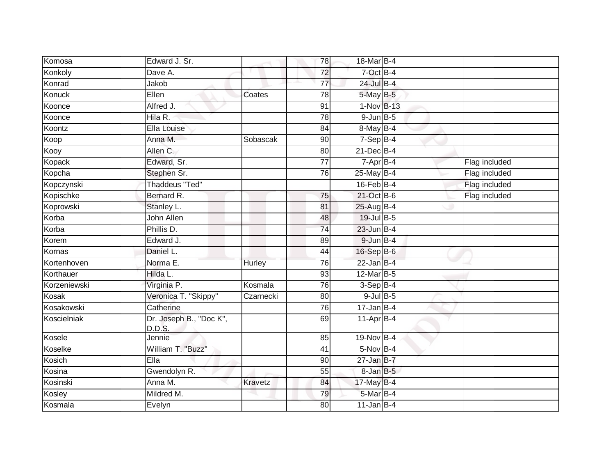| Komosa       | Edward J. Sr.                     |                | 78              | $18-MarB-4$       |               |
|--------------|-----------------------------------|----------------|-----------------|-------------------|---------------|
| Konkoly      | Dave A.                           |                | $\overline{72}$ | $7$ -Oct $B-4$    |               |
| Konrad       | Jakob                             |                | $\overline{77}$ | 24-Jul B-4        |               |
| Konuck       | Ellen                             | Coates         | 78              | 5-May B-5         |               |
| Koonce       | Alfred J.                         |                | $\overline{91}$ | 1-Nov B-13        |               |
| Koonce       | Hila R.                           |                | 78              | $9$ -Jun $B - 5$  |               |
| Koontz       | Ella Louise                       |                | 84              | 8-May B-4         |               |
| Koop         | Anna M.                           | Sobascak       | 90              | $7-Sep$ $B-4$     |               |
| Kooy         | Allen C.                          |                | 80              | $21$ -Dec $B-4$   |               |
| Kopack       | Edward, Sr.                       |                | $\overline{77}$ | $7 -$ Apr $B - 4$ | Flag included |
| Kopcha       | Stephen Sr.                       |                | 76              | 25-May B-4        | Flag included |
| Kopczynski   | <b>Thaddeus "Ted"</b>             |                |                 | $16$ -Feb $B-4$   | Flag included |
| Kopischke    | Bernard R.                        |                | 75              | $21-Oct$ B-6      | Flag included |
| Koprowski    | Stanley L.                        |                | 81              | 25-Aug B-4        |               |
| Korba        | John Allen                        |                | 48              | $19$ -Jul B-5     |               |
| Korba        | Phillis D.                        |                | 74              | $23$ -Jun $B-4$   |               |
| Korem        | Edward J.                         |                | 89              | $9$ -Jun $B-4$    |               |
| Kornas       | Daniel L.                         |                | 44              | $16-Sep$ B-6      |               |
| Kortenhoven  | Norma <sub>E</sub> .              | Hurley         | 76              | $22$ -Jan B-4     |               |
| Korthauer    | Hilda L.                          |                | 93              | 12-Mar B-5        |               |
| Korzeniewski | Virginia P.                       | Kosmala        | 76              | $3-Sep B-4$       |               |
| Kosak        | Veronica T. "Skippy"              | Czarnecki      | 80              | $9$ -Jul $B$ -5   |               |
| Kosakowski   | Catherine                         |                | 76              | $17$ -Jan B-4     |               |
| Koscielniak  | Dr. Joseph B., "Doc K",<br>D.D.S. |                | 69              | $11-Apr$ B-4      |               |
| Kosele       | Jennie                            |                | 85              | $19-NovB-4$       |               |
| Koselke      | William T. "Buzz"                 |                | 41              | $5-Nov$ B-4       |               |
| Kosich       | Ella                              |                | 90              | $27$ -Jan B-7     |               |
| Kosina       | Gwendolyn R.                      |                | 55              | $8$ -Jan $B$ -5   |               |
| Kosinski     | Anna M.                           | <b>Kravetz</b> | 84              | 17-May B-4        |               |
| Kosley       | Mildred M.                        |                | 79              | 5-Mar B-4         |               |
| Kosmala      | Evelyn                            |                | 80              | $11$ -Jan $ B-4 $ |               |
|              |                                   |                |                 |                   |               |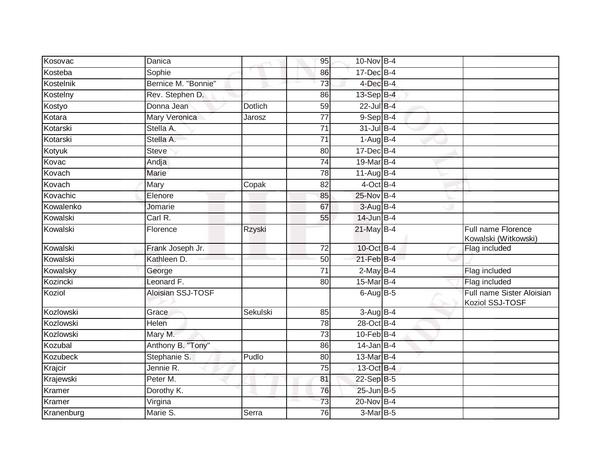| Kosovac    | Danica              |                | 95              | $10$ -Nov $B-4$  |                                              |
|------------|---------------------|----------------|-----------------|------------------|----------------------------------------------|
| Kosteba    | Sophie              |                | 86              | 17-Dec B-4       |                                              |
| Kostelnik  | Bernice M. "Bonnie" |                | 73              | 4-Dec B-4        |                                              |
| Kostelny   | Rev. Stephen D.     |                | 86              | 13-Sep B-4       |                                              |
| Kostyo     | Donna Jean          | <b>Dotlich</b> | 59              | 22-Jul B-4       |                                              |
| Kotara     | Mary Veronica       | Jarosz         | $\overline{77}$ | $9-$ Sep $B-4$   |                                              |
| Kotarski   | Stella A.           |                | 71              | $31 -$ Jul $B-4$ |                                              |
| Kotarski   | Stella A.           |                | $\overline{71}$ | $1-AugB-4$       |                                              |
| Kotyuk     | <b>Steve</b>        |                | 80              | 17-Dec B-4       |                                              |
| Kovac      | Andja               |                | $\overline{74}$ | 19-Mar B-4       |                                              |
| Kovach     | Marie               |                | $\overline{78}$ | 11-Aug $B-4$     |                                              |
| Kovach     | Mary                | Copak          | 82              | $4$ -Oct B-4     |                                              |
| Kovachic   | Elenore             |                | 85              | 25-Nov B-4       |                                              |
| Kowalenko  | Jomarie             |                | 67              | $3-AugB-4$       |                                              |
| Kowalski   | Carl R.             |                | 55              | $14$ -Jun $B-4$  |                                              |
| Kowalski   | Florence            | Rzyski         |                 | $21$ -May B-4    | Full name Florence<br>Kowalski (Witkowski)   |
| Kowalski   | Frank Joseph Jr.    |                | $\overline{72}$ | $10$ -Oct $B-4$  | Flag included                                |
| Kowalski   | Kathleen D.         |                | 50              | $21$ -Feb $B-4$  |                                              |
| Kowalsky   | George              |                | $\overline{71}$ | $2$ -May B-4     | Flag included                                |
| Kozincki   | Leonard F.          |                | 80              | $15$ -Mar $B-4$  | Flag included                                |
| Koziol     | Aloisian SSJ-TOSF   |                |                 | $6$ -Aug $B$ -5  | Full name Sister Aloisian<br>Koziol SSJ-TOSF |
| Kozlowski  | Grace               | Sekulski       | 85              | $3-Aug$ $B-4$    |                                              |
| Kozlowski  | Helen               |                | 78              | 28-Oct B-4       |                                              |
| Kozlowski  | Mary M.             |                | $\overline{73}$ | $10$ -Feb $B-4$  |                                              |
| Kozubal    | Anthony B. "Tony"   |                | 86              | $14$ -Jan B-4    |                                              |
| Kozubeck   | Stephanie S.        | Pudlo          | 80              | 13-Mar B-4       |                                              |
| Krajcir    | Jennie R.           |                | $\overline{75}$ | 13-Oct B-4       |                                              |
| Krajewski  | Peter M.            |                | 81              | 22-Sep B-5       |                                              |
| Kramer     | Dorothy K.          |                | 76              | $25$ -Jun $B-5$  |                                              |
| Kramer     | Virgina             |                | 73              | $20$ -Nov $B-4$  |                                              |
| Kranenburg | Marie S.            | Serra          | 76              | $3-Mar$ B-5      |                                              |
|            |                     |                |                 |                  |                                              |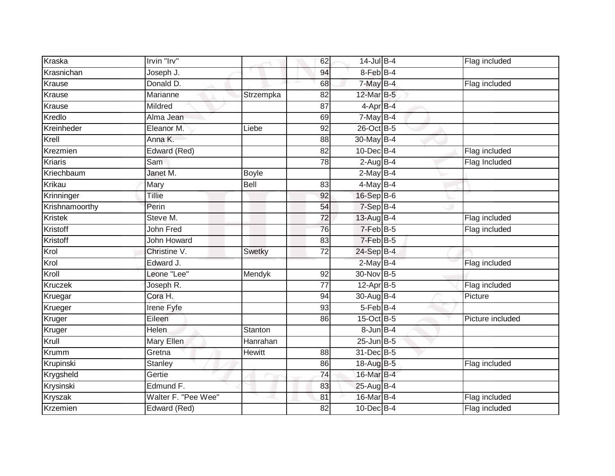| Kraska         | Irvin "Irv"         |               | 62              | $14$ -Jul B-4        | Flag included    |
|----------------|---------------------|---------------|-----------------|----------------------|------------------|
| Krasnichan     | Joseph J.           |               | 94              | 8-Feb <sup>B-4</sup> |                  |
| Krause         | Donald D.           |               | 68              | 7-May B-4            | Flag included    |
| Krause         | Marianne            | Strzempka     | 82              | 12-Mar B-5           |                  |
| Krause         | Mildred             |               | $\overline{87}$ | 4-Apr B-4            |                  |
| Kredlo         | Alma Jean           |               | 69              | $7$ -May $B-4$       |                  |
| Kreinheder     | Eleanor M.          | Liebe         | 92              | 26-Oct B-5           |                  |
| Krell          | Anna K.             |               | 88              | 30-May B-4           |                  |
| Krezmien       | Edward (Red)        |               | 82              | 10-Dec B-4           | Flag included    |
| <b>Kriaris</b> | Sam                 |               | $\overline{78}$ | $2-AugB-4$           | Flag Included    |
| Kriechbaum     | Janet M.            | <b>Boyle</b>  |                 | $2$ -May $B-4$       |                  |
| Krikau         | Mary                | Bell          | 83              | $4$ -May B-4         |                  |
| Krinninger     | Tillie              |               | 92              | $16-Sep$ B-6         |                  |
| Krishnamoorthy | Perin               |               | 54              | $7-SepB-4$           |                  |
| <b>Kristek</b> | Steve M.            |               | $\overline{72}$ | 13-Aug B-4           | Flag included    |
| Kristoff       | John Fred           |               | 76              | $7-Feb B-5$          | Flag included    |
| Kristoff       | <b>John Howard</b>  |               | 83              | $7-FebB-5$           |                  |
| Krol           | Christine V.        | Swetky        | 72              | 24-Sep B-4           |                  |
| Krol           | Edward J.           |               |                 | $2$ -May B-4         | Flag included    |
| Kroll          | Leone "Lee"         | Mendyk        | 92              | 30-Nov B-5           |                  |
| Kruczek        | Joseph R.           |               | 77              | $12-AprB-5$          | Flag included    |
| Kruegar        | Cora H.             |               | 94              | 30-Aug B-4           | Picture          |
| Krueger        | Irene Fyfe          |               | 93              | 5-Feb <sup>B-4</sup> |                  |
| Kruger         | Eileen              |               | 86              | $15$ -Oct $B$ -5     | Picture included |
| Kruger         | <b>Helen</b>        | Stanton       |                 | $8 - Jun$ $B-4$      |                  |
| Krull          | Mary Ellen          | Hanrahan      |                 | $25$ -Jun $B$ -5     |                  |
| Krumm          | Gretna              | <b>Hewitt</b> | 88              | 31-Dec B-5           |                  |
| Krupinski      | Stanley             |               | 86              | 18-Aug B-5           | Flag included    |
| Krygsheld      | Gertie              |               | $\overline{74}$ | 16-Mar B-4           |                  |
| Krysinski      | Edmund F.           |               | 83              | 25-Aug B-4           |                  |
| <b>Kryszak</b> | Walter F. "Pee Wee" |               | 81              | 16-Mar B-4           | Flag included    |
| Krzemien       | Edward (Red)        |               | 82              | $10$ -Dec $B-4$      | Flag included    |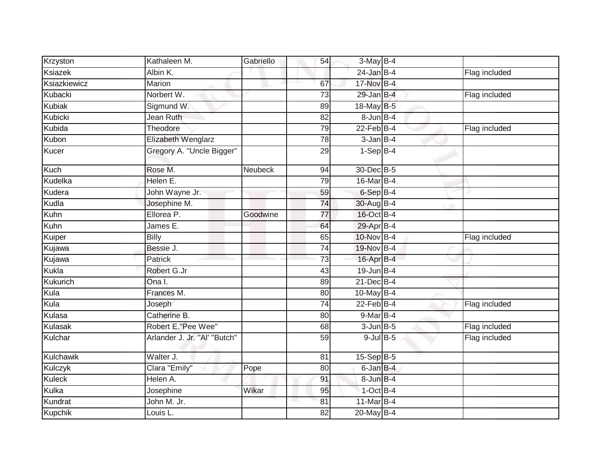| Krzyston       | Kathaleen M.                 | Gabriello      | 54              | $3-May$ B-4               |               |
|----------------|------------------------------|----------------|-----------------|---------------------------|---------------|
| <b>Ksiazek</b> | Albin K.                     |                |                 | $24$ -Jan B-4             | Flag included |
| Ksiazkiewicz   | Marion                       |                | 67              | 17-Nov B-4                |               |
| Kubacki        | Norbert W.                   |                | $\overline{73}$ | 29-Jan B-4                | Flag included |
| Kubiak         | Sigmund W.                   |                | 89              | 18-May B-5                |               |
| Kubicki        | Jean Ruth                    |                | $\overline{82}$ | 8-Jun B-4                 |               |
| Kubida         | Theodore                     |                | 79              | $22$ -Feb $B-4$           | Flag included |
| Kubon          | Elizabeth Wenglarz           |                | 78              | $3$ -Jan $B-4$            |               |
| Kucer          | Gregory A. "Uncle Bigger"    |                | 29              | $1-SepB-4$                |               |
| Kuch           | Rose M.                      | <b>Neubeck</b> | 94              | 30-Dec B-5                |               |
| Kudelka        | Helen E.                     |                | 79              | 16-Mar B-4                |               |
| Kudera         | John Wayne Jr.               |                | 59              | 6-Sep B-4                 |               |
| Kudla          | Josephine M.                 |                | $\overline{74}$ | 30-Aug B-4                |               |
| Kuhn           | Ellorea P.                   | Goodwine       | 77              | 16-Oct B-4                |               |
| Kuhn           | James E.                     |                | 64              | 29-Apr <sub>B-4</sub>     |               |
| Kuiper         | <b>Billy</b>                 |                | 65              | 10-Nov B-4                | Flag included |
| Kujawa         | Bessie J.                    |                | $\overline{74}$ | 19-Nov B-4                |               |
| Kujawa         | Patrick                      |                | 73              | $16 - \overline{Apr}$ B-4 |               |
| Kukla          | Robert G.Jr                  |                | 43              | $19$ -Jun $B - 4$         |               |
| Kukurich       | Ona I.                       |                | 89              | $21$ -Dec $B-4$           |               |
| Kula           | Frances M.                   |                | 80              | 10-May B-4                |               |
| Kula           | Joseph                       |                | $\overline{74}$ | $22$ -Feb $B-4$           | Flag included |
| Kulasa         | Catherine B.                 |                | 80              | 9-Mar B-4                 |               |
| Kulasak        | Robert E."Pee Wee"           |                | 68              | $3$ -Jun $B$ -5           | Flag included |
| Kulchar        | Arlander J. Jr. "Al' "Butch" |                | 59              | $9$ -Jul B-5              | Flag included |
| Kulchawik      | Walter J.                    |                | 81              | 15-Sep B-5                |               |
| Kulczyk        | Clara "Emily"                | Pope           | 80              | 6-Jan B-4                 |               |
| <b>Kuleck</b>  | Helen A.                     |                | 91              | $8 - JunB - 4$            |               |
| Kulka          | Josephine                    | Wikar          | 95              | $1$ -Oct B-4              |               |
| Kundrat        | John M. Jr.                  |                | 81              | $11$ -Mar $B-4$           |               |
| <b>Kupchik</b> | Louis L.                     |                | 82              | 20-May B-4                |               |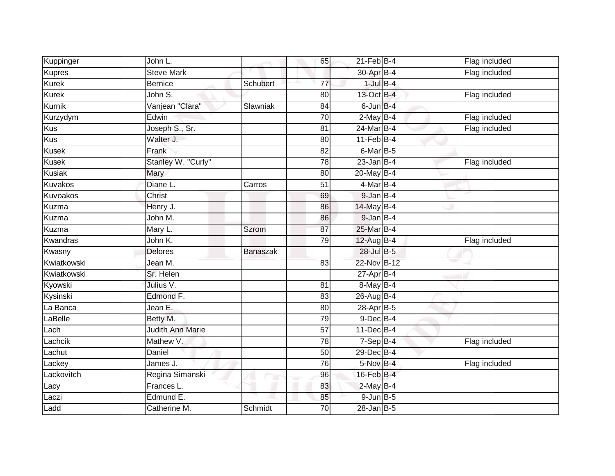| Kuppinger    | John L.                 |                 | 65              | $21$ -Feb $B-4$ | Flag included |
|--------------|-------------------------|-----------------|-----------------|-----------------|---------------|
| Kupres       | <b>Steve Mark</b>       |                 |                 | 30-Apr B-4      | Flag included |
| <b>Kurek</b> | <b>Bernice</b>          | Schubert        | $\overline{77}$ | $1$ -Jul $B-4$  |               |
| <b>Kurek</b> | John S.                 |                 | $\overline{80}$ | 13-Oct B-4      | Flag included |
| Kurnik       | Vanjean "Clara"         | Slawniak        | 84              | 6-Jun B-4       |               |
| Kurzydym     | Edwin                   |                 | $\overline{70}$ | $2$ -May B-4    | Flag included |
| Kus          | Joseph S., Sr.          |                 | 81              | 24-Mar B-4      | Flag included |
| Kus          | Walter J.               |                 | 80              | $11-Feb$ B-4    |               |
| <b>Kusek</b> | Frank                   |                 | 82              | 6-Mar B-5       |               |
| <b>Kusek</b> | Stanley W. "Curly"      |                 | $\overline{78}$ | $23$ -Jan B-4   | Flag included |
| Kusiak       | Mary                    |                 | 80              | $20$ -May B-4   |               |
| Kuvakos      | Diane L.                | Carros          | 51              | $4$ -Mar $B$ -4 |               |
| Kuvoakos     | Christ                  |                 | 69              | $9$ -Jan $B$ -4 |               |
| Kuzma        | Henry J.                |                 | 86              | $14$ -May B-4   |               |
| Kuzma        | John M.                 |                 | 86              | $9$ -Jan $B$ -4 |               |
| Kuzma        | Mary L.                 | Szrom           | 87              | 25-Mar B-4      |               |
| Kwandras     | John K.                 |                 | 79              | $12$ -Aug B-4   | Flag included |
| Kwasny       | <b>Delores</b>          | <b>Banaszak</b> |                 | $28$ -Jul B-5   |               |
| Kwiatkowski  | Jean M.                 |                 | 83              | 22-Nov B-12     |               |
| Kwiatkowski  | Sr. Helen               |                 |                 | $27$ -Apr $B-4$ |               |
| Kyowski      | Julius V.               |                 | 81              | $8$ -May B-4    |               |
| Kysinski     | Edmond F.               |                 | $\overline{83}$ | $26$ -Aug $B-4$ |               |
| La Banca     | Jean E.                 |                 | 80              | 28-Apr B-5      |               |
| LaBelle      | Betty M.                |                 | 79              | $9$ -Dec $B$ -4 |               |
| Lach         | <b>Judith Ann Marie</b> |                 | 57              | $11$ -Dec $B-4$ |               |
| Lachcik      | Mathew V.               |                 | $\overline{78}$ | $7-SepB-4$      | Flag included |
| Lachut       | Daniel                  |                 | 50              | 29-Dec B-4      |               |
| Lackey       | James J.                |                 | 76              | 5-Nov B-4       | Flag included |
| Lackovitch   | Regina Simanski         |                 | 96              | $16$ -Feb $B-4$ |               |
| Lacy         | Frances L.              |                 | 83              | $2$ -May $B-4$  |               |
| Laczi        | Edmund E.               |                 | 85              | $9$ -Jun $B$ -5 |               |
| Ladd         | Catherine M.            | Schmidt         | 70              | $28$ -Jan B-5   |               |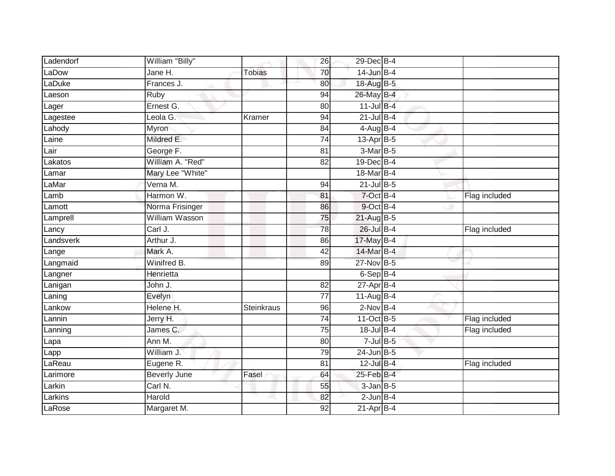| Ladendorf | William "Billy"       |                   | 26              | 29-Dec B-4      |               |
|-----------|-----------------------|-------------------|-----------------|-----------------|---------------|
| LaDow     | Jane H.               | <b>Tobias</b>     | 70              | $14$ -Jun $B-4$ |               |
| LaDuke    | Frances J.            |                   | 80              | 18-Aug B-5      |               |
| Laeson    | Ruby                  |                   | 94              | 26-May B-4      |               |
| Lager     | Ernest G.             |                   | 80              | $11$ -Jul $B-4$ |               |
| Lagestee  | Leola G.              | Kramer            | 94              | $21$ -Jul $B-4$ |               |
| Lahody    | Myron                 |                   | 84              | $4$ -Aug $B$ -4 |               |
| Laine     | Mildred E.            |                   | $\overline{74}$ | $13$ -Apr $B-5$ |               |
| Lair      | George F.             |                   | 81              | $3-MarB-5$      |               |
| _akatos   | William A. "Red"      |                   | 82              | 19-Dec B-4      |               |
| Lamar     | Mary Lee "White"      |                   |                 | 18-Mar B-4      |               |
| LaMar     | Verna M.              |                   | 94              | $21$ -Jul $B-5$ |               |
| Lamb      | Harmon W.             |                   | 81              | $7$ -Oct B-4    | Flag included |
| Lamott    | Norma Frisinger       |                   | 86              | $9$ -Oct $B-4$  |               |
| Lamprell  | <b>William Wasson</b> |                   | 75              | 21-Aug B-5      |               |
| Lancy     | Carl J.               |                   | 78              | $26$ -Jul $B-4$ | Flag included |
| Landsverk | Arthur J.             |                   | 86              | 17-May B-4      |               |
| Lange     | Mark A.               |                   | $\overline{42}$ | 14-Mar B-4      |               |
| Langmaid  | Winifred B.           |                   | 89              | 27-Nov B-5      |               |
| Langner   | Henrietta             |                   |                 | $6-Sep$ B-4     |               |
| Lanigan   | John J.               |                   | 82              | $27 - Apr$ B-4  |               |
| Laning    | Evelyn                |                   | $\overline{77}$ | $11$ -Aug B-4   |               |
| Lankow    | Helene H.             | <b>Steinkraus</b> | 96              | $2-Nov$ B-4     |               |
| Lannin    | Jerry H.              |                   | 74              | 11-Oct B-5      | Flag included |
| Lanning   | James C.              |                   | 75              | $18$ -Jul B-4   | Flag included |
| Lapa      | Ann M.                |                   | 80              | $7$ -Jul B-5    |               |
| Lapp      | William J.            |                   | 79              | $24$ -Jun B-5   |               |
| $a$ Reau  | Eugene R.             |                   | 81              | 12-Jul B-4      | Flag included |
| Larimore  | <b>Beverly June</b>   | Fasel             | 64              | 25-Feb B-4      |               |
| Larkin    | Carl N.               |                   | 55              | $3$ -Jan $B$ -5 |               |
| Larkins   | Harold                |                   | 82              | $2$ -Jun $B-4$  |               |
| LaRose    | Margaret M.           |                   | $\overline{92}$ | $21-Apr$ B-4    |               |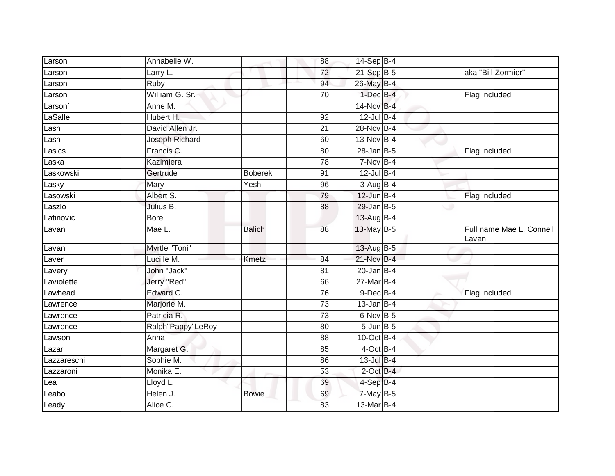| Larson              | Annabelle W.      |                | 88              | $14-Sep$ B-4      |                                   |
|---------------------|-------------------|----------------|-----------------|-------------------|-----------------------------------|
| Larson              | Larry L.          |                | $\overline{72}$ | $21-Sep$ B-5      | aka "Bill Zormier"                |
| Larson              | <b>Ruby</b>       |                | 94              | 26-May B-4        |                                   |
| Larson              | William G. Sr.    |                | $\overline{70}$ | $1$ -Dec $B-4$    | Flag included                     |
| Larson <sup>®</sup> | Anne M.           |                |                 | 14-Nov B-4        |                                   |
| LaSalle             | Hubert H.         |                | 92              | $12$ -Jul $B-4$   |                                   |
| Lash                | David Allen Jr.   |                | 21              | 28-Nov B-4        |                                   |
| Lash                | Joseph Richard    |                | 60              | $13-Nov$ B-4      |                                   |
| asics               | Francis C.        |                | 80              | $28 - JanB - 5$   | Flag included                     |
| Laska               | Kazimiera         |                | $\overline{78}$ | $7-Nov$ B-4       |                                   |
| Laskowski           | Gertrude          | <b>Boberek</b> | 91              | $12$ -Jul $B-4$   |                                   |
| Lasky               | Mary              | Yesh           | 96              | $3-Aug$ $B-4$     |                                   |
| Lasowski            | Albert S.         |                | 79              | $12$ -Jun B-4     | Flag included                     |
| Laszlo              | Julius B.         |                | 88              | $29$ -Jan B-5     |                                   |
| _atinovic           | <b>Bore</b>       |                |                 | 13-Aug B-4        |                                   |
| Lavan               | Mae L.            | <b>Balich</b>  | 88              | 13-May $B-5$      | Full name Mae L. Connell<br>Lavan |
| Lavan               | Myrtle "Toni"     |                |                 | 13-Aug B-5        |                                   |
| Laver               | Lucille M.        | Kmetz          | 84              | $21$ -Nov $B-4$   |                                   |
| Lavery              | John "Jack"       |                | 81              | $20$ -Jan $B-4$   |                                   |
| Laviolette          | Jerry "Red"       |                | 66              | $27$ -Mar $B-4$   |                                   |
| _awhead             | Edward C.         |                | 76              | $9$ -Dec $B$ -4   | Flag included                     |
| Lawrence            | Marjorie M.       |                | 73              | $13$ -Jan $ B-4 $ |                                   |
| Lawrence            | Patricia R.       |                | $\overline{73}$ | 6-Nov B-5         |                                   |
| _awrence            | Ralph"Pappy"LeRoy |                | 80              | $5 - Jun$ $B - 5$ |                                   |
| _awson              | Anna              |                | $\overline{88}$ | 10-Oct B-4        |                                   |
| Lazar               | Margaret G.       |                | 85              | $4$ -Oct B-4      |                                   |
| Lazzareschi         | Sophie M.         |                | 86              | 13-Jul B-4        |                                   |
| Lazzaroni           | Monika E.         |                | $\overline{53}$ | $2$ -Oct $B-4$    |                                   |
| Lea                 | Lloyd L.          |                | 69              | 4-Sep B-4         |                                   |
| Leabo               | Helen J.          | <b>Bowie</b>   | 69              | $7-MayB-5$        |                                   |
| Leady               | Alice C.          |                | 83              | $13$ -Mar $ B-4 $ |                                   |
|                     |                   |                |                 |                   |                                   |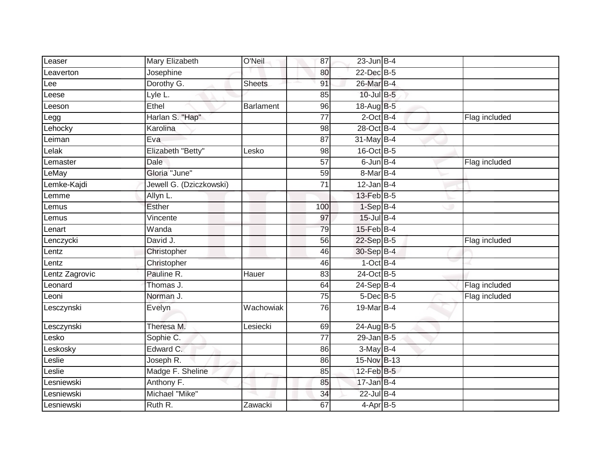| Leaser         | Mary Elizabeth          | O'Neil           | 87              | $23$ -Jun $B-4$   |               |
|----------------|-------------------------|------------------|-----------------|-------------------|---------------|
| _eaverton      | Josephine               |                  | 80              | 22-Dec B-5        |               |
| ∟ee            | Dorothy G.              | <b>Sheets</b>    | 91              | 26-Mar B-4        |               |
| _eese          | Lyle L.                 |                  | 85              | 10-Jul B-5        |               |
| _eeson         | Ethel                   | <b>Barlament</b> | 96              | 18-Aug B-5        |               |
| _egg           | Harlan S. "Hap"         |                  | $\overline{77}$ | $2-Oct$ B-4       | Flag included |
| Lehocky        | Karolina                |                  | 98              | 28-Oct B-4        |               |
| Leiman         | Eva                     |                  | 87              | 31-May B-4        |               |
| _elak          | Elizabeth "Betty"       | Lesko            | 98              | 16-Oct B-5        |               |
| _emaster       | Dale                    |                  | $\overline{57}$ | $6$ -Jun $B-4$    | Flag included |
| LeMay          | Gloria "June"           |                  | 59              | 8-Mar B-4         |               |
| emke-Kajdi     | Jewell G. (Dziczkowski) |                  | 71              | $12$ -Jan B-4     |               |
| _emme          | Allyn L.                |                  |                 | $13$ -Feb $B$ -5  |               |
| _emus          | <b>Esther</b>           |                  | 100             | $1-SepB-4$        |               |
| _emus          | Vincente                |                  | 97              | $15$ -Jul $B-4$   |               |
| Lenart         | Wanda                   |                  | 79              | $15$ -Feb $B$ -4  |               |
| Lenczycki      | David J.                |                  | 56              | 22-Sep B-5        | Flag included |
| Lentz          | Christopher             |                  | 46              | 30-Sep B-4        |               |
| _entz          | Christopher             |                  | 46              | $1$ -Oct $B-4$    |               |
| Lentz Zagrovic | Pauline R.              | Hauer            | 83              | 24-Oct B-5        |               |
| Leonard        | Thomas J.               |                  | 64              | $24-Sep B-4$      | Flag included |
| _eoni          | Norman J.               |                  | $\overline{75}$ | $5$ -Dec $B$ -5   | Flag included |
| Lesczynski     | Evelyn                  | Wachowiak        | 76              | $19$ -Mar $ B-4 $ |               |
| Lesczynski     | Theresa M.              | Lesiecki         | 69              | $24$ -Aug $B-5$   |               |
| $- esko$       | Sophie C.               |                  | $\overline{77}$ | $29$ -Jan $B-5$   |               |
| _eskosky       | Edward C.               |                  | 86              | $3-May$ B-4       |               |
| _eslie         | Joseph R.               |                  | 86              | 15-Nov B-13       |               |
| _eslie         | Madge F. Sheline        |                  | 85              | 12-Feb B-5        |               |
| Lesniewski     | Anthony F.              |                  | 85              | $17$ -Jan B-4     |               |
| _esniewski     | Michael "Mike"          |                  | 34              | $22$ -Jul $B-4$   |               |
| Lesniewski     | Ruth R.                 | Zawacki          | 67              | $4$ -Apr $B$ -5   |               |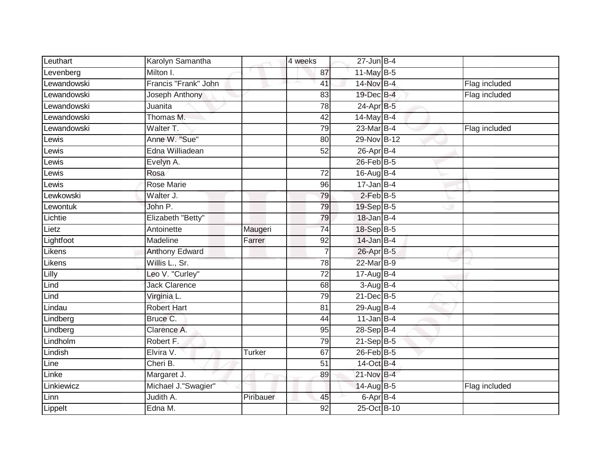| Leuthart    | Karolyn Samantha      |           | 4 weeks         | $27$ -Jun $B-4$  |               |
|-------------|-----------------------|-----------|-----------------|------------------|---------------|
| Levenberg   | Milton I.             |           | 87              | 11-May $B-5$     |               |
| Lewandowski | Francis "Frank" John  |           | 41              | 14-Nov B-4       | Flag included |
| Lewandowski | Joseph Anthony        |           | 83              | 19-Dec B-4       | Flag included |
| Lewandowski | Juanita               |           | $\overline{78}$ | 24-Apr B-5       |               |
| Lewandowski | Thomas M.             |           | 42              | 14-May B-4       |               |
| Lewandowski | Walter T.             |           | 79              | $23$ -Mar $B-4$  | Flag included |
| Lewis       | Anne W. "Sue"         |           | 80              | 29-Nov B-12      |               |
| Lewis       | Edna Williadean       |           | 52              | $26$ -Apr $B$ -4 |               |
| Lewis       | Evelyn A.             |           |                 | $26$ -Feb $B-5$  |               |
| Lewis       | Rosa                  |           | 72              | $16$ -Aug $B$ -4 |               |
| Lewis       | Rose Marie            |           | $\overline{96}$ | $17 - Jan$ B-4   |               |
| Lewkowski   | Walter J.             |           | 79              | $2$ -Feb $B$ -5  |               |
| Lewontuk    | John P.               |           | 79              | 19-Sep B-5       |               |
| Lichtie     | Elizabeth "Betty"     |           | 79              | $18$ -Jan B-4    |               |
| Lietz       | Antoinette            | Maugeri   | $\overline{74}$ | 18-Sep B-5       |               |
| Lightfoot   | Madeline              | Farrer    | 92              | $14$ -Jan B-4    |               |
| Likens      | <b>Anthony Edward</b> |           | $\overline{7}$  | 26-Apr B-5       |               |
| Likens      | Willis L., Sr.        |           | 78              | 22-Mar B-9       |               |
| Lilly       | Leo V. "Curley"       |           | $\overline{72}$ | 17-Aug B-4       |               |
| Lind        | Jack Clarence         |           | 68              | $3-Aug B-4$      |               |
| Lind        | Virginia L.           |           | 79              | 21-Dec B-5       |               |
| Lindau      | <b>Robert Hart</b>    |           | 81              | 29-Aug B-4       |               |
| Lindberg    | Bruce C.              |           | 44              | $11$ -Jan B-4    |               |
| Lindberg    | Clarence A.           |           | 95              | $28-Sep$ B-4     |               |
| Lindholm    | Robert F.             |           | $\overline{79}$ | $21-Sep$ B-5     |               |
| Lindish     | Elvira V.             | Turker    | 67              | 26-Feb B-5       |               |
| Line        | Cheri B.              |           | 51              | 14-Oct B-4       |               |
| Linke       | Margaret J.           |           | 89              | 21-Nov B-4       |               |
| Linkiewicz  | Michael J."Swagier"   |           |                 | 14-Aug B-5       | Flag included |
| Linn        | Judith A.             | Piribauer | 45              | $6$ -Apr $B$ -4  |               |
| Lippelt     | Edna M.               |           | 92              | 25-Oct B-10      |               |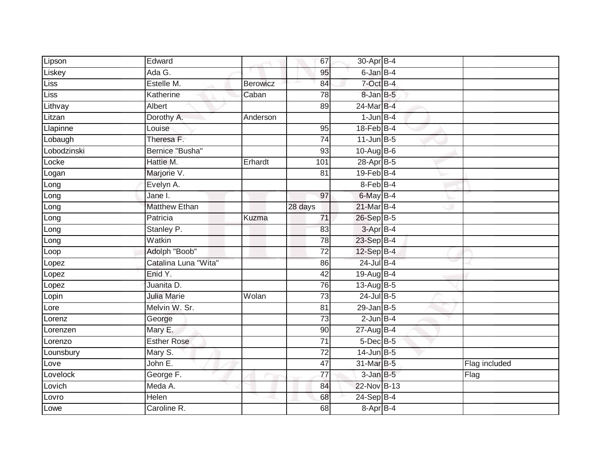| Lipson      | Edward               |                 | 67              | 30-Apr B-4       |               |
|-------------|----------------------|-----------------|-----------------|------------------|---------------|
| Liskey      | Ada G.               |                 | 95              | 6-Jan B-4        |               |
| <b>Liss</b> | Estelle M.           | <b>Berowicz</b> | 84              | 7-Oct B-4        |               |
| Liss        | Katherine            | Caban           | 78              | 8-Jan B-5        |               |
| Lithvay     | Albert               |                 | 89              | 24-Mar B-4       |               |
| Litzan      | Dorothy A.           | Anderson        |                 | $1$ -Jun $B-4$   |               |
| Llapinne    | Louise               |                 | 95              | $18$ -Feb $B$ -4 |               |
| Lobaugh     | Theresa F.           |                 | 74              | $11$ -Jun $B-5$  |               |
| Lobodzinski | Bernice "Busha"      |                 | 93              | 10-Aug B-6       |               |
| Locke       | Hattie M.            | Erhardt         | 101             | 28-Apr B-5       |               |
| Logan       | Marjorie V.          |                 | 81              | $19$ -Feb $ B-4$ |               |
| Long        | Evelyn A.            |                 |                 | 8-Feb B-4        |               |
| Long        | Jane I.              |                 | 97              | 6-May B-4        |               |
| Long        | <b>Matthew Ethan</b> |                 | 28 days         | $21$ -Mar $B-4$  |               |
| Long        | Patricia             | <b>Kuzma</b>    | 71              | 26-Sep B-5       |               |
| Long        | Stanley P.           |                 | 83              | $3-AprB-4$       |               |
| Long        | Watkin               |                 | 78              | 23-Sep B-4       |               |
| Loop        | Adolph "Boob"        |                 | 72              | $12-Sep$ B-4     |               |
| Lopez       | Catalina Luna "Wita" |                 | 86              | $24$ -Jul B-4    |               |
| Lopez       | Enid <sub>Y.</sub>   |                 | 42              | 19-Aug B-4       |               |
| Lopez       | Juanita D.           |                 | 76              | 13-Aug B-5       |               |
| Lopin       | <b>Julia Marie</b>   | Wolan           | 73              | $24$ -Jul B-5    |               |
| Lore        | Melvin W. Sr.        |                 | 81              | $29$ -Jan B-5    |               |
| Lorenz      | George               |                 | 73              | $2$ -Jun $B-4$   |               |
| Lorenzen    | Mary E.              |                 | 90              | 27-Aug B-4       |               |
| Lorenzo     | <b>Esther Rose</b>   |                 | 71              | 5-Dec B-5        |               |
| Lounsbury   | Mary S.              |                 | $\overline{72}$ | $14$ -Jun $B-5$  |               |
| Love        | John E.              |                 | 47              | 31-Mar B-5       | Flag included |
| Lovelock    | George F.            |                 | 77              | $3$ -Jan $B$ -5  | Flag          |
| Lovich      | Meda A.              |                 | 84              | 22-Nov B-13      |               |
| Lovro       | Helen                |                 | 68              | $24-Sep B-4$     |               |
| Lowe        | Caroline R.          |                 | 68              | 8-Apr B-4        |               |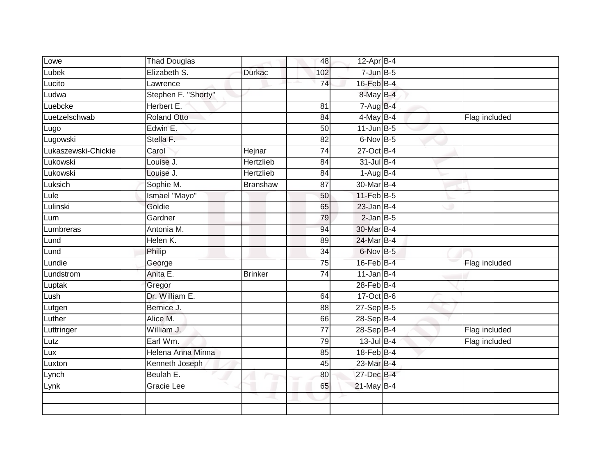| Lowe                | <b>Thad Douglas</b> |                  | $\overline{48}$ | $12$ -Apr $B$ -4  |               |
|---------------------|---------------------|------------------|-----------------|-------------------|---------------|
| Lubek               | Elizabeth S.        | <b>Durkac</b>    | 102             | $7$ -Jun $B$ -5   |               |
| Lucito              | Lawrence            |                  | 74              | $16$ -Feb $B$ -4  |               |
| Ludwa               | Stephen F. "Shorty" |                  |                 | 8-May B-4         |               |
| Luebcke             | Herbert E.          |                  | $\overline{81}$ | $7 - Aug$ B-4     |               |
| Luetzelschwab       | <b>Roland Otto</b>  |                  | 84              | 4-May B-4         | Flag included |
| Lugo                | Edwin E.            |                  | 50              | $11$ -Jun $B - 5$ |               |
| Lugowski            | Stella F.           |                  | 82              | $6$ -Nov $B-5$    |               |
| Lukaszewski-Chickie | Carol               | Hejnar           | $\overline{74}$ | 27-Oct B-4        |               |
| Lukowski            | Louise J.           | <b>Hertzlieb</b> | 84              | $31$ -Jul $B-4$   |               |
| Lukowski            | Louise J.           | Hertzlieb        | 84              | $1-AugB-4$        |               |
| Luksich             | Sophie M.           | <b>Branshaw</b>  | 87              | 30-Mar B-4        |               |
| Lule                | Ismael "Mayo"       |                  | 50              | $11$ -Feb $B-5$   |               |
| Lulinski            | Goldie              |                  | 65              | $23$ -Jan B-4     |               |
| Lum                 | Gardner             |                  | 79              | $2$ -Jan $B$ -5   |               |
| Lumbreras           | Antonia M.          |                  | 94              | 30-Mar B-4        |               |
| Lund                | Helen K.            |                  | 89              | 24-Mar B-4        |               |
| Lund                | Philip              |                  | 34              | $6$ -Nov $B-5$    |               |
| Lundie              | George              |                  | 75              | $16$ -Feb $B$ -4  | Flag included |
| Lundstrom           | Anita E.            | <b>Brinker</b>   | $\overline{74}$ | $11$ -Jan B-4     |               |
| Luptak              | Gregor              |                  |                 | $28$ -Feb $B-4$   |               |
| Lush                | Dr. William E.      |                  | 64              | 17-Oct B-6        |               |
| Lutgen              | Bernice J.          |                  | 88              | $27-Sep$ B-5      |               |
| Luther              | Alice M.            |                  | 66              | $28-Sep$ B-4      |               |
| Luttringer          | William J.          |                  | 77              | $28-SepB-4$       | Flag included |
| Lutz                | Earl Wm.            |                  | 79              | $13$ -Jul $B-4$   | Flag included |
| Lux                 | Helena Anna Minna   |                  | 85              | $18$ -Feb $B$ -4  |               |
| Luxton              | Kenneth Joseph      |                  | 45              | 23-Mar B-4        |               |
| Lynch               | Beulah E.           |                  | 80              | 27-Dec B-4        |               |
| Lynk                | Gracie Lee          |                  | 65              | $21$ -May B-4     |               |
|                     |                     |                  |                 |                   |               |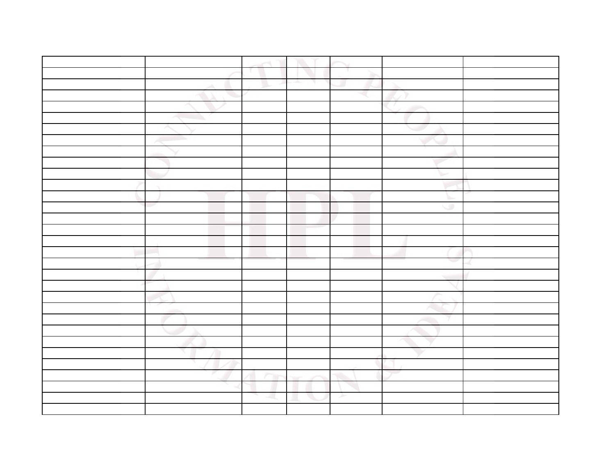| U<br>A              |    | A.<br>$\frac{1}{2}$ |               |                          |   |
|---------------------|----|---------------------|---------------|--------------------------|---|
| Ó                   |    |                     | $\mathbb{R}$  |                          |   |
| ୵                   |    |                     |               | x                        |   |
|                     |    |                     |               |                          |   |
|                     |    |                     |               |                          |   |
|                     |    |                     |               |                          |   |
|                     |    |                     |               |                          |   |
| N)                  |    |                     |               |                          |   |
|                     |    |                     |               | ◡                        |   |
|                     |    |                     |               |                          |   |
|                     |    |                     |               |                          |   |
|                     |    |                     |               | $\circ$                  |   |
|                     |    |                     |               |                          |   |
|                     |    |                     |               |                          |   |
|                     |    |                     |               |                          |   |
|                     |    |                     |               |                          |   |
|                     |    |                     |               | $\overline{\phantom{0}}$ | 4 |
|                     |    |                     |               | $\sim$                   |   |
|                     |    |                     |               |                          |   |
|                     |    |                     |               |                          |   |
|                     |    |                     |               |                          |   |
|                     |    |                     |               | Y                        |   |
|                     |    |                     |               |                          |   |
|                     |    |                     |               | V                        |   |
| Х. <sub>П</sub>     |    |                     |               | v                        |   |
| ш                   |    |                     |               |                          |   |
| $\mathbb{R}^n$<br>o | 78 |                     |               |                          |   |
|                     |    |                     |               |                          |   |
|                     | и, |                     | $\frac{1}{2}$ |                          |   |
|                     |    |                     |               |                          |   |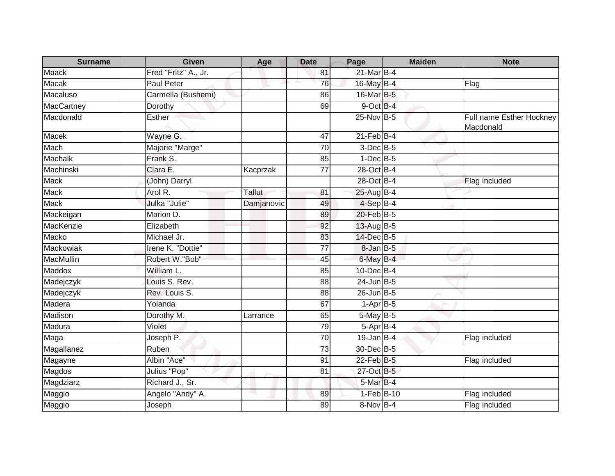| <b>Surname</b>    | <b>Given</b>         | Age        | <b>Date</b>     | Page                  | <b>Maiden</b> | <b>Note</b>                           |
|-------------------|----------------------|------------|-----------------|-----------------------|---------------|---------------------------------------|
| Maack             | Fred "Fritz" A., Jr. |            | 81              | 21-Mar B-4            |               |                                       |
| Macak             | <b>Paul Peter</b>    |            | 76              | 16-May B-4            |               | Flag                                  |
| Macaluso          | Carmella (Bushemi)   |            | 86              | 16-Mar B-5            |               |                                       |
| <b>MacCartney</b> | Dorothy              |            | 69              | 9-Oct B-4             |               |                                       |
| Macdonald         | Esther               |            |                 | 25-Nov B-5            |               | Full name Esther Hockney<br>Macdonald |
| Macek             | Wayne G.             |            | 47              | $21$ -Feb $B-4$       |               |                                       |
| Mach              | Majorie "Marge"      |            | $\overline{70}$ | $3$ -Dec $B-5$        |               |                                       |
| Machalk           | Frank S.             |            | 85              | $1-Dec$ B-5           |               |                                       |
| Machinski         | Clara E.             | Kacprzak   | 77              | 28-Oct B-4            |               |                                       |
| <b>Mack</b>       | (John) Darryl        |            |                 | 28-Oct B-4            |               | Flag included                         |
| Mack              | Arol R.              | Tallut     | 81              | 25-Aug B-4            |               |                                       |
| <b>Mack</b>       | Julka "Julie"        | Damjanovic | 49              | $4-SepB-4$            |               |                                       |
| Mackeigan         | Marion D.            |            | 89              | $20$ -Feb $B-5$       |               |                                       |
| MacKenzie         | Elizabeth            |            | $\overline{92}$ | 13-Aug B-5            |               |                                       |
| Macko             | Michael Jr.          |            | 83              | 14-Dec B-5            |               |                                       |
| Mackowiak         | Irene K. "Dottie"    |            | 77              | $8 - Jan$ $B - 5$     |               |                                       |
| MacMullin         | Robert W."Bob"       |            | 45              | $6$ -May $B-4$        |               |                                       |
| Maddox            | William L.           |            | 85              | $10$ -Dec $B-4$       |               |                                       |
| Madejczyk         | Louis S. Rev.        |            | $\overline{88}$ | $24$ -Jun $B-5$       |               |                                       |
| Madejczyk         | Rev. Louis S.        |            | 88              | $26$ -Jun $B-5$       |               |                                       |
| Madera            | Yolanda              |            | 67              | $1-AprB-5$            |               |                                       |
| Madison           | Dorothy M.           | Larrance   | 65              | $5$ -May $B-5$        |               |                                       |
| Madura            | Violet               |            | 79              | $5-Apr\overline{B-4}$ |               |                                       |
| Maga              | Joseph P.            |            | $\overline{70}$ | $19$ -Jan B-4         |               | Flag included                         |
| Magallanez        | Ruben                |            | 73              | 30-Dec B-5            |               |                                       |
| Magayne           | Albin "Ace"          |            | 91              | 22-Feb B-5            |               | Flag included                         |
| Magdos            | Julius "Pop"         |            | 81              | 27-Oct B-5            |               |                                       |
| Magdziarz         | Richard J., Sr.      |            |                 | 5-Mar B-4             |               |                                       |
| Maggio            | Angelo "Andy" A.     |            | 89              | $1-Feb$ B-10          |               | Flag included                         |
| Maggio            | Joseph               |            | 89              | $8-Nov$ B-4           |               | Flag included                         |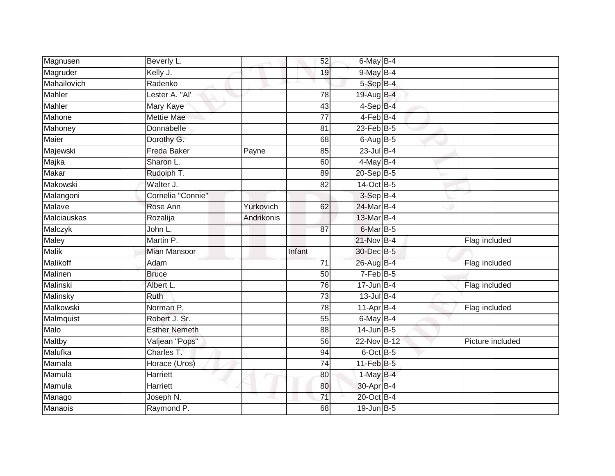| Magnusen        | Beverly L.           |            | 52              | 6-May B-4         |                  |
|-----------------|----------------------|------------|-----------------|-------------------|------------------|
| Magruder        | Kelly J.             |            | 19              | $9$ -May $B-4$    |                  |
| Mahailovich     | Radenko              |            |                 | 5-Sep B-4         |                  |
| Mahler          | Lester A. "Al'       |            | 78              | 19-Aug B-4        |                  |
| <b>Mahler</b>   | <b>Mary Kaye</b>     |            | 43              | 4-Sep B-4         |                  |
| Mahone          | <b>Mettie Mae</b>    |            | 77              | 4-Feb B-4         |                  |
| Mahoney         | Donnabelle           |            | 81              | $23$ -Feb $ B-5 $ |                  |
| Maier           | Dorothy G.           |            | 68              | $6$ -Aug $B$ -5   |                  |
| Majewski        | <b>Freda Baker</b>   | Payne      | 85              | $23$ -Jul B-4     |                  |
| Majka           | Sharon L.            |            | 60              | $4$ -May B-4      |                  |
| Makar           | Rudolph T.           |            | 89              | $20-Sep B-5$      |                  |
| Makowski        | Walter J.            |            | $\overline{82}$ | 14-Oct B-5        |                  |
| Malangoni       | Cornelia "Connie"    |            |                 | $3-SepB-4$        |                  |
| Malave          | Rose Ann             | Yurkovich  | 62              | 24-Mar B-4        |                  |
| Malciauskas     | Rozalija             | Andrikonis |                 | 13-Mar B-4        |                  |
| Malczyk         | John L.              |            | $\overline{87}$ | 6-Mar B-5         |                  |
| Maley           | Martin P.            |            |                 | $21-Nov$ B-4      | Flag included    |
| <b>Malik</b>    | <b>Mian Mansoor</b>  |            | Infant          | 30-Dec B-5        |                  |
| Malikoff        | Adam                 |            | 71              | 26-Aug B-4        | Flag included    |
| Malinen         | <b>Bruce</b>         |            | 50              | $7-FebB-5$        |                  |
| Malinski        | Albert L.            |            | 76              | $17$ -Jun $B-4$   | Flag included    |
| <b>Malinsky</b> | Ruth                 |            | 73              | $13$ -Jul B-4     |                  |
| Malkowski       | Norman P.            |            | 78              | $11-Apr$ B-4      | Flag included    |
| Malmquist       | Robert J. Sr.        |            | 55              | $6$ -May $B-4$    |                  |
| Malo            | <b>Esther Nemeth</b> |            | 88              | $14$ -Jun $B-5$   |                  |
| Maltby          | Valjean "Pops"       |            | 56              | 22-Nov B-12       | Picture included |
| Malufka         | Charles T.           |            | 94              | $6$ -Oct $B$ -5   |                  |
| Mamala          | Horace (Uros)        |            | 74              | $11$ -Feb $B$ -5  |                  |
| Mamula          | Harriett             |            | 80              | $1-MayB-4$        |                  |
| Mamula          | Harriett             |            | 80              | 30-Apr B-4        |                  |
| Manago          | Joseph N.            |            | 71              | $20$ -Oct B-4     |                  |
| <b>Manaois</b>  | Raymond P.           |            | 68              | $19$ -Jun $B - 5$ |                  |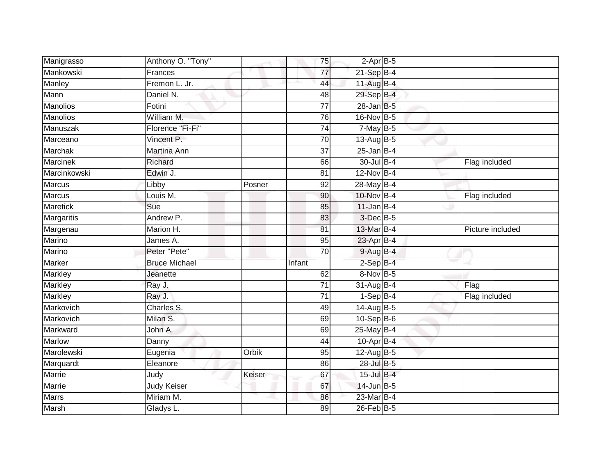| Manigrasso        | Anthony O. "Tony"    |        | 75              | $2-Apr\overline{B-5}$ |                  |
|-------------------|----------------------|--------|-----------------|-----------------------|------------------|
| Mankowski         | Frances              |        | 77              | $21$ -Sep B-4         |                  |
| Manley            | Fremon L. Jr.        |        | 44              | 11-Aug B-4            |                  |
| Mann              | Daniel N.            |        | 48              | 29-Sep B-4            |                  |
| <b>Manolios</b>   | Fotini               |        | $\overline{77}$ | 28-Jan B-5            |                  |
| <b>Manolios</b>   | William M.           |        | 76              | 16-Nov B-5            |                  |
| Manuszak          | Florence "Fi-Fi"     |        | $\overline{74}$ | $7$ -May B-5          |                  |
| Marceano          | Vincent P.           |        | 70              | 13-Aug B-5            |                  |
| Marchak           | Martina Ann          |        | 37              | $25$ -Jan B-4         |                  |
| Marcinek          | Richard              |        | 66              | 30-Jul B-4            | Flag included    |
| Marcinkowski      | Edwin J.             |        | 81              | $12$ -Nov B-4         |                  |
| Marcus            | Libby                | Posner | 92              | 28-May B-4            |                  |
| <b>Marcus</b>     | Louis M.             |        | 90              | 10-Nov B-4            | Flag included    |
| <b>Maretick</b>   | Sue                  |        | 85              | $11$ -Jan B-4         |                  |
| <b>Margaritis</b> | Andrew P.            |        | 83              | $3$ -Dec $B$ -5       |                  |
| Margenau          | Marion H.            |        | 81              | $13$ -Mar $ B-4 $     | Picture included |
| Marino            | James A.             |        | $\overline{95}$ | $23$ -Apr $B-4$       |                  |
| Marino            | Peter "Pete"         |        | 70              | $9-AugB-4$            |                  |
| Marker            | <b>Bruce Michael</b> |        | Infant          | $2-Sep$ B-4           |                  |
| <b>Markley</b>    | Jeanette             |        | 62              | 8-Nov B-5             |                  |
| <b>Markley</b>    | Ray J.               |        | $\overline{71}$ | $31-AugB-4$           | Flag             |
| Markley           | Ray J.               |        | $\overline{71}$ | $1-SepB-4$            | Flag included    |
| Markovich         | Charles S.           |        | 49              | $14$ -Aug $B$ -5      |                  |
| Markovich         | Milan S.             |        | 69              | $10 - SepB-6$         |                  |
| Markward          | John A.              |        | 69              | $25$ -May $B-4$       |                  |
| <b>Marlow</b>     | Danny                |        | 44              | $10-Apr$ B-4          |                  |
| Marolewski        | Eugenia              | Orbik  | 95              | 12-Aug B-5            |                  |
| Marquardt         | Eleanore             |        | 86              | 28-Jul B-5            |                  |
| Marrie            | Judy                 | Keiser | 67              | $15$ -Jul B-4         |                  |
| Marrie            | Judy Keiser          |        | 67              | $14$ -Jun $B-5$       |                  |
| <b>Marrs</b>      | Miriam M.            |        | 86              | $23-MarB-4$           |                  |
| <b>Marsh</b>      | Gladys L.            |        | 89              | $26$ -Feb $B$ -5      |                  |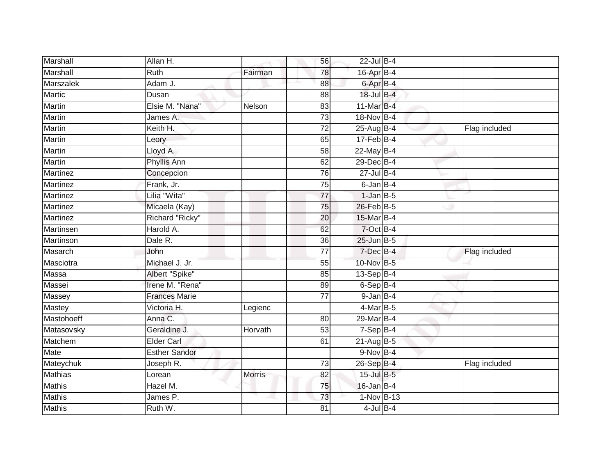| Marshall        | Allan H.             |               | 56              | $22$ -Jul B-4   |               |
|-----------------|----------------------|---------------|-----------------|-----------------|---------------|
| Marshall        | Ruth                 | Fairman       | 78              | 16-Apr B-4      |               |
| Marszalek       | Adam J.              |               | 88              | 6-Apr B-4       |               |
| Martic          | Dusan                |               | 88              | 18-Jul B-4      |               |
| <b>Martin</b>   | Elsie M. "Nana"      | Nelson        | 83              | 11-Mar B-4      |               |
| Martin          | James A.             |               | 73              | 18-Nov B-4      |               |
| Martin          | Keith H.             |               | $\overline{72}$ | 25-Aug B-4      | Flag included |
| Martin          | Leory                |               | 65              | $17-Feb$ B-4    |               |
| <b>Martin</b>   | Lloyd A.             |               | 58              | $22$ -May B-4   |               |
| <b>Martin</b>   | Phyllis Ann          |               | 62              | 29-Dec B-4      |               |
| Martinez        | Concepcion           |               | 76              | $27$ -Jul B-4   |               |
| Martinez        | Frank, Jr.           |               | 75              | 6-Jan B-4       |               |
| Martinez        | Lilia "Wita"         |               | $\overline{77}$ | $1-JanB-5$      |               |
| Martinez        | Micaela (Kay)        |               | 75              | $26$ -Feb $B-5$ |               |
| <b>Martinez</b> | Richard "Ricky"      |               | 20              | 15-Mar B-4      |               |
| Martinsen       | Harold A.            |               | 62              | 7-Oct B-4       |               |
| Martinson       | Dale R.              |               | 36              | 25-Jun B-5      |               |
| Masarch         | John                 |               | 77              | $7$ -Dec $B-4$  | Flag included |
| Masciotra       | Michael J. Jr.       |               | 55              | 10-Nov B-5      |               |
| Massa           | Albert "Spike"       |               | 85              | $13-Sep$ B-4    |               |
| Massei          | Irene M. "Rena"      |               | 89              | $6-Sep B-4$     |               |
| Massey          | <b>Frances Marie</b> |               | $\overline{77}$ | $9$ -Jan $B$ -4 |               |
| Mastey          | Victoria H.          | Legienc       |                 | $4$ -Mar $B-5$  |               |
| Mastohoeff      | Anna C.              |               | 80              | 29-Mar B-4      |               |
| Matasovsky      | Geraldine J.         | Horvath       | 53              | $7-Sep$ B-4     |               |
| Matchem         | <b>Elder Carl</b>    |               | 61              | $21-AugB-5$     |               |
| Mate            | <b>Esther Sandor</b> |               |                 | 9-Nov B-4       |               |
| Mateychuk       | Joseph R.            |               | 73              | 26-Sep B-4      | Flag included |
| <b>Mathias</b>  | Lorean               | <b>Morris</b> | 82              | 15-Jul B-5      |               |
| <b>Mathis</b>   | Hazel M.             |               | 75              | $16$ -Jan B-4   |               |
| Mathis          | James P.             |               | 73              | $1-Nov$ B-13    |               |
| <b>Mathis</b>   | Ruth W.              |               | 81              | $4$ -Jul B-4    |               |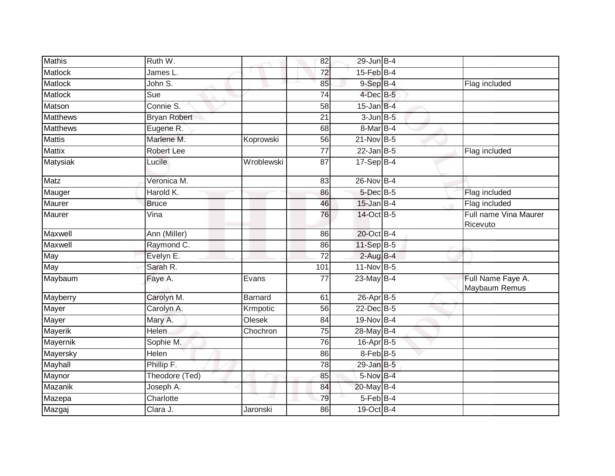| <b>Mathis</b>   | Ruth W.             |                | 82              | $29$ -Jun $B-4$  |                                    |
|-----------------|---------------------|----------------|-----------------|------------------|------------------------------------|
| Matlock         | James L.            |                | 72              | $15$ -Feb $B$ -4 |                                    |
| <b>Matlock</b>  | John S.             |                | 85              | 9-Sep B-4        | Flag included                      |
| Matlock         | Sue                 |                | 74              | $4$ -Dec $B$ -5  |                                    |
| Matson          | Connie S.           |                | 58              | $15$ -Jan $B-4$  |                                    |
| <b>Matthews</b> | <b>Bryan Robert</b> |                | $\overline{21}$ | $3$ -Jun $B$ -5  |                                    |
| <b>Matthews</b> | Eugene R.           |                | 68              | 8-Mar B-4        |                                    |
| <b>Mattis</b>   | Marlene M.          | Koprowski      | 56              | $21-Nov$ B-5     |                                    |
| <b>Mattix</b>   | <b>Robert Lee</b>   |                | 77              | $22$ -Jan B-5    | Flag included                      |
| Matysiak        | Lucile              | Wroblewski     | 87              | $17-Sep$ B-4     |                                    |
| Matz            | Veronica M.         |                | 83              | 26-Nov B-4       |                                    |
| Mauger          | Harold K.           |                | 86              | $5$ -Dec $B$ -5  | Flag included                      |
| <b>Maurer</b>   | <b>Bruce</b>        |                | 46              | $15$ -Jan B-4    | Flag included                      |
| Maurer          | Vina                |                | 76              | 14-Oct B-5       | Full name Vina Maurer<br>Ricevuto  |
| Maxwell         | Ann (Miller)        |                | 86              | 20-Oct B-4       |                                    |
| Maxwell         | Raymond C.          |                | 86              | $11-Sep$ B-5     |                                    |
| May             | Evelyn E.           |                | $\overline{72}$ | $2-Aug$ B-4      |                                    |
| May             | Sarah R.            |                | 101             | $11-Nov$ B-5     |                                    |
| Maybaum         | Faye A.             | Evans          | 77              | 23-May $B-4$     | Full Name Faye A.<br>Maybaum Remus |
| Mayberry        | Carolyn M.          | <b>Barnard</b> | 61              | $26$ -Apr $B-5$  |                                    |
| Mayer           | Carolyn A.          | Krmpotic       | 56              | $22$ -Dec $B-5$  |                                    |
| Mayer           | Mary A.             | Olesek         | 84              | $19-Nov$ B-4     |                                    |
| <b>Mayerik</b>  | <b>Helen</b>        | Chochron       | $\overline{75}$ | 28-May B-4       |                                    |
| Mayernik        | Sophie M.           |                | $\overline{76}$ | $16$ -Apr $B$ -5 |                                    |
| Mayersky        | Helen               |                | 86              | 8-Feb B-5        |                                    |
| Mayhall         | Phillip F.          |                | 78              | 29-Jan B-5       |                                    |
| Maynor          | Theodore (Ted)      |                | 85              | 5-Nov B-4        |                                    |
| Mazanik         | Joseph A.           |                | 84              | 20-May B-4       |                                    |
| Mazepa          | Charlotte           |                | 79              | $5-Feb$ B-4      |                                    |
| Mazgaj          | Clara J.            | Jaronski       | 86              | $19$ -Oct B-4    |                                    |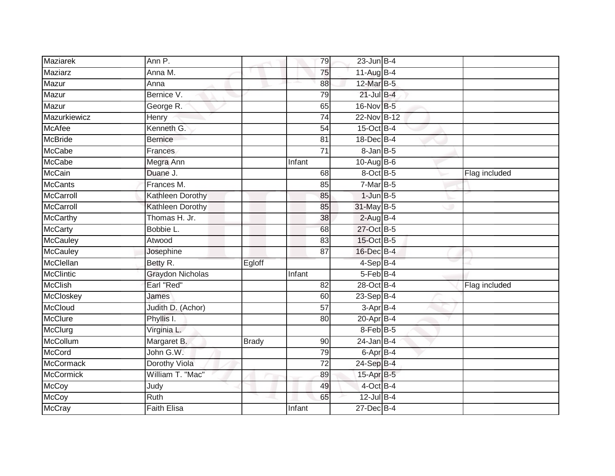| Maziarek         | Ann P.                  |              | 79              | $23$ -Jun $B-4$ |               |
|------------------|-------------------------|--------------|-----------------|-----------------|---------------|
| <b>Maziarz</b>   | Anna M.                 |              | 75              | $11-AugB-4$     |               |
| Mazur            | Anna                    |              | 88              | 12-Mar B-5      |               |
| Mazur            | Bernice V.              |              | 79              | $21$ -Jul $B-4$ |               |
| Mazur            | George R.               |              | 65              | 16-Nov B-5      |               |
| Mazurkiewicz     | Henry                   |              | 74              | 22-Nov B-12     |               |
| McAfee           | Kenneth G.              |              | 54              | 15-Oct B-4      |               |
| <b>McBride</b>   | <b>Bernice</b>          |              | 81              | $18$ -Dec $B-4$ |               |
| McCabe           | Frances                 |              | $\overline{71}$ | $8$ -Jan $B$ -5 |               |
| McCabe           | Megra Ann               |              | <b>Infant</b>   | $10-Aug$ B-6    |               |
| McCain           | Duane J.                |              | 68              | $8$ -Oct B-5    | Flag included |
| McCants          | Frances M.              |              | $\overline{85}$ | $7-MarB-5$      |               |
| McCarroll        | Kathleen Dorothy        |              | 85              | $1$ -Jun $B$ -5 |               |
| McCarroll        | Kathleen Dorothy        |              | 85              | 31-May B-5      |               |
| <b>McCarthy</b>  | Thomas H. Jr.           |              | 38              | $2$ -Aug B-4    |               |
| <b>McCarty</b>   | Bobbie L.               |              | 68              | 27-Oct B-5      |               |
| <b>McCauley</b>  | Atwood                  |              | 83              | 15-Oct B-5      |               |
| McCauley         | Josephine               |              | 87              | $16$ -Dec $B-4$ |               |
| McClellan        | Betty R.                | Egloff       |                 | $4-Sep$ B-4     |               |
| McClintic        | <b>Graydon Nicholas</b> |              | Infant          | $5$ -Feb $B$ -4 |               |
| <b>McClish</b>   | Earl "Red"              |              | 82              | 28-Oct B-4      | Flag included |
| McCloskey        | James                   |              | 60              | $23-Sep$ B-4    |               |
| McCloud          | Judith D. (Achor)       |              | 57              | $3-Apr$ B-4     |               |
| McClure          | Phyllis I.              |              | 80              | $20$ -Apr $B-4$ |               |
| McClurg          | Virginia L.             |              |                 | 8-Feb B-5       |               |
| McCollum         | Margaret B.             | <b>Brady</b> | 90              | $24$ -Jan B-4   |               |
| <b>McCord</b>    | John G.W.               |              | 79              | 6-Apr B-4       |               |
| <b>McCormack</b> | Dorothy Viola           |              | 72              | 24-Sep B-4      |               |
| <b>McCormick</b> | William T. "Mac"        |              | 89              | 15-Apr B-5      |               |
| McCoy            | Judy                    |              | 49              | $4$ -Oct B-4    |               |
| McCoy            | Ruth                    |              | 65              | $12$ -Jul $B-4$ |               |
| McCray           | <b>Faith Elisa</b>      |              | Infant          | $27 - Dec$ B-4  |               |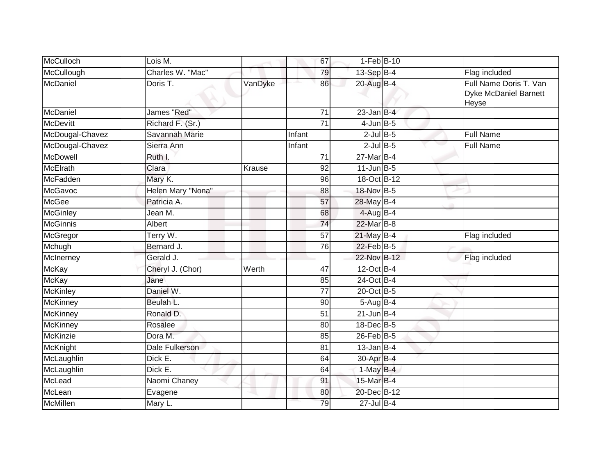| McCulloch       | Lois M.           |         | 67              | $1-FebB-10$       |                                                                 |
|-----------------|-------------------|---------|-----------------|-------------------|-----------------------------------------------------------------|
| McCullough      | Charles W. "Mac"  |         | 79              | 13-Sep B-4        | Flag included                                                   |
| McDaniel        | Doris T.          | VanDyke | 86              | 20-Aug B-4        | Full Name Doris T. Van<br><b>Dyke McDaniel Barnett</b><br>Heyse |
| McDaniel        | James "Red"       |         | $\overline{71}$ | $23$ -Jan $B-4$   |                                                                 |
| McDevitt        | Richard F. (Sr.)  |         | $\overline{71}$ | $4$ -Jun $B-5$    |                                                                 |
| McDougal-Chavez | Savannah Marie    |         | Infant          | $2$ -Jul $B$ -5   | <b>Full Name</b>                                                |
| McDougal-Chavez | Sierra Ann        |         | Infant          | $2$ -Jul B-5      | <b>Full Name</b>                                                |
| McDowell        | Ruth I.           |         | 71              | $27$ -Mar $B-4$   |                                                                 |
| <b>McElrath</b> | Clara             | Krause  | $\overline{92}$ | $11$ -Jun $B-5$   |                                                                 |
| McFadden        | Mary K.           |         | 96              | 18-Oct B-12       |                                                                 |
| <b>McGavoc</b>  | Helen Mary "Nona" |         | 88              | 18-Nov B-5        |                                                                 |
| <b>McGee</b>    | Patricia A.       |         | $\overline{57}$ | 28-May B-4        |                                                                 |
| McGinley        | Jean M.           |         | 68              | $4$ -Aug $B$ -4   |                                                                 |
| <b>McGinnis</b> | Albert            |         | 74              | $22$ -Mar $B-8$   |                                                                 |
| McGregor        | Terry W.          |         | 57              | 21-May B-4        | Flag included                                                   |
| Mchugh          | Bernard J.        |         | $\overline{76}$ | $22$ -Feb $ B-5 $ |                                                                 |
| McInerney       | Gerald J.         |         |                 | 22-Nov B-12       | Flag included                                                   |
| <b>McKay</b>    | Cheryl J. (Chor)  | Werth   | $\overline{47}$ | $12$ -Oct $B-4$   |                                                                 |
| <b>McKay</b>    | Jane              |         | 85              | 24-Oct B-4        |                                                                 |
| <b>McKinley</b> | Daniel W.         |         | 77              | 20-Oct B-5        |                                                                 |
| <b>McKinney</b> | Beulah L.         |         | 90              | 5-Aug B-4         |                                                                 |
| <b>McKinney</b> | Ronald D.         |         | 51              | $21$ -Jun $B-4$   |                                                                 |
| <b>McKinney</b> | Rosalee           |         | 80              | 18-Dec B-5        |                                                                 |
| McKinzie        | Dora M.           |         | 85              | $26$ -Feb $ B-5 $ |                                                                 |
| McKnight        | Dale Fulkerson    |         | 81              | $13$ -Jan B-4     |                                                                 |
| McLaughlin      | Dick E.           |         | 64              | 30-Apr B-4        |                                                                 |
| McLaughlin      | Dick E.           |         | 64              | $1-May$ B-4       |                                                                 |
| McLead          | Naomi Chaney      |         | 91              | 15-Mar B-4        |                                                                 |
| McLean          | Evagene           |         | 80              | 20-Dec B-12       |                                                                 |
| McMillen        | Mary L.           |         | 79              | $27 -$ Jul $B-4$  |                                                                 |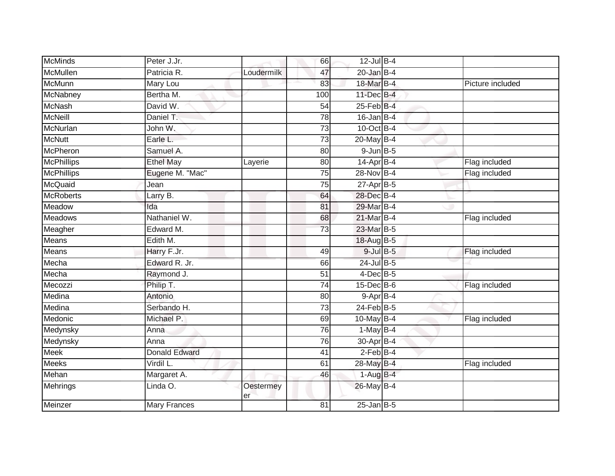| <b>McMinds</b>    | Peter J.Jr.          |                 | 66              | $12$ -Jul $B-4$  |                  |
|-------------------|----------------------|-----------------|-----------------|------------------|------------------|
| McMullen          | Patricia R.          | Loudermilk      | 47              | $20$ -Jan $B-4$  |                  |
| <b>McMunn</b>     | Mary Lou             |                 | 83              | 18-Mar B-4       | Picture included |
| McNabney          | Bertha M.            |                 | 100             | 11-Dec B-4       |                  |
| <b>McNash</b>     | David W.             |                 | $\overline{54}$ | $25$ -Feb $B-4$  |                  |
| McNeill           | Daniel T.            |                 | 78              | $16$ -Jan $B-4$  |                  |
| McNurlan          | John W.              |                 | 73              | $10$ -Oct B-4    |                  |
| <b>McNutt</b>     | Earle L.             |                 | 73              | 20-May B-4       |                  |
| McPheron          | Samuel A.            |                 | 80              | $9$ -Jun $B$ -5  |                  |
| <b>McPhillips</b> | <b>Ethel May</b>     | Layerie         | 80              | $14$ -Apr $B-4$  | Flag included    |
| <b>McPhillips</b> | Eugene M. "Mac"      |                 | $\overline{75}$ | 28-Nov B-4       | Flag included    |
| McQuaid           | Jean                 |                 | $\overline{75}$ | $27$ -Apr $B$ -5 |                  |
| <b>McRoberts</b>  | Larry B.             |                 | 64              | 28-Dec B-4       |                  |
| Meadow            | Ida                  |                 | 81              | 29-Mar B-4       |                  |
| <b>Meadows</b>    | Nathaniel W.         |                 | 68              | 21-Mar B-4       | Flag included    |
| Meagher           | Edward M.            |                 | $\overline{73}$ | 23-Mar B-5       |                  |
| Means             | Edith M.             |                 |                 | 18-Aug B-5       |                  |
| Means             | Harry F.Jr.          |                 | 49              | $9$ -Jul B-5     | Flag included    |
| Mecha             | Edward R. Jr.        |                 | 66              | $24$ -Jul $B-5$  |                  |
| Mecha             | Raymond J.           |                 | $\overline{51}$ | $4$ -Dec $B$ -5  |                  |
| Mecozzi           | Philip T.            |                 | 74              | $15$ -Dec $B$ -6 | Flag included    |
| Medina            | Antonio              |                 | 80              | $9-$ Apr $B-4$   |                  |
| Medina            | Serbando H.          |                 | $\overline{73}$ | $24$ -Feb $B-5$  |                  |
| Medonic           | Michael P.           |                 | 69              | 10-May $B-4$     | Flag included    |
| Medynsky          | Anna                 |                 | 76              | $1 - MayB-4$     |                  |
| Medynsky          | Anna                 |                 | 76              | 30-Apr B-4       |                  |
| <b>Meek</b>       | <b>Donald Edward</b> |                 | $\overline{41}$ | $2-FebB-4$       |                  |
| <b>Meeks</b>      | Virdil L.            |                 | 61              | 28-May B-4       | Flag included    |
| Mehan             | Margaret A.          |                 | 46              | $1-Aug$ B-4      |                  |
| Mehrings          | Linda O.             | Oestermey<br>er |                 | 26-May B-4       |                  |
| Meinzer           | <b>Mary Frances</b>  |                 | 81              | $25$ -Jan B-5    |                  |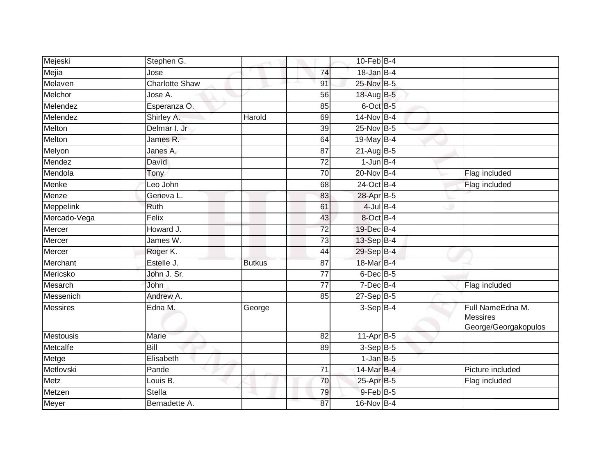| Mejeski          | Stephen G.            |               |                 | $10-Feb$ B-4         |                                                             |
|------------------|-----------------------|---------------|-----------------|----------------------|-------------------------------------------------------------|
| Mejia            | Jose                  |               | 74              | $18$ -Jan $B-4$      |                                                             |
| Melaven          | <b>Charlotte Shaw</b> |               | 91              | 25-Nov B-5           |                                                             |
| Melchor          | Jose A.               |               | 56              | 18-Aug B-5           |                                                             |
| Melendez         | Esperanza O.          |               | 85              | 6-Oct B-5            |                                                             |
| Melendez         | Shirley A.            | Harold        | 69              | 14-Nov B-4           |                                                             |
| Melton           | Delmar I. Jr          |               | 39              | 25-Nov B-5           |                                                             |
| Melton           | James R.              |               | 64              | 19-May B-4           |                                                             |
| Melyon           | Janes A.              |               | 87              | $21-AugB-5$          |                                                             |
| Mendez           | David                 |               | $\overline{72}$ | $1$ -Jun $B-4$       |                                                             |
| Mendola          | Tony                  |               | $\overline{70}$ | 20-Nov B-4           | Flag included                                               |
| <b>Menke</b>     | Leo John              |               | 68              | 24-Oct B-4           | Flag included                                               |
| Menze            | Geneva L.             |               | 83              | 28-Apr B-5           |                                                             |
| Meppelink        | Ruth                  |               | 61              | $4$ -Jul $B-4$       |                                                             |
| Mercado-Vega     | Felix                 |               | 43              | 8-Oct B-4            |                                                             |
| Mercer           | Howard J.             |               | 72              | 19-Dec B-4           |                                                             |
| Mercer           | James W.              |               | $\overline{73}$ | 13-Sep B-4           |                                                             |
| Mercer           | Roger K.              |               | 44              | 29-Sep B-4           |                                                             |
| Merchant         | Estelle J.            | <b>Butkus</b> | 87              | 18-Mar B-4           |                                                             |
| Mericsko         | John J. Sr.           |               | $\overline{77}$ | $6$ -Dec $B$ -5      |                                                             |
| Mesarch          | John                  |               | $\overline{77}$ | $7$ -Dec $B-4$       | Flag included                                               |
| Messenich        | Andrew A.             |               | 85              | $27-Sep$ B-5         |                                                             |
| <b>Messires</b>  | Edna M.               | George        |                 | $3-Sep$ B-4          | Full NameEdna M.<br><b>Messires</b><br>George/Georgakopulos |
| <b>Mestousis</b> | Marie                 |               | 82              | $11-Apr$ B-5         |                                                             |
| Metcalfe         | Bill                  |               | 89              | $3-Sep$ B-5          |                                                             |
| Metge            | Elisabeth             |               |                 | $1$ -Jan $B-5$       |                                                             |
| Metlovski        | Pande                 |               | $\overline{71}$ | 14-Mar B-4           | Picture included                                            |
| Metz             | Louis B.              |               | 70              | 25-Apr B-5           | Flag included                                               |
| Metzen           | <b>Stella</b>         |               | 79              | 9-Feb <sup>B-5</sup> |                                                             |
| Meyer            | Bernadette A.         |               | 87              | 16-Nov B-4           |                                                             |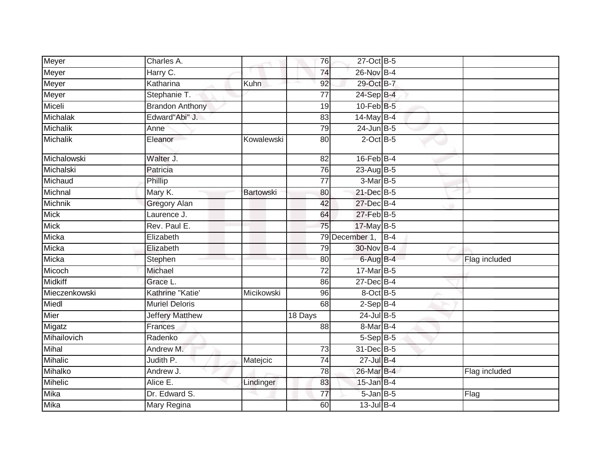| Meyer          | Charles A.             |            | 76              | $27-Oct$ B-5      |       |               |
|----------------|------------------------|------------|-----------------|-------------------|-------|---------------|
| Meyer          | Harry C.               |            | $\overline{74}$ | 26-Nov B-4        |       |               |
| Meyer          | Katharina              | Kuhn       | 92              | 29-Oct B-7        |       |               |
| Meyer          | Stephanie T.           |            | $\overline{77}$ | 24-Sep B-4        |       |               |
| Miceli         | <b>Brandon Anthony</b> |            | 19              | 10-Feb B-5        |       |               |
| Michalak       | Edward"Abi" J.         |            | 83              | $14$ -May B-4     |       |               |
| Michalik       | Anne                   |            | 79              | $24$ -Jun $B-5$   |       |               |
| Michalik       | Eleanor                | Kowalewski | 80              | $2$ -Oct B-5      |       |               |
| Michalowski    | Walter J.              |            | $\overline{82}$ | $16$ -Feb $B$ -4  |       |               |
| Michalski      | Patricia               |            | 76              | 23-Aug B-5        |       |               |
| Michaud        | Phillip                |            | 77              | $3-Mar$ B-5       |       |               |
| Michnal        | Mary K.                | Bartowski  | 80              | 21-Dec B-5        |       |               |
| Michnik        | <b>Gregory Alan</b>    |            | 42              | 27-Dec B-4        |       |               |
| Mick           | Laurence J.            |            | 64              | $27$ -Feb $B$ -5  |       |               |
| Mick           | Rev. Paul E.           |            | 75              | 17-May B-5        |       |               |
| Micka          | Elizabeth              |            |                 | 79 December 1,    | $B-4$ |               |
| Micka          | Elizabeth              |            | 79              | 30-Nov B-4        |       |               |
| Micka          | Stephen                |            | 80              | $6$ -Aug $B-4$    |       | Flag included |
| Micoch         | Michael                |            | $\overline{72}$ | 17-Mar B-5        |       |               |
| <b>Midkiff</b> | Grace L.               |            | 86              | $27$ -Dec $B-4$   |       |               |
| Mieczenkowski  | Kathrine "Katie"       | Micikowski | 96              | 8-Oct B-5         |       |               |
| Miedl          | <b>Muriel Deloris</b>  |            | 68              | $2-Sep B-4$       |       |               |
| Mier           | <b>Jeffery Matthew</b> |            | 18 Days         | $24$ -Jul B-5     |       |               |
| Migatz         | <b>Frances</b>         |            | 88              | 8-Mar B-4         |       |               |
| Mihailovich    | Radenko                |            |                 | $5-Sep$ B-5       |       |               |
| Mihal          | Andrew M.              |            | 73              | 31-Dec B-5        |       |               |
| <b>Mihalic</b> | Judith P.              | Matejcic   | $\overline{74}$ | 27-Jul B-4        |       |               |
| Mihalko        | Andrew J.              |            | $\overline{78}$ | 26-Mar B-4        |       | Flag included |
| <b>Mihelic</b> | Alice E.               | Lindinger  | 83              | $15$ -Jan $B-4$   |       |               |
| Mika           | Dr. Edward S.          |            | 77              | $5 - Jan$ $B - 5$ |       | Flag          |
| <b>Mika</b>    | Mary Regina            |            | 60              | $13$ -Jul B-4     |       |               |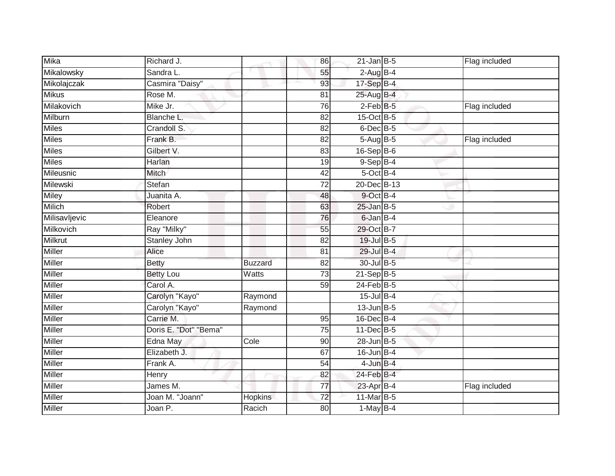| <b>Mika</b>    | Richard J.            |                | 86              | $21$ -Jan $B-5$   | Flag included |
|----------------|-----------------------|----------------|-----------------|-------------------|---------------|
| Mikalowsky     | Sandra L.             |                | 55              | $2-AugB-4$        |               |
| Mikolajczak    | Casmira "Daisy"       |                | 93              | 17-Sep B-4        |               |
| <b>Mikus</b>   | Rose M.               |                | 81              | 25-Aug B-4        |               |
| Milakovich     | Mike Jr.              |                | 76              | $2$ -Feb $B-5$    | Flag included |
| Milburn        | <b>Blanche L</b>      |                | $\overline{82}$ | 15-Oct B-5        |               |
| <b>Miles</b>   | Crandoll S.           |                | 82              | $6$ -Dec $B$ -5   |               |
| <b>Miles</b>   | Frank B.              |                | 82              | 5-Aug B-5         | Flag included |
| <b>Miles</b>   | Gilbert V.            |                | 83              | 16-Sep B-6        |               |
| <b>Miles</b>   | Harlan                |                | 19              | $9-Sep B-4$       |               |
| Mileusnic      | <b>Mitch</b>          |                | 42              | $5$ -Oct $B-4$    |               |
| Milewski       | Stefan                |                | $\overline{72}$ | 20-Dec B-13       |               |
| <b>Miley</b>   | Juanita A.            |                | 48              | 9-Oct B-4         |               |
| <b>Milich</b>  | Robert                |                | 63              | $25$ -Jan B-5     |               |
| Milisavljevic  | Eleanore              |                | 76              | 6-Jan B-4         |               |
| Milkovich      | Ray "Milky"           |                | 55              | 29-Oct B-7        |               |
| <b>Milkrut</b> | <b>Stanley John</b>   |                | $\overline{82}$ | 19-Jul B-5        |               |
| <b>Miller</b>  | Alice                 |                | 81              | $29$ -Jul $B-4$   |               |
| Miller         | <b>Betty</b>          | <b>Buzzard</b> | 82              | 30-Jul B-5        |               |
| <b>Miller</b>  | <b>Betty Lou</b>      | Watts          | $\overline{73}$ | $21-Sep$ B-5      |               |
| <b>Miller</b>  | Carol A.              |                | 59              | $24$ -Feb $ B-5 $ |               |
| <b>Miller</b>  | Carolyn "Kayo"        | Raymond        |                 | $15$ -Jul $B-4$   |               |
| Miller         | Carolyn "Kayo"        | Raymond        |                 | $13$ -Jun $B - 5$ |               |
| <b>Miller</b>  | Carrie M.             |                | 95              | 16-Dec B-4        |               |
| Miller         | Doris E. "Dot" "Bema" |                | 75              | $11 - Dec$ B-5    |               |
| Miller         | Edna May              | Cole           | 90              | $28$ -Jun $B-5$   |               |
| <b>Miller</b>  | Elizabeth J.          |                | 67              | 16-Jun B-4        |               |
| Miller         | Frank A.              |                | 54              | $4$ -Jun $B-4$    |               |
| <b>Miller</b>  | Henry                 |                | 82              | 24-Feb B-4        |               |
| <b>Miller</b>  | James M.              |                | $\overline{77}$ | 23-Apr B-4        | Flag included |
| Miller         | Joan M. "Joann"       | <b>Hopkins</b> | $\overline{72}$ | $11$ -Mar $B-5$   |               |
| <b>Miller</b>  | Joan P.               | Racich         | 80              | $1-May$ B-4       |               |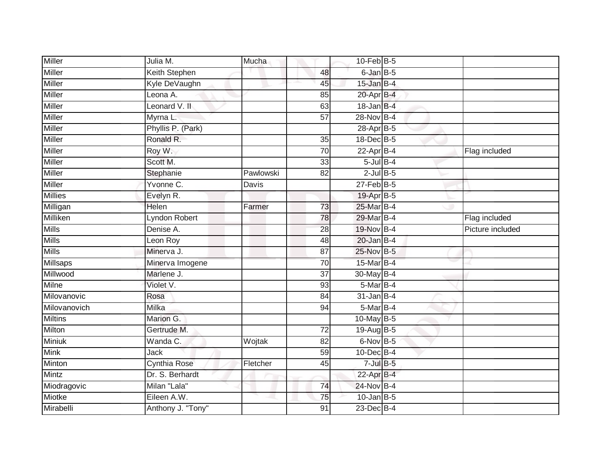| <b>Miller</b>  | Julia M.            | Mucha     |                 | $10$ -Feb $B-5$   |                  |
|----------------|---------------------|-----------|-----------------|-------------------|------------------|
| <b>Miller</b>  | Keith Stephen       |           | 48              | 6-Jan B-5         |                  |
| <b>Miller</b>  | Kyle DeVaughn       |           | 45              | $15$ -Jan B-4     |                  |
| Miller         | Leona A.            |           | 85              | 20-Apr B-4        |                  |
| <b>Miller</b>  | Leonard V. 1        |           | 63              | 18-Jan B-4        |                  |
| Miller         | Myrna L.            |           | 57              | 28-Nov B-4        |                  |
| Miller         | Phyllis P. (Park)   |           |                 | $28-AprB-5$       |                  |
| Miller         | Ronald R.           |           | 35              | 18-Dec B-5        |                  |
| Miller         | Roy W.              |           | $\overline{70}$ | $22-Apr$ B-4      | Flag included    |
| <b>Miller</b>  | Scott M.            |           | 33              | $5$ -Jul $B-4$    |                  |
| <b>Miller</b>  | Stephanie           | Pawlowski | 82              | $2$ -Jul B-5      |                  |
| Miller         | Yvonne C.           | Davis     |                 | $27$ -Feb $B$ -5  |                  |
| <b>Millies</b> | Evelyn R.           |           |                 | 19-Apr B-5        |                  |
| Milligan       | Helen               | Farmer    | 73              | 25-Mar B-4        |                  |
| Milliken       | Lyndon Robert       |           | 78              | 29-Mar B-4        | Flag included    |
| <b>Mills</b>   | Denise A.           |           | 28              | 19-Nov B-4        | Picture included |
| <b>Mills</b>   | Leon Roy            |           | $\overline{48}$ | $20$ -Jan B-4     |                  |
| <b>Mills</b>   | Minerva J.          |           | 87              | 25-Nov B-5        |                  |
| Millsaps       | Minerva Imogene     |           | 70              | $15$ -Mar $B-4$   |                  |
| Millwood       | Marlene J.          |           | $\overline{37}$ | 30-May B-4        |                  |
| Milne          | Violet V.           |           | 93              | $5-Mar$ B-4       |                  |
| Milovanovic    | Rosa                |           | 84              | $31$ -Jan $B-4$   |                  |
| Milovanovich   | Milka               |           | 94              | 5-Mar B-4         |                  |
| <b>Miltins</b> | Marion G.           |           |                 | 10-May B-5        |                  |
| Milton         | Gertrude M.         |           | 72              | 19-Aug B-5        |                  |
| <b>Miniuk</b>  | Wanda C.            | Wojtak    | 82              | $6-Nov$ B-5       |                  |
| <b>Mink</b>    | <b>Jack</b>         |           | 59              | $10$ -Dec $B-4$   |                  |
| Minton         | <b>Cynthia Rose</b> | Fletcher  | 45              | $7$ -Jul $B$ -5   |                  |
| <b>Mintz</b>   | Dr. S. Berhardt     |           |                 | 22-Apr B-4        |                  |
| Miodragovic    | Milan "Lala"        |           | 74              | 24-Nov B-4        |                  |
| Miotke         | Eileen A.W.         |           | 75              | $10$ -Jan $ B-5 $ |                  |
| Mirabelli      | Anthony J. "Tony"   |           | 91              | $23$ -Dec $B-4$   |                  |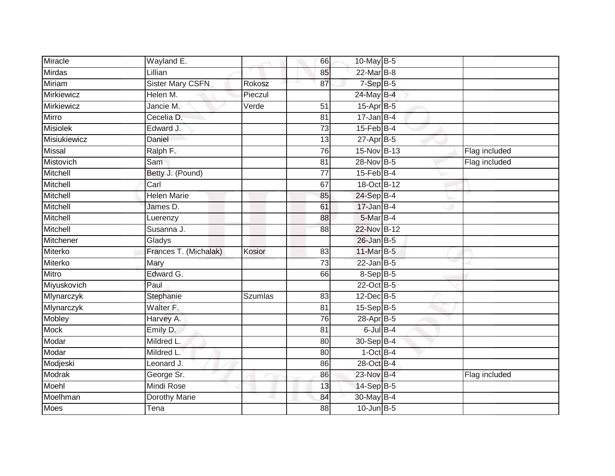| Miracle         | Wayland E.              |                | 66              | 10-May B-5        |               |
|-----------------|-------------------------|----------------|-----------------|-------------------|---------------|
| Mirdas          | Lillian                 |                | 85              | $22$ -Mar $B-8$   |               |
| <b>Miriam</b>   | <b>Sister Mary CSFN</b> | Rokosz         | 87              | $7-Sep$ B-5       |               |
| Mirkiewicz      | Helen M.                | Pieczul        |                 | 24-May B-4        |               |
| Mirkiewicz      | Jancie M.               | Verde          | $\overline{51}$ | 15-Apr B-5        |               |
| Mirro           | Cecelia D.              |                | 81              | $17$ -Jan B-4     |               |
| <b>Misiolek</b> | Edward J.               |                | 73              | $15$ -Feb $B$ -4  |               |
| Misiukiewicz    | Daniel                  |                | 13              | $27$ -Apr $B-5$   |               |
| Missal          | Ralph F.                |                | 76              | 15-Nov B-13       | Flag included |
| Mistovich       | Sam                     |                | 81              | 28-Nov B-5        | Flag included |
| Mitchell        | Betty J. (Pound)        |                | 77              | $15$ -Feb $B$ -4  |               |
| Mitchell        | Carl                    |                | 67              | 18-Oct B-12       |               |
| Mitchell        | <b>Helen Marie</b>      |                | 85              | 24-Sep B-4        |               |
| Mitchell        | James D.                |                | 61              | $17 - Jan$ B-4    |               |
| Mitchell        | Luerenzy                |                | 88              | 5-Mar B-4         |               |
| Mitchell        | Susanna J.              |                | 88              | 22-Nov B-12       |               |
| Mitchener       | Gladys                  |                |                 | $26$ -Jan B-5     |               |
| Miterko         | Frances T. (Michalak)   | Kosior         | 83              | 11-Mar B-5        |               |
| Miterko         | Mary                    |                | 73              | $22$ -Jan $B-5$   |               |
| Mitro           | Edward G.               |                | 66              | $8-Sep$ B-5       |               |
| Miyuskovich     | Paul                    |                |                 | 22-Oct B-5        |               |
| Mlynarczyk      | Stephanie               | <b>Szumlas</b> | 83              | 12-Dec B-5        |               |
| Mlynarczyk      | Walter F.               |                | 81              | 15-Sep B-5        |               |
| Mobley          | Harvey A.               |                | 76              | $28-Apr$ B-5      |               |
| <b>Mock</b>     | Emily D.                |                | 81              | $6$ -Jul $B-4$    |               |
| Modar           | Mildred L.              |                | 80              | 30-Sep B-4        |               |
| Modar           | Mildred L.              |                | 80              | $1-Oct$ B-4       |               |
| Modjeski        | Leonard J.              |                | 86              | 28-Oct B-4        |               |
| Modrak          | George Sr.              |                | 86              | 23-Nov B-4        | Flag included |
| Moehl           | Mindi Rose              |                | 13              | 14-Sep B-5        |               |
| Moelhman        | Dorothy Marie           |                | 84              | 30-May B-4        |               |
| <b>Moes</b>     | Tena                    |                | 88              | $10$ -Jun $B - 5$ |               |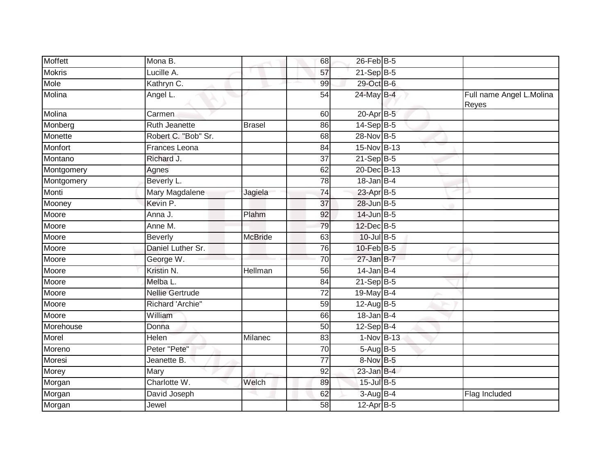| <b>Moffett</b> | Mona B.                |                | 68              | $26$ -Feb $ B-5 $ |                                   |
|----------------|------------------------|----------------|-----------------|-------------------|-----------------------------------|
| <b>Mokris</b>  | Lucille A.             |                | 57              | $21-Sep$ B-5      |                                   |
| Mole           | Kathryn C.             |                | 99              | 29-Oct B-6        |                                   |
| Molina         | Angel L.               |                | 54              | 24-May B-4        | Full name Angel L.Molina<br>Reyes |
| Molina         | Carmen                 |                | 60              | 20-Apr B-5        |                                   |
| Monberg        | <b>Ruth Jeanette</b>   | <b>Brasel</b>  | 86              | 14-Sep B-5        |                                   |
| Monette        | Robert C. "Bob" Sr.    |                | 68              | 28-Nov B-5        |                                   |
| <b>Monfort</b> | <b>Frances Leona</b>   |                | 84              | 15-Nov B-13       |                                   |
| Montano        | Richard J.             |                | 37              | $21-Sep$ B-5      |                                   |
| Montgomery     | Agnes                  |                | 62              | 20-Dec B-13       |                                   |
| Montgomery     | Beverly L.             |                | 78              | $18$ -Jan B-4     |                                   |
| Monti          | Mary Magdalene         | Jagiela        | 74              | 23-Apr B-5        |                                   |
| Mooney         | Kevin P.               |                | $\overline{37}$ | $28 - Jun$ B-5    |                                   |
| Moore          | Anna J.                | Plahm          | 92              | $14$ -Jun $B-5$   |                                   |
| Moore          | Anne M.                |                | 79              | $12$ -Dec $B-5$   |                                   |
| Moore          | <b>Beverly</b>         | <b>McBride</b> | 63              | $10$ -Jul $B-5$   |                                   |
| Moore          | Daniel Luther Sr.      |                | 76              | $10$ -Feb $B-5$   |                                   |
| Moore          | George W.              |                | 70              | $27$ -Jan B-7     |                                   |
| Moore          | Kristin N.             | Hellman        | 56              | $14$ -Jan $B-4$   |                                   |
| Moore          | Melba L.               |                | 84              | $21-Sep$ B-5      |                                   |
| Moore          | <b>Nellie Gertrude</b> |                | 72              | 19-May B-4        |                                   |
| Moore          | Richard 'Archie"       |                | 59              | 12-Aug $B-5$      |                                   |
| Moore          | William                |                | 66              | $18$ -Jan B-4     |                                   |
| Morehouse      | Donna                  |                | 50              | $12-SepB-4$       |                                   |
| Morel          | <b>Helen</b>           | Milanec        | $\overline{83}$ | 1-Nov B-13        |                                   |
| Moreno         | Peter "Pete"           |                | 70              | $5-AugB-5$        |                                   |
| Moresi         | Jeanette B.            |                | $\overline{77}$ | 8-Nov B-5         |                                   |
| Morey          | Mary                   |                | 92              | $23$ -Jan B-4     |                                   |
| Morgan         | Charlotte W.           | Welch          | 89              | 15-Jul B-5        |                                   |
| Morgan         | David Joseph           |                | 62              | 3-Aug B-4         | Flag Included                     |
| Morgan         | Jewel                  |                | 58              | $12-Apr$ B-5      |                                   |
|                |                        |                |                 |                   |                                   |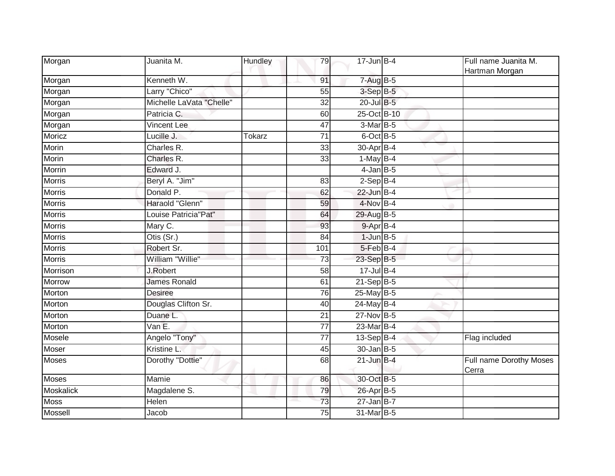| Morgan           | Juanita M.               | Hundley       | 79              | $17 - Jun$ B-4     | Full name Juanita M.<br>Hartman Morgan |
|------------------|--------------------------|---------------|-----------------|--------------------|----------------------------------------|
| Morgan           | Kenneth W.               |               | 91              | $7 - Aug$ B-5      |                                        |
| Morgan           | Larry "Chico"            |               | $\overline{55}$ | 3-Sep B-5          |                                        |
| Morgan           | Michelle LaVata "Chelle" |               | 32              | 20-Jul B-5         |                                        |
| Morgan           | Patricia C.              |               | 60              | 25-Oct B-10        |                                        |
| Morgan           | <b>Vincent Lee</b>       |               | 47              | $3-MarB-5$         |                                        |
| Moricz           | Lucille J.               | <b>Tokarz</b> | $\overline{71}$ | 6-Oct B-5          |                                        |
| Morin            | Charles R.               |               | 33              | 30-Apr B-4         |                                        |
| Morin            | Charles R.               |               | 33              | 1-May $B-4$        |                                        |
| Morrin           | Edward J.                |               |                 | $4$ -Jan B-5       |                                        |
| <b>Morris</b>    | Beryl A. "Jim"           |               | 83              | $2-$ Sep $B-4$     |                                        |
| <b>Morris</b>    | Donald P.                |               | 62              | $22$ -Jun $B-4$    |                                        |
| <b>Morris</b>    | Haraold "Glenn"          |               | 59              | $4$ -Nov B-4       |                                        |
| <b>Morris</b>    | Louise Patricia"Pat"     |               | 64              | 29-Aug B-5         |                                        |
| <b>Morris</b>    | Mary C.                  |               | 93              | $9 - Apr$ $B-4$    |                                        |
| <b>Morris</b>    | Otis (Sr.)               |               | 84              | $1$ -Jun $B$ -5    |                                        |
| <b>Morris</b>    | Robert Sr.               |               | 101             | 5-Feb B-4          |                                        |
| <b>Morris</b>    | William "Willie"         |               | 73              | 23-Sep B-5         |                                        |
| Morrison         | J.Robert                 |               | 58              | $17 -$ Jul $B - 4$ |                                        |
| <b>Morrow</b>    | <b>James Ronald</b>      |               | 61              | $21-SepB-5$        |                                        |
| Morton           | <b>Desiree</b>           |               | 76              | 25-May B-5         |                                        |
| Morton           | Douglas Clifton Sr.      |               | 40              | 24-May B-4         |                                        |
| Morton           | Duane L.                 |               | 21              | 27-Nov B-5         |                                        |
| Morton           | Van E.                   |               | 77              | 23-Mar B-4         |                                        |
| <b>Mosele</b>    | Angelo "Tony"            |               | $\overline{77}$ | 13-Sep B-4         | Flag included                          |
| Moser            | Kristine L.              |               | 45              | $30$ -Jan B-5      |                                        |
| <b>Moses</b>     | Dorothy "Dottie"         |               | 68              | $21$ -Jun B-4      | Full name Dorothy Moses<br>Cerra       |
| <b>Moses</b>     | Mamie                    |               | 86              | 30-Oct B-5         |                                        |
| <b>Moskalick</b> | Magdalene S.             |               | 79              | 26-Apr B-5         |                                        |
| <b>Moss</b>      | Helen                    |               | 73              | $27 - Jan$ B-7     |                                        |
| Mossell          | Jacob                    |               | $\overline{75}$ | $31$ -Mar $ B-5 $  |                                        |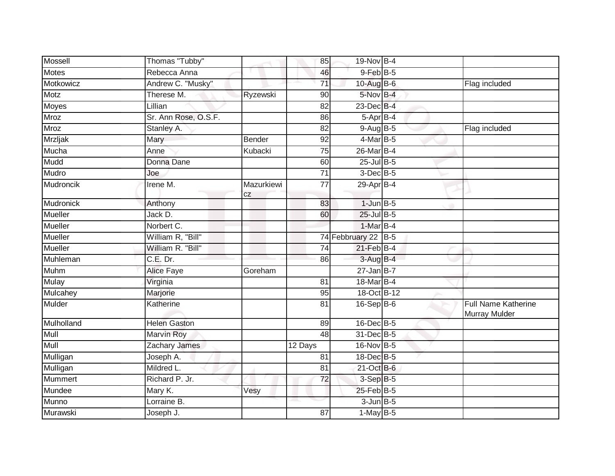| Mossell        | Thomas "Tubby"       |                  | 85              | $19-NovB-4$         |                                             |
|----------------|----------------------|------------------|-----------------|---------------------|---------------------------------------------|
| <b>Motes</b>   | Rebecca Anna         |                  | 46              | 9-Feb B-5           |                                             |
| Motkowicz      | Andrew C. "Musky"    |                  | $\overline{71}$ | 10-Aug $B-6$        | Flag included                               |
| Motz           | Therese M.           | Ryzewski         | 90              | 5-Nov B-4           |                                             |
| <b>Moyes</b>   | <b>Lillian</b>       |                  | $\overline{82}$ | 23-Dec B-4          |                                             |
| <b>Mroz</b>    | Sr. Ann Rose, O.S.F. |                  | 86              | $5-AprB-4$          |                                             |
| Mroz           | Stanley A.           |                  | 82              | $9-AugB-5$          | Flag included                               |
| <b>Mrzljak</b> | Mary                 | <b>Bender</b>    | 92              | $4$ -Mar B-5        |                                             |
| Mucha          | Anne                 | Kubacki          | 75              | 26-Mar B-4          |                                             |
| Mudd           | Donna Dane           |                  | 60              | $25$ -Jul $B-5$     |                                             |
| Mudro          | Joe                  |                  | $\overline{71}$ | $3$ -Dec $B$ -5     |                                             |
| Mudroncik      | Irene M.             | Mazurkiewi<br>CZ | 77              | 29-Apr B-4          |                                             |
| Mudronick      | Anthony              |                  | 83              | $1$ -Jun $B$ -5     |                                             |
| <b>Mueller</b> | Jack D.              |                  | 60              | $25$ -Jul B-5       |                                             |
| <b>Mueller</b> | Norbert C.           |                  |                 | $1-MarB-4$          |                                             |
| Mueller        | William R, "Bill"    |                  |                 | 74 Febbruary 22 B-5 |                                             |
| <b>Mueller</b> | William R. "Bill"    |                  | $\overline{74}$ | $21$ -Feb $B-4$     |                                             |
| Muhleman       | C.E. Dr.             |                  | 86              | $3-AugB-4$          |                                             |
| <b>Muhm</b>    | <b>Alice Faye</b>    | Goreham          |                 | $27$ -Jan B-7       |                                             |
| <b>Mulay</b>   | Virginia             |                  | $\overline{81}$ | 18-Mar B-4          |                                             |
| Mulcahey       | Marjorie             |                  | 95              | 18-Oct B-12         |                                             |
| Mulder         | Katherine            |                  | 81              | $16-SepB-6$         | Full Name Katherine<br><b>Murray Mulder</b> |
| Mulholland     | <b>Helen Gaston</b>  |                  | 89              | 16-Dec B-5          |                                             |
| Mull           | <b>Marvin Roy</b>    |                  | $\overline{48}$ | 31-Dec B-5          |                                             |
| Mull           | Zachary James        |                  | 12 Days         | 16-Nov B-5          |                                             |
| Mulligan       | Joseph A.            |                  | 81              | 18-Dec B-5          |                                             |
| Mulligan       | Mildred L.           |                  | 81              | 21-Oct B-6          |                                             |
| <b>Mummert</b> | Richard P. Jr.       |                  | 72              | 3-Sep B-5           |                                             |
| Mundee         | Mary K.              | Vesy             |                 | $25$ -Feb $ B-5 $   |                                             |
| Munno          | Lorraine B.          |                  |                 | $3$ -Jun $B$ -5     |                                             |
| Murawski       | Joseph J.            |                  | 87              | $1-May$ B-5         |                                             |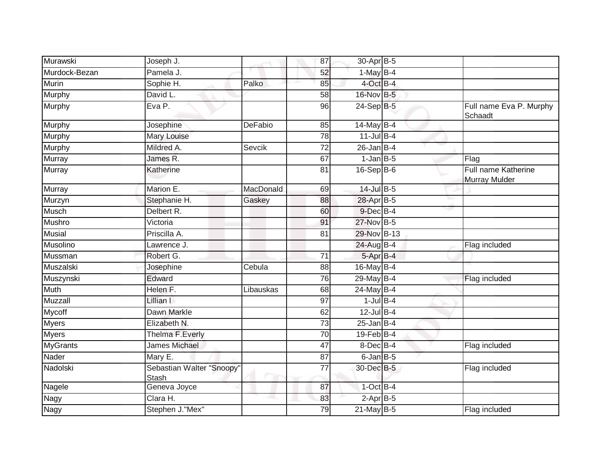| Murawski        | Joseph J.                          |                | 87              | 30-Apr B-5       |                                             |
|-----------------|------------------------------------|----------------|-----------------|------------------|---------------------------------------------|
| Murdock-Bezan   | Pamela J.                          |                | 52              | $1-May$ B-4      |                                             |
| <b>Murin</b>    | Sophie H.                          | Palko          | 85              | 4-Oct B-4        |                                             |
| Murphy          | David L.                           |                | $\overline{58}$ | 16-Nov B-5       |                                             |
| <b>Murphy</b>   | Eva P.                             |                | 96              | 24-Sep B-5       | Full name Eva P. Murphy<br>Schaadt          |
| Murphy          | Josephine                          | <b>DeFabio</b> | 85              | $14$ -May B-4    |                                             |
| Murphy          | <b>Mary Louise</b>                 |                | 78              | $11$ -Jul B-4    |                                             |
| Murphy          | Mildred A.                         | Sevcik         | $\overline{72}$ | $26$ -Jan B-4    |                                             |
| Murray          | James R.                           |                | 67              | $1-JanB-5$       | Flag                                        |
| Murray          | Katherine                          |                | 81              | $16-Sep$ B-6     | Full name Katherine<br><b>Murray Mulder</b> |
| Murray          | Marion E.                          | MacDonald      | 69              | 14-Jul B-5       |                                             |
| Murzyn          | Stephanie H.                       | Gaskey         | 88              | 28-Apr B-5       |                                             |
| <b>Musch</b>    | Delbert R.                         |                | 60              | $9$ -Dec $B$ -4  |                                             |
| Mushro          | Victoria                           |                | 91              | 27-Nov B-5       |                                             |
| <b>Musial</b>   | Priscilla A.                       |                | 81              | 29-Nov B-13      |                                             |
| Musolino        | Lawrence J.                        |                |                 | 24-Aug B-4       | Flag included                               |
| Mussman         | Robert G.                          |                | 71              | 5-Apr B-4        |                                             |
| Muszalski       | Josephine                          | Cebula         | 88              | 16-May B-4       |                                             |
| Muszynski       | Edward                             |                | 76              | 29-May B-4       | Flag included                               |
| <b>Muth</b>     | Helen F.                           | Libauskas      | 68              | 24-May B-4       |                                             |
| Muzzall         | Lillian I                          |                | 97              | $1$ -Jul B-4     |                                             |
| Mycoff          | Dawn Markle                        |                | 62              | $12$ -Jul B-4    |                                             |
| Myers           | Elizabeth N.                       |                | 73              | $25$ -Jan B-4    |                                             |
| <b>Myers</b>    | Thelma F.Everly                    |                | 70              | $19$ -Feb $B$ -4 |                                             |
| <b>MyGrants</b> | James Michael                      |                | 47              | $8$ -Dec $B$ -4  | Flag included                               |
| Nader           | Mary E.                            |                | 87              | $6$ -Jan $B-5$   |                                             |
| Nadolski        | Sebastian Walter "Snoopy"<br>Stash |                | 77              | 30-Dec B-5       | Flag included                               |
| Nagele          | Geneva Joyce                       |                | 87              | $1-Oct$ B-4      |                                             |
| Nagy            | Clara H.                           |                | 83              | $2-Apr$ B-5      |                                             |
| Nagy            | Stephen J."Mex"                    |                | 79              | $21$ -May B-5    | Flag included                               |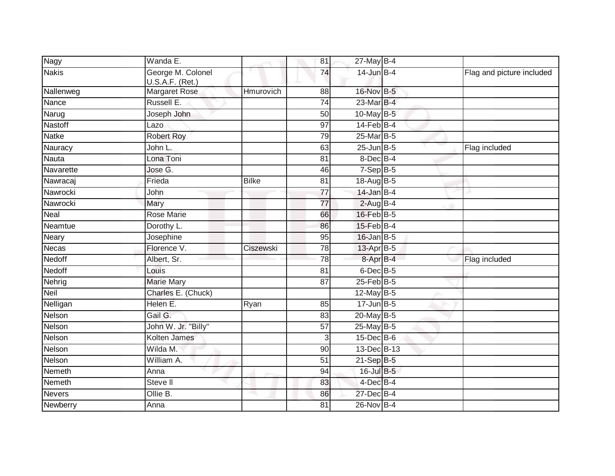| <b>Nagy</b>   | Wanda E.                             |              | 81              | 27-May B-4        |                           |
|---------------|--------------------------------------|--------------|-----------------|-------------------|---------------------------|
| <b>Nakis</b>  | George M. Colonel<br>U.S.A.F. (Ret.) |              | 74              | $14$ -Jun $B-4$   | Flag and picture included |
| Nallenweg     | <b>Margaret Rose</b>                 | Hmurovich    | 88              | 16-Nov B-5        |                           |
| Nance         | Russell E.                           |              | 74              | 23-Mar B-4        |                           |
| Narug         | Joseph John                          |              | 50              | 10-May B-5        |                           |
| Nastoff       | Lazo                                 |              | 97              | $14$ -Feb $B$ -4  |                           |
| Natke         | <b>Robert Roy</b>                    |              | 79              | 25-Mar B-5        |                           |
| Nauracy       | John L.                              |              | 63              | $25$ -Jun $B-5$   | Flag included             |
| Nauta         | Lona Toni                            |              | 81              | 8-Dec B-4         |                           |
| Navarette     | Jose G.                              |              | 46              | $7-Sep B-5$       |                           |
| Nawracaj      | Frieda                               | <b>Bilke</b> | 81              | 18-Aug B-5        |                           |
| Nawrocki      | John                                 |              | $\overline{77}$ | $14$ -Jan B-4     |                           |
| Nawrocki      | Mary                                 |              | $\overline{77}$ | $2-AugB-4$        |                           |
| Neal          | <b>Rose Marie</b>                    |              | 66              | $16$ -Feb $B$ -5  |                           |
| Neamtue       | Dorothy L.                           |              | 86              | $15$ -Feb $ B-4 $ |                           |
| Neary         | Josephine                            |              | 95              | $16$ -Jan B-5     |                           |
| Necas         | Florence V.                          | Ciszewski    | 78              | 13-Apr B-5        |                           |
| Nedoff        | Albert, Sr.                          |              | 78              | $8 - AprB - 4$    | Flag included             |
| Nedoff        | Louis                                |              | 81              | $6$ -Dec $B$ -5   |                           |
| Nehrig        | <b>Marie Mary</b>                    |              | 87              | $25$ -Feb $B$ -5  |                           |
| Neil          | Charles E. (Chuck)                   |              |                 | 12-May B-5        |                           |
| Nelligan      | Helen E.                             | Ryan         | 85              | $17$ -Jun $B-5$   |                           |
| Nelson        | Gail G.                              |              | 83              | $20$ -May B-5     |                           |
| Nelson        | John W. Jr. "Billy"                  |              | 57              | 25-May B-5        |                           |
| Nelson        | Kolten James                         |              | 3               | $15$ -Dec $B$ -6  |                           |
| Nelson        | Wilda M.                             |              | 90              | 13-Dec B-13       |                           |
| Nelson        | William A.                           |              | 51              | $21$ -Sep B-5     |                           |
| Nemeth        | Anna                                 |              | 94              | $16$ -Jul B-5     |                           |
| Nemeth        | Steve II                             |              | 83              | 4-Dec B-4         |                           |
| <b>Nevers</b> | Ollie B.                             |              | 86              | 27-Dec B-4        |                           |
| Newberry      | Anna                                 |              | 81              | 26-Nov B-4        |                           |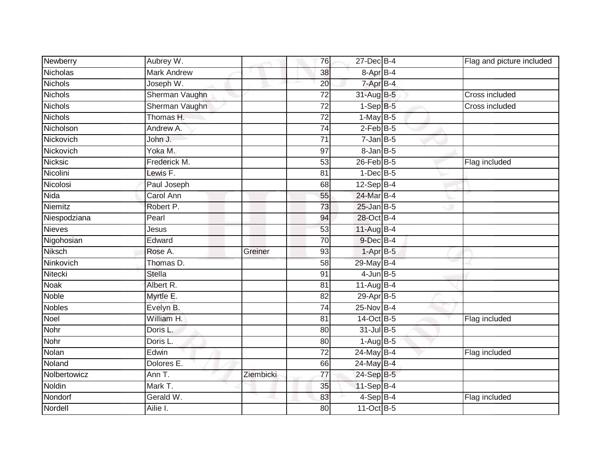| Newberry       | Aubrey W.          |           | 76              | 27-Dec B-4        | Flag and picture included |
|----------------|--------------------|-----------|-----------------|-------------------|---------------------------|
| Nicholas       | <b>Mark Andrew</b> |           | 38              | 8-Apr B-4         |                           |
| <b>Nichols</b> | Joseph W.          |           | 20              | 7-Apr B-4         |                           |
| Nichols        | Sherman Vaughn     |           | $\overline{72}$ | 31-Aug B-5        | Cross included            |
| <b>Nichols</b> | Sherman Vaughn     |           | $\overline{72}$ | $1-SepB-5$        | Cross included            |
| <b>Nichols</b> | Thomas H.          |           | 72              | $1-MayB-5$        |                           |
| Nicholson      | Andrew A.          |           | 74              | $2$ -Feb $B$ -5   |                           |
| Nickovich      | John J.            |           | $\overline{71}$ | $7 - Jan$ B-5     |                           |
| Nickovich      | Yoka M.            |           | $\overline{97}$ | $8$ -Jan $B$ -5   |                           |
| Nicksic        | Frederick M.       |           | 53              | $26$ -Feb $ B-5 $ | Flag included             |
| Nicolini       | Lewis F.           |           | 81              | $1-Dec$ B-5       |                           |
| Nicolosi       | Paul Joseph        |           | 68              | $12-Sep$ B-4      |                           |
| Nida           | <b>Carol Ann</b>   |           | 55              | 24-Mar B-4        |                           |
| Niemitz        | Robert P.          |           | 73              | $25$ -Jan B-5     |                           |
| Niespodziana   | Pearl              |           | 94              | 28-Oct B-4        |                           |
| <b>Nieves</b>  | Jesus              |           | 53              | 11-Aug B-4        |                           |
| Nigohosian     | Edward             |           | 70              | $9$ -Dec $B$ -4   |                           |
| Niksch         | Rose A.            | Greiner   | 93              | $1-AprB-5$        |                           |
| Ninkovich      | Thomas D.          |           | 58              | 29-May B-4        |                           |
| Nitecki        | <b>Stella</b>      |           | $\overline{91}$ | $4$ -Jun $B$ -5   |                           |
| <b>Noak</b>    | Albert R.          |           | 81              | $11-Auq$ B-4      |                           |
| <b>Noble</b>   | Myrtle E.          |           | $\overline{82}$ | $29-Apr$ B-5      |                           |
| <b>Nobles</b>  | Evelyn B.          |           | 74              | 25-Nov B-4        |                           |
| Noel           | William H.         |           | 81              | 14-Oct B-5        | Flag included             |
| <b>Nohr</b>    | Doris L.           |           | 80              | $31$ -Jul B-5     |                           |
| Nohr           | Doris L.           |           | 80              | $1-AugB-5$        |                           |
| Nolan          | Edwin              |           | $\overline{72}$ | 24-May B-4        | Flag included             |
| Noland         | Dolores E.         |           | 66              | 24-May B-4        |                           |
| Nolbertowicz   | Ann T.             | Ziembicki | 77              | 24-Sep B-5        |                           |
| Noldin         | Mark T.            |           | 35              | $11-Sep$ B-4      |                           |
| Nondorf        | Gerald W.          |           | 83              | $4-Sep B-4$       | Flag included             |
| Nordell        | Ailie I.           |           | 80              | 11-Oct B-5        |                           |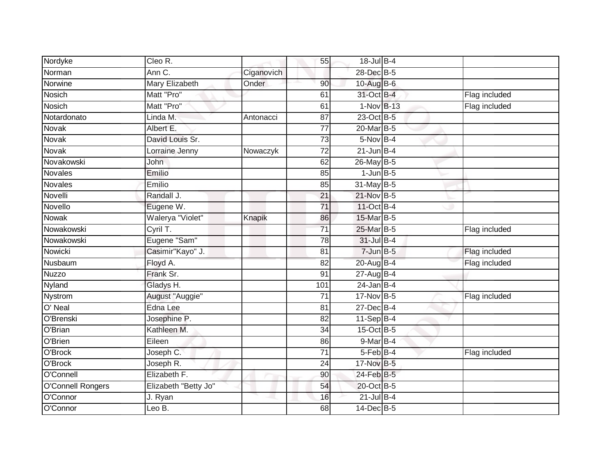| Nordyke           | Cleo R.              |            | 55              | $18$ -Jul B-4    |               |
|-------------------|----------------------|------------|-----------------|------------------|---------------|
| Norman            | Ann $\overline{C}$ . | Ciganovich |                 | 28-Dec B-5       |               |
| Norwine           | Mary Elizabeth       | Onder      | 90              | 10-Aug $B-6$     |               |
| Nosich            | Matt "Pro"           |            | 61              | 31-Oct B-4       | Flag included |
| Nosich            | Matt "Pro"           |            | 61              | 1-Nov B-13       | Flag included |
| Notardonato       | Linda M.             | Antonacci  | 87              | 23-Oct B-5       |               |
| Novak             | Albert E.            |            | 77              | 20-Mar B-5       |               |
| Novak             | David Louis Sr.      |            | $\overline{73}$ | $5-Nov$ B-4      |               |
| Novak             | Lorraine Jenny       | Nowaczyk   | $\overline{72}$ | $21$ -Jun $B-4$  |               |
| Novakowski        | John                 |            | 62              | $26$ -May B-5    |               |
| Novales           | Emilio               |            | 85              | $1$ -Jun $B$ -5  |               |
| Novales           | Emilio               |            | $\overline{85}$ | $31$ -May B-5    |               |
| Novelli           | Randall J.           |            | 21              | 21-Nov B-5       |               |
| Novello           | Eugene W.            |            | $\overline{71}$ | 11-Oct B-4       |               |
| <b>Nowak</b>      | Walerya "Violet"     | Knapik     | 86              | 15-Mar B-5       |               |
| Nowakowski        | Cyril T.             |            | 71              | 25-Mar B-5       | Flag included |
| Nowakowski        | Eugene "Sam"         |            | $\overline{78}$ | $31$ -Jul B-4    |               |
| Nowicki           | Casimir"Kayo" J.     |            | 81              | $7 - Jun$ B-5    | Flag included |
| Nusbaum           | Floyd A.             |            | 82              | $20$ -Aug $B-4$  | Flag included |
| <b>Nuzzo</b>      | Frank Sr.            |            | $\overline{91}$ | 27-Aug B-4       |               |
| Nyland            | Gladys H.            |            | 101             | $24$ -Jan B-4    |               |
| Nystrom           | August "Auggie"      |            | $\overline{71}$ | 17-Nov B-5       | Flag included |
| O' Neal           | Edna Lee             |            | 81              | $27 - Dec$ $B-4$ |               |
| O'Brenski         | Josephine P.         |            | 82              | $11-Sep$ B-4     |               |
| O'Brian           | Kathleen M.          |            | 34              | 15-Oct B-5       |               |
| O'Brien           | Eileen               |            | 86              | 9-Mar B-4        |               |
| O'Brock           | Joseph C.            |            | $\overline{71}$ | $5$ -Feb $B$ -4  | Flag included |
| O'Brock           | Joseph R.            |            | 24              | 17-Nov B-5       |               |
| O'Connell         | Elizabeth F.         |            | 90              | 24-Feb B-5       |               |
| O'Connell Rongers | Elizabeth "Betty Jo" |            | 54              | 20-Oct B-5       |               |
| O'Connor          | J. Ryan              |            | 16              | $21$ -Jul B-4    |               |
| O'Connor          | Leo B.               |            | 68              | 14-Dec B-5       |               |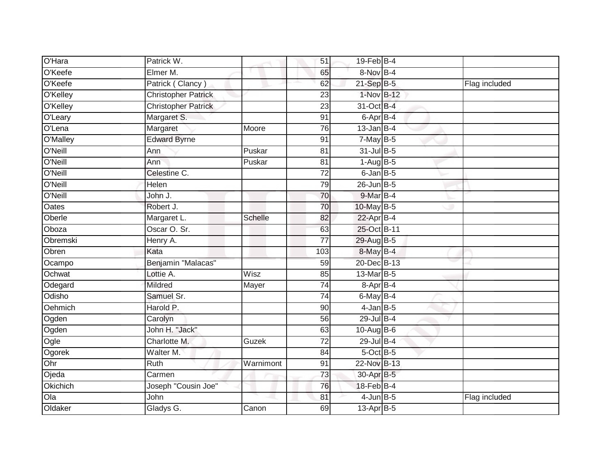| O'Hara   | Patrick W.                 |                | 51              | $19$ -Feb $B$ -4  |               |
|----------|----------------------------|----------------|-----------------|-------------------|---------------|
| O'Keefe  | Elmer M.                   |                | 65              | 8-Nov B-4         |               |
| O'Keefe  | Patrick (Clancy)           |                | 62              | $21-Sep$ B-5      | Flag included |
| O'Kelley | <b>Christopher Patrick</b> |                | $\overline{23}$ | 1-Nov B-12        |               |
| O'Kelley | <b>Christopher Patrick</b> |                | $\overline{23}$ | 31-Oct B-4        |               |
| O'Leary  | Margaret S.                |                | 91              | $6 -$ Apr $B - 4$ |               |
| O'Lena   | Margaret                   | Moore          | 76              | $13$ -Jan $B-4$   |               |
| O'Malley | <b>Edward Byrne</b>        |                | 91              | $7$ -May $B-5$    |               |
| O'Neill  | Ann                        | Puskar         | 81              | 31-Jul B-5        |               |
| O'Neill  | Ann                        | Puskar         | $\overline{81}$ | $1-Aug$ B-5       |               |
| O'Neill  | Celestine C.               |                | $\overline{72}$ | $6$ -Jan $B$ -5   |               |
| O'Neill  | Helen                      |                | 79              | $26$ -Jun $B-5$   |               |
| O'Neill  | John J.                    |                | 70              | $9$ -Mar $B$ -4   |               |
| Oates    | Robert J.                  |                | 70              | 10-May B-5        |               |
| Oberle   | Margaret L.                | <b>Schelle</b> | 82              | $22$ -Apr $B-4$   |               |
| Oboza    | Oscar O. Sr.               |                | 63              | 25-Oct B-11       |               |
| Obremski | Henry A.                   |                | $\overline{77}$ | 29-Aug B-5        |               |
| Obren    | Kata                       |                | 103             | $8$ -May B-4      |               |
| Ocampo   | Benjamin "Malacas"         |                | 59              | 20-Dec B-13       |               |
| Ochwat   | Lottie A.                  | Wisz           | $\overline{85}$ | 13-Mar B-5        |               |
| Odegard  | Mildred                    | Mayer          | 74              | $8-Apr$ B-4       |               |
| Odisho   | Samuel Sr.                 |                | 74              | 6-May B-4         |               |
| Oehmich  | Harold P.                  |                | 90              | $4$ -Jan B-5      |               |
| Ogden    | Carolyn                    |                | 56              | $29$ -Jul B-4     |               |
| Ogden    | John H. "Jack"             |                | 63              | $10-Auq$ B-6      |               |
| Ogle     | Charlotte M.               | Guzek          | $\overline{72}$ | $29$ -Jul $B-4$   |               |
| Ogorek   | Walter M.                  |                | 84              | $5$ -Oct $B$ -5   |               |
| Ohr      | Ruth                       | Warnimont      | 91              | 22-Nov B-13       |               |
| Ojeda    | Carmen                     |                | 73              | 30-Apr B-5        |               |
| Okichich | Joseph "Cousin Joe"        |                | 76              | $18$ -Feb $B-4$   |               |
| Ola      | John                       |                | 81              | $4$ -Jun $B$ -5   | Flag included |
| Oldaker  | Gladys G.                  | Canon          | 69              | 13-Apr B-5        |               |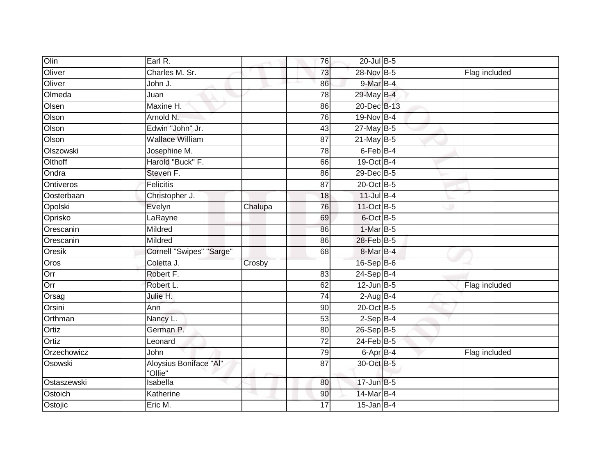| Olin        | Earl R.                           |         | 76              | $20$ -Jul B-5     |               |
|-------------|-----------------------------------|---------|-----------------|-------------------|---------------|
| Oliver      | Charles M. Sr.                    |         | 73              | 28-Nov B-5        | Flag included |
| Oliver      | John J.                           |         | 86              | 9-Mar B-4         |               |
| Olmeda      | Juan                              |         | $\overline{78}$ | 29-May B-4        |               |
| Olsen       | Maxine H.                         |         | 86              | 20-Dec B-13       |               |
| Olson       | Arnold N.                         |         | $\overline{76}$ | 19-Nov B-4        |               |
| Olson       | Edwin "John" Jr.                  |         | 43              | $27$ -May B-5     |               |
| Olson       | <b>Wallace William</b>            |         | 87              | $21$ -May B-5     |               |
| Olszowski   | Josephine M.                      |         | $\overline{78}$ | 6-Feb B-4         |               |
| Olthoff     | Harold "Buck" F.                  |         | 66              | $19-Oct$ B-4      |               |
| Ondra       | Steven F.                         |         | 86              | 29-Dec B-5        |               |
| Ontiveros   | Felicitis                         |         | 87              | 20-Oct B-5        |               |
| Oosterbaan  | Christopher J.                    |         | 18              | $11$ -Jul $B-4$   |               |
| Opolski     | Evelyn                            | Chalupa | 76              | 11-Oct B-5        |               |
| Oprisko     | LaRayne                           |         | 69              | $6$ -Oct $B$ -5   |               |
| Orescanin   | Mildred                           |         | 86              | $1-MarB-5$        |               |
| Orescanin   | Mildred                           |         | 86              | $28$ -Feb $ B-5 $ |               |
| Oresik      | Cornell "Swipes" "Sarge"          |         | 68              | 8-Mar B-4         |               |
| Oros        | Coletta J.                        | Crosby  |                 | 16-Sep B-6        |               |
| Orr         | Robert F.                         |         | 83              | 24-Sep B-4        |               |
| Orr         | Robert L.                         |         | 62              | $12$ -Jun $B-5$   | Flag included |
| Orsag       | Julie H.                          |         | $\overline{74}$ | $2-Aug$ B-4       |               |
| Orsini      | Ann                               |         | 90              | $20$ -Oct $B-5$   |               |
| Orthman     | Nancy L.                          |         | 53              | $2-Sep$ B-4       |               |
| Ortiz       | German P.                         |         | 80              | 26-Sep B-5        |               |
| Ortiz       | Leonard                           |         | $\overline{72}$ | $24$ -Feb $B-5$   |               |
| Orzechowicz | John                              |         | 79              | 6-Apr B-4         | Flag included |
| Osowski     | Aloysius Boniface "Al"<br>"Ollie" |         | 87              | 30-Oct B-5        |               |
| Ostaszewski | Isabella                          |         | 80              | 17-Jun B-5        |               |
| Ostoich     | Katherine                         |         | 90              | 14-Mar B-4        |               |
| Ostojic     | Eric M.                           |         | 17              | $15$ -Jan B-4     |               |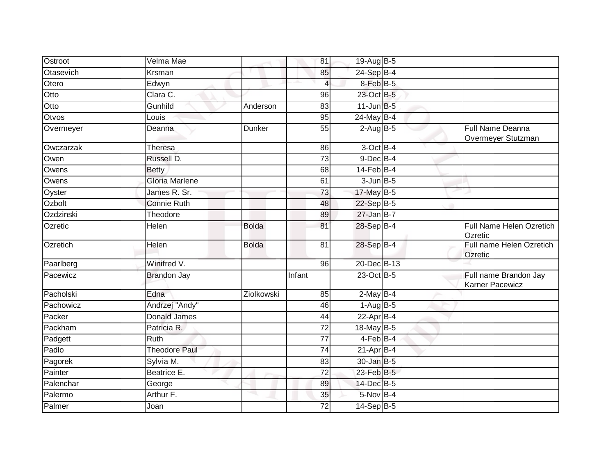| Ostroot   | Velma Mae             |              | 81              | 19-Aug B-5       |                                          |
|-----------|-----------------------|--------------|-----------------|------------------|------------------------------------------|
| Otasevich | Krsman                |              | 85              | $24-Sep$ B-4     |                                          |
| Otero     | Edwyn                 |              | 4               | 8-Feb B-5        |                                          |
| Otto      | Clara C.              |              | 96              | 23-Oct B-5       |                                          |
| Otto      | Gunhild               | Anderson     | 83              | $11$ -Jun $B-5$  |                                          |
| Otvos     | Louis                 |              | 95              | 24-May B-4       |                                          |
| Overmeyer | Deanna                | Dunker       | 55              | $2$ -Aug B-5     | Full Name Deanna<br>Overmeyer Stutzman   |
| Owczarzak | Theresa               |              | 86              | $3$ -Oct $B-4$   |                                          |
| Owen      | Russell D.            |              | 73              | $9$ -Dec $B$ -4  |                                          |
| Owens     | <b>Betty</b>          |              | 68              | $14$ -Feb $B$ -4 |                                          |
| Owens     | <b>Gloria Marlene</b> |              | 61              | $3$ -Jun $B$ -5  |                                          |
| Oyster    | James R. Sr.          |              | $\overline{73}$ | 17-May B-5       |                                          |
| Ozbolt    | <b>Connie Ruth</b>    |              | 48              | $22-Sep$ B-5     |                                          |
| Ozdzinski | Theodore              |              | 89              | $27$ -Jan B-7    |                                          |
| Ozretic   | <b>Helen</b>          | <b>Bolda</b> | 81              | 28-Sep B-4       | Full Name Helen Ozretich<br>Ozretic      |
| Ozretich  | Helen                 | <b>Bolda</b> | 81              | 28-Sep B-4       | Full name Helen Ozretich<br>Ozretic      |
| Paarlberg | Winifred V.           |              | 96              | 20-Dec B-13      |                                          |
| Pacewicz  | <b>Brandon Jay</b>    |              | Infant          | $23-Oct$ B-5     | Full name Brandon Jay<br>Karner Pacewicz |
| Pacholski | Edna                  | Ziolkowski   | 85              | $2-May$ B-4      |                                          |
| Pachowicz | Andrzej "Andy"        |              | 46              | $1-Aug$ B-5      |                                          |
| Packer    | <b>Donald James</b>   |              | 44              | $22$ -Apr $B-4$  |                                          |
| Packham   | Patricia R.           |              | $\overline{72}$ | 18-May B-5       |                                          |
| Padgett   | Ruth                  |              | $\overline{77}$ | $4$ -Feb $B$ -4  |                                          |
| Padlo     | <b>Theodore Paul</b>  |              | 74              | $21-Apr$ B-4     |                                          |
| Pagorek   | Sylvia M.             |              | 83              | 30-Jan B-5       |                                          |
| Painter   | Beatrice E.           |              | 72              | 23-Feb B-5       |                                          |
| Palenchar | George                |              | 89              | 14-Dec B-5       |                                          |
| Palermo   | Arthur F.             |              | 35              | $5-NovB-4$       |                                          |
| Palmer    | Joan                  |              | 72              | $14-Sep B-5$     |                                          |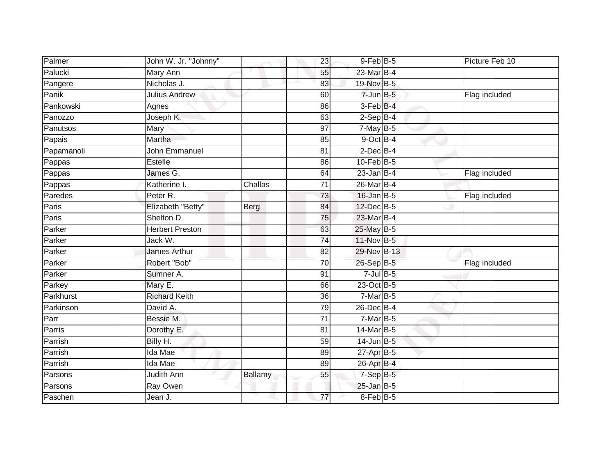| Palmer     | John W. Jr. "Johnny"   |                | 23              | $9$ -Feb $B$ -5 | Picture Feb 10 |
|------------|------------------------|----------------|-----------------|-----------------|----------------|
| Palucki    | Mary Ann               |                | 55              | 23-Mar B-4      |                |
| Pangere    | Nicholas J.            |                | 83              | 19-Nov B-5      |                |
| Panik      | <b>Julius Andrew</b>   |                | 60              | $7 - Jun$ B-5   | Flag included  |
| Pankowski  | Agnes                  |                | 86              | 3-Feb B-4       |                |
| Panozzo    | Joseph K.              |                | 63              | $2-Sep B-4$     |                |
| Panutsos   | Mary                   |                | 97              | $7$ -May $B-5$  |                |
| Papais     | Martha                 |                | 85              | $9$ -Oct $B-4$  |                |
| Papamanoli | John Emmanuel          |                | 81              | $2$ -Dec $B-4$  |                |
| Pappas     | <b>Estelle</b>         |                | 86              | $10$ -Feb $B-5$ |                |
| Pappas     | James G.               |                | 64              | $23$ -Jan B-4   | Flag included  |
| Pappas     | Katherine I.           | Challas        | $\overline{71}$ | 26-Mar B-4      |                |
| Paredes    | Peter R.               |                | 73              | $16$ -Jan B-5   | Flag included  |
| Paris      | Elizabeth "Betty"      | <b>Berg</b>    | 84              | 12-Dec B-5      |                |
| Paris      | Shelton D.             |                | 75              | 23-Mar B-4      |                |
| Parker     | <b>Herbert Preston</b> |                | 63              | 25-May B-5      |                |
| Parker     | Jack W.                |                | $\overline{74}$ | 11-Nov B-5      |                |
| Parker     | <b>James Arthur</b>    |                | 82              | 29-Nov B-13     |                |
| Parker     | Robert "Bob"           |                | 70              | 26-Sep B-5      | Flag included  |
| Parker     | Sumner A.              |                | 91              | $7$ -Jul B-5    |                |
| Parkey     | Mary E.                |                | 66              | 23-Oct B-5      |                |
| Parkhurst  | <b>Richard Keith</b>   |                | $\overline{36}$ | $7-MarB-5$      |                |
| Parkinson  | David A.               |                | 79              | 26-Dec B-4      |                |
| Parr       | Bessie M.              |                | $\overline{71}$ | $7-Mar$ B-5     |                |
| Parris     | Dorothy E.             |                | 81              | $14$ -Mar $B-5$ |                |
| Parrish    | Billy H.               |                | 59              | $14$ -Jun $B-5$ |                |
| Parrish    | Ida Mae                |                | 89              | 27-Apr B-5      |                |
| Parrish    | Ida Mae                |                | 89              | 26-Apr B-4      |                |
| Parsons    | Judith Ann             | <b>Ballamy</b> | 55              | $7-Sep$ B-5     |                |
| Parsons    | Ray Owen               |                |                 | $25$ -Jan B-5   |                |
| Paschen    | Jean J.                |                | 77              | 8-Feb B-5       |                |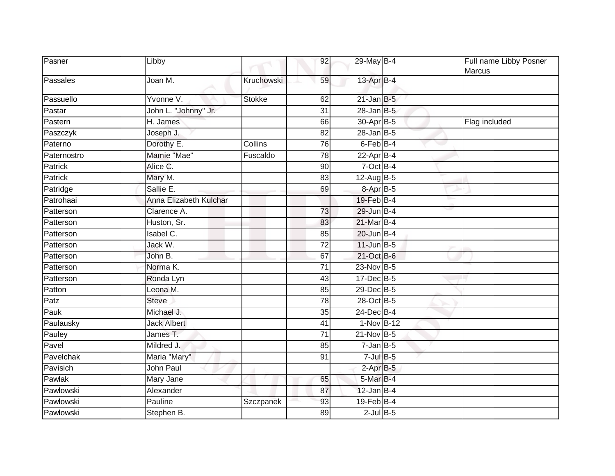| Pasner      | Libby                  |               | 92              | 29-May B-4            | Full name Libby Posner<br><b>Marcus</b> |
|-------------|------------------------|---------------|-----------------|-----------------------|-----------------------------------------|
| Passales    | Joan M.                | Kruchowski    | 59              | 13-Apr B-4            |                                         |
| Passuello   | Yvonne V.              | <b>Stokke</b> | 62              | $21$ -Jan $B-5$       |                                         |
| Pastar      | John L. "Johnny" Jr.   |               | 31              | $28$ -Jan $B-5$       |                                         |
| Pastern     | H. James               |               | 66              | 30-Apr <sub>B-5</sub> | Flag included                           |
| Paszczyk    | Joseph J.              |               | $\overline{82}$ | $28 - Jan$ $B-5$      |                                         |
| Paterno     | Dorothy E.             | Collins       | 76              | 6-Feb B-4             |                                         |
| Paternostro | Mamie "Mae"            | Fuscaldo      | $\overline{78}$ | $22-Apr$ B-4          |                                         |
| Patrick     | Alice C.               |               | 90              | $7$ -Oct $B-4$        |                                         |
| Patrick     | Mary M.                |               | 83              | $12-AugB-5$           |                                         |
| Patridge    | Sallie E.              |               | 69              | 8-Apr B-5             |                                         |
| Patrohaai   | Anna Elizabeth Kulchar |               |                 | $19$ -Feb $B$ -4      |                                         |
| Patterson   | Clarence A.            |               | 73              | 29-Jun B-4            |                                         |
| Patterson   | Huston, Sr.            |               | 83              | $21$ -Mar $B-4$       |                                         |
| Patterson   | Isabel C.              |               | $\overline{85}$ | $20$ -Jun $B-4$       |                                         |
| Patterson   | Jack W.                |               | 72              | $11$ -Jun $B-5$       |                                         |
| Patterson   | John B.                |               | 67              | 21-Oct B-6            |                                         |
| Patterson   | Norma K.               |               | $\overline{71}$ | $23-Nov$ B-5          |                                         |
| Patterson   | Ronda Lyn              |               | 43              | 17-Dec B-5            |                                         |
| Patton      | Leona M.               |               | 85              | 29-Dec B-5            |                                         |
| Patz        | <b>Steve</b>           |               | 78              | 28-Oct B-5            |                                         |
| Pauk        | Michael J.             |               | 35              | 24-Dec B-4            |                                         |
| Paulausky   | <b>Jack Albert</b>     |               | 41              | $1-Nov$ B-12          |                                         |
| Pauley      | James T.               |               | 71              | $21-Nov$ B-5          |                                         |
| Pavel       | Mildred J.             |               | 85              | $7$ -Jan $B$ -5       |                                         |
| Pavelchak   | Maria "Mary"           |               | 91              | $7$ -Jul $B$ -5       |                                         |
| Pavisich    | John Paul              |               |                 | $2$ -Apr $B-5$        |                                         |
| Pawlak      | Mary Jane              |               | 65              | 5-Mar B-4             |                                         |
| Pawlowski   | Alexander              |               | 87              | $12$ -Jan B-4         |                                         |
| Pawlowski   | Pauline                | Szczpanek     | 93              | 19-Feb B-4            |                                         |
| Pawlowski   | Stephen B.             |               | 89              | $2$ -Jul $B$ -5       |                                         |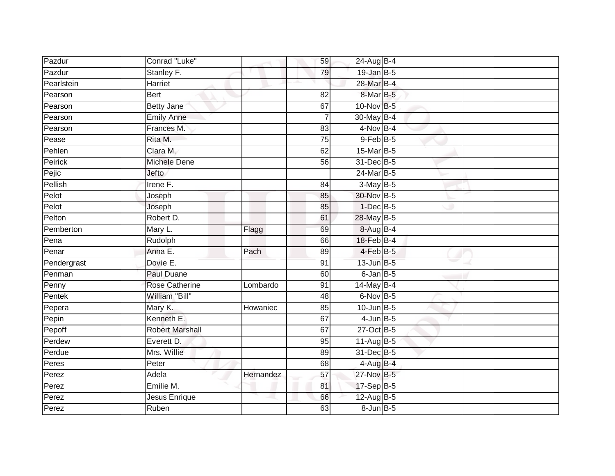| Pazdur      | Conrad "Luke"          |           | 59              | $24$ -Aug B-4     |  |
|-------------|------------------------|-----------|-----------------|-------------------|--|
| Pazdur      | Stanley F.             |           | 79              | $19$ -Jan $B$ -5  |  |
| Pearlstein  | Harriet                |           |                 | 28-Mar B-4        |  |
| Pearson     | Bert                   |           | 82              | 8-Mar B-5         |  |
| Pearson     | <b>Betty Jane</b>      |           | 67              | 10-Nov B-5        |  |
| Pearson     | <b>Emily Anne</b>      |           | $\overline{7}$  | 30-May B-4        |  |
| Pearson     | Frances M.             |           | 83              | $4-NovB-4$        |  |
| Pease       | Rita M.                |           | 75              | $9$ -Feb $B$ -5   |  |
| Pehlen      | Clara M.               |           | 62              | 15-Mar B-5        |  |
| Peirick     | <b>Michele Dene</b>    |           | 56              | 31-Dec B-5        |  |
| Pejic       | <b>Jefto</b>           |           |                 | 24-Mar B-5        |  |
| Pellish     | Irene F.               |           | 84              | $3-May$ B-5       |  |
| Pelot       | Joseph                 |           | 85              | 30-Nov B-5        |  |
| Pelot       | Joseph                 |           | 85              | $1$ -Dec $B-5$    |  |
| Pelton      | Robert D.              |           | 61              | 28-May B-5        |  |
| Pemberton   | Mary L.                | Flagg     | 69              | 8-Aug B-4         |  |
| Pena        | Rudolph                |           | 66              | $18$ -Feb $ B-4 $ |  |
| Penar       | Anna E.                | Pach      | 89              | 4-Feb B-5         |  |
| Pendergrast | Dovie E.               |           | 91              | $13$ -Jun $B-5$   |  |
| Penman      | <b>Paul Duane</b>      |           | 60              | $6$ -Jan $B$ -5   |  |
| Penny       | Rose Catherine         | Lombardo  | 91              | 14-May B-4        |  |
| Pentek      | William "Bill"         |           | $\overline{48}$ | $6$ -Nov $B-5$    |  |
| Pepera      | Mary K.                | Howaniec  | 85              | $10$ -Jun $B-5$   |  |
| Pepin       | Kenneth E.             |           | 67              | $4$ -Jun $B$ -5   |  |
| Pepoff      | <b>Robert Marshall</b> |           | 67              | 27-Oct B-5        |  |
| Perdew      | Everett D.             |           | 95              | 11-Aug B-5        |  |
| Perdue      | Mrs. Willie            |           | 89              | 31-Dec B-5        |  |
| Peres       | Peter                  |           | 68              | $4$ -Aug $B-4$    |  |
| Perez       | Adela                  | Hernandez | 57              | 27-Nov B-5        |  |
| Perez       | Emilie M.              |           | 81              | 17-Sep B-5        |  |
| Perez       | Jesus Enrique          |           | 66              | 12-Aug B-5        |  |
| Perez       | Ruben                  |           | 63              | $8$ -Jun $B$ -5   |  |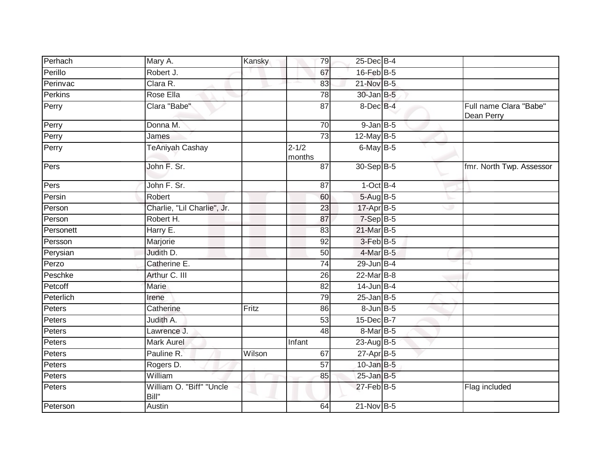| Perhach   | Mary A.                           | Kansky | 79                  | 25-Dec B-4        |                                      |
|-----------|-----------------------------------|--------|---------------------|-------------------|--------------------------------------|
| Perillo   | Robert J.                         |        | 67                  | $16$ -Feb $B$ -5  |                                      |
| Perinvac  | Clara R.                          |        | 83                  | 21-Nov B-5        |                                      |
| Perkins   | Rose Ella                         |        | 78                  | 30-Jan B-5        |                                      |
| Perry     | Clara "Babe"                      |        | $\overline{87}$     | 8-Dec B-4         | Full name Clara "Babe"<br>Dean Perry |
| Perry     | Donna M.                          |        | 70                  | $9$ -Jan $B$ -5   |                                      |
| Perry     | James                             |        | 73                  | 12-May B-5        |                                      |
| Perry     | <b>TeAniyah Cashay</b>            |        | $2 - 1/2$<br>months | $6$ -May $B-5$    |                                      |
| Pers      | John F. Sr.                       |        | $\overline{87}$     | 30-Sep B-5        | fmr. North Twp. Assessor             |
| Pers      | John F. Sr.                       |        | 87                  | $1-OctB-4$        |                                      |
| Persin    | Robert                            |        | 60                  | $5-AugB-5$        |                                      |
| Person    | Charlie, "Lil Charlie", Jr.       |        | 23                  | $17$ -Apr $B-5$   |                                      |
| Person    | Robert H.                         |        | 87                  | $7-Sep B-5$       |                                      |
| Personett | Harry E.                          |        | 83                  | 21-Mar B-5        |                                      |
| Persson   | Marjorie                          |        | 92                  | 3-Feb B-5         |                                      |
| Perysian  | Judith D.                         |        | 50                  | $4$ -Mar $B-5$    |                                      |
| Perzo     | Catherine E.                      |        | $\overline{74}$     | 29-Jun B-4        |                                      |
| Peschke   | Arthur C. III                     |        | $\overline{26}$     | $22$ -Mar $B-8$   |                                      |
| Petcoff   | <b>Marie</b>                      |        | $\overline{82}$     | $14$ -Jun $B-4$   |                                      |
| Peterlich | Irene                             |        | 79                  | $25$ -Jan B-5     |                                      |
| Peters    | Catherine                         | Fritz  | 86                  | $8$ -Jun $B$ -5   |                                      |
| Peters    | Judith A.                         |        | 53                  | $15$ -Dec $B$ -7  |                                      |
| Peters    | Lawrence J.                       |        | 48                  | 8-Mar B-5         |                                      |
| Peters    | <b>Mark Aurel</b>                 |        | Infant              | 23-Aug $B-5$      |                                      |
| Peters    | Pauline R.                        | Wilson | 67                  | $27$ -Apr $B-5$   |                                      |
| Peters    | Rogers D.                         |        | 57                  | $10$ -Jan B-5     |                                      |
| Peters    | William                           |        | 85                  | $25$ -Jan B-5     |                                      |
| Peters    | William O. "Biff" "Uncle<br>Bill" |        |                     | $27$ -Feb $ B-5 $ | Flag included                        |
| Peterson  | Austin                            |        | 64                  | $21-Nov$ B-5      |                                      |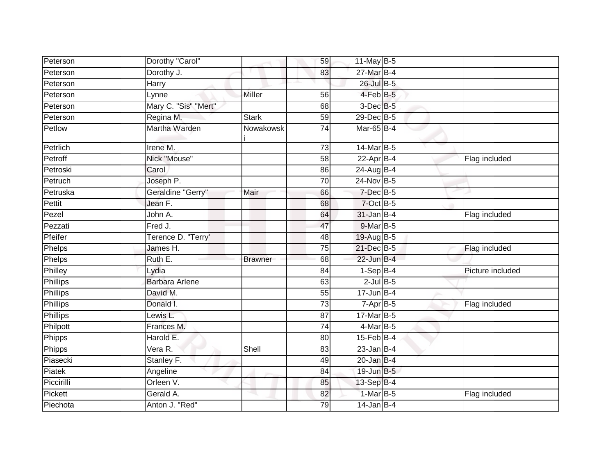| Peterson        | Dorothy "Carol"      |                | 59              | 11-May $B-5$      |                  |
|-----------------|----------------------|----------------|-----------------|-------------------|------------------|
| Peterson        | Dorothy J.           |                | 83              | $27$ -Mar $B-4$   |                  |
| Peterson        | Harry                |                |                 | 26-Jul B-5        |                  |
| Peterson        | Lynne                | Miller         | 56              | $4$ -Feb $B$ -5   |                  |
| Peterson        | Mary C. "Sis" "Mert" |                | 68              | $3$ -Dec $B-5$    |                  |
| Peterson        | Regina M.            | <b>Stark</b>   | 59              | 29-Dec B-5        |                  |
| Petlow          | Martha Warden        | Nowakowsk      | 74              | Mar-65 B-4        |                  |
| Petrlich        | Irene M.             |                | $\overline{73}$ | $14$ -Mar $B-5$   |                  |
| Petroff         | Nick "Mouse"         |                | $\overline{58}$ | $22$ -Apr $B-4$   | Flag included    |
| Petroski        | Carol                |                | 86              | 24-Aug B-4        |                  |
| Petruch         | Joseph P.            |                | 70              | 24-Nov B-5        |                  |
| Petruska        | Geraldine "Gerry"    | Mair           | 66              | $7$ -Dec $B$ -5   |                  |
| Pettit          | Jean F.              |                | 68              | $7$ -Oct $B$ -5   |                  |
| Pezel           | John A.              |                | 64              | $31$ -Jan B-4     | Flag included    |
| Pezzati         | Fred J.              |                | 47              | $9$ -Mar $B-5$    |                  |
| Pfeifer         | Terence D. "Terry'   |                | 48              | 19-Aug B-5        |                  |
| Phelps          | James H.             |                | 75              | $21$ -Dec $B-5$   | Flag included    |
| Phelps          | Ruth E.              | <b>Brawner</b> | 68              | $22$ -Jun $B-4$   |                  |
| Philley         | Lydia                |                | 84              | $1-Sep$ B-4       | Picture included |
| <b>Phillips</b> | Barbara Arlene       |                | 63              | $2$ -Jul $B$ -5   |                  |
| Phillips        | David M.             |                | 55              | $17 - Jun$ B-4    |                  |
| Phillips        | Donald I.            |                | 73              | $7$ -Apr $B$ -5   | Flag included    |
| Phillips        | Lewis L              |                | $\overline{87}$ | 17-Mar B-5        |                  |
| Philpott        | Frances M.           |                | 74              | $4-MarB-5$        |                  |
| Phipps          | Harold E.            |                | $\overline{80}$ | $15$ -Feb $B$ -4  |                  |
| Phipps          | Vera R.              | Shell          | 83              | $23$ -Jan B-4     |                  |
| Piasecki        | Stanley F.           |                | 49              | $20$ -Jan B-4     |                  |
| Piatek          | Angeline             |                | 84              | 19-Jun B-5        |                  |
| Piccirilli      | Orleen V.            |                | 85              | 13-Sep B-4        |                  |
| Pickett         | Gerald A.            |                | 82              | $1-MarB-5$        | Flag included    |
| Piechota        | Anton J. "Red"       |                | 79              | $14$ -Jan $ B-4 $ |                  |
|                 |                      |                |                 |                   |                  |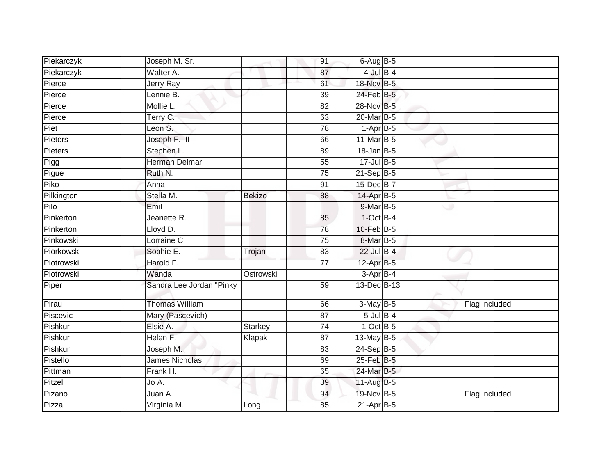| Piekarczyk | Joseph M. Sr.            |                | 91              | $6-AugB-5$      |               |
|------------|--------------------------|----------------|-----------------|-----------------|---------------|
| Piekarczyk | Walter A.                |                | 87              | $4$ -Jul $B-4$  |               |
| Pierce     | Jerry Ray                |                | 61              | 18-Nov B-5      |               |
| Pierce     | Lennie B.                |                | 39              | 24-Feb B-5      |               |
| Pierce     | Mollie L.                |                | $\overline{82}$ | 28-Nov B-5      |               |
| Pierce     | Terry C.                 |                | 63              | 20-Mar B-5      |               |
| Piet       | Leon S.                  |                | 78              | $1-Apr$ B-5     |               |
| Pieters    | Joseph F. III            |                | 66              | $11$ -Mar $B-5$ |               |
| Pieters    | Stephen L.               |                | 89              | $18 - JanB - 5$ |               |
| Pigg       | <b>Herman Delmar</b>     |                | $\overline{55}$ | $17 -$ Jul B-5  |               |
| Pigue      | Ruth N.                  |                | 75              | $21 - SepB-5$   |               |
| Piko       | Anna                     |                | 91              | $15$ -Dec $B-7$ |               |
| Pilkington | Stella M.                | <b>Bekizo</b>  | 88              | $14$ -Apr $B-5$ |               |
| Pilo       | Emil                     |                |                 | 9-Mar B-5       |               |
| Pinkerton  | Jeanette R.              |                | 85              | $1-Oct$ B-4     |               |
| Pinkerton  | Lloyd D.                 |                | 78              | $10$ -Feb $B-5$ |               |
| Pinkowski  | Lorraine C.              |                | $\overline{75}$ | 8-Mar B-5       |               |
| Piorkowski | Sophie E.                | Trojan         | 83              | $22$ -Jul B-4   |               |
| Piotrowski | Harold F.                |                | 77              | $12-Apr$ B-5    |               |
| Piotrowski | Wanda                    | Ostrowski      |                 | $3-AprB-4$      |               |
| Piper      | Sandra Lee Jordan "Pinky |                | 59              | 13-Dec B-13     |               |
| Pirau      | <b>Thomas William</b>    |                | 66              | $3-MayB-5$      | Flag included |
| Piscevic   | Mary (Pascevich)         |                | $\overline{87}$ | $5$ -Jul $B-4$  |               |
| Pishkur    | Elsie A.                 | <b>Starkey</b> | 74              | $1$ -Oct $B-5$  |               |
| Pishkur    | Helen F.                 | Klapak         | $\overline{87}$ | 13-May B-5      |               |
| Pishkur    | Joseph M.                |                | 83              | 24-Sep B-5      |               |
| Pistello   | <b>James Nicholas</b>    |                | 69              | 25-Feb B-5      |               |
| Pittman    | Frank H.                 |                | 65              | 24-Mar B-5      |               |
| Pitzel     | Jo A.                    |                | 39              | 11-Aug B-5      |               |
| Pizano     | Juan A.                  |                | 94              | 19-Nov B-5      | Flag included |
| Pizza      | Virginia M.              | Long           | 85              | $21-Apr$ B-5    |               |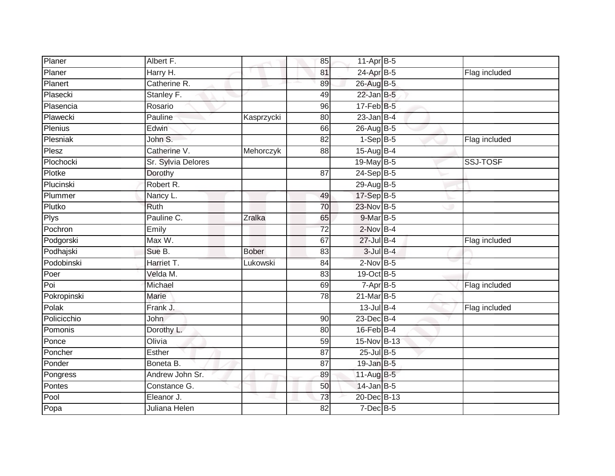| Planer      | Albert F.          |               | 85              | $11-Apr$ B-5     |               |
|-------------|--------------------|---------------|-----------------|------------------|---------------|
| Planer      | Harry H.           |               | 81              | 24-Apr B-5       | Flag included |
| Planert     | Catherine R.       |               | 89              | 26-Aug B-5       |               |
| Plasecki    | Stanley F.         |               | 49              | $22$ -Jan B-5    |               |
| Plasencia   | Rosario            |               | 96              | 17-Feb B-5       |               |
| Plawecki    | Pauline            | Kasprzycki    | 80              | $23$ -Jan B-4    |               |
| Plenius     | Edwin              |               | 66              | 26-Aug B-5       |               |
| Plesniak    | John S.            |               | 82              | $1-Sep B-5$      | Flag included |
| Plesz       | Catherine V.       | Mehorczyk     | 88              | 15-Aug B-4       |               |
| Plochocki   | Sr. Sylvia Delores |               |                 | 19-May B-5       | SSJ-TOSF      |
| Plotke      | Dorothy            |               | 87              | $24-Sep B-5$     |               |
| Plucinski   | Robert R.          |               |                 | 29-Aug B-5       |               |
| Plummer     | Nancy L.           |               | 49              | 17-Sep B-5       |               |
| Plutko      | Ruth               |               | 70              | 23-Nov B-5       |               |
| <b>Plys</b> | Pauline C.         | <b>Zralka</b> | 65              | 9-Mar B-5        |               |
| Pochron     | Emily              |               | $\overline{72}$ | $2$ -Nov B-4     |               |
| Podgorski   | Max W.             |               | 67              | $27$ -Jul B-4    | Flag included |
| Podhajski   | Sue B.             | <b>Bober</b>  | 83              | $3$ -Jul $B-4$   |               |
| Podobinski  | Harriet T.         | Lukowski      | 84              | $2$ -Nov $B-5$   |               |
| Poer        | Velda M.           |               | 83              | 19-Oct B-5       |               |
| Poi         | Michael            |               | 69              | $7-Apr$ B-5      | Flag included |
| Pokropinski | Marie              |               | 78              | $21$ -Mar $B-5$  |               |
| Polak       | Frank J.           |               |                 | $13$ -Jul B-4    | Flag included |
| Policicchio | John               |               | 90              | $23$ -Dec $B-4$  |               |
| Pomonis     | Dorothy L.         |               | 80              | $16$ -Feb $B$ -4 |               |
| Ponce       | Olivia             |               | 59              | 15-Nov B-13      |               |
| Poncher     | Esther             |               | $\overline{87}$ | $25$ -Jul B-5    |               |
| Ponder      | Boneta B.          |               | 87              | 19-Jan B-5       |               |
| Pongress    | Andrew John Sr.    |               | 89              | 11-Aug B-5       |               |
| Pontes      | Constance G.       |               | 50              | $14$ -Jan B-5    |               |
| Pool        | Eleanor J.         |               | 73              | 20-Dec B-13      |               |
| Popa        | Juliana Helen      |               | 82              | $7$ -Dec $B$ -5  |               |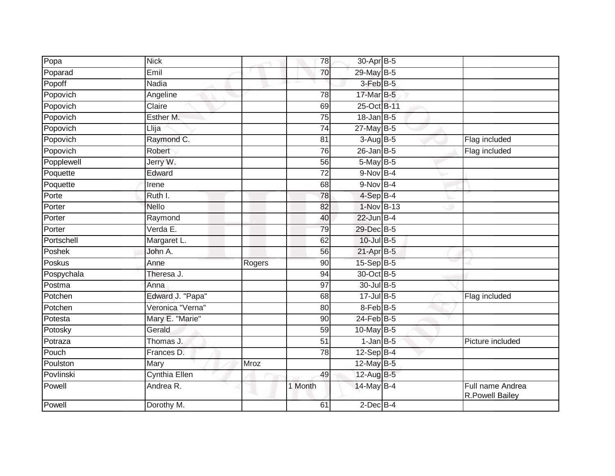| Popa       | <b>Nick</b>      |        | 78              | $30-Apr$ B-5         |                                     |
|------------|------------------|--------|-----------------|----------------------|-------------------------------------|
| Poparad    | Emil             |        | 70              | 29-May B-5           |                                     |
| Popoff     | Nadia            |        |                 | 3-Feb B-5            |                                     |
| Popovich   | Angeline         |        | 78              | 17-Mar B-5           |                                     |
| Popovich   | Claire           |        | 69              | 25-Oct B-11          |                                     |
| Popovich   | Esther M.        |        | $\overline{75}$ | $18 - Jan$ $B-5$     |                                     |
| Popovich   | Llija            |        | 74              | 27-May B-5           |                                     |
| Popovich   | Raymond C.       |        | 81              | $3-AugB-5$           | Flag included                       |
| Popovich   | Robert           |        | 76              | $26$ -Jan B-5        | Flag included                       |
| Popplewell | Jerry W.         |        | $\overline{56}$ | 5-May B-5            |                                     |
| Poquette   | Edward           |        | $\overline{72}$ | $9-NovB-4$           |                                     |
| Poquette   | Irene            |        | 68              | $9-Nov$ B-4          |                                     |
| Porte      | Ruth I.          |        | 78              | $4-SepB-4$           |                                     |
| Porter     | <b>Nello</b>     |        | 82              | $1-Nov$ B-13         |                                     |
| Porter     | Raymond          |        | 40              | $22$ -Jun B-4        |                                     |
| Porter     | Verda E.         |        | 79              | 29-Dec B-5           |                                     |
| Portschell | Margaret L.      |        | 62              | $10$ -Jul B-5        |                                     |
| Poshek     | John A.          |        | 56              | $21-Apr$ B-5         |                                     |
| Poskus     | Anne             | Rogers | 90              | 15-Sep B-5           |                                     |
| Pospychala | Theresa J.       |        | 94              | 30-Oct B-5           |                                     |
| Postma     | Anna             |        | 97              | 30-Jul B-5           |                                     |
| Potchen    | Edward J. "Papa" |        | 68              | $17 -$ Jul B-5       | Flag included                       |
| Potchen    | Veronica "Verna" |        | 80              | 8-Feb <sup>B-5</sup> |                                     |
| Potesta    | Mary E. "Marie"  |        | 90              | $24$ -Feb $B-5$      |                                     |
| Potosky    | Gerald           |        | 59              | 10-May B-5           |                                     |
| Potraza    | Thomas J.        |        | 51              | $1-Jan$ B-5          | Picture included                    |
| Pouch      | Frances D.       |        | $\overline{78}$ | 12-Sep B-4           |                                     |
| Poulston   | Mary             | Mroz   |                 | 12-May B-5           |                                     |
| Povlinski  | Cynthia Ellen    |        | 49              | 12-Aug B-5           |                                     |
| Powell     | Andrea R.        |        | 1 Month         | 14-May B-4           | Full name Andrea<br>R.Powell Bailey |
| Powell     | Dorothy M.       |        | 61              | $2$ -Dec $B-4$       |                                     |
|            |                  |        |                 |                      |                                     |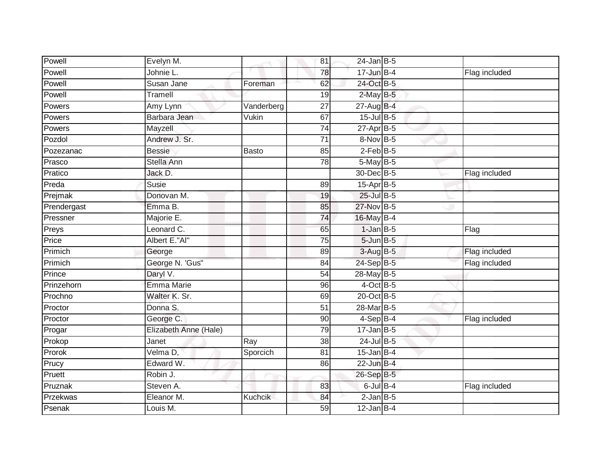| Powell      | Evelyn M.             |              | 81              | $24$ -Jan B-5     |               |
|-------------|-----------------------|--------------|-----------------|-------------------|---------------|
| Powell      | Johnie L.             |              | 78              | $17$ -Jun $B-4$   | Flag included |
| Powell      | Susan Jane            | Foreman      | 62              | 24-Oct B-5        |               |
| Powell      | Tramell               |              | 19              | $2$ -May $B-5$    |               |
| Powers      | Amy Lynn              | Vanderberg   | $\overline{27}$ | 27-Aug B-4        |               |
| Powers      | Barbara Jean          | Vukin        | 67              | 15-Jul B-5        |               |
| Powers      | Mayzell               |              | 74              | $27 - AprB - 5$   |               |
| Pozdol      | Andrew J. Sr.         |              | 71              | $8-Nov$ B-5       |               |
| Pozezanac   | <b>Bessie</b>         | <b>Basto</b> | 85              | $2$ -Feb $B$ -5   |               |
| Prasco      | Stella Ann            |              | 78              | 5-May B-5         |               |
| Pratico     | Jack D.               |              |                 | 30-Dec B-5        | Flag included |
| Preda       | Susie                 |              | 89              | $15-Apr$ B-5      |               |
| Prejmak     | Donovan M.            |              | 19              | 25-Jul B-5        |               |
| Prendergast | Emma B.               |              | 85              | 27-Nov B-5        |               |
| Pressner    | Majorie E.            |              | 74              | 16-May B-4        |               |
| Preys       | Leonard C.            |              | 65              | $1$ -Jan $B$ -5   | Flag          |
| Price       | Albert E."Al"         |              | 75              | $5 - Jun$ $B - 5$ |               |
| Primich     | George                |              | 89              | $3-Aug$ B-5       | Flag included |
| Primich     | George N. 'Gus"       |              | 84              | $24-Sep$ B-5      | Flag included |
| Prince      | Daryl V.              |              | 54              | $28$ -May B-5     |               |
| Prinzehorn  | <b>Emma Marie</b>     |              | 96              | $4$ -Oct B-5      |               |
| Prochno     | Walter K. Sr.         |              | 69              | 20-Oct B-5        |               |
| Proctor     | Donna S.              |              | 51              | 28-Mar B-5        |               |
| Proctor     | George C.             |              | 90              | $4-SepB-4$        | Flag included |
| Progar      | Elizabeth Anne (Hale) |              | 79              | $17 - Jan$ B-5    |               |
| Prokop      | Janet                 | Ray          | 38              | $24$ -Jul B-5     |               |
| Prorok      | Velma D,              | Sporcich     | $\overline{81}$ | $15$ -Jan B-4     |               |
| Prucy       | Edward W.             |              | 86              | $22$ -Jun $B-4$   |               |
| Pruett      | Robin J.              |              |                 | 26-Sep B-5        |               |
| Pruznak     | Steven A.             |              | 83              | $6$ -Jul $B-4$    | Flag included |
| Przekwas    | Eleanor M.            | Kuchcik      | 84              | $2$ -Jan $B$ -5   |               |
| Psenak      | Louis M.              |              | 59              | $12$ -Jan B-4     |               |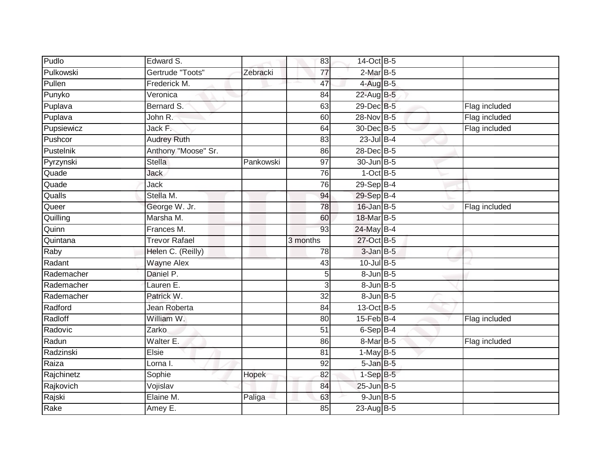| Pudlo      | Edward S.            |           | 83              | $14-Oct$ B-5      |               |
|------------|----------------------|-----------|-----------------|-------------------|---------------|
| Pulkowski  | Gertrude "Toots"     | Zebracki  | $\overline{77}$ | $2$ -Mar $B-5$    |               |
| Pullen     | Frederick M.         |           | 47              | 4-Aug B-5         |               |
| Punyko     | Veronica             |           | 84              | 22-Aug B-5        |               |
| Puplava    | Bernard S.           |           | 63              | 29-Dec B-5        | Flag included |
| Puplava    | John R.              |           | 60              | 28-Nov B-5        | Flag included |
| Pupsiewicz | Jack F.              |           | 64              | 30-Dec B-5        | Flag included |
| Pushcor    | <b>Audrey Ruth</b>   |           | 83              | $23$ -Jul B-4     |               |
| Pustelnik  | Anthony "Moose" Sr.  |           | 86              | 28-Dec B-5        |               |
| Pyrzynski  | <b>Stella</b>        | Pankowski | $\overline{97}$ | $30 - Jun$ B-5    |               |
| Quade      | <b>Jack</b>          |           | 76              | $1$ -Oct B-5      |               |
| Quade      | Jack                 |           | 76              | $29-SepB-4$       |               |
| Qualls     | Stella M.            |           | 94              | 29-Sep B-4        |               |
| Queer      | George W. Jr.        |           | 78              | $16$ -Jan B-5     | Flag included |
| Quilling   | Marsha M.            |           | 60              | 18-Mar B-5        |               |
| Quinn      | Frances M.           |           | 93              | 24-May B-4        |               |
| Quintana   | <b>Trevor Rafael</b> |           | 3 months        | 27-Oct B-5        |               |
| Raby       | Helen C. (Reilly)    |           | 78              | $3-Jan$ $B-5$     |               |
| Radant     | <b>Wayne Alex</b>    |           | 43              | $10$ -Jul B-5     |               |
| Rademacher | Daniel P.            |           | 5 <sub>l</sub>  | 8-Jun B-5         |               |
| Rademacher | Lauren E.            |           | $\overline{3}$  | $8$ -Jun $B$ -5   |               |
| Rademacher | Patrick W.           |           | $\overline{32}$ | $8 - Jun$ B-5     |               |
| Radford    | Jean Roberta         |           | 84              | 13-Oct B-5        |               |
| Radloff    | William W.           |           | 80              | $15$ -Feb $B$ -4  | Flag included |
| Radovic    | Zarko                |           | 51              | $6-SepB-4$        |               |
| Radun      | Walter E.            |           | 86              | 8-Mar B-5         | Flag included |
| Radzinski  | Elsie                |           | $\overline{81}$ | $1-MayB-5$        |               |
| Raiza      | Lorna I.             |           | 92              | $5 - Jan$ $B - 5$ |               |
| Rajchinetz | Sophie               | Hopek     | 82              | $1-Sep$ B-5       |               |
| Rajkovich  | Vojislav             |           | 84              | $25$ -Jun $B-5$   |               |
| Rajski     | Elaine M.            | Paliga    | 63              | $9$ -Jun $B$ -5   |               |
| Rake       | Amey E.              |           | 85              | $23$ -Aug $B-5$   |               |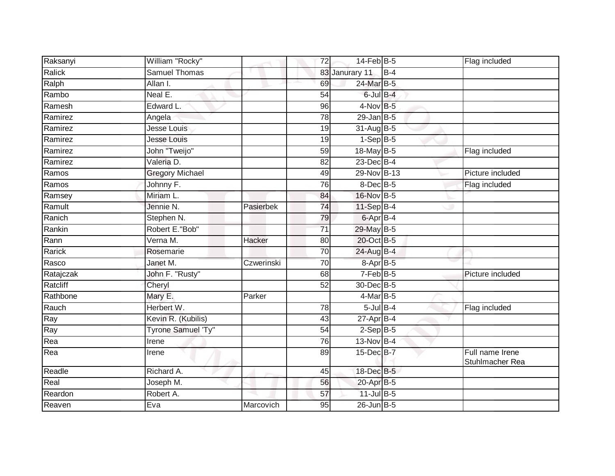| Raksanyi  | William "Rocky"        |            | 72              | $14$ -Feb $ B-5$ |       | Flag included                      |
|-----------|------------------------|------------|-----------------|------------------|-------|------------------------------------|
| Ralick    | <b>Samuel Thomas</b>   |            |                 | 83 Janurary 11   | $B-4$ |                                    |
| Ralph     | Allan I.               |            | 69              | 24-Mar B-5       |       |                                    |
| Rambo     | Neal E.                |            | 54              | $6$ -Jul $B-4$   |       |                                    |
| Ramesh    | Edward L.              |            | 96              | 4-Nov B-5        |       |                                    |
| Ramirez   | Angela                 |            | 78              | $29$ -Jan $B-5$  |       |                                    |
| Ramirez   | Jesse Louis            |            | 19              | $31$ -AugB-5     |       |                                    |
| Ramirez   | Jesse Louis            |            | 19              | $1-SepB-5$       |       |                                    |
| Ramirez   | John "Tweijo"          |            | 59              | 18-May B-5       |       | Flag included                      |
| Ramirez   | Valeria D.             |            | 82              | 23-Dec B-4       |       |                                    |
| Ramos     | <b>Gregory Michael</b> |            | 49              | 29-Nov B-13      |       | Picture included                   |
| Ramos     | Johnny F.              |            | 76              | 8-Dec B-5        |       | Flag included                      |
| Ramsey    | Miriam L.              |            | 84              | 16-Nov B-5       |       |                                    |
| Ramult    | Jennie N.              | Pasierbek  | 74              | $11-Sep$ B-4     |       |                                    |
| Ranich    | Stephen N.             |            | 79              | $6$ -Apr $B$ -4  |       |                                    |
| Rankin    | Robert E."Bob"         |            | 71              | 29-May B-5       |       |                                    |
| Rann      | Verna M.               | Hacker     | 80              | 20-Oct B-5       |       |                                    |
| Rarick    | Rosemarie              |            | 70              | 24-Aug B-4       |       |                                    |
| Rasco     | Janet M.               | Czwerinski | 70              | 8-Apr B-5        |       |                                    |
| Ratajczak | John F. "Rusty"        |            | 68              | $7-Feb$ B-5      |       | Picture included                   |
| Ratcliff  | Cheryl                 |            | 52              | 30-Dec B-5       |       |                                    |
| Rathbone  | Mary E.                | Parker     |                 | $4$ -Mar B-5     |       |                                    |
| Rauch     | Herbert W.             |            | 78              | $5$ -Jul $B-4$   |       | Flag included                      |
| Ray       | Kevin R. (Kubilis)     |            | 43              | $27$ -Apr $B-4$  |       |                                    |
| Ray       | Tyrone Samuel 'Ty"     |            | $\overline{54}$ | $2-SepB-5$       |       |                                    |
| Rea       | Irene                  |            | 76              | $13-Nov$ B-4     |       |                                    |
| Rea       | Irene                  |            | 89              | 15-Dec B-7       |       | Full name Irene<br>Stuhlmacher Rea |
| Readle    | Richard A.             |            | 45              | 18-Dec B-5       |       |                                    |
| Real      | Joseph M.              |            | 56              | 20-Apr B-5       |       |                                    |
| Reardon   | Robert A.              |            | 57              | $11$ -Jul B-5    |       |                                    |
| Reaven    | Eva                    | Marcovich  | 95              | 26-Jun B-5       |       |                                    |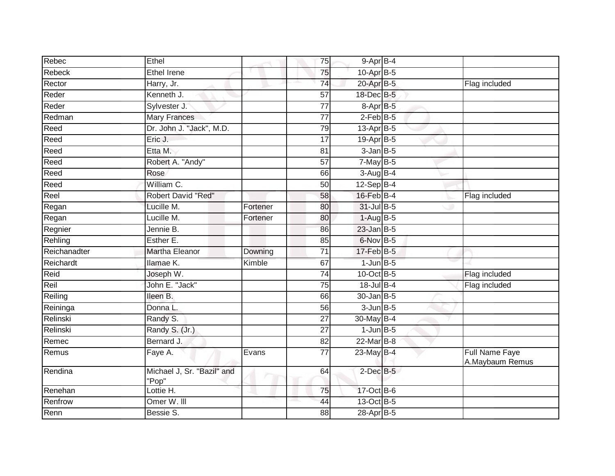| Rebec         | Ethel                               |          | 75              | $9-Apr$ B-4      |                       |
|---------------|-------------------------------------|----------|-----------------|------------------|-----------------------|
| <b>Rebeck</b> | <b>Ethel Irene</b>                  |          | 75              | 10-Apr B-5       |                       |
| Rector        | Harry, Jr.                          |          | $\overline{74}$ | 20-Apr B-5       | Flag included         |
| Reder         | Kenneth J.                          |          | 57              | 18-Dec B-5       |                       |
| Reder         | Sylvester J.                        |          | 77              | 8-Apr B-5        |                       |
| Redman        | <b>Mary Frances</b>                 |          | $\overline{77}$ | $2$ -Feb $B$ -5  |                       |
| Reed          | Dr. John J. "Jack", M.D.            |          | 79              | $13$ -Apr $B-5$  |                       |
| Reed          | Eric J.                             |          | 17              | 19-Apr B-5       |                       |
| Reed          | Etta M.                             |          | 81              | $3$ -Jan $B$ -5  |                       |
| Reed          | Robert A. "Andy"                    |          | $\overline{57}$ | $7-MayB-5$       |                       |
| Reed          | Rose                                |          | 66              | $3-Aug$ $B-4$    |                       |
| Reed          | William C.                          |          | 50              | $12-Sep$ B-4     |                       |
| Reel          | Robert David "Red"                  |          | 58              | 16-Feb B-4       | Flag included         |
| Regan         | Lucille M.                          | Fortener | 80              | 31-Jul B-5       |                       |
| Regan         | Lucille M.                          | Fortener | 80              | $1-Aug$ B-5      |                       |
| Regnier       | Jennie B.                           |          | 86              | $23$ -Jan B-5    |                       |
| Rehling       | Esther E.                           |          | 85              | 6-Nov B-5        |                       |
| Reichanadter  | Martha Eleanor                      | Downing  | 71              | $17$ -Feb $B$ -5 |                       |
| Reichardt     | Ilamae K.                           | Kimble   | 67              | $1$ -Jun $B - 5$ |                       |
| Reid          | Joseph W.                           |          | $\overline{74}$ | 10-Oct B-5       | Flag included         |
| Reil          | John E. "Jack"                      |          | 75              | 18-Jul B-4       | Flag included         |
| Reiling       | lleen B.                            |          | 66              | 30-Jan B-5       |                       |
| Reininga      | Donna L.                            |          | 56              | $3$ -Jun $B$ -5  |                       |
| Relinski      | Randy S.                            |          | 27              | 30-May B-4       |                       |
| Relinski      | Randy S. (Jr.)                      |          | 27              | $1$ -Jun $B$ -5  |                       |
| Remec         | Bernard J.                          |          | 82              | 22-Mar B-8       |                       |
| Remus         | Faye A.                             | Evans    | $\overline{77}$ | 23-May B-4       | <b>Full Name Faye</b> |
|               |                                     |          |                 |                  | A.Maybaum Remus       |
| Rendina       | Michael J, Sr. "Bazil" and<br>'Pop" |          | 64              | $2$ -Dec $B-5$   |                       |
| Renehan       | Lottie H.                           |          | 75              | 17-Oct B-6       |                       |
| Renfrow       | Omer W. III                         |          | 44              | 13-Oct B-5       |                       |
| Renn          | Bessie S.                           |          | 88              | 28-Apr B-5       |                       |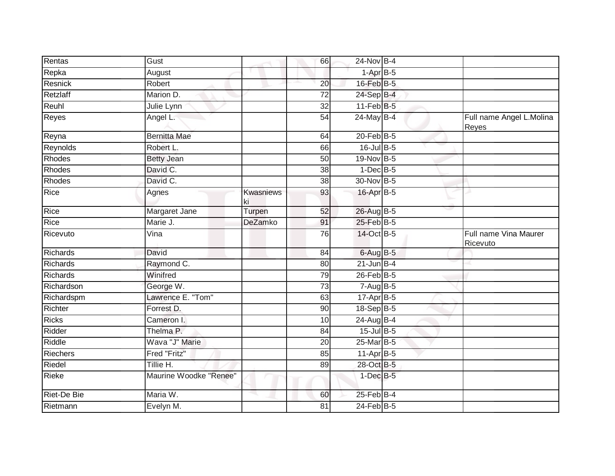| Rentas             | Gust                   |                        | 66              | 24-Nov B-4             |                                   |
|--------------------|------------------------|------------------------|-----------------|------------------------|-----------------------------------|
| Repka              | August                 |                        |                 | $1-AprB-5$             |                                   |
| Resnick            | Robert                 |                        | 20              | 16-Feb B-5             |                                   |
| Retzlaff           | Marion D.              |                        | $\overline{72}$ | 24-Sep B-4             |                                   |
| Reuhl              | Julie Lynn             |                        | $\overline{32}$ | $11$ -Feb $B$ -5       |                                   |
| Reyes              | Angel L.               |                        | 54              | 24-May B-4             | Full name Angel L.Molina<br>Reyes |
| Reyna              | <b>Bernitta Mae</b>    |                        | 64              | $20$ -Feb $B-5$        |                                   |
| Reynolds           | Robert L.              |                        | 66              | $16$ -Jul B-5          |                                   |
| <b>Rhodes</b>      | <b>Betty Jean</b>      |                        | 50              | 19-Nov B-5             |                                   |
| Rhodes             | David C.               |                        | 38              | $1$ -Dec $B-5$         |                                   |
| Rhodes             | David C.               |                        | 38              | 30-Nov B-5             |                                   |
| Rice               | Agnes                  | <b>Kwasniews</b><br>ki | 93              | 16-Apr B-5             |                                   |
| Rice               | Margaret Jane          | Turpen                 | 52              | 26-Aug B-5             |                                   |
| Rice               | Marie J.               | <b>DeZamko</b>         | 91              | $25$ -Feb $B$ -5       |                                   |
| Ricevuto           | Vina                   |                        | 76              | $14-Oct$ B-5           | Full name Vina Maurer<br>Ricevuto |
| <b>Richards</b>    | David                  |                        | $\overline{84}$ | $6$ -Aug $B$ -5        |                                   |
| <b>Richards</b>    | Raymond C.             |                        | 80              | $21$ -Jun B-4          |                                   |
| <b>Richards</b>    | Winifred               |                        | 79              | 26-Feb B-5             |                                   |
| Richardson         | George W.              |                        | 73              | $7 - Aug$ B-5          |                                   |
| Richardspm         | Lawrence E. "Tom"      |                        | 63              | $17-Apr$ B-5           |                                   |
| Richter            | Forrest D.             |                        | 90              | $18-\overline{Sep}B-5$ |                                   |
| <b>Ricks</b>       | Cameron I.             |                        | 10              | 24-Aug B-4             |                                   |
| Ridder             | Thelma P.              |                        | 84              | $15$ -Jul $B-5$        |                                   |
| Riddle             | Wava "J" Marie         |                        | 20              | 25-Mar B-5             |                                   |
| <b>Riechers</b>    | Fred "Fritz"           |                        | 85              | 11-Apr B-5             |                                   |
| Riedel             | Tillie H.              |                        | 89              | 28-Oct B-5             |                                   |
| Rieke              | Maurine Woodke "Renee" |                        |                 | $1-Dec$ B-5            |                                   |
| <b>Riet-De Bie</b> | Maria W.               |                        | 60              | $25$ -Feb $B-4$        |                                   |
| Rietmann           | Evelyn M.              |                        | 81              | $24$ -Feb $B-5$        |                                   |
|                    |                        |                        |                 |                        |                                   |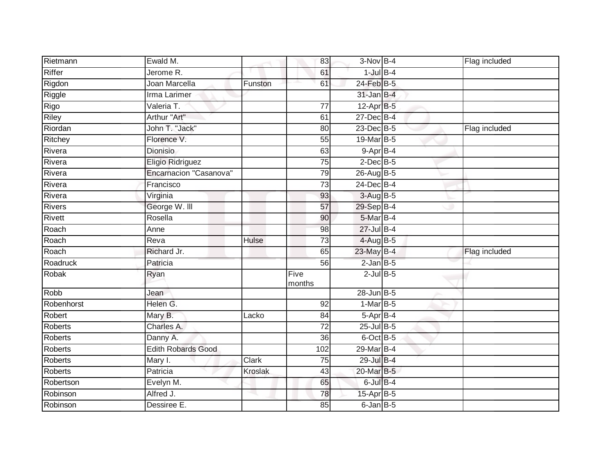| Rietmann       | Ewald M.                      |                | 83              | $3-Nov$ B-4      | Flag included |
|----------------|-------------------------------|----------------|-----------------|------------------|---------------|
| Riffer         | Jerome R.                     |                | 61              | $1$ -Jul $B-4$   |               |
| Rigdon         | Joan Marcella                 | Funston        | 61              | 24-Feb B-5       |               |
| Riggle         | Irma Larimer                  |                |                 | $31 - Jan$ $B-4$ |               |
| Rigo           | Valeria T.                    |                | $\overline{77}$ | 12-Apr B-5       |               |
| <b>Riley</b>   | Arthur "Art"                  |                | 61              | 27-Dec B-4       |               |
| Riordan        | John T. "Jack"                |                | 80              | 23-Dec B-5       | Flag included |
| Ritchey        | Florence V.                   |                | 55              | 19-Mar B-5       |               |
| Rivera         | Dionisio                      |                | 63              | $9 - Apr$ B-4    |               |
| Rivera         | Eligio Ridriguez              |                | $\overline{75}$ | $2$ -Dec $B$ -5  |               |
| Rivera         | <b>Encarnacion "Casanova"</b> |                | 79              | 26-Aug B-5       |               |
| Rivera         | Francisco                     |                | 73              | 24-Dec B-4       |               |
| Rivera         | Virginia                      |                | 93              | 3-Aug B-5        |               |
| Rivers         | George W. III                 |                | 57              | 29-Sep B-4       |               |
| Rivett         | Rosella                       |                | 90              | 5-Mar B-4        |               |
| Roach          | Anne                          |                | 98              | $27$ -Jul B-4    |               |
| Roach          | Reva                          | <b>Hulse</b>   | 73              | $4-Aug$ B-5      |               |
| Roach          | Richard Jr.                   |                | 65              | 23-May B-4       | Flag included |
| Roadruck       | Patricia                      |                | 56              | $2$ -Jan $B-5$   |               |
| <b>Robak</b>   | Ryan                          |                | Five<br>months  | $2$ -Jul $B$ -5  |               |
| Robb           | Jean                          |                |                 | $28$ -Jun $B-5$  |               |
| Robenhorst     | Helen G.                      |                | 92              | $1-Mar$ B-5      |               |
| Robert         | Mary B.                       | Lacko          | 84              | $5-AprB-4$       |               |
| Roberts        | Charles A.                    |                | $\overline{72}$ | $25$ -Jul $B-5$  |               |
| <b>Roberts</b> | Danny A.                      |                | $\overline{36}$ | $6$ -Oct $B$ -5  |               |
| <b>Roberts</b> | <b>Edith Robards Good</b>     |                | 102             | 29-Mar B-4       |               |
| <b>Roberts</b> | Mary I.                       | <b>Clark</b>   | $\overline{75}$ | 29-Jul B-4       |               |
| <b>Roberts</b> | Patricia                      | <b>Kroslak</b> | 43              | 20-Mar B-5       |               |
| Robertson      | Evelyn M.                     |                | 65              | 6-Jul B-4        |               |
| Robinson       | Alfred J.                     |                | 78              | $15-AprB-5$      |               |
| Robinson       | Dessiree E.                   |                | 85              | 6-Jan B-5        |               |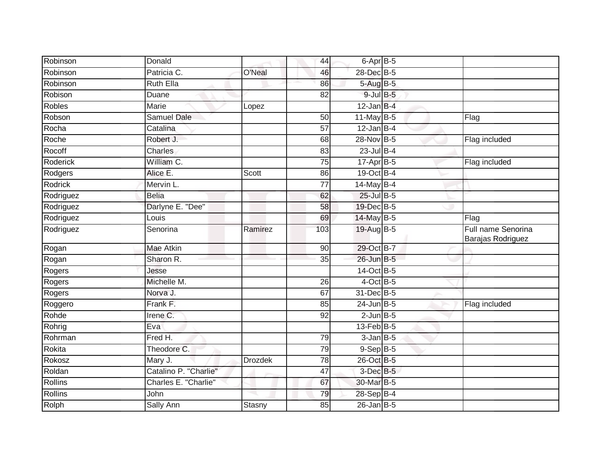| Robinson       | Donald                |                | 44              | $6$ -Apr $B$ -5   |                                         |
|----------------|-----------------------|----------------|-----------------|-------------------|-----------------------------------------|
| Robinson       | Patricia C.           | O'Neal         | 46              | 28-Dec B-5        |                                         |
| Robinson       | <b>Ruth Ella</b>      |                | 86              | 5-Aug B-5         |                                         |
| Robison        | Duane                 |                | 82              | $9$ -Jul $B$ -5   |                                         |
| <b>Robles</b>  | <b>Marie</b>          | Lopez          |                 | $12$ -Jan $B-4$   |                                         |
| Robson         | <b>Samuel Dale</b>    |                | 50              | $11$ -May B-5     | Flag                                    |
| Rocha          | Catalina              |                | $\overline{57}$ | $12$ -Jan B-4     |                                         |
| Roche          | Robert J.             |                | 68              | 28-Nov B-5        | Flag included                           |
| Rocoff         | Charles               |                | 83              | $23 -$ Jul B-4    |                                         |
| Roderick       | William C.            |                | $\overline{75}$ | $17-Apr$ B-5      | Flag included                           |
| Rodgers        | Alice E.              | <b>Scott</b>   | 86              | $19-Oct$ B-4      |                                         |
| Rodrick        | Mervin L.             |                | $\overline{77}$ | 14-May B-4        |                                         |
| Rodriguez      | <b>Belia</b>          |                | 62              | $25 -$ Jul B-5    |                                         |
| Rodriguez      | Darlyne E. "Dee"      |                | 58              | 19-Dec B-5        |                                         |
| Rodriguez      | Louis                 |                | 69              | 14-May B-5        | Flag                                    |
| Rodriguez      | Senorina              | Ramirez        | 103             | 19-Aug B-5        | Full name Senorina<br>Barajas Rodriguez |
| Rogan          | Mae Atkin             |                | 90              | 29-Oct B-7        |                                         |
| Rogan          | Sharon R.             |                | 35              | 26-Jun B-5        |                                         |
| Rogers         | Jesse                 |                |                 | 14-Oct B-5        |                                         |
| Rogers         | Michelle M.           |                | $\overline{26}$ | $4$ -Oct B-5      |                                         |
| Rogers         | Norva J.              |                | 67              | 31-Dec B-5        |                                         |
| Roggero        | Frank F.              |                | 85              | $24$ -Jun $B$ -5  | Flag included                           |
| Rohde          | Irene C.              |                | $\overline{92}$ | $2$ -Jun $B - 5$  |                                         |
| Rohrig         | Eva                   |                |                 | $13$ -Feb $B$ -5  |                                         |
| Rohrman        | Fred H.               |                | 79              | $3$ -Jan $B$ -5   |                                         |
| Rokita         | Theodore C.           |                | $\overline{79}$ | $9-SepB-5$        |                                         |
| Rokosz         | Mary J.               | <b>Drozdek</b> | $\overline{78}$ | 26-Oct B-5        |                                         |
| Roldan         | Catalino P. "Charlie" |                | 47              | $3$ -Dec $B-5$    |                                         |
| Rollins        | Charles E. "Charlie"  |                | 67              | 30-Mar B-5        |                                         |
| <b>Rollins</b> | John                  |                | 79              | $28-SepB-4$       |                                         |
| Rolph          | Sally Ann             | Stasny         | 85              | $26$ -Jan $ B-5 $ |                                         |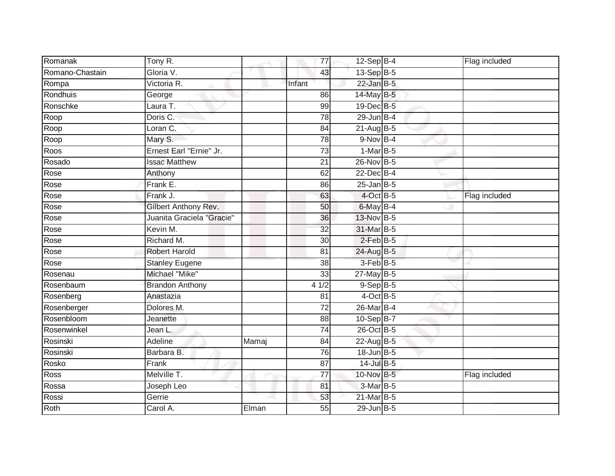| Romanak         | Tony R.                   |       | $\overline{77}$ | $12-Sep$ B-4      | Flag included |
|-----------------|---------------------------|-------|-----------------|-------------------|---------------|
| Romano-Chastain | Gloria V.                 |       | 43              | $13-Sep$ B-5      |               |
| Rompa           | Victoria R.               |       | Infant          | $22$ -Jan B-5     |               |
| Rondhuis        | George                    |       | 86              | 14-May B-5        |               |
| Ronschke        | Laura T.                  |       | 99              | 19-Dec B-5        |               |
| Roop            | Doris C.                  |       | 78              | $29$ -Jun $B-4$   |               |
| Roop            | Loran C.                  |       | 84              | 21-Aug B-5        |               |
| Roop            | Mary S.                   |       | 78              | $9-Nov$ B-4       |               |
| Roos            | Ernest Earl "Ernie" Jr.   |       | $\overline{73}$ | $1-MarB-5$        |               |
| Rosado          | <b>Issac Matthew</b>      |       | $\overline{21}$ | 26-Nov B-5        |               |
| Rose            | Anthony                   |       | 62              | $22$ -Dec $B-4$   |               |
| Rose            | Frank E.                  |       | 86              | $25$ -Jan $ B-5 $ |               |
| Rose            | Frank J.                  |       | 63              | 4-Oct B-5         | Flag included |
| Rose            | Gilbert Anthony Rev.      |       | 50              | 6-May B-4         |               |
| Rose            | Juanita Graciela "Gracie" |       | 36              | 13-Nov B-5        |               |
| Rose            | Kevin M.                  |       | $\overline{32}$ | 31-Mar B-5        |               |
| Rose            | Richard M.                |       | $\overline{30}$ | $2$ -Feb $ B-5$   |               |
| Rose            | Robert Harold             |       | 81              | 24-Aug B-5        |               |
| Rose            | <b>Stanley Eugene</b>     |       | 38              | 3-Feb B-5         |               |
| Rosenau         | Michael "Mike"            |       | $\overline{33}$ | $27$ -May B-5     |               |
| Rosenbaum       | <b>Brandon Anthony</b>    |       | 41/2            | $9-Sep B-5$       |               |
| Rosenberg       | Anastazia                 |       | $\overline{81}$ | $4$ -Oct B-5      |               |
| Rosenberger     | Dolores M.                |       | 72              | 26-Mar B-4        |               |
| Rosenbloom      | Jeanette                  |       | 88              | $10-Sep B-7$      |               |
| Rosenwinkel     | Jean L.                   |       | 74              | 26-Oct B-5        |               |
| Rosinski        | Adeline                   | Mamaj | 84              | 22-Aug B-5        |               |
| Rosinski        | Barbara B.                |       | 76              | 18-Jun B-5        |               |
| Rosko           | Frank                     |       | 87              | 14-Jul B-5        |               |
| Ross            | Melville T.               |       | 77              | 10-Nov B-5        | Flag included |
| Rossa           | Joseph Leo                |       | 81              | 3-Mar B-5         |               |
| Rossi           | Gerrie                    |       | 53              | $21$ -Mar $ B-5 $ |               |
| Roth            | Carol A.                  | Elman | 55              | $29$ -Jun $B-5$   |               |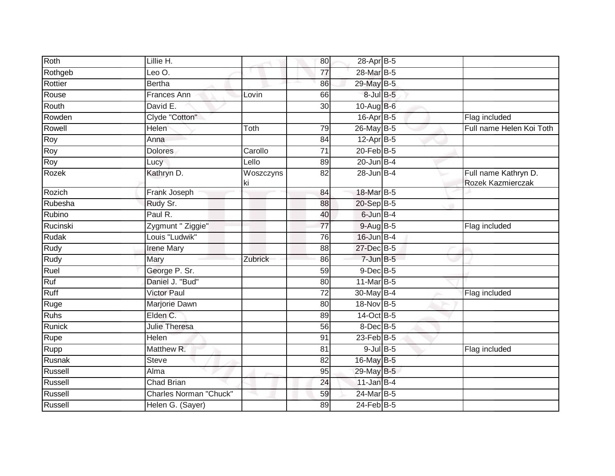| Roth     | Lillie H.                     |                 | 80              | 28-Apr B-5       |                                           |
|----------|-------------------------------|-----------------|-----------------|------------------|-------------------------------------------|
| Rothgeb  | Leo O.                        |                 | 77              | 28-Mar B-5       |                                           |
| Rottier  | <b>Bertha</b>                 |                 | 86              | 29-May B-5       |                                           |
| Rouse    | Frances Ann                   | Lovin           | 66              | $8$ -Jul $B$ -5  |                                           |
| Routh    | David E.                      |                 | 30              | 10-Aug B-6       |                                           |
| Rowden   | Clyde "Cotton"                |                 |                 | $16$ -Apr $B$ -5 | Flag included                             |
| Rowell   | Helen                         | Toth            | 79              | 26-May B-5       | Full name Helen Koi Toth                  |
| Roy      | Anna                          |                 | 84              | $12-Apr$ B-5     |                                           |
| Roy      | <b>Dolores</b>                | Carollo         | $\overline{71}$ | 20-Feb B-5       |                                           |
| Roy      | Lucy                          | Lello           | 89              | $20$ -Jun B-4    |                                           |
| Rozek    | Kathryn D.                    | Woszczyns<br>ki | 82              | $28$ -Jun $B-4$  | Full name Kathryn D.<br>Rozek Kazmierczak |
| Rozich   | Frank Joseph                  |                 | 84              | 18-Mar B-5       |                                           |
| Rubesha  | Rudy Sr.                      |                 | 88              | 20-Sep B-5       |                                           |
| Rubino   | Paul R.                       |                 | 40              | $6$ -Jun $B-4$   |                                           |
| Rucinski | Zygmunt " Ziggie"             |                 | $\overline{77}$ | 9-Aug B-5        | Flag included                             |
| Rudak    | Louis "Ludwik"                |                 | $\overline{76}$ | $16$ -Jun $B-4$  |                                           |
| Rudy     | <b>Irene Mary</b>             |                 | 88              | 27-Dec B-5       |                                           |
| Rudy     | Mary                          | Zubrick         | 86              | $7$ -Jun $B$ -5  |                                           |
| Ruel     | George P. Sr.                 |                 | 59              | $9$ -Dec $B$ -5  |                                           |
| Ruf      | Daniel J. "Bud"               |                 | $\overline{80}$ | 11-Mar B-5       |                                           |
| Ruff     | <b>Victor Paul</b>            |                 | 72              | 30-May B-4       | Flag included                             |
| Ruge     | Marjorie Dawn                 |                 | 80              | 18-Nov B-5       |                                           |
| Ruhs     | Elden C.                      |                 | 89              | 14-Oct B-5       |                                           |
| Runick   | Julie Theresa                 |                 | 56              | $8$ -Dec $B$ -5  |                                           |
| Rupe     | <b>Helen</b>                  |                 | 91              | $23$ -Feb $B-5$  |                                           |
| Rupp     | Matthew R.                    |                 | 81              | $9$ -Jul $B$ -5  | Flag included                             |
| Rusnak   | <b>Steve</b>                  |                 | $\overline{82}$ | 16-May B-5       |                                           |
| Russell  | Alma                          |                 | 95              | 29-May B-5       |                                           |
| Russell  | Chad Brian                    |                 | 24              | $11$ -Jan $B-4$  |                                           |
| Russell  | <b>Charles Norman "Chuck"</b> |                 | 59              | 24-Mar B-5       |                                           |
| Russell  | Helen G. (Sayer)              |                 | 89              | 24-Feb B-5       |                                           |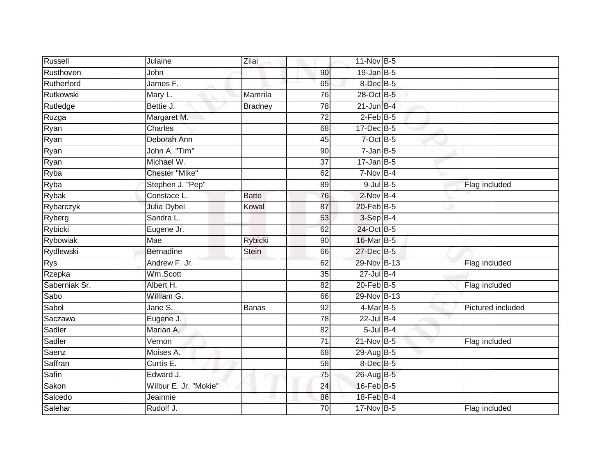| Russell       | Julaine               | Zilai          |                 | $11$ -Nov $B-5$  |                   |
|---------------|-----------------------|----------------|-----------------|------------------|-------------------|
| Rusthoven     | John                  |                | 90              | $19$ -Jan $B-5$  |                   |
| Rutherford    | James F.              |                | 65              | 8-Dec B-5        |                   |
| Rutkowski     | Mary L.               | Mamrila        | 76              | 28-Oct B-5       |                   |
| Rutledge      | Bettie J.             | <b>Bradney</b> | $\overline{78}$ | $21$ -Jun $B-4$  |                   |
| Ruzga         | Margaret M.           |                | $\overline{72}$ | $2$ -Feb $B$ -5  |                   |
| Ryan          | <b>Charles</b>        |                | 68              | $17 - Dec$ B-5   |                   |
| Ryan          | Deborah Ann           |                | 45              | $7$ -Oct $B-5$   |                   |
| Ryan          | John A. "Tim"         |                | 90              | $7$ -Jan $B$ -5  |                   |
| Ryan          | Michael W.            |                | $\overline{37}$ | $17$ -Jan B-5    |                   |
| Ryba          | <b>Chester "Mike"</b> |                | 62              | $7-Nov$ B-4      |                   |
| Ryba          | Stephen J. "Pep"      |                | 89              | $9$ -Jul B-5     | Flag included     |
| Rybak         | Constace L.           | <b>Batte</b>   | 76              | 2-Nov B-4        |                   |
| Rybarczyk     | Julia Dybel           | Kowal          | 87              | $20$ -Feb $B-5$  |                   |
| Ryberg        | Sandra L.             |                | 53              | $3-Sep$ $B-4$    |                   |
| Rybicki       | Eugene Jr.            |                | 62              | 24-Oct B-5       |                   |
| Rybowiak      | Mae                   | <b>Rybicki</b> | 90              | 16-Mar B-5       |                   |
| Rydlewski     | <b>Bernadine</b>      | <b>Stein</b>   | 66              | 27-Dec B-5       |                   |
| <b>Rys</b>    | Andrew F. Jr.         |                | 62              | 29-Nov B-13      | Flag included     |
| Rzepka        | Wm.Scott              |                | $\overline{35}$ | $27 -$ Jul $B-4$ |                   |
| Saberniak Sr. | Albert H.             |                | 82              | $20$ -Feb $B-5$  | Flag included     |
| Sabo          | William G.            |                | 66              | 29-Nov B-13      |                   |
| Sabol         | Jane S.               | <b>Banas</b>   | $\overline{92}$ | $4$ -Mar $B-5$   | Pictured included |
| Saczawa       | Eugene J.             |                | 78              | $22 -$ Jul $B-4$ |                   |
| Sadler        | Marian A.             |                | 82              | $5$ -Jul $B-4$   |                   |
| Sadler        | Vernon                |                | $\overline{71}$ | $21-Nov$ B-5     | Flag included     |
| Saenz         | Moises A.             |                | 68              | 29-Aug B-5       |                   |
| Saffran       | Curtis E.             |                | $\overline{58}$ | 8-Dec B-5        |                   |
| Safin         | Edward J.             |                | $\overline{75}$ | 26-Aug B-5       |                   |
| Sakon         | Wilbur E. Jr. "Mokie" |                | 24              | $16$ -Feb $B$ -5 |                   |
| Salcedo       | Jeainnie              |                | 86              | $18$ -Feb $ B-4$ |                   |
| Salehar       | Rudolf J.             |                | $\overline{70}$ | $17$ -Nov $B-5$  | Flag included     |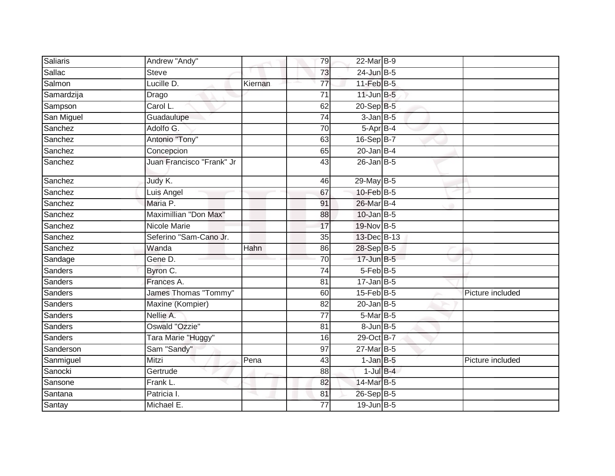| Saliaris       | Andrew "Andy"             |         | 79              | 22-Mar B-9            |                  |
|----------------|---------------------------|---------|-----------------|-----------------------|------------------|
| Sallac         | <b>Steve</b>              |         | 73              | $24$ -Jun $B-5$       |                  |
| Salmon         | Lucille D.                | Kiernan | 77              | $11$ -Feb $B$ -5      |                  |
| Samardzija     | Drago                     |         | $\overline{71}$ | $11$ -Jun $B-5$       |                  |
| Sampson        | Carol L.                  |         | 62              | 20-Sep B-5            |                  |
| San Miguel     | Guadaulupe                |         | $\overline{74}$ | $3-Jan$ $B-5$         |                  |
| Sanchez        | Adolfo G.                 |         | 70              | $5-Apr$ B-4           |                  |
| Sanchez        | Antonio "Tony"            |         | 63              | 16-Sep B-7            |                  |
| Sanchez        | Concepcion                |         | 65              | $20 - JanB-4$         |                  |
| Sanchez        | Juan Francisco "Frank" Jr |         | 43              | $26$ -Jan B-5         |                  |
| Sanchez        | Judy K.                   |         | 46              | 29-May B-5            |                  |
| Sanchez        | Luis Angel                |         | 67              | $10$ -Feb $B-5$       |                  |
| Sanchez        | Maria P.                  |         | 91              | 26-Mar B-4            |                  |
| Sanchez        | Maximillian "Don Max"     |         | 88              | $10$ -Jan B-5         |                  |
| Sanchez        | <b>Nicole Marie</b>       |         | $\overline{17}$ | 19-Nov B-5            |                  |
| Sanchez        | Seferino "Sam-Cano Jr.    |         | 35              | 13-Dec B-13           |                  |
| Sanchez        | Wanda                     | Hahn    | 86              | 28-Sep B-5            |                  |
| Sandage        | Gene D.                   |         | 70              | $17$ -Jun $B-5$       |                  |
| <b>Sanders</b> | Byron C.                  |         | 74              | $5$ -Feb $ B-5 $      |                  |
| <b>Sanders</b> | Frances A.                |         | 81              | $17$ -Jan B-5         |                  |
| Sanders        | James Thomas "Tommy"      |         | 60              | $15$ -Feb $B$ -5      | Picture included |
| Sanders        | Maxine (Kompier)          |         | 82              | $20$ -Jan $B-5$       |                  |
| Sanders        | Nellie A.                 |         | $\overline{77}$ | 5-Mar B-5             |                  |
| Sanders        | Oswald "Ozzie"            |         | 81              | 8-Jun B-5             |                  |
| <b>Sanders</b> | Tara Marie "Huggy"        |         | 16              | 29-Oct B-7            |                  |
| Sanderson      | Sam "Sandy"               |         | 97              | $27 - \text{Mar}$ B-5 |                  |
| Sanmiguel      | Mitzi                     | Pena    | $\overline{43}$ | $1$ -Jan $B$ -5       | Picture included |
| Sanocki        | Gertrude                  |         | 88              | $1$ -Jul $B-4$        |                  |
| Sansone        | Frank L.                  |         | 82              | 14-Mar B-5            |                  |
| Santana        | Patricia I.               |         | 81              | 26-Sep B-5            |                  |
| Santay         | Michael E.                |         | 77              | $19$ -Jun $B - 5$     |                  |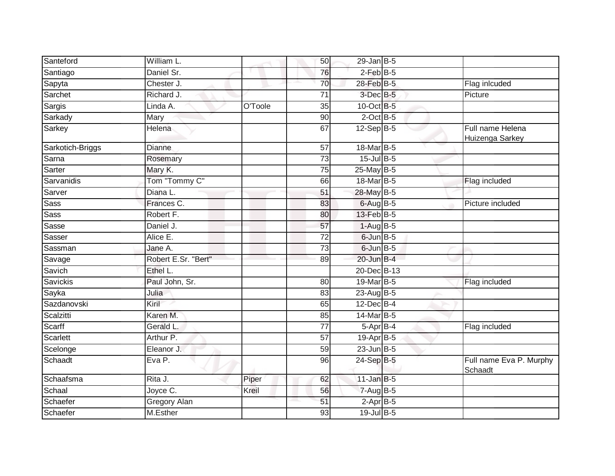| Santeford        | William L.          |         | 50              | $29$ -Jan B-5         |                                     |
|------------------|---------------------|---------|-----------------|-----------------------|-------------------------------------|
| Santiago         | Daniel Sr.          |         | 76              | $2$ -Feb $B$ -5       |                                     |
| Sapyta           | Chester J.          |         | 70              | 28-Feb B-5            | Flag inlcuded                       |
| Sarchet          | Richard J.          |         | $\overline{71}$ | $3$ -Dec $B-5$        | Picture                             |
| Sargis           | Linda A.            | O'Toole | 35              | 10-Oct B-5            |                                     |
| Sarkady          | Mary                |         | 90              | $2$ -Oct $B-5$        |                                     |
| Sarkey           | Helena              |         | 67              | $12-Sep$ $B-5$        | Full name Helena<br>Huizenga Sarkey |
| Sarkotich-Briggs | Dianne              |         | $\overline{57}$ | 18-Mar <sub>B-5</sub> |                                     |
| Sarna            | Rosemary            |         | 73              | $15$ -Jul B-5         |                                     |
| Sarter           | Mary K.             |         | 75              | 25-May B-5            |                                     |
| Sarvanidis       | Tom "Tommy C"       |         | 66              | 18-Mar B-5            | Flag included                       |
| Sarver           | Diana L.            |         | 51              | 28-May B-5            |                                     |
| <b>Sass</b>      | Frances C.          |         | 83              | $6$ -Aug $B$ -5       | Picture included                    |
| Sass             | Robert F.           |         | 80              | $13$ -Feb $ B-5 $     |                                     |
| Sasse            | Daniel J.           |         | $\overline{57}$ | $1-AugB-5$            |                                     |
| Sasser           | Alice E.            |         | 72              | $6$ -Jun $B$ -5       |                                     |
| Sassman          | Jane A.             |         | $\overline{73}$ | $6$ -Jun $B$ -5       |                                     |
| Savage           | Robert E.Sr. "Bert" |         | 89              | $20 - Jun$ $B-4$      |                                     |
| Savich           | Ethel L.            |         |                 | 20-Dec B-13           |                                     |
| <b>Savickis</b>  | Paul John, Sr.      |         | 80              | 19-Mar B-5            | Flag included                       |
| Sayka            | Julia               |         | 83              | 23-Aug B-5            |                                     |
| Sazdanovski      | Kiril               |         | 65              | $12$ -Dec $B-4$       |                                     |
| Scalzitti        | Karen M.            |         | 85              | 14-Mar B-5            |                                     |
| Scarff           | Gerald L.           |         | $\overline{77}$ | $5-AprB-4$            | Flag included                       |
| Scarlett         | Arthur P.           |         | $\overline{57}$ | 19-Apr B-5            |                                     |
| Scelonge         | Eleanor J.          |         | 59              | $23$ -Jun $B-5$       |                                     |
| Schaadt          | Eva P.              |         | $\overline{96}$ | 24-Sep B-5            | Full name Eva P. Murphy<br>Schaadt  |
| Schaafsma        | Rita J.             | Piper   | 62              | $11$ -Jan B-5         |                                     |
| Schaal           | Joyce C.            | Kreil   | 56              | $7-AugB-5$            |                                     |
| Schaefer         | <b>Gregory Alan</b> |         | 51              | $2$ -Apr $B$ -5       |                                     |
| Schaefer         | M.Esther            |         | 93              | $19$ -Jul $B-5$       |                                     |
|                  |                     |         |                 |                       |                                     |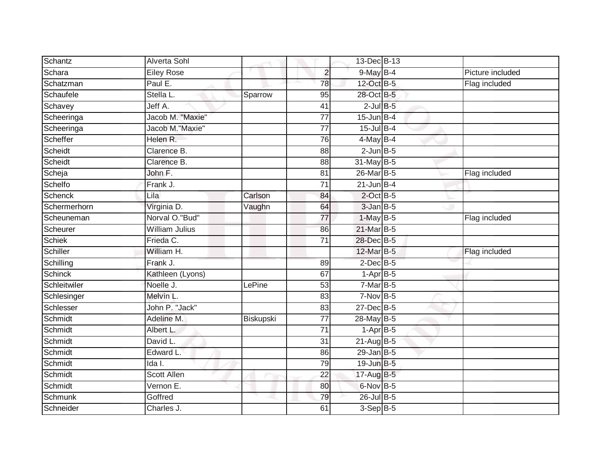| Schantz        | Alverta Sohl          |           |                 | 13-Dec B-13           |                  |
|----------------|-----------------------|-----------|-----------------|-----------------------|------------------|
| Schara         | <b>Eiley Rose</b>     |           | $\overline{2}$  | $9$ -May $B-4$        | Picture included |
| Schatzman      | Paul E.               |           | 78              | 12-Oct B-5            | Flag included    |
| Schaufele      | Stella L.             | Sparrow   | 95              | 28-Oct B-5            |                  |
| Schavey        | Jeff A.               |           | 41              | $2$ -Jul $B$ -5       |                  |
| Scheeringa     | Jacob M. "Maxie"      |           | 77              | $15$ -Jun $B-4$       |                  |
| Scheeringa     | Jacob M."Maxie"       |           | 77              | $15$ -Jul B-4         |                  |
| Scheffer       | Helen R.              |           | 76              | $4$ -May B-4          |                  |
| Scheidt        | Clarence B.           |           | 88              | $2$ -Jun $B$ -5       |                  |
| Scheidt        | Clarence B.           |           | 88              | $31$ -May B-5         |                  |
| Scheja         | John F.               |           | 81              | 26-Mar <sub>B-5</sub> | Flag included    |
| Schelfo        | Frank J.              |           | 71              | $21$ -Jun $B-4$       |                  |
| Schenck        | Lila                  | Carlson   | 84              | $2$ -Oct B-5          |                  |
| Schermerhorn   | Virginia D.           | Vaughn    | 64              | $3$ -Jan $B$ -5       |                  |
| Scheuneman     | Norval O."Bud"        |           | $\overline{77}$ | $1$ -May B-5          | Flag included    |
| Scheurer       | <b>William Julius</b> |           | 86              | 21-Mar B-5            |                  |
| <b>Schiek</b>  | Frieda C.             |           | $\overline{71}$ | 28-Dec B-5            |                  |
| Schiller       | William H.            |           |                 | 12-Mar B-5            | Flag included    |
| Schilling      | Frank J.              |           | 89              | $2$ -Dec $B$ -5       |                  |
| <b>Schinck</b> | Kathleen (Lyons)      |           | 67              | $1-Apr$ B-5           |                  |
| Schleitwiler   | Noelle J.             | LePine    | 53              | $7-Mar$ B-5           |                  |
| Schlesinger    | Melvin L.             |           | 83              | $7-Nov$ B-5           |                  |
| Schlesser      | John P. "Jack"        |           | 83              | 27-Dec B-5            |                  |
| Schmidt        | Adeline M.            | Biskupski | 77              | 28-May B-5            |                  |
| Schmidt        | Albert L.             |           | 71              | $1-Apr$ B-5           |                  |
| Schmidt        | David L.              |           | 31              | $21$ -Aug $B-5$       |                  |
| Schmidt        | Edward L.             |           | 86              | $29$ -Jan B-5         |                  |
| Schmidt        | Ida I.                |           | 79              | 19-Jun B-5            |                  |
| Schmidt        | Scott Allen           |           | 22              | 17-Aug B-5            |                  |
| Schmidt        | Vernon E.             |           | 80              | 6-Nov B-5             |                  |
| Schmunk        | Goffred               |           | 79              | 26-Jul B-5            |                  |
| Schneider      | Charles J.            |           | 61              | $3-SepB-5$            |                  |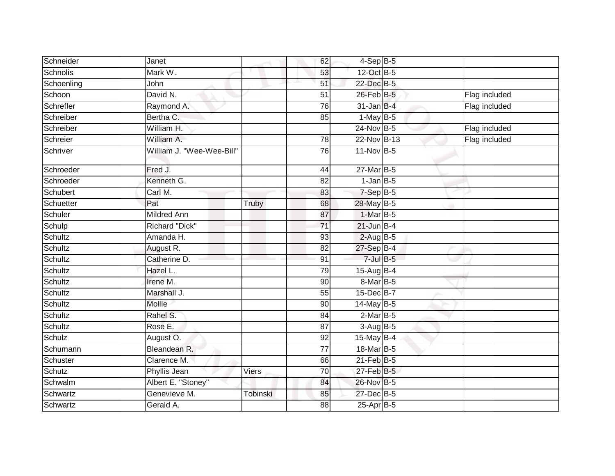| Schneider      | Janet                     |                 | 62              | $4-Sep B-5$           |               |
|----------------|---------------------------|-----------------|-----------------|-----------------------|---------------|
| Schnolis       | Mark W.                   |                 | 53              | 12-Oct B-5            |               |
| Schoenling     | John                      |                 | 51              | 22-Dec B-5            |               |
| Schoon         | David N.                  |                 | $\overline{51}$ | 26-Feb B-5            | Flag included |
| Schrefler      | Raymond A.                |                 | 76              | $31$ -Jan $B-4$       | Flag included |
| Schreiber      | Bertha C.                 |                 | 85              | $1-May$ B-5           |               |
| Schreiber      | William H.                |                 |                 | 24-Nov B-5            | Flag included |
| Schreier       | William A.                |                 | 78              | 22-Nov B-13           | Flag included |
| Schriver       | William J. "Wee-Wee-Bill" |                 | 76              | 11-Nov B-5            |               |
| Schroeder      | Fred J.                   |                 | 44              | $27 - \text{Mar}$ B-5 |               |
| Schroeder      | Kenneth G.                |                 | $\overline{82}$ | $1$ -Jan B-5          |               |
| Schubert       | Carl M.                   |                 | 83              | $7-Sep$ B-5           |               |
| Schuetter      | Pat                       | Truby           | 68              | 28-May B-5            |               |
| Schuler        | <b>Mildred Ann</b>        |                 | 87              | $1-MarB-5$            |               |
| Schulp         | Richard "Dick"            |                 | $\overline{71}$ | $21$ -Jun $B-4$       |               |
| Schultz        | Amanda H.                 |                 | 93              | $2$ -Aug $B$ -5       |               |
| Schultz        | August R.                 |                 | 82              | 27-Sep B-4            |               |
| Schultz        | Catherine D.              |                 | 91              | $7$ -Jul $B$ -5       |               |
| <b>Schultz</b> | Hazel L.                  |                 | 79              | 15-Aug B-4            |               |
| Schultz        | Irene M.                  |                 | 90              | 8-Mar B-5             |               |
| Schultz        | Marshall J.               |                 | 55              | 15-Dec B-7            |               |
| Schultz        | Mollie                    |                 | 90              | $14$ -May B-5         |               |
| Schultz        | Rahel S.                  |                 | 84              | $2$ -Mar B-5          |               |
| Schultz        | Rose E.                   |                 | 87              | $3-AugB-5$            |               |
| Schulz         | August O.                 |                 | $\overline{92}$ | 15-May B-4            |               |
| Schumann       | Bleandean R.              |                 | 77              | 18-Mar B-5            |               |
| Schuster       | Clarence M.               |                 | 66              | $21$ -Feb $B-5$       |               |
| Schutz         | Phyllis Jean              | Viers           | $\overline{70}$ | $27$ -Feb $B$ -5      |               |
| Schwalm        | Albert E. "Stoney"        |                 | 84              | 26-Nov B-5            |               |
| Schwartz       | Genevieve M.              | <b>Tobinski</b> | 85              | 27-Dec B-5            |               |
| Schwartz       | Gerald A.                 |                 | 88              | 25-Apr B-5            |               |
|                |                           |                 |                 |                       |               |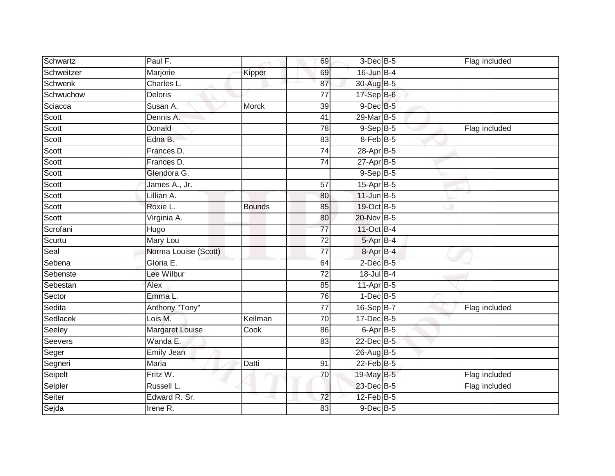| Schwartz       | Paul F.                |               | 69              | $3$ -Dec $B$ -5  | Flag included |
|----------------|------------------------|---------------|-----------------|------------------|---------------|
| Schweitzer     | Marjorie               | Kipper        | 69              | $16$ -Jun $B-4$  |               |
| <b>Schwenk</b> | Charles L.             |               | $\overline{87}$ | 30-Aug B-5       |               |
| Schwuchow      | <b>Deloris</b>         |               | 77              | 17-Sep B-6       |               |
| Sciacca        | Susan A.               | Morck         | 39              | 9-Dec B-5        |               |
| Scott          | Dennis A.              |               | 41              | 29-Mar B-5       |               |
| Scott          | Donald                 |               | 78              | $9-Sep$ B-5      | Flag included |
| Scott          | Edna B.                |               | 83              | 8-Feb B-5        |               |
| Scott          | Frances D.             |               | 74              | 28-Apr B-5       |               |
| Scott          | Frances D.             |               | 74              | $27 - Apr$ B-5   |               |
| Scott          | Glendora G.            |               |                 | $9-Sep B-5$      |               |
| Scott          | James A., Jr.          |               | $\overline{57}$ | $15-Apr$ B-5     |               |
| Scott          | Lillian A.             |               | 80              | $11$ -Jun $B-5$  |               |
| Scott          | Roxie L.               | <b>Bounds</b> | 85              | 19-Oct B-5       |               |
| Scott          | Virginia A.            |               | 80              | 20-Nov B-5       |               |
| Scrofani       | Hugo                   |               | $\overline{77}$ | $11-Oct$ B-4     |               |
| Scurtu         | Mary Lou               |               | $\overline{72}$ | $5-AprB-4$       |               |
| Seal           | Norma Louise (Scott)   |               | $\overline{77}$ | 8-Apr B-4        |               |
| Sebena         | Gloria E.              |               | 64              | $2$ -Dec B-5     |               |
| Sebenste       | Lee Wilbur             |               | $\overline{72}$ | $18$ -Jul B-4    |               |
| Sebestan       | Alex                   |               | 85              | $11-Apr$ B-5     |               |
| Sector         | Emma L.                |               | 76              | $1-Dec$ B-5      |               |
| Sedita         | Anthony "Tony"         |               | 77              | 16-Sep B-7       | Flag included |
| Sedlacek       | Lois M.                | Keilman       | $\overline{70}$ | $17 - Dec$ B-5   |               |
| Seeley         | <b>Margaret Louise</b> | Cook          | 86              | 6-Apr B-5        |               |
| <b>Seevers</b> | Wanda E.               |               | 83              | 22-Dec B-5       |               |
| Seger          | <b>Emily Jean</b>      |               |                 | 26-Aug B-5       |               |
| Segneri        | <b>Maria</b>           | Datti         | 91              | 22-Feb B-5       |               |
| Seipelt        | Fritz W.               |               | 70              | 19-May B-5       | Flag included |
| Seipler        | Russell L.             |               |                 | 23-Dec B-5       | Flag included |
| Seiter         | Edward R. Sr.          |               | 72              | $12$ -Feb $ B-5$ |               |
| Sejda          | Irene R.               |               | 83              | $9$ -Dec $B$ -5  |               |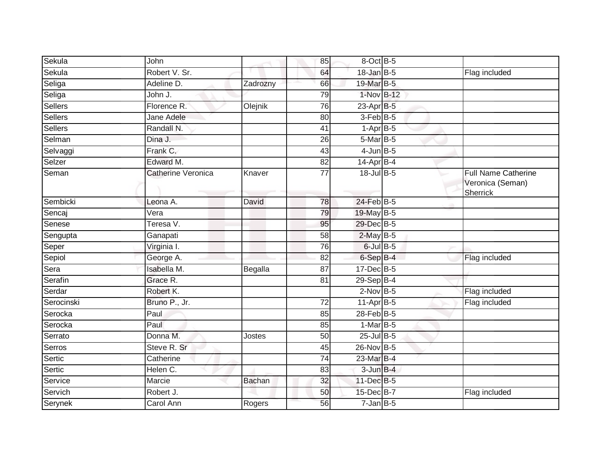| Sekula         | John                      |               | 85              | $8-Oct$ B-5           |                                                            |
|----------------|---------------------------|---------------|-----------------|-----------------------|------------------------------------------------------------|
| Sekula         | Robert V. Sr.             |               | 64              | $18$ -Jan B-5         | Flag included                                              |
| Seliga         | Adeline D.                | Zadrozny      | 66              | 19-Mar <sub>B-5</sub> |                                                            |
| Seliga         | John J.                   |               | 79              | 1-Nov B-12            |                                                            |
| <b>Sellers</b> | Florence R.               | Olejnik       | 76              | 23-Apr B-5            |                                                            |
| <b>Sellers</b> | <b>Jane Adele</b>         |               | 80              | 3-Feb B-5             |                                                            |
| <b>Sellers</b> | Randall N.                |               | 41              | $1-Apr$ B-5           |                                                            |
| Selman         | Dina J.                   |               | 26              | $5-MarB-5$            |                                                            |
| Selvaggi       | Frank C.                  |               | 43              | $4$ -Jun $B$ -5       |                                                            |
| Selzer         | Edward M.                 |               | $\overline{82}$ | $14$ -Apr $B$ -4      |                                                            |
| Seman          | <b>Catherine Veronica</b> | Knaver        | 77              | $18$ -Jul $B$ -5      | <b>Full Name Catherine</b><br>Veronica (Seman)<br>Sherrick |
| Sembicki       | Leona A.                  | David         | 78              | $24$ -Feb $B-5$       |                                                            |
| Sencaj         | Vera                      |               | 79              | 19-May B-5            |                                                            |
| Senese         | Teresa V.                 |               | 95              | 29-Dec B-5            |                                                            |
| Sengupta       | Ganapati                  |               | 58              | $2$ -May B-5          |                                                            |
| Seper          | Virginia I.               |               | $\overline{76}$ | $6$ -Jul B-5          |                                                            |
| Sepiol         | George A.                 |               | $\overline{82}$ | 6-Sep B-4             | Flag included                                              |
| Sera           | Isabella M.               | Begalla       | 87              | $17 - Dec$ B-5        |                                                            |
| Serafin        | Grace R.                  |               | 81              | $29-Sep B-4$          |                                                            |
| Serdar         | Robert K.                 |               |                 | $2$ -Nov $B-5$        | Flag included                                              |
| Serocinski     | Bruno P., Jr.             |               | $\overline{72}$ | $11$ -Apr $B-5$       | Flag included                                              |
| Serocka        | Paul                      |               | 85              | 28-Feb B-5            |                                                            |
| Serocka        | Paul                      |               | 85              | $1-MarB-5$            |                                                            |
| Serrato        | Donna M.                  | Jostes        | 50              | $25$ -Jul B-5         |                                                            |
| Serros         | Steve R. Sr               |               | 45              | 26-Nov B-5            |                                                            |
| Sertic         | Catherine                 |               | 74              | 23-Mar B-4            |                                                            |
| Sertic         | Helen C.                  |               | 83              | $3$ -Jun $B-4$        |                                                            |
| Service        | Marcie                    | <b>Bachan</b> | 32              | 11-Dec B-5            |                                                            |
| Servich        | Robert J.                 |               | 50              | $15$ -Dec $B-7$       | Flag included                                              |
| Serynek        | Carol Ann                 | Rogers        | 56              | $7$ -Jan $B$ -5       |                                                            |
|                |                           |               |                 |                       |                                                            |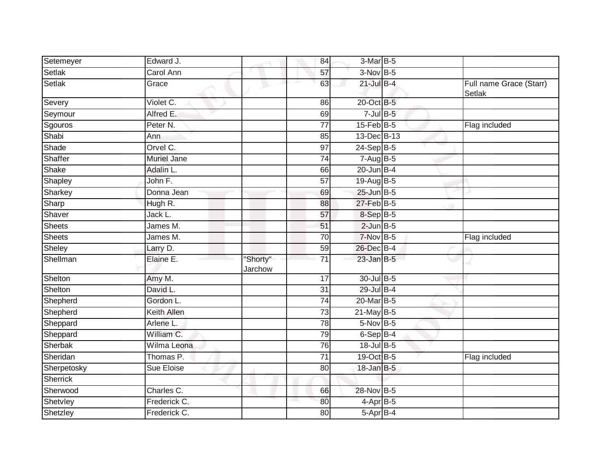| Setemeyer     | Edward J.           |                     | 84              | $3-MarB-5$            |                                   |
|---------------|---------------------|---------------------|-----------------|-----------------------|-----------------------------------|
| Setlak        | <b>Carol Ann</b>    |                     | 57              | $3-Nov$ B-5           |                                   |
| <b>Setlak</b> | Grace               |                     | 63              | $21$ -Jul $B-4$       | Full name Grace (Starr)<br>Setlak |
| Severy        | Violet C.           |                     | 86              | 20-Oct B-5            |                                   |
| Seymour       | Alfred E.           |                     | 69              | $7$ -Jul $B-5$        |                                   |
| Sgouros       | Peter <sub>N.</sub> |                     | $\overline{77}$ | $15$ -Feb $B$ -5      | Flag included                     |
| Shabi         | Ann                 |                     | 85              | 13-Dec B-13           |                                   |
| Shade         | Orvel C.            |                     | $\overline{97}$ | $24-SepB-5$           |                                   |
| Shaffer       | <b>Muriel Jane</b>  |                     | $\overline{74}$ | $7-AugB-5$            |                                   |
| Shake         | Adalin L.           |                     | 66              | $20$ -Jun $B-4$       |                                   |
| Shapley       | John F.             |                     | $\overline{57}$ | 19-Aug B-5            |                                   |
| Sharkey       | Donna Jean          |                     | 69              | $25 - Jun$ B-5        |                                   |
| Sharp         | Hugh R.             |                     | 88              | $27$ -Feb $ B-5 $     |                                   |
| Shaver        | Jack L.             |                     | 57              | $8-Sep\overline{B-5}$ |                                   |
| <b>Sheets</b> | James M.            |                     | $\overline{51}$ | $2$ -Jun $B-5$        |                                   |
| Sheets        | James M.            |                     | $\overline{70}$ | $7-Nov$ B-5           | Flag included                     |
| Sheley        | Larry D.            |                     | 59              | 26-Dec B-4            |                                   |
| Shellman      | Elaine E.           | "Shorty"<br>Jarchow | 71              | $23$ -Jan $B-5$       |                                   |
| Shelton       | Amy M.              |                     | 17              | $30 -$ Jul $B - 5$    |                                   |
| Shelton       | David L.            |                     | $\overline{31}$ | $29$ -Jul $B-4$       |                                   |
| Shepherd      | Gordon L.           |                     | 74              | 20-Mar B-5            |                                   |
| Shepherd      | Keith Allen         |                     | $\overline{73}$ | $21$ -May B-5         |                                   |
| Sheppard      | Arlene L.           |                     | 78              | $5-NovB-5$            |                                   |
| Sheppard      | William C.          |                     | 79              | $6-SepB-4$            |                                   |
| Sherbak       | Wilma Leona         |                     | $\overline{76}$ | 18-Jul B-5            |                                   |
| Sheridan      | Thomas P.           |                     | 71              | 19-Oct B-5            | Flag included                     |
| Sherpetosky   | Sue Eloise          |                     | 80              | $18$ -Jan $B-5$       |                                   |
| Sherrick      |                     |                     |                 |                       |                                   |
| Sherwood      | Charles C.          |                     | 66              | 28-Nov B-5            |                                   |
| Shetvley      | Frederick C.        |                     | 80              | $4-Apr$ B-5           |                                   |
| Shetzley      | Frederick C.        |                     | 80              | $5-Apr$ B-4           |                                   |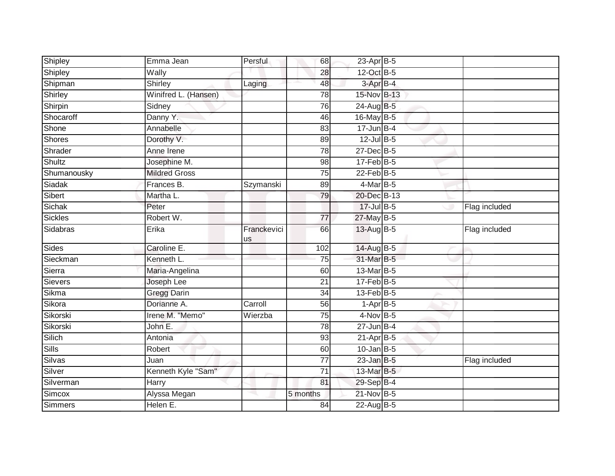| Shipley     | Emma Jean            | Persful           | 68              | $23-Apr$ B-5      |               |
|-------------|----------------------|-------------------|-----------------|-------------------|---------------|
| Shipley     | Wally                |                   | 28              | 12-Oct B-5        |               |
| Shipman     | Shirley              | Laging            | 48              | $3-AprB-4$        |               |
| Shirley     | Winifred L. (Hansen) |                   | 78              | 15-Nov B-13       |               |
| Shirpin     | Sidney               |                   | $\overline{76}$ | 24-Aug B-5        |               |
| Shocaroff   | Danny Y.             |                   | 46              | 16-May B-5        |               |
| Shone       | Annabelle            |                   | 83              | $17 - Jun$ B-4    |               |
| Shores      | Dorothy V.           |                   | 89              | $12$ -Jul B-5     |               |
| Shrader     | Anne Irene           |                   | 78              | 27-Dec B-5        |               |
| Shultz      | Josephine M.         |                   | 98              | $17$ -Feb $B$ -5  |               |
| Shumanousky | <b>Mildred Gross</b> |                   | 75              | $22$ -Feb $B-5$   |               |
| Siadak      | Frances B.           | Szymanski         | 89              | $4$ -Mar B-5      |               |
| Sibert      | Martha L.            |                   | 79              | 20-Dec B-13       |               |
| Sichak      | Peter                |                   |                 | $17 -$ Jul B-5    | Flag included |
| Sickles     | Robert W.            |                   | $\overline{77}$ | $27$ -May B-5     |               |
| Sidabras    | Erika                | Franckevici<br>us | 66              | 13-Aug B-5        | Flag included |
| Sides       | Caroline E.          |                   | 102             | 14-Aug B-5        |               |
| Sieckman    | Kenneth L.           |                   | 75              | 31-Mar B-5        |               |
| Sierra      | Maria-Angelina       |                   | 60              | 13-Mar B-5        |               |
| Sievers     | Joseph Lee           |                   | $\overline{21}$ | $17 - Feb$ $B-5$  |               |
| Sikma       | Gregg Darin          |                   | 34              | $13$ -Feb $ B-5 $ |               |
| Sikora      | Dorianne A.          | Carroll           | 56              | $1-AprB-5$        |               |
| Sikorski    | Irene M. "Memo"      | Wierzba           | $\overline{75}$ | 4-Nov B-5         |               |
| Sikorski    | John E.              |                   | 78              | $27 - Jun$ B-4    |               |
| Silich      | Antonia              |                   | $\overline{93}$ | $21-Apr$ B-5      |               |
| Sills       | Robert               |                   | 60              | $10$ -Jan B-5     |               |
| Silvas      | Juan                 |                   | $\overline{77}$ | $23$ -Jan B-5     | Flag included |
| Silver      | Kenneth Kyle "Sam"   |                   | $\overline{71}$ | 13-Mar B-5        |               |
| Silverman   | Harry                |                   | 81              | 29-Sep B-4        |               |
| Simcox      | Alyssa Megan         |                   | 5 months        | $21-Nov$ B-5      |               |
| Simmers     | Helen E.             |                   | 84              | 22-Aug B-5        |               |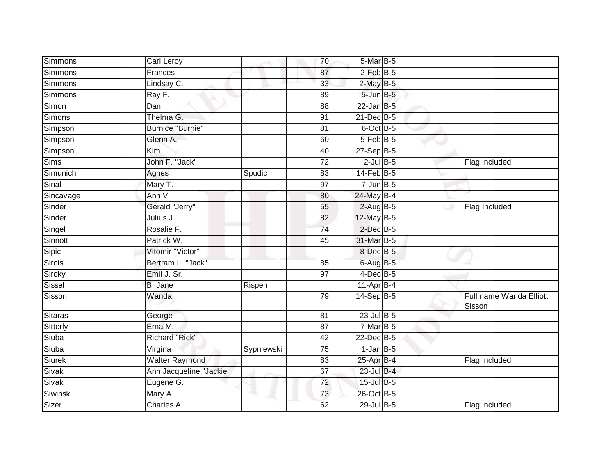| Simmons        | Carl Leroy              |            | 70              | $5$ -Mar $B$ -5      |                                   |
|----------------|-------------------------|------------|-----------------|----------------------|-----------------------------------|
| Simmons        | Frances                 |            | 87              | $2$ -Feb $B-5$       |                                   |
| Simmons        | Lindsay C.              |            | 33              | $2$ -May $B-5$       |                                   |
| <b>Simmons</b> | Ray F.                  |            | 89              | $5$ -Jun $B - 5$     |                                   |
| Simon          | Dan                     |            | 88              | $22$ -Jan $B-5$      |                                   |
| Simons         | Thelma G.               |            | $\overline{91}$ | $21 - Dec$ B-5       |                                   |
| Simpson        | <b>Burnice "Burnie"</b> |            | 81              | $6$ -Oct $B$ -5      |                                   |
| Simpson        | Glenn A.                |            | 60              | 5-Feb <sup>B-5</sup> |                                   |
| Simpson        | Kim                     |            | 40              | $27-Sep$ B-5         |                                   |
| <b>Sims</b>    | John F. "Jack"          |            | $\overline{72}$ | $2$ -Jul $B-5$       | Flag included                     |
| Simunich       | Agnes                   | Spudic     | 83              | $14$ -Feb $B$ -5     |                                   |
| Sinal          | Mary T.                 |            | 97              | $7$ -Jun $B$ -5      |                                   |
| Sincavage      | Ann V.                  |            | 80              | 24-May B-4           |                                   |
| Sinder         | Gerald "Jerry"          |            | 55              | $2$ -Aug $B - 5$     | Flag Included                     |
| Sinder         | Julius J.               |            | 82              | 12-May B-5           |                                   |
| Singel         | Rosalie F.              |            | 74              | $2$ -Dec $B-5$       |                                   |
| Sinnott        | Patrick W.              |            | 45              | 31-Mar B-5           |                                   |
| Sipic          | Vitomir "Victor"        |            |                 | 8-Dec B-5            |                                   |
| <b>Sirois</b>  | Bertram L. "Jack"       |            | 85              | 6-Aug B-5            |                                   |
| Siroky         | Emil J. Sr.             |            | $\overline{97}$ | $4$ -Dec $B$ -5      |                                   |
| Sissel         | B. Jane                 | Rispen     |                 | $11-Apr$ B-4         |                                   |
| Sisson         | Wanda                   |            | 79              | $14-Sep$ B-5         | Full name Wanda Elliott<br>Sisson |
| <b>Sitaras</b> | George                  |            | 81              | $23$ -Jul $B-5$      |                                   |
| Sitterly       | Erna M.                 |            | 87              | $7-Mar$ B-5          |                                   |
| Siuba          | Richard "Rick"          |            | 42              | 22-Dec B-5           |                                   |
| Siuba          | Virgina                 | Sypniewski | 75              | $1$ -Jan $B-5$       |                                   |
| Siurek         | <b>Walter Raymond</b>   |            | 83              | 25-Apr B-4           | Flag included                     |
| Sivak          | Ann Jacqueline "Jackie' |            | 67              | $23$ -Jul $B-4$      |                                   |
| Sivak          | Eugene G.               |            | 72              | $15$ -Jul $B-5$      |                                   |
| Siwinski       | Mary A.                 |            | 73              | 26-Oct B-5           |                                   |
| Sizer          | Charles A.              |            | 62              | 29-Jul B-5           | Flag included                     |
|                |                         |            |                 |                      |                                   |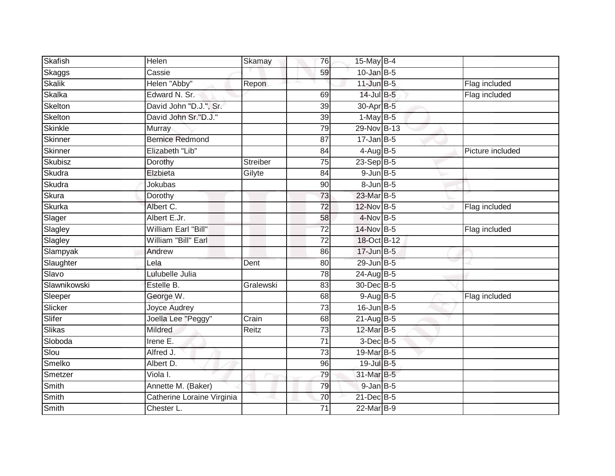| Skafish        | Helen                      | Skamay    | 76              | 15-May B-4             |                  |
|----------------|----------------------------|-----------|-----------------|------------------------|------------------|
| Skaggs         | Cassie                     |           | 59              | $10$ -Jan B-5          |                  |
| <b>Skalik</b>  | Helen "Abby"               | Repon     |                 | $11$ -Jun $B-5$        | Flag included    |
| Skalka         | Edward N. Sr.              |           | 69              | 14-Jul B-5             | Flag included    |
| <b>Skelton</b> | David John "D.J.", Sr.     |           | 39              | 30-Apr B-5             |                  |
| Skelton        | David John Sr."D.J."       |           | 39              | $1-May$ B-5            |                  |
| Skinkle        | <b>Murray</b>              |           | 79              | 29-Nov B-13            |                  |
| Skinner        | <b>Bernice Redmond</b>     |           | $\overline{87}$ | $17 - Jan$ B-5         |                  |
| Skinner        | Elizabeth "Lib"            |           | 84              | $4$ -Aug B-5           | Picture included |
| Skubisz        | Dorothy                    | Streiber  | 75              | $23-Sep$ B-5           |                  |
| Skudra         | Elzbieta                   | Gilyte    | 84              | $9$ -Jun $B$ -5        |                  |
| Skudra         | <b>Jokubas</b>             |           | 90              | $8 - Jun$ B-5          |                  |
| Skura          | Dorothy                    |           | 73              | 23-Mar B-5             |                  |
| <b>Skurka</b>  | Albert C.                  |           | $\overline{72}$ | 12-Nov B-5             | Flag included    |
| Slager         | Albert E.Jr.               |           | 58              | $4$ -Nov B-5           |                  |
| Slagley        | William Earl "Bill"        |           | $\overline{72}$ | 14-Nov B-5             | Flag included    |
| Slagley        | William "Bill" Earl        |           | $\overline{72}$ | 18-Oct B-12            |                  |
| Slampyak       | Andrew                     |           | 86              | 17-Jun B-5             |                  |
| Slaughter      | Lela                       | Dent      | 80              | $29$ -Jun $B-5$        |                  |
| Slavo          | Lulubelle Julia            |           | 78              | $24$ -Aug B-5          |                  |
| Slawnikowski   | Estelle B.                 | Gralewski | 83              | 30-Dec <sub>B</sub> -5 |                  |
| Sleeper        | George W.                  |           | 68              | 9-Aug B-5              | Flag included    |
| Slicker        | Joyce Audrey               |           | 73              | $16$ -Jun $B-5$        |                  |
| Slifer         | Joella Lee "Peggy"         | Crain     | 68              | $21$ -Aug B-5          |                  |
| Slikas         | <b>Mildred</b>             | Reitz     | 73              | $12$ -Mar $B-5$        |                  |
| Sloboda        | Irene E.                   |           | $\overline{71}$ | $3$ -Dec $B$ -5        |                  |
| Slou           | Alfred J.                  |           | 73              | 19-Mar B-5             |                  |
| Smelko         | Albert D.                  |           | 96              | 19-Jul B-5             |                  |
| Smetzer        | Viola I.                   |           | 79              | 31-Mar B-5             |                  |
| Smith          | Annette M. (Baker)         |           | 79              | $9$ -Jan $B-5$         |                  |
| Smith          | Catherine Loraine Virginia |           | 70              | $21$ -Dec $B-5$        |                  |
| Smith          | Chester L.                 |           | $\overline{71}$ | $22$ -Mar $B-9$        |                  |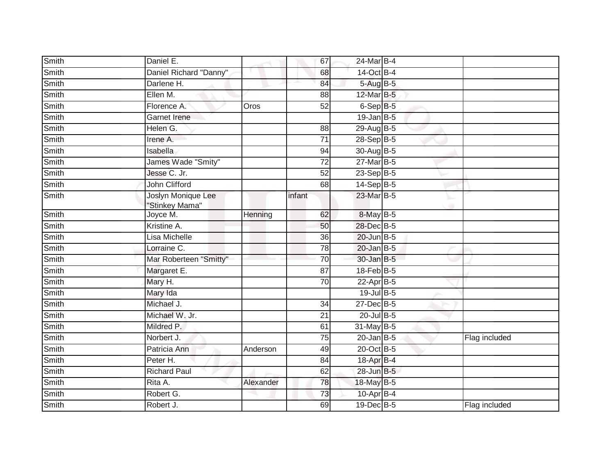| Smith        | Daniel E.                            |           | 67              | 24-Mar B-4       |               |
|--------------|--------------------------------------|-----------|-----------------|------------------|---------------|
| Smith        | Daniel Richard "Danny"               |           | 68              | 14-Oct B-4       |               |
| Smith        | Darlene H.                           |           | 84              | 5-Aug B-5        |               |
| Smith        | Ellen M.                             |           | 88              | 12-Mar B-5       |               |
| Smith        | Florence A.                          | Oros      | 52              | 6-Sep B-5        |               |
| Smith        | <b>Garnet Irene</b>                  |           |                 | $19$ -Jan $B-5$  |               |
| Smith        | Helen G.                             |           | 88              | 29-Aug B-5       |               |
| <b>Smith</b> | Irene A.                             |           | 71              | 28-Sep B-5       |               |
| Smith        | Isabella                             |           | 94              | 30-Aug B-5       |               |
| Smith        | James Wade "Smity"                   |           | $\overline{72}$ | 27-Mar B-5       |               |
| Smith        | Jesse C. Jr.                         |           | $\overline{52}$ | 23-Sep B-5       |               |
| Smith        | John Clifford                        |           | 68              | $14-SepB-5$      |               |
| Smith        | Joslyn Monique Lee<br>"Stinkey Mama" |           | infant          | 23-Mar B-5       |               |
| Smith        | Joyce M.                             | Henning   | 62              | 8-May B-5        |               |
| Smith        | Kristine A.                          |           | 50              | 28-Dec B-5       |               |
| Smith        | Lisa Michelle                        |           | 36              | 20-Jun B-5       |               |
| Smith        | Lorraine C.                          |           | 78              | $20$ -Jan B-5    |               |
| Smith        | Mar Roberteen "Smitty"               |           | 70              | 30-Jan B-5       |               |
| Smith        | Margaret E.                          |           | 87              | $18$ -Feb $B$ -5 |               |
| Smith        | Mary H.                              |           | $\overline{70}$ | $22-AprB-5$      |               |
| Smith        | Mary Ida                             |           |                 | $19$ -Jul B-5    |               |
| Smith        | Michael J.                           |           | 34              | 27-Dec B-5       |               |
| Smith        | Michael W. Jr.                       |           | $\overline{21}$ | $20$ -Jul $B-5$  |               |
| Smith        | Mildred P.                           |           | 61              | 31-May B-5       |               |
| Smith        | Norbert J.                           |           | $\overline{75}$ | $20 - JanB-5$    | Flag included |
| Smith        | Patricia Ann                         | Anderson  | 49              | 20-Oct B-5       |               |
| Smith        | Peter H.                             |           | 84              | 18-Apr B-4       |               |
| Smith        | <b>Richard Paul</b>                  |           | 62              | 28-Jun B-5       |               |
| Smith        | Rita A.                              | Alexander | 78              | 18-May B-5       |               |
| Smith        | Robert G.                            |           | 73              | 10-Apr B-4       |               |
| Smith        | Robert J.                            |           | 69              | 19-Dec B-5       | Flag included |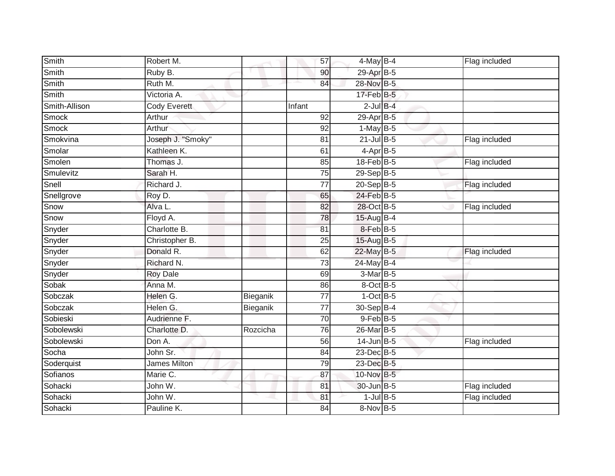| Smith         | Robert M.           |          | 57              | $4$ -May B-4      | Flag included |
|---------------|---------------------|----------|-----------------|-------------------|---------------|
| <b>Smith</b>  | Ruby B.             |          | 90              | 29-Apr B-5        |               |
| Smith         | Ruth M.             |          | 84              | 28-Nov B-5        |               |
| Smith         | Victoria A.         |          |                 | 17-Feb B-5        |               |
| Smith-Allison | <b>Cody Everett</b> |          | Infant          | $2$ -Jul $B-4$    |               |
| Smock         | Arthur              |          | 92              | $29-Apr$ B-5      |               |
| Smock         | Arthur              |          | 92              | $1-May$ B-5       |               |
| Smokvina      | Joseph J. "Smoky"   |          | 81              | $21$ -Jul B-5     | Flag included |
| Smolar        | Kathleen K.         |          | 61              | $4-Apr$ B-5       |               |
| Smolen        | Thomas J.           |          | 85              | $18$ -Feb $ B-5 $ | Flag included |
| Smulevitz     | Sarah H.            |          | 75              | $29-Sep$ B-5      |               |
| Snell         | Richard J.          |          | 77              | 20-Sep B-5        | Flag included |
| Snellgrove    | Roy D.              |          | 65              | 24-Feb B-5        |               |
| Snow          | Alva L.             |          | 82              | 28-Oct B-5        | Flag included |
| Snow          | Floyd A.            |          | 78              | $15-Auq$ B-4      |               |
| Snyder        | Charlotte B.        |          | 81              | 8-Feb B-5         |               |
| Snyder        | Christopher B.      |          | $\overline{25}$ | 15-Aug B-5        |               |
| Snyder        | Donald R.           |          | 62              | 22-May B-5        | Flag included |
| Snyder        | Richard N.          |          | $\overline{73}$ | 24-May B-4        |               |
| Snyder        | <b>Roy Dale</b>     |          | 69              | $3-MarB-5$        |               |
| Sobak         | Anna M.             |          | 86              | $8$ -Oct B-5      |               |
| Sobczak       | Helen G.            | Bieganik | $\overline{77}$ | $1-OctB-5$        |               |
| Sobczak       | Helen G.            | Bieganik | $\overline{77}$ | 30-Sep B-4        |               |
| Sobieski      | Audrienne F.        |          | 70              | $9$ -Feb $ B-5 $  |               |
| Sobolewski    | Charlotte D.        | Rozcicha | 76              | 26-Mar B-5        |               |
| Sobolewski    | Don A.              |          | 56              | $14$ -Jun $B-5$   | Flag included |
| Socha         | John Sr.            |          | 84              | 23-Dec B-5        |               |
| Soderquist    | <b>James Milton</b> |          | 79              | 23-Dec B-5        |               |
| Sofianos      | Marie C.            |          | 87              | 10-Nov B-5        |               |
| Sohacki       | John W.             |          | 81              | 30-Jun B-5        | Flag included |
| Sohacki       | John W.             |          | 81              | $1$ -Jul B-5      | Flag included |
| Sohacki       | Pauline K.          |          | 84              | 8-Nov B-5         |               |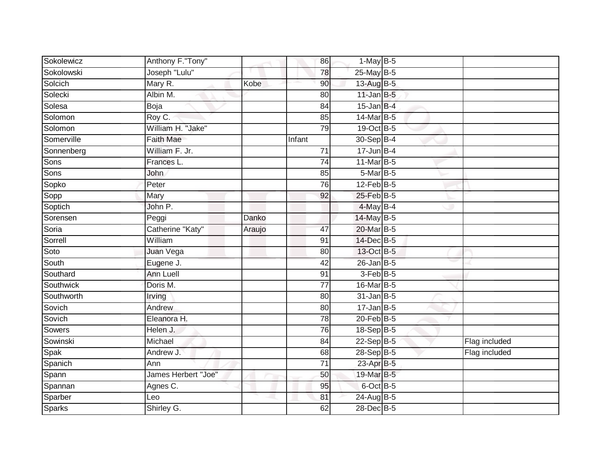| Sokolewicz    | Anthony F."Tony"    |        | 86              | $1-May$ B-5     |               |
|---------------|---------------------|--------|-----------------|-----------------|---------------|
| Sokolowski    | Joseph "Lulu"       |        | 78              | $25$ -May B-5   |               |
| Solcich       | Mary R.             | Kobe   | 90              | 13-Aug B-5      |               |
| Solecki       | Albin M.            |        | 80              | $11$ -Jan B-5   |               |
| Solesa        | Boja                |        | 84              | $15$ -Jan $B-4$ |               |
| Solomon       | Roy C.              |        | 85              | $14$ -Mar $B-5$ |               |
| Solomon       | William H. "Jake"   |        | 79              | 19-Oct B-5      |               |
| Somerville    | <b>Faith Mae</b>    |        | Infant          | $30-Sep$ B-4    |               |
| Sonnenberg    | William F. Jr.      |        | $\overline{71}$ | $17 - Jun$ B-4  |               |
| <b>Sons</b>   | Frances L.          |        | 74              | 11-Mar B-5      |               |
| Sons          | John                |        | 85              | $5$ -Mar $B$ -5 |               |
| Sopko         | Peter               |        | $\overline{76}$ | $12$ -Feb $B-5$ |               |
| Sopp          | Mary                |        | 92              | 25-Feb B-5      |               |
| Soptich       | John P.             |        |                 | $4$ -May B-4    |               |
| Sorensen      | Peggi               | Danko  |                 | 14-May B-5      |               |
| Soria         | Catherine "Katy"    | Araujo | 47              | 20-Mar B-5      |               |
| Sorrell       | William             |        | $\overline{91}$ | 14-Dec B-5      |               |
| Soto          | Juan Vega           |        | 80              | 13-Oct B-5      |               |
| South         | Eugene J.           |        | 42              | $26$ -Jan $B-5$ |               |
| Southard      | <b>Ann Luell</b>    |        | $\overline{91}$ | 3-Feb B-5       |               |
| Southwick     | Doris M.            |        | $\overline{77}$ | 16-Mar B-5      |               |
| Southworth    | <b>Irving</b>       |        | 80              | $31$ -Jan B-5   |               |
| Sovich        | Andrew              |        | 80              | $17 - Jan$ B-5  |               |
| Sovich        | Eleanora H.         |        | 78              | 20-Feb B-5      |               |
| Sowers        | Helen J.            |        | 76              | 18-Sep B-5      |               |
| Sowinski      | Michael             |        | 84              | $22-Sep$ B-5    | Flag included |
| Spak          | Andrew J.           |        | 68              | 28-Sep B-5      | Flag included |
| Spanich       | Ann                 |        | 71              | 23-Apr B-5      |               |
| Spann         | James Herbert "Joe" |        | 50              | 19-Mar B-5      |               |
| Spannan       | Agnes C.            |        | 95              | $6$ -Oct $B$ -5 |               |
| Sparber       | Leo                 |        | 81              | 24-Aug B-5      |               |
| <b>Sparks</b> | Shirley G.          |        | 62              | 28-Dec B-5      |               |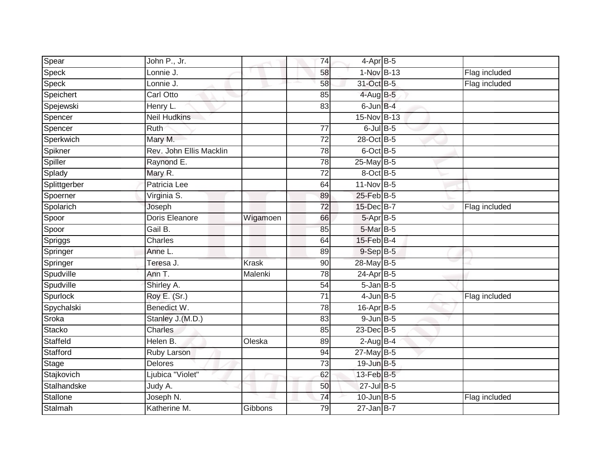| Spear         | John P., Jr.            |              | 74              | $4-Apr$ B-5       |               |
|---------------|-------------------------|--------------|-----------------|-------------------|---------------|
| Speck         | Lonnie J.               |              | 58              | $1-Nov$ B-13      | Flag included |
| <b>Speck</b>  | Lonnie J.               |              | 58              | 31-Oct B-5        | Flag included |
| Speichert     | Carl Otto               |              | 85              | 4-Aug B-5         |               |
| Spejewski     | Henry L.                |              | 83              | 6-Jun B-4         |               |
| Spencer       | <b>Neil Hudkins</b>     |              |                 | 15-Nov B-13       |               |
| Spencer       | Ruth                    |              | 77              | $6$ -Jul B-5      |               |
| Sperkwich     | Mary M.                 |              | 72              | 28-Oct B-5        |               |
| Spikner       | Rev. John Ellis Macklin |              | 78              | 6-Oct B-5         |               |
| Spiller       | Raynond E.              |              | $\overline{78}$ | 25-May B-5        |               |
| Splady        | Mary R.                 |              | $\overline{72}$ | $8-Oct$ B-5       |               |
| Splittgerber  | Patricia Lee            |              | 64              | 11-Nov B-5        |               |
| Spoerner      | Virginia S.             |              | 89              | 25-Feb B-5        |               |
| Spolarich     | Joseph                  |              | $\overline{72}$ | 15-Dec B-7        | Flag included |
| Spoor         | Doris Eleanore          | Wigamoen     | 66              | 5-Apr B-5         |               |
| Spoor         | Gail B.                 |              | 85              | $5$ -Mar $ B-5 $  |               |
| Spriggs       | Charles                 |              | 64              | $15$ -Feb $ B-4 $ |               |
| Springer      | Anne L.                 |              | 89              | $9-Sep B-5$       |               |
| Springer      | Teresa J.               | <b>Krask</b> | 90              | 28-May B-5        |               |
| Spudville     | Ann T.                  | Malenki      | $\overline{78}$ | $24-Apr$ B-5      |               |
| Spudville     | Shirley A.              |              | 54              | $5$ -Jan $B$ -5   |               |
| Spurlock      | Roy E. (Sr.)            |              | $\overline{71}$ | $4$ -Jun $B$ -5   | Flag included |
| Spychalski    | Benedict W.             |              | $\overline{78}$ | 16-Apr B-5        |               |
| Sroka         | Stanley J.(M.D.)        |              | 83              | $9$ -Jun $B$ -5   |               |
| <b>Stacko</b> | <b>Charles</b>          |              | 85              | 23-Dec B-5        |               |
| Staffeld      | Helen B.                | Oleska       | 89              | $2-AugB-4$        |               |
| Stafford      | Ruby Larson             |              | 94              | 27-May B-5        |               |
| Stage         | <b>Delores</b>          |              | $\overline{73}$ | $19$ -Jun $B-5$   |               |
| Stajkovich    | Ljubica "Violet"        |              | 62              | 13-Feb B-5        |               |
| Stalhandske   | Judy A.                 |              | 50              | 27-Jul B-5        |               |
| Stallone      | Joseph N.               |              | 74              | $10$ -Jun $B - 5$ | Flag included |
| Stalmah       | Katherine M.            | Gibbons      | 79              | $27$ -Jan B-7     |               |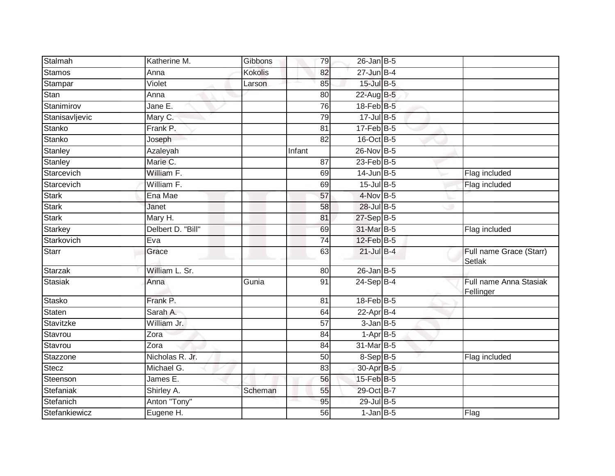| Stalmah        | Katherine M.      | Gibbons        | 79              | $26$ -Jan $B-5$                |                                     |
|----------------|-------------------|----------------|-----------------|--------------------------------|-------------------------------------|
| <b>Stamos</b>  | Anna              | <b>Kokolis</b> | 82              | $27 - Jun$ B-4                 |                                     |
| Stampar        | Violet            | Larson         | 85              | 15-Jul B-5                     |                                     |
| Stan           | Anna              |                | 80              | 22-Aug B-5                     |                                     |
| Stanimirov     | Jane E.           |                | $\overline{76}$ | 18-Feb B-5                     |                                     |
| Stanisavljevic | Mary C.           |                | 79              | $17 -$ Jul B-5                 |                                     |
| Stanko         | Frank P.          |                | 81              | $17$ -Feb $B$ -5               |                                     |
| Stanko         | Joseph            |                | 82              | 16-Oct B-5                     |                                     |
| Stanley        | Azaleyah          |                | Infant          | 26-Nov B-5                     |                                     |
| Stanley        | Marie C.          |                | $\overline{87}$ | $23$ -Feb $B-5$                |                                     |
| Starcevich     | William F.        |                | 69              | $14$ -Jun $B-5$                | Flag included                       |
| Starcevich     | William F.        |                | 69              | $15$ -Jul B-5                  | Flag included                       |
| Stark          | Ena Mae           |                | 57              | $4-Nov$ B-5                    |                                     |
| <b>Stark</b>   | Janet             |                | 58              | $28 - \overline{J}$ ul $B - 5$ |                                     |
| <b>Stark</b>   | Mary H.           |                | 81              | 27-Sep B-5                     |                                     |
| <b>Starkey</b> | Delbert D. "Bill" |                | 69              | 31-Mar B-5                     | Flag included                       |
| Starkovich     | Eva               |                | 74              | $12$ -Feb $ B-5 $              |                                     |
| <b>Starr</b>   | Grace             |                | 63              | $21$ -Jul B-4                  | Full name Grace (Starr)<br>Setlak   |
| Starzak        | William L. Sr.    |                | 80              | $26$ -Jan B-5                  |                                     |
| <b>Stasiak</b> | Anna              | Gunia          | 91              | $24-Sep$ B-4                   | Full name Anna Stasiak<br>Fellinger |
| Stasko         | Frank P.          |                | 81              | $18$ -Feb $B$ -5               |                                     |
| Staten         | Sarah A.          |                | 64              | $22-AprB-4$                    |                                     |
| Stavitzke      | William Jr.       |                | $\overline{57}$ | $3-Jan$ B-5                    |                                     |
| Stavrou        | Zora              |                | 84              | $1-AprB-5$                     |                                     |
| Stavrou        | Zora              |                | 84              | 31-Mar B-5                     |                                     |
| Stazzone       | Nicholas R. Jr.   |                | 50              | 8-Sep B-5                      | Flag included                       |
| Stecz          | Michael G.        |                | 83              | 30-Apr B-5                     |                                     |
| Steenson       | James E.          |                | 56              | $15$ -Feb $B$ -5               |                                     |
| Stefaniak      | Shirley A.        | Scheman        | 55              | 29-Oct B-7                     |                                     |
| Stefanich      | Anton "Tony"      |                | 95              | $29$ -Jul B-5                  |                                     |
| Stefankiewicz  | Eugene H.         |                | 56              | $1-Jan$ B-5                    | Flag                                |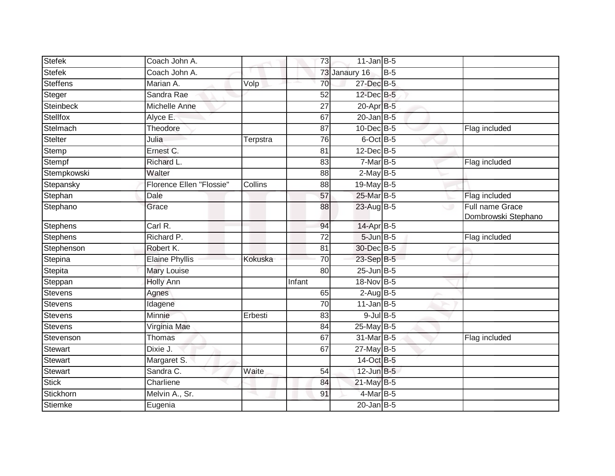| <b>Stefek</b>    | Coach John A.            |                | 73              | $11$ -Jan $ B-5 $     |       |                                        |
|------------------|--------------------------|----------------|-----------------|-----------------------|-------|----------------------------------------|
| <b>Stefek</b>    | Coach John A.            |                |                 | 73 Janaury 16         | $B-5$ |                                        |
| <b>Steffens</b>  | Marian A.                | Volp           | 70              | 27-Dec B-5            |       |                                        |
| Steger           | Sandra Rae               |                | $\overline{52}$ | 12-Dec B-5            |       |                                        |
| <b>Steinbeck</b> | <b>Michelle Anne</b>     |                | $\overline{27}$ | 20-Apr B-5            |       |                                        |
| Stellfox         | Alyce E.                 |                | 67              | $20 - JanB - 5$       |       |                                        |
| Stelmach         | Theodore                 |                | 87              | $10$ -Dec $B-5$       |       | Flag included                          |
| <b>Stelter</b>   | Julia                    | Terpstra       | 76              | 6-Oct B-5             |       |                                        |
| Stemp            | Ernest C.                |                | 81              | 12-Dec B-5            |       |                                        |
| <b>Stempf</b>    | Richard L.               |                | 83              | $7$ -Mar $B-5$        |       | Flag included                          |
| Stempkowski      | Walter                   |                | 88              | $2$ -May B-5          |       |                                        |
| Stepansky        | Florence Ellen "Flossie" | Collins        | 88              | 19-May B-5            |       |                                        |
| Stephan          | Dale                     |                | 57              | 25-Mar B-5            |       | Flag included                          |
| Stephano         | Grace                    |                | 88              | 23-Aug B-5            | ت     | Full name Grace<br>Dombrowski Stephano |
| <b>Stephens</b>  | Carl R.                  |                | 94              | 14-Apr <sub>B-5</sub> |       |                                        |
| <b>Stephens</b>  | Richard P.               |                | $\overline{72}$ | $5$ -Jun $B$ -5       |       | Flag included                          |
| Stephenson       | Robert K.                |                | 81              | 30-Dec B-5            |       |                                        |
| Stepina          | <b>Elaine Phyllis</b>    | <b>Kokuska</b> | 70              | 23-Sep B-5            |       |                                        |
| Stepita          | Mary Louise              |                | 80              | $25$ -Jun $B-5$       |       |                                        |
| Steppan          | <b>Holly Ann</b>         |                | Infant          | 18-Nov B-5            |       |                                        |
| <b>Stevens</b>   | Agnes                    |                | 65              | $2-Aug$ B-5           |       |                                        |
| <b>Stevens</b>   | Idagene                  |                | 70              | $11$ -Jan $B-5$       |       |                                        |
| <b>Stevens</b>   | Minnie                   | Erbesti        | 83              | $9$ -Jul $B$ -5       |       |                                        |
| <b>Stevens</b>   | Virginia Mae             |                | 84              | 25-May B-5            |       |                                        |
| Stevenson        | <b>Thomas</b>            |                | 67              | 31-Mar B-5            |       | Flag included                          |
| <b>Stewart</b>   | Dixie J.                 |                | 67              | 27-May B-5            |       |                                        |
| Stewart          | Margaret S.              |                |                 | 14-Oct B-5            |       |                                        |
| <b>Stewart</b>   | Sandra C.                | Waite          | 54              | 12-Jun B-5            |       |                                        |
| <b>Stick</b>     | Charliene                |                | 84              | 21-May B-5            |       |                                        |
| Stickhorn        | Melvin A., Sr.           |                | 91              | $4$ -Mar $B-5$        |       |                                        |
| <b>Stiemke</b>   | Eugenia                  |                |                 | $20$ -Jan $ B-5 $     |       |                                        |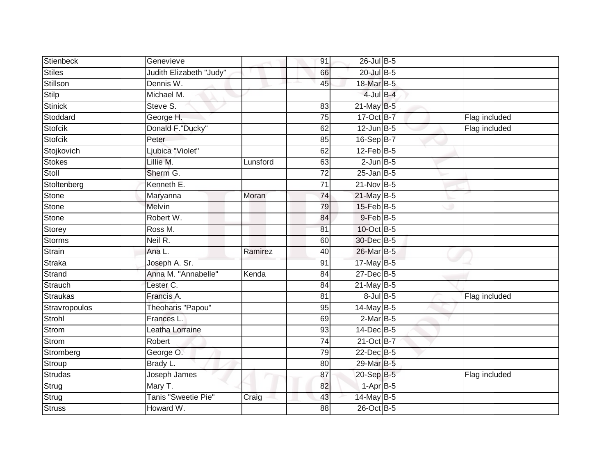| Stienbeck      | Genevieve               |          | 91              | $26$ -Jul B-5    |               |
|----------------|-------------------------|----------|-----------------|------------------|---------------|
| <b>Stiles</b>  | Judith Elizabeth "Judy" |          | 66              | $20$ -Jul $B-5$  |               |
| Stillson       | Dennis W.               |          | 45              | 18-Mar B-5       |               |
| Stilp          | Michael M.              |          |                 | $4$ -Jul $B-4$   |               |
| <b>Stinick</b> | Steve S.                |          | $\overline{83}$ | $21$ -May B-5    |               |
| Stoddard       | George H.               |          | $\overline{75}$ | 17-Oct B-7       | Flag included |
| <b>Stofcik</b> | Donald F."Ducky"        |          | 62              | $12$ -Jun $B-5$  | Flag included |
| Stofcik        | Peter                   |          | 85              | 16-Sep B-7       |               |
| Stojkovich     | Ljubica "Violet"        |          | 62              | $12$ -Feb $B-5$  |               |
| <b>Stokes</b>  | Lillie M.               | Lunsford | 63              | $2$ -Jun $B-5$   |               |
| Stoll          | Sherm G.                |          | $\overline{72}$ | $25$ -Jan $B-5$  |               |
| Stoltenberg    | Kenneth E.              |          | 71              | $21$ -Nov $B-5$  |               |
| Stone          | Maryanna                | Moran    | 74              | 21-May B-5       |               |
| Stone          | Melvin                  |          | 79              | $15$ -Feb $B$ -5 |               |
| Stone          | Robert W.               |          | 84              | $9$ -Feb $B$ -5  |               |
| Storey         | Ross M.                 |          | 81              | $10$ -Oct B-5    |               |
| Storms         | Neil R.                 |          | 60              | 30-Dec B-5       |               |
| Strain         | Ana L.                  | Ramirez  | 40              | 26-Mar B-5       |               |
| Straka         | Joseph A. Sr.           |          | 91              | 17-May B-5       |               |
| Strand         | Anna M. "Annabelle"     | Kenda    | $\overline{84}$ | 27-Dec B-5       |               |
| Strauch        | Lester C.               |          | 84              | $21$ -May B-5    |               |
| Straukas       | Francis A.              |          | 81              | $8$ -Jul $B$ -5  | Flag included |
| Stravropoulos  | Theoharis "Papou"       |          | 95              | $14$ -May B-5    |               |
| Strohl         | Frances L.              |          | 69              | $2$ -Mar $B-5$   |               |
| <b>Strom</b>   | Leatha Lorraine         |          | 93              | 14-Dec B-5       |               |
| Strom          | Robert                  |          | 74              | 21-Oct B-7       |               |
| Stromberg      | George O.               |          | 79              | 22-Dec B-5       |               |
| Stroup         | Brady L.                |          | 80              | 29-Mar B-5       |               |
| Strudas        | Joseph James            |          | 87              | 20-Sep B-5       | Flag included |
| Strug          | Mary T.                 |          | 82              | $1-Apr$ B-5      |               |
| Strug          | Tanis "Sweetie Pie"     | Craig    | 43              | $14$ -May B-5    |               |
| Struss         | Howard W.               |          | $\overline{88}$ | 26-Oct B-5       |               |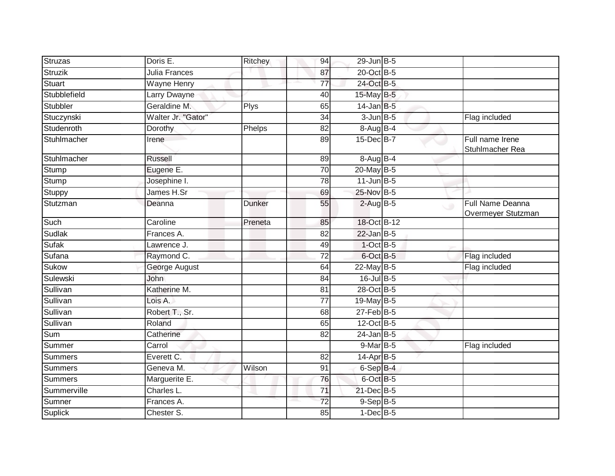| Struzas        | Doris E.           | Ritchey | 94              | $29$ -Jun $B-5$  |        |                                               |
|----------------|--------------------|---------|-----------------|------------------|--------|-----------------------------------------------|
| <b>Struzik</b> | Julia Frances      |         | 87              | 20-Oct B-5       |        |                                               |
| <b>Stuart</b>  | <b>Wayne Henry</b> |         | $\overline{77}$ | 24-Oct B-5       |        |                                               |
| Stubblefield   | Larry Dwayne       |         | 40              | 15-May B-5       |        |                                               |
| Stubbler       | Geraldine M.       | Plys    | 65              | $14$ -Jan $B-5$  |        |                                               |
| Stuczynski     | Walter Jr. "Gator" |         | 34              | $3-JunB-5$       |        | Flag included                                 |
| Studenroth     | Dorothy            | Phelps  | 82              | $8-Aug$ B-4      |        |                                               |
| Stuhlmacher    | Irene              |         | 89              | $15$ -Dec $B$ -7 |        | Full name Irene<br>Stuhlmacher Rea            |
| Stuhlmacher    | Russell            |         | 89              | $8-AugB-4$       |        |                                               |
| Stump          | Eugene E.          |         | 70              | 20-May B-5       |        |                                               |
| Stump          | Josephine I.       |         | $\overline{78}$ | $11$ -Jun $B-5$  |        |                                               |
| Stuppy         | James H.Sr         |         | 69              | 25-Nov B-5       |        |                                               |
| Stutzman       | Deanna             | Dunker  | $\overline{55}$ | $2$ -Aug $B$ -5  | $\cup$ | <b>Full Name Deanna</b><br>Overmeyer Stutzman |
| Such           | Caroline           | Preneta | 85              | 18-Oct B-12      |        |                                               |
| Sudlak         | Frances A.         |         | 82              | $22$ -Jan $B-5$  |        |                                               |
| Sufak          | Lawrence J.        |         | 49              | $1-OctB-5$       |        |                                               |
| Sufana         | Raymond C.         |         | $\overline{72}$ | 6-Oct B-5        |        | Flag included                                 |
| Sukow          | George August      |         | 64              | $22$ -May B-5    |        | Flag included                                 |
| Sulewski       | John               |         | 84              | $16$ -Jul B-5    |        |                                               |
| Sullivan       | Katherine M.       |         | 81              | 28-Oct B-5       |        |                                               |
| Sullivan       | Lois A.            |         | 77              | $19$ -May B-5    |        |                                               |
| Sullivan       | Robert T., Sr.     |         | 68              | $27$ -Feb $B$ -5 |        |                                               |
| Sullivan       | Roland             |         | 65              | 12-Oct B-5       |        |                                               |
| Sum            | Catherine          |         | 82              | $24$ -Jan B-5    |        |                                               |
| Summer         | Carrol             |         |                 | 9-Mar B-5        |        | Flag included                                 |
| Summers        | Everett C.         |         | 82              | 14-Apr B-5       |        |                                               |
| Summers        | Geneva M.          | Wilson  | $\overline{91}$ | $6-Sep$ B-4      |        |                                               |
| Summers        | Marguerite E.      |         | 76              | 6-Oct B-5        |        |                                               |
| Summerville    | Charles L.         |         | 71              | 21-Dec B-5       |        |                                               |
| Sumner         | Frances A.         |         | 72              | $9-Sep$ $B-5$    |        |                                               |
| <b>Suplick</b> | Chester S.         |         | 85              | $1-Dec$ B-5      |        |                                               |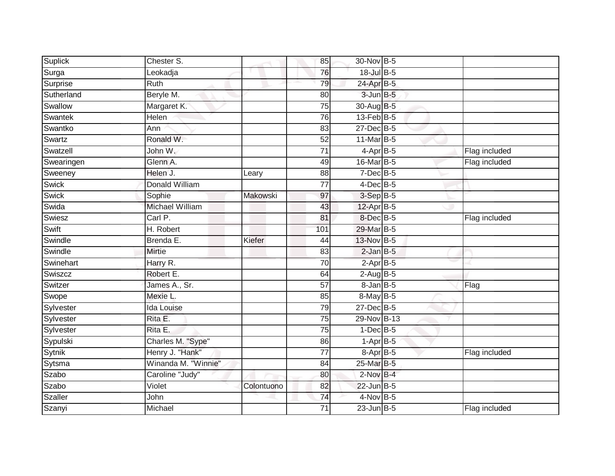| Suplick    | Chester S.             |            | 85              | 30-Nov B-5             |               |
|------------|------------------------|------------|-----------------|------------------------|---------------|
| Surga      | Leokadja               |            | 76              | $18$ -Jul $B-5$        |               |
| Surprise   | Ruth                   |            | 79              | 24-Apr B-5             |               |
| Sutherland | Beryle M.              |            | 80              | $3 - Jun$ $B - 5$      |               |
| Swallow    | Margaret K.            |            | $\overline{75}$ | 30-Aug B-5             |               |
| Swantek    | Helen                  |            | 76              | $13$ -Feb $B$ -5       |               |
| Swantko    | Ann                    |            | 83              | 27-Dec B-5             |               |
| Swartz     | Ronald W.              |            | $\overline{52}$ | $11$ -Mar $B-5$        |               |
| Swatzell   | John W.                |            | $\overline{71}$ | $4-Apr$ B-5            | Flag included |
| Swearingen | Glenn A.               |            | 49              | 16-Mar B-5             | Flag included |
| Sweeney    | Helen J.               | Leary      | 88              | $7$ -Dec $B$ -5        |               |
| Swick      | Donald William         |            | 77              | $4$ -Dec $B-5$         |               |
| Swick      | Sophie                 | Makowski   | 97              | $3-SepB-5$             |               |
| Swida      | <b>Michael William</b> |            | 43              | 12-Apr B-5             |               |
| Swiesz     | Carl P.                |            | 81              | 8-Dec B-5              | Flag included |
| Swift      | $H.$ Robert            |            | 101             | 29-Mar B-5             |               |
| Swindle    | Brenda E.              | Kiefer     | 44              | 13-Nov B-5             |               |
| Swindle    | <b>Mirtie</b>          |            | 83              | $2$ -Jan $B-5$         |               |
| Swinehart  | Harry R.               |            | 70              | $2$ -Apr $B-5$         |               |
| Swiszcz    | Robert E.              |            | 64              | $2-AugB-5$             |               |
| Switzer    | James A., Sr.          |            | 57              | $8$ -Jan $B$ -5        | Flag          |
| Swope      | Mexie L.               |            | 85              | $8$ -May B-5           |               |
| Sylvester  | <b>Ida Louise</b>      |            | 79              | $27$ -Dec $B-5$        |               |
| Sylvester  | Rita E.                |            | 75              | 29-Nov B-13            |               |
| Sylvester  | Rita E.                |            | 75              | $1-Dec$ B-5            |               |
| Sypulski   | Charles M. "Sype"      |            | 86              | $1-\overline{Apr}$ B-5 |               |
| Sytnik     | Henry J. "Hank"        |            | $\overline{77}$ | $8 - AprB - 5$         | Flag included |
| Sytsma     | Winanda M. "Winnie"    |            | 84              | 25-Mar B-5             |               |
| Szabo      | Caroline "Judy"        |            | 80              | 2-Nov B-4              |               |
| Szabo      | Violet                 | Colontuono | 82              | $22$ -Jun $B-5$        |               |
| Szaller    | John                   |            | 74              | $4$ -Nov $B-5$         |               |
| Szanyi     | Michael                |            | 71              | $23$ -Jun $B-5$        | Flag included |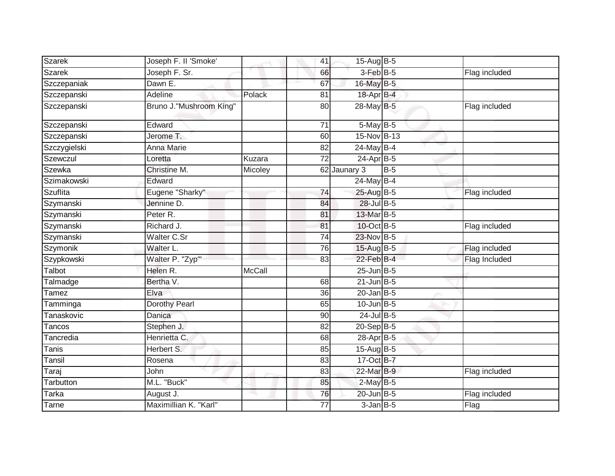| Szarek        | Joseph F. II 'Smoke'     |               | 41              | $15$ -Aug $B$ -5 |       |               |
|---------------|--------------------------|---------------|-----------------|------------------|-------|---------------|
| <b>Szarek</b> | Joseph F. Sr.            |               | 66              | 3-Feb B-5        |       | Flag included |
| Szczepaniak   | Dawn E.                  |               | 67              | 16-May B-5       |       |               |
| Szczepanski   | Adeline                  | Polack        | 81              | 18-Apr B-4       |       |               |
| Szczepanski   | Bruno J. "Mushroom King" |               | 80              | 28-May B-5       |       | Flag included |
| Szczepanski   | Edward                   |               | $\overline{71}$ | $5$ -May $B - 5$ |       |               |
| Szczepanski   | Jerome T.                |               | 60              | $15-Nov$ B-13    |       |               |
| Szczygielski  | <b>Anna Marie</b>        |               | 82              | $24$ -May B-4    |       |               |
| Szewczul      | Loretta                  | <b>Kuzara</b> | 72              | $24$ -Apr $B-5$  |       |               |
| Szewka        | Christine M.             | Micoley       |                 | 62 Jaunary 3     | $B-5$ |               |
| Szimakowski   | Edward                   |               |                 | 24-May B-4       |       |               |
| Szuflita      | Eugene "Sharky"          |               | 74              | 25-Aug B-5       |       | Flag included |
| Szymanski     | Jennine D.               |               | 84              | 28-Jul B-5       |       |               |
| Szymanski     | Peter <sub>R.</sub>      |               | 81              | $13$ -Mar $ B-5$ |       |               |
| Szymanski     | Richard J.               |               | 81              | 10-Oct B-5       |       | Flag included |
| Szymanski     | <b>Walter C.Sr</b>       |               | $\overline{74}$ | 23-Nov B-5       |       |               |
| Szymonik      | Walter L.                |               | 76              | 15-Aug B-5       |       | Flag included |
| Szypkowski    | Walter P. "Zyp"          |               | 83              | $22$ -Feb $B-4$  |       | Flag Included |
| Talbot        | Helen R.                 | <b>McCall</b> |                 | $25$ -Jun $B$ -5 |       |               |
| Talmadge      | Bertha V.                |               | 68              | $21$ -Jun $B-5$  |       |               |
| Tamez         | Elva                     |               | 36              | $20$ -Jan B-5    |       |               |
| Tamminga      | <b>Dorothy Pearl</b>     |               | 65              | $10$ -Jun $B-5$  |       |               |
| Tanaskovic    | Danica                   |               | 90              | $24$ -Jul B-5    |       |               |
| <b>Tancos</b> | Stephen J.               |               | 82              | $20-SepB-5$      |       |               |
| Tancredia     | Henrietta C.             |               | 68              | 28-Apr B-5       |       |               |
| Tanis         | Herbert S.               |               | 85              | $15$ -Aug B-5    |       |               |
| Tansil        | Rosena                   |               | 83              | 17-Oct B-7       |       |               |
| Taraj         | John                     |               | 83              | 22-Mar B-9       |       | Flag included |
| Tarbutton     | M.L. "Buck"              |               | 85              | $2$ -May $B-5$   |       |               |
| Tarka         | August J.                |               | 76              | $20$ -Jun $B-5$  |       | Flag included |
| Tarne         | Maximillian K. "Karl"    |               | 77              | $3$ -Jan $B$ -5  |       | Flag          |
|               |                          |               |                 |                  |       |               |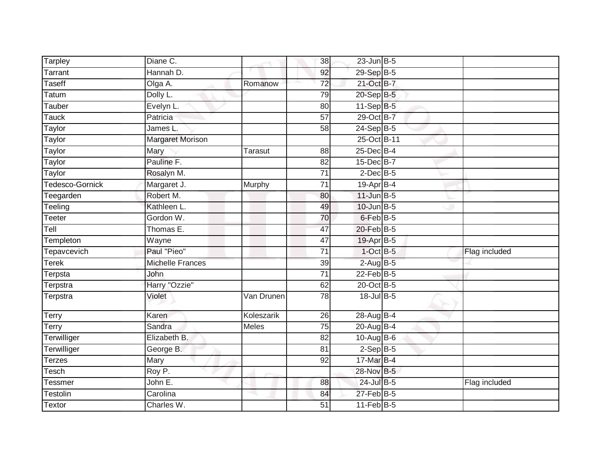| Tarpley                      | Diane C.                |                | 38              | $23$ -Jun $B-5$        |               |
|------------------------------|-------------------------|----------------|-----------------|------------------------|---------------|
| <b>Tarrant</b>               | Hannah D.               |                | 92              | 29-Sep B-5             |               |
| Taseff                       | Olga A.                 | Romanow        | $\overline{72}$ | 21-Oct B-7             |               |
| Tatum                        | Dolly L.                |                | 79              | 20-Sep B-5             |               |
| Tauber                       | Evelyn L.               |                | 80              | 11-Sep B-5             |               |
| Tauck                        | Patricia                |                | 57              | 29-Oct B-7             |               |
| Taylor                       | James L.                |                | 58              | 24-Sep B-5             |               |
| Taylor                       | <b>Margaret Morison</b> |                |                 | 25-Oct B-11            |               |
| Taylor                       | Mary                    | <b>Tarasut</b> | 88              | $25$ -Dec $B-4$        |               |
| Taylor                       | Pauline F.              |                | $\overline{82}$ | 15-Dec B-7             |               |
| <b>Taylor</b>                | Rosalyn M.              |                | 71              | $2$ -Dec $B-5$         |               |
| Tedesco-Gornick              | Margaret J.             | Murphy         | $\overline{71}$ | $19-Apr\overline{B-4}$ |               |
| Teegarden                    | Robert M.               |                | 80              | $11$ -Jun B-5          |               |
| Teeling                      | Kathleen L.             |                | 49              | $10$ -Jun $B - 5$      |               |
| Teeter                       | Gordon W.               |                | 70              | 6-Feb <sup>B-5</sup>   |               |
| Tell                         | Thomas E.               |                | 47              | $20$ -Feb $B-5$        |               |
| Templeton                    | Wayne                   |                | $\overline{47}$ | 19-Apr <sub>B-5</sub>  |               |
| Tepavcevich                  | Paul "Pieo"             |                | $\overline{71}$ | $1$ -Oct B-5           | Flag included |
| Tere $\overline{\mathsf{k}}$ | <b>Michelle Frances</b> |                | 39              | $2$ -Aug $B-5$         |               |
| Terpsta                      | John                    |                | $\overline{71}$ | $22$ -Feb $B-5$        |               |
| Terpstra                     | Harry "Ozzie"           |                | 62              | 20-Oct B-5             |               |
| Terpstra                     | Violet                  | Van Drunen     | $\overline{78}$ | $18$ -Jul $B$ -5       |               |
| Terry                        | Karen                   | Koleszarik     | $\overline{26}$ | 28-Aug B-4             |               |
| Terry                        | Sandra                  | Meles          | 75              | 20-Aug B-4             |               |
| Terwilliger                  | Elizabeth B.            |                | $\overline{82}$ | $10-AugB-6$            |               |
| Terwilliger                  | George B.               |                | 81              | $2-Sep$ B-5            |               |
| <b>Terzes</b>                | Mary                    |                | $\overline{92}$ | 17-Mar B-4             |               |
| <b>Tesch</b>                 | Roy P.                  |                |                 | 28-Nov B-5             |               |
| Tessmer                      | John E.                 |                | 88              | 24-Jul B-5             | Flag included |
| Testolin                     | Carolina                |                | 84              | $27$ -Feb $B-5$        |               |
| Textor                       | Charles W.              |                | 51              | $11-Feb B-5$           |               |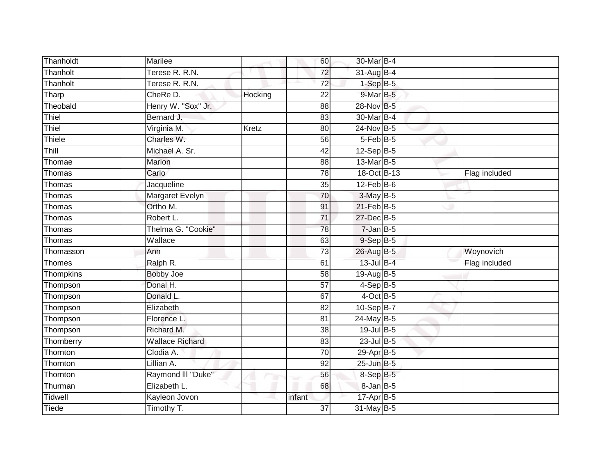| Thanholdt        | Marilee                |         | 60              | 30-Mar B-4        |               |
|------------------|------------------------|---------|-----------------|-------------------|---------------|
| Thanholt         | Terese R. R.N.         |         | 72              | $31-AugB-4$       |               |
| Thanholt         | Terese R. R.N.         |         | 72              | $1-SepB-5$        |               |
| Tharp            | CheRe D.               | Hocking | $\overline{22}$ | 9-Mar B-5         |               |
| Theobald         | Henry W. "Sox" Jr.     |         | $\overline{88}$ | 28-Nov B-5        |               |
| Thiel            | Bernard J.             |         | 83              | 30-Mar B-4        |               |
| Thiel            | Virginia M.            | Kretz   | 80              | 24-Nov B-5        |               |
| Thiele           | Charles W.             |         | $\overline{56}$ | $5-FebB-5$        |               |
| Thill            | Michael A. Sr.         |         | 42              | $12-Sep$ B-5      |               |
| Thomae           | Marion                 |         | $\overline{88}$ | 13-Mar B-5        |               |
| Thomas           | Carlo                  |         | $\overline{78}$ | 18-Oct B-13       | Flag included |
| Thomas           | Jacqueline             |         | $\overline{35}$ | $12$ -Feb $ B-6 $ |               |
| Thomas           | Margaret Evelyn        |         | 70              | $3-May$ B-5       |               |
| Thomas           | Ortho M.               |         | 91              | $21$ -Feb $B-5$   |               |
| Thomas           | Robert L.              |         | 71              | 27-Dec B-5        |               |
| Thomas           | Thelma G. "Cookie"     |         | 78              | $7 - Jan$ $B-5$   |               |
| Thomas           | Wallace                |         | 63              | $9-Sep$ $B-5$     |               |
| Thomasson        | Ann                    |         | $\overline{73}$ | 26-Aug B-5        | Woynovich     |
| Thomes           | Ralph R.               |         | 61              | $13$ -Jul B-4     | Flag included |
| <b>Thompkins</b> | <b>Bobby Joe</b>       |         | $\overline{58}$ | $19-Aug$ B-5      |               |
| Thompson         | Donal H.               |         | $\overline{57}$ | $4-Sep$ B-5       |               |
| Thompson         | Donald L.              |         | 67              | $4$ -Oct B-5      |               |
| Thompson         | Elizabeth              |         | 82              | 10-Sep B-7        |               |
| Thompson         | Florence L.            |         | 81              | 24-May B-5        |               |
| Thompson         | Richard M.             |         | 38              | $19$ -Jul $B$ -5  |               |
| Thornberry       | <b>Wallace Richard</b> |         | 83              | $23$ -Jul B-5     |               |
| Thornton         | Clodia A.              |         | 70              | 29-Apr B-5        |               |
| Thornton         | Lillian A.             |         | 92              | $25$ -Jun $B-5$   |               |
| Thornton         | Raymond III "Duke"     |         | 56              | 8-Sep B-5         |               |
| Thurman          | Elizabeth L.           |         | 68              | $8$ -Jan $B$ -5   |               |
| <b>Tidwell</b>   | Kayleon Jovon          |         | infant          | $17$ -Apr $ B-5 $ |               |
| Tiede            | Timothy T.             |         | $\overline{37}$ | 31-May B-5        |               |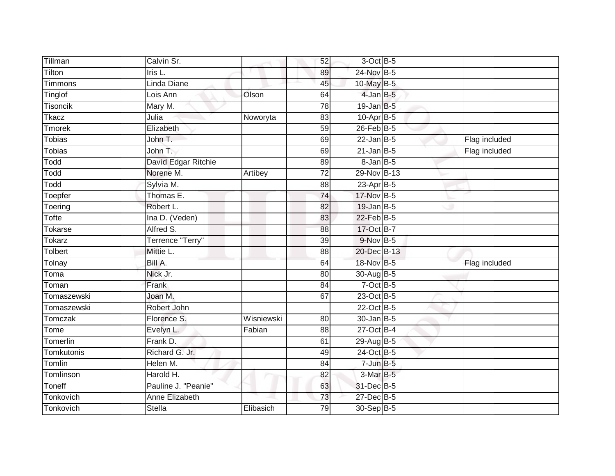| Tillman         | Calvin Sr.            |            | 52              | $3$ -Oct $B$ -5   |               |
|-----------------|-----------------------|------------|-----------------|-------------------|---------------|
| Tilton          | Iris L.               |            | 89              | 24-Nov B-5        |               |
| Timmons         | Linda Diane           |            | 45              | 10-May B-5        |               |
| Tinglof         | Lois Ann              | Olson      | 64              | $4$ -Jan $B$ -5   |               |
| <b>Tisoncik</b> | Mary M.               |            | 78              | 19-Jan B-5        |               |
| Tkacz           | Julia                 | Noworyta   | 83              | 10-Apr B-5        |               |
| Tmorek          | Elizabeth             |            | 59              | $26$ -Feb $B-5$   |               |
| <b>Tobias</b>   | John T.               |            | 69              | $22$ -Jan B-5     | Flag included |
| <b>Tobias</b>   | John T.               |            | 69              | $21$ -Jan B-5     | Flag included |
| Todd            | David Edgar Ritchie   |            | 89              | $8 - Jan$ $B - 5$ |               |
| Todd            | Norene M.             | Artibey    | $\overline{72}$ | 29-Nov B-13       |               |
| Todd            | Sylvia M.             |            | $\overline{88}$ | $23$ -Apr $B$ -5  |               |
| Toepfer         | Thomas E.             |            | 74              | 17-Nov B-5        |               |
| Toering         | Robert L.             |            | 82              | 19-Jan B-5        |               |
| <b>Tofte</b>    | Ina D. (Veden)        |            | 83              | $22$ -Feb $ B-5 $ |               |
| <b>Tokarse</b>  | Alfred S.             |            | 88              | 17-Oct B-7        |               |
| <b>Tokarz</b>   | Terrence "Terry"      |            | $\overline{39}$ | 9-Nov B-5         |               |
| Tolbert         | Mittie L.             |            | 88              | 20-Dec B-13       |               |
| Tolnay          | Bill A.               |            | 64              | 18-Nov B-5        | Flag included |
| Toma            | Nick Jr.              |            | 80              | 30-Aug B-5        |               |
| Toman           | Frank                 |            | 84              | $7$ -Oct $B$ -5   |               |
| Tomaszewski     | Joan M.               |            | 67              | 23-Oct B-5        |               |
| Tomaszewski     | Robert John           |            |                 | 22-Oct B-5        |               |
| Tomczak         | Florence S.           | Wisniewski | 80              | 30-Jan B-5        |               |
| Tome            | Evelyn L.             | Fabian     | 88              | $27$ -Oct B-4     |               |
| Tomerlin        | Frank D.              |            | 61              | 29-Aug B-5        |               |
| Tomkutonis      | Richard G. Jr.        |            | 49              | 24-Oct B-5        |               |
| Tomlin          | Helen M.              |            | 84              | $7 - Jun$ B-5     |               |
| Tomlinson       | Harold H.             |            | 82              | 3-Mar B-5         |               |
| Toneff          | Pauline J. "Peanie"   |            | 63              | 31-Dec B-5        |               |
| Tonkovich       | <b>Anne Elizabeth</b> |            | 73              | $27$ -Dec $B-5$   |               |
| Tonkovich       | <b>Stella</b>         | Elibasich  | 79              | 30-Sep B-5        |               |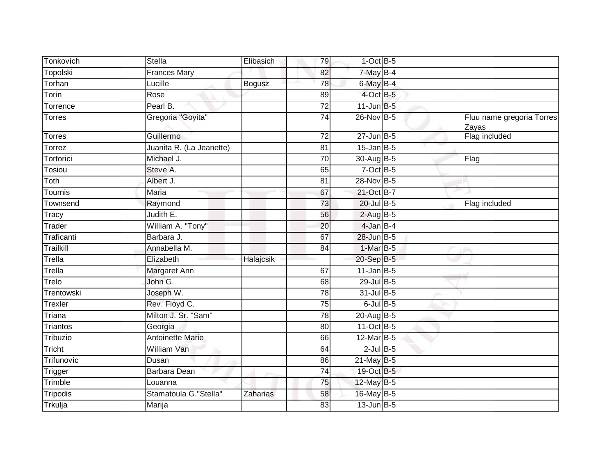| Tonkovich       | <b>Stella</b>            | Elibasich       | 79              | $1-Oct$ B-5      |                                    |
|-----------------|--------------------------|-----------------|-----------------|------------------|------------------------------------|
| Topolski        | <b>Frances Mary</b>      |                 | 82              | $7$ -May B-4     |                                    |
| Torhan          | Lucille                  | <b>Bogusz</b>   | 78              | $6$ -May $B-4$   |                                    |
| Torin           | Rose                     |                 | 89              | 4-Oct B-5        |                                    |
| Torrence        | Pearl B.                 |                 | $\overline{72}$ | $11$ -Jun $B-5$  |                                    |
| Torres          | Gregoria "Goyita"        |                 | 74              | 26-Nov B-5       | Fluu name gregoria Torres<br>Zayas |
| <b>Torres</b>   | Guillermo                |                 | $\overline{72}$ | $27 - Jun$ B-5   | Flag included                      |
| Torrez          | Juanita R. (La Jeanette) |                 | 81              | $15$ -Jan B-5    |                                    |
| Tortorici       | Michael J.               |                 | 70              | 30-Aug B-5       | Flag                               |
| Tosiou          | Steve A.                 |                 | 65              | $7$ -Oct $B$ -5  |                                    |
| Toth            | Albert J.                |                 | 81              | 28-Nov B-5       |                                    |
| <b>Tournis</b>  | Maria                    |                 | 67              | 21-Oct B-7       |                                    |
| Townsend        | Raymond                  |                 | $\overline{73}$ | 20-Jul B-5       | Flag included                      |
| Tracy           | Judith E.                |                 | 56              | $2-AugB-5$       |                                    |
| Trader          | William A. "Tony"        |                 | $\overline{20}$ | 4-Jan B-4        |                                    |
| Traficanti      | Barbara J.               |                 | 67              | 28-Jun B-5       |                                    |
| Trailkill       | Annabella M.             |                 | 84              | $1-MarB-5$       |                                    |
| Trella          | Elizabeth                | Halajcsik       |                 | 20-Sep B-5       |                                    |
| Trella          | Margaret Ann             |                 | 67              | $11$ -Jan $B-5$  |                                    |
| Trelo           | John G.                  |                 | 68              | $29$ -Jul $B-5$  |                                    |
| Trentowski      | Joseph W.                |                 | 78              | 31-Jul B-5       |                                    |
| Trexler         | Rev. Floyd C.            |                 | $\overline{75}$ | $6$ -Jul B-5     |                                    |
| Triana          | Milton J. Sr. "Sam"      |                 | $\overline{78}$ | 20-Aug B-5       |                                    |
| <b>Triantos</b> | Georgia                  |                 | 80              | $11-Oct$ B-5     |                                    |
| Tribuzio        | <b>Antoinette Marie</b>  |                 | 66              | $12$ -Mar B-5    |                                    |
| Tricht          | William Van              |                 | 64              | $2$ -Jul $B$ -5  |                                    |
| Trifunovic      | Dusan                    |                 | 86              | 21-May B-5       |                                    |
| Trigger         | Barbara Dean             |                 | 74              | 19-Oct B-5       |                                    |
| Trimble         | Louanna                  |                 | 75              | 12-May B-5       |                                    |
| <b>Tripodis</b> | Stamatoula G."Stella"    | <b>Zaharias</b> | 58              | 16-May B-5       |                                    |
| Trkulja         | Marija                   |                 | 83              | $13$ -Jun $ B-5$ |                                    |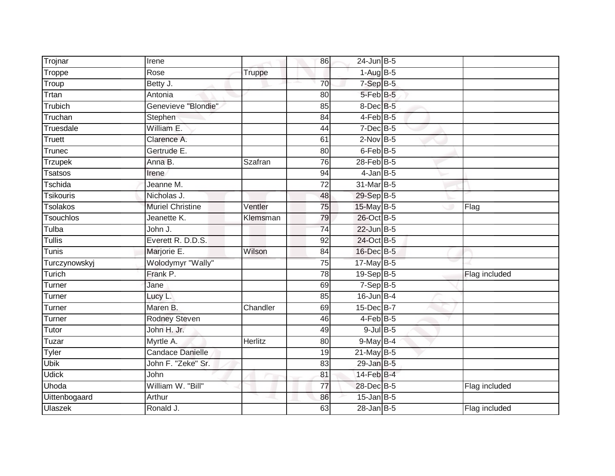| Trojnar          | Irene                   |                | 86              | $24$ -Jun $B-5$      |               |
|------------------|-------------------------|----------------|-----------------|----------------------|---------------|
| Troppe           | Rose                    | <b>Truppe</b>  |                 | $1-AugB-5$           |               |
| Troup            | Betty J.                |                | 70              | $7-SepB-5$           |               |
| Trtan            | Antonia                 |                | 80              | $5-Feb$ $B-5$        |               |
| Trubich          | Genevieve "Blondie"     |                | 85              | 8-Dec B-5            |               |
| Truchan          | Stephen                 |                | 84              | 4-Feb B-5            |               |
| Truesdale        | William E.              |                | 44              | $7$ -Dec $B$ -5      |               |
| <b>Truett</b>    | Clarence A.             |                | 61              | $2$ -Nov $B-5$       |               |
| <b>Trunec</b>    | Gertrude E.             |                | 80              | 6-Feb <sup>B-5</sup> |               |
| <b>Trzupek</b>   | Anna B.                 | <b>Szafran</b> | 76              | 28-Feb B-5           |               |
| <b>Tsatsos</b>   | Irene                   |                | 94              | $4$ -Jan B-5         |               |
| Tschida          | Jeanne M.               |                | $\overline{72}$ | 31-Mar B-5           |               |
| <b>Tsikouris</b> | Nicholas J.             |                | 48              | 29-Sep B-5           |               |
| Tsolakos         | <b>Muriel Christine</b> | Ventler        | 75              | 15-May B-5           | Flag          |
| <b>Tsouchlos</b> | Jeanette K.             | Klemsman       | 79              | 26-Oct B-5           |               |
| Tulba            | John J.                 |                | 74              | $22$ -Jun $B-5$      |               |
| <b>Tullis</b>    | Everett R. D.D.S.       |                | $\overline{92}$ | 24-Oct B-5           |               |
| Tunis            | Marjorie E.             | Wilson         | 84              | 16-Dec B-5           |               |
| Turczynowskyj    | Wolodymyr "Wally"       |                | 75              | 17-May B-5           |               |
| Turich           | Frank P.                |                | $\overline{78}$ | 19-Sep B-5           | Flag included |
| Turner           | Jane                    |                | 69              | $7-SepB-5$           |               |
| Turner           | Lucy L.                 |                | 85              | $16$ -Jun $B-4$      |               |
| Turner           | Maren B.                | Chandler       | 69              | 15-Dec B-7           |               |
| Turner           | <b>Rodney Steven</b>    |                | 46              | 4-Feb B-5            |               |
| Tutor            | John H. Jr.             |                | 49              | $9$ -Jul B-5         |               |
| Tuzar            | Myrtle A.               | Herlitz        | 80              | $9$ -May $B-4$       |               |
| <b>Tyler</b>     | <b>Candace Danielle</b> |                | 19              | 21-May B-5           |               |
| Ubik             | John F. "Zeke" Sr.      |                | 83              | $29$ -Jan B-5        |               |
| <b>Udick</b>     | John                    |                | 81              | $14$ -Feb $B$ -4     |               |
| Uhoda            | William W. "Bill"       |                | $\overline{77}$ | 28-Dec B-5           | Flag included |
| Uittenbogaard    | Arthur                  |                | 86              | $15$ -Jan $B$ -5     |               |
| Ulaszek          | Ronald J.               |                | 63              | $28$ -Jan B-5        | Flag included |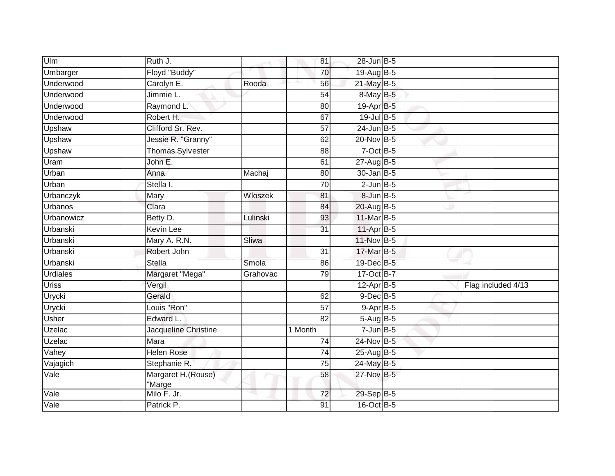| Ulm                      | Ruth J.                       |          | 81              | 28-Jun B-5       |                    |
|--------------------------|-------------------------------|----------|-----------------|------------------|--------------------|
| Umbarger                 | Floyd "Buddy"                 |          | 70              | 19-Aug B-5       |                    |
| Underwood                | Carolyn E.                    | Rooda    | 56              | 21-May B-5       |                    |
| Underwood                | Jimmie L.                     |          | 54              | 8-May B-5        |                    |
| Underwood                | Raymond L.                    |          | 80              | 19-Apr B-5       |                    |
| Underwood                | Robert H.                     |          | 67              | $19$ -Jul $B-5$  |                    |
| Upshaw                   | Clifford Sr. Rev.             |          | 57              | $24$ -Jun $B-5$  |                    |
| Upshaw                   | Jessie R. "Granny"            |          | 62              | $20$ -Nov $B-5$  |                    |
| Upshaw                   | <b>Thomas Sylvester</b>       |          | 88              | $7$ -Oct $B-5$   |                    |
| Uram                     | John E.                       |          | 61              | $27$ -Aug $B-5$  |                    |
| Urban                    | Anna                          | Machaj   | 80              | $30 - Jan$ $B-5$ |                    |
| Urban                    | Stella I.                     |          | 70              | $2$ -Jun $B - 5$ |                    |
| <b>Urbanczyk</b>         | Mary                          | Wloszek  | 81              | 8-Jun B-5        |                    |
| Urbanos                  | Clara                         |          | 84              | 20-Aug B-5       |                    |
| Urbanowicz               | Betty D.                      | Lulinski | 93              | 11-Mar B-5       |                    |
| Urbanski                 | Kevin Lee                     |          | $\overline{31}$ | $11-Apr$ B-5     |                    |
| Urbanski                 | Mary A. R.N.                  | Sliwa    |                 | 11-Nov B-5       |                    |
| Urbanski                 | Robert John                   |          | 31              | 17-Mar B-5       |                    |
| Urbanski                 | <b>Stella</b>                 | Smola    | 86              | 19-Dec B-5       |                    |
| <b>Urdiales</b>          | Margaret "Mega"               | Grahovac | 79              | 17-Oct B-7       |                    |
| <b>Uriss</b>             | Vergil                        |          |                 | $12-Apr$ B-5     | Flag included 4/13 |
| Urycki                   | Gerald                        |          | 62              | $9$ -Dec $B$ -5  |                    |
| Urycki                   | Louis "Ron"                   |          | 57              | $9-Apr$ B-5      |                    |
| Usher                    | Edward L.                     |          | $\overline{82}$ | $5-Aug$ $B-5$    |                    |
| Uzelac                   | Jacqueline Christine          |          | 1 Month         | $7 - Jun$ B-5    |                    |
| Uzelac                   | Mara                          |          | 74              | 24-Nov B-5       |                    |
| Vahey                    | <b>Helen Rose</b>             |          | $\overline{74}$ | 25-Aug B-5       |                    |
| Vajagich                 | Stephanie R.                  |          | 75              | 24-May B-5       |                    |
| $\overline{\text{Vale}}$ | Margaret H. (Rouse)<br>'Marge |          | 58              | 27-Nov B-5       |                    |
| Vale                     | Milo F. Jr.                   |          | 72              | 29-Sep B-5       |                    |
| Vale                     | Patrick P.                    |          | 91              | $16$ -Oct B-5    |                    |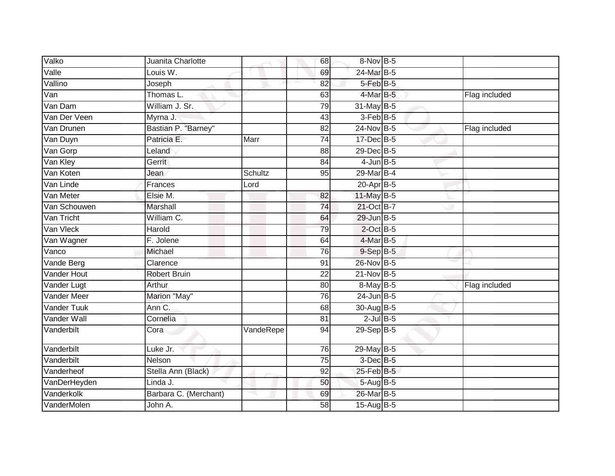| Valko              | Juanita Charlotte     |                | 68              | $8-Nov$ B-5      |               |
|--------------------|-----------------------|----------------|-----------------|------------------|---------------|
| Valle              | Louis W.              |                | 69              | $24$ -Mar $B-5$  |               |
| Vallino            | Joseph                |                | 82              | 5-Feb B-5        |               |
| Van                | Thomas L.             |                | 63              | $4$ -Mar $B-5$   | Flag included |
| Van Dam            | William J. Sr.        |                | 79              | 31-May B-5       |               |
| Van Der Veen       | Myrna J.              |                | 43              | 3-Feb B-5        |               |
| Van Drunen         | Bastian P. "Barney"   |                | 82              | 24-Nov B-5       | Flag included |
| Van Duyn           | Patricia E.           | Marr           | 74              | 17-Dec B-5       |               |
| Van Gorp           | Leland                |                | 88              | 29-Dec B-5       |               |
| Van Kley           | Gerrit                |                | $\overline{84}$ | $4$ -Jun $B$ -5  |               |
| Van Koten          | Jean                  | <b>Schultz</b> | 95              | 29-Mar B-4       |               |
| Van Linde          | Frances               | Lord           |                 | 20-Apr B-5       |               |
| Van Meter          | Elsie M.              |                | 82              | 11-May B-5       |               |
| Van Schouwen       | Marshall              |                | $\overline{74}$ | 21-Oct B-7       |               |
| Van Tricht         | William C.            |                | 64              | $29$ -Jun $B-5$  |               |
| Van Vleck          | Harold                |                | 79              | $2$ -Oct B-5     |               |
| Van Wagner         | F. Jolene             |                | 64              | $4$ -Mar B-5     |               |
| Vanco              | Michael               |                | 76              | $9-Sep$ B-5      |               |
| Vande Berg         | Clarence              |                | 91              | 26-Nov B-5       |               |
| Vander Hout        | <b>Robert Bruin</b>   |                | $\overline{22}$ | $21-Nov$ B-5     |               |
| Vander Lugt        | Arthur                |                | 80              | 8-May B-5        | Flag included |
| <b>Vander Meer</b> | <b>Marion "May"</b>   |                | 76              | $24$ -Jun $B-5$  |               |
| Vander Tuuk        | Ann C.                |                | 68              | 30-Aug B-5       |               |
| Vander Wall        | Cornelia              |                | 81              | $2$ -Jul B-5     |               |
| Vanderbilt         | Cora                  | VandeRepe      | 94              | 29-Sep B-5       |               |
| Vanderbilt         | Luke Jr.              |                | 76              | 29-May B-5       |               |
| Vanderbilt         | Nelson                |                | $\overline{75}$ | 3-Dec B-5        |               |
| Vanderheof         | Stella Ann (Black)    |                | 92              | 25-Feb B-5       |               |
| VanDerHeyden       | Linda J.              |                | 50              | $5-AugB-5$       |               |
| Vanderkolk         | Barbara C. (Merchant) |                | 69              | 26-Mar B-5       |               |
| VanderMolen        | John A.               |                | 58              | $15$ -Aug $B$ -5 |               |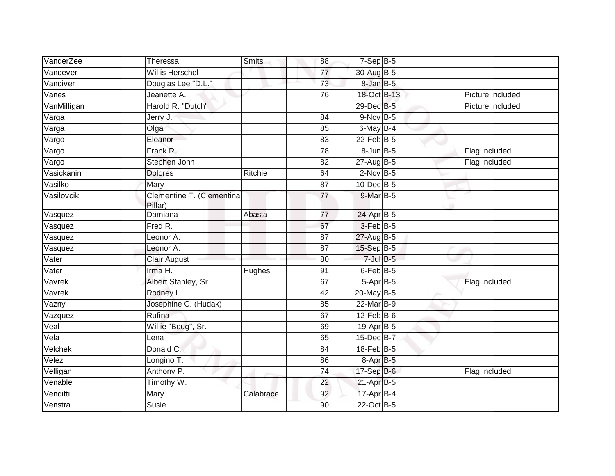| VanderZee                   | Theressa                             | Smits     | 88              | $7-Sep$ B-5           |                  |
|-----------------------------|--------------------------------------|-----------|-----------------|-----------------------|------------------|
| Vandever                    | <b>Willis Herschel</b>               |           | $\overline{77}$ | 30-Aug B-5            |                  |
| Vandiver                    | Douglas Lee "D.L."                   |           | 73              | 8-Jan B-5             |                  |
| Vanes                       | Jeanette A.                          |           | 76              | 18-Oct B-13           | Picture included |
| VanMilligan                 | Harold R. "Dutch"                    |           |                 | 29-Dec B-5            | Picture included |
| Varga                       | Jerry J.                             |           | 84              | $9-NovB-5$            |                  |
| Varga                       | Olga                                 |           | 85              | $6$ -May B-4          |                  |
| Vargo                       | Eleanor                              |           | 83              | $22$ -Feb $ B-5 $     |                  |
| Vargo                       | Frank R.                             |           | $\overline{78}$ | 8-Jun B-5             | Flag included    |
| Vargo                       | Stephen John                         |           | $\overline{82}$ | 27-Aug B-5            | Flag included    |
| Vasickanin                  | <b>Dolores</b>                       | Ritchie   | 64              | $2$ -Nov $B-5$        |                  |
| Vasilko                     | Mary                                 |           | 87              | $10$ -Dec $B-5$       |                  |
| Vasilovcik                  | Clementine T. (Clementina<br>Pillar) |           | 77              | 9-Mar B-5             |                  |
| Vasquez                     | Damiana                              | Abasta    | 77              | $24-Apr$ B-5          |                  |
| Vasquez                     | Fred R.                              |           | 67              | $3$ -Feb $B$ -5       |                  |
| Vasquez                     | Leonor A.                            |           | 87              | 27-Aug B-5            |                  |
| Vasquez                     | Leonor A.                            |           | 87              | 15-Sep B-5            |                  |
| Vater                       | Clair August                         |           | 80              | $7$ -Jul $B$ -5       |                  |
| Vater                       | Irma H.                              | Hughes    | 91              | $6$ -Feb $ B-5 $      |                  |
| Vavrek                      | Albert Stanley, Sr.                  |           | 67              | 5-Apr B-5             | Flag included    |
| Vavrek                      | Rodney L.                            |           | 42              | 20-May B-5            |                  |
| Vazny                       | Josephine C. (Hudak)                 |           | 85              | $22$ -Mar $B-9$       |                  |
| Vazquez                     | Rufina                               |           | 67              | $12$ -Feb $B$ -6      |                  |
| Veal                        | Willie "Boug", Sr.                   |           | 69              | $19-AprB-5$           |                  |
| $\overline{\mathsf{V}}$ ela | Lena                                 |           | 65              | 15-Dec B-7            |                  |
| Velchek                     | Donald C.                            |           | 84              | $18$ -Feb $B$ -5      |                  |
| Velez                       | Longino T.                           |           | 86              | 8-Apr B-5             |                  |
| Velligan                    | Anthony P.                           |           | 74              | 17-Sep B-6            | Flag included    |
| Venable                     | Timothy W.                           |           | 22              | 21-Apr B-5            |                  |
| Venditti                    | Mary                                 | Calabrace | 92              | $17 - \text{Apr}$ B-4 |                  |
| Venstra                     | Susie                                |           | 90              | 22-Oct B-5            |                  |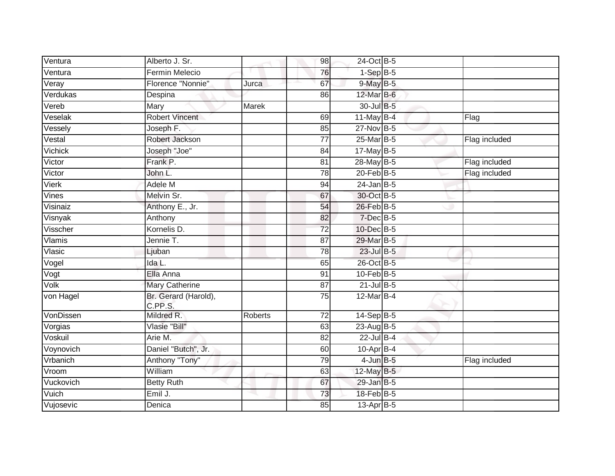| Ventura                        | Alberto J. Sr.                  |                | 98              | 24-Oct B-5        |               |
|--------------------------------|---------------------------------|----------------|-----------------|-------------------|---------------|
| Ventura                        | <b>Fermin Melecio</b>           |                | 76              | $1-Sep$ B-5       |               |
| Veray                          | Florence "Nonnie"               | Jurca          | 67              | 9-May B-5         |               |
| Verdukas                       | Despina                         |                | 86              | 12-Mar B-6        |               |
| Vereb                          | <b>Mary</b>                     | Marek          |                 | 30-Jul B-5        |               |
| Veselak                        | <b>Robert Vincent</b>           |                | 69              | $11$ -May B-4     | Flag          |
| $\overline{\mathsf{V}}$ essely | Joseph F.                       |                | 85              | 27-Nov B-5        |               |
| Vestal                         | Robert Jackson                  |                | 77              | 25-Mar B-5        | Flag included |
| Vichick                        | Joseph "Joe"                    |                | 84              | 17-May B-5        |               |
| Victor                         | Frank P.                        |                | 81              | 28-May B-5        | Flag included |
| Victor                         | John L.                         |                | $\overline{78}$ | $20$ -Feb $B-5$   | Flag included |
| Vierk                          | Adele M                         |                | 94              | $24$ -Jan $B-5$   |               |
| Vines                          | Melvin Sr.                      |                | 67              | 30-Oct B-5        |               |
| Visinaiz                       | Anthony E., Jr.                 |                | 54              | $26$ -Feb $B-5$   |               |
| Visnyak                        | Anthony                         |                | 82              | $7$ -Dec $B$ -5   |               |
| Visscher                       | Kornelis D.                     |                | 72              | $10$ -Dec $B - 5$ |               |
| Vlamis                         | Jennie T.                       |                | $\overline{87}$ | 29-Mar B-5        |               |
| Vlasic                         | Ljuban                          |                | 78              | $23$ -Jul B-5     |               |
| Vogel                          | Ida L.                          |                | 65              | 26-Oct B-5        |               |
| Vogt                           | Ella Anna                       |                | 91              | $10$ -Feb $B-5$   |               |
| Volk                           | Mary Catherine                  |                | 87              | $21$ -Jul B-5     |               |
| von Hagel                      | Br. Gerard (Harold),<br>C.PP.S. |                | 75              | 12-Mar B-4        |               |
| VonDissen                      | Mildred R.                      | <b>Roberts</b> | $\overline{72}$ | $14-SepB-5$       |               |
| Vorgias                        | Vlasie "Bill"                   |                | 63              | $23$ -Aug B-5     |               |
| Voskuil                        | Arie M.                         |                | $\overline{82}$ | $22$ -Jul B-4     |               |
| Voynovich                      | Daniel "Butch", Jr.             |                | 60              | 10-Apr B-4        |               |
| Vrbanich                       | Anthony "Tony"                  |                | $\overline{79}$ | $4$ -Jun $B$ -5   | Flag included |
| Vroom                          | William                         |                | 63              | 12-May B-5        |               |
| Vuckovich                      | <b>Betty Ruth</b>               |                | 67              | 29-Jan B-5        |               |
| Vuich                          | Emil J.                         |                | 73              | 18-Feb B-5        |               |
| Vujosevic                      | Denica                          |                | 85              | $13-Apr$ B-5      |               |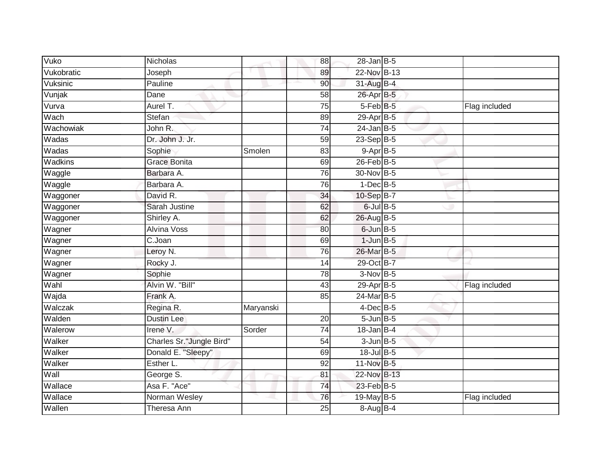| Vuko       | Nicholas                 |           | 88              | $28$ -Jan $ B-5 $ |               |
|------------|--------------------------|-----------|-----------------|-------------------|---------------|
| Vukobratic | Joseph                   |           | 89              | 22-Nov B-13       |               |
| Vuksinic   | Pauline                  |           | 90              | 31-Aug B-4        |               |
| Vunjak     | Dane                     |           | 58              | 26-Apr B-5        |               |
| Vurva      | Aurel T.                 |           | 75              | $5$ -Feb $B$ -5   | Flag included |
| Wach       | Stefan                   |           | 89              | $29-AprB-5$       |               |
| Wachowiak  | John R.                  |           | 74              | $24$ -Jan B-5     |               |
| Wadas      | Dr. John J. Jr.          |           | 59              | 23-Sep B-5        |               |
| Wadas      | Sophie                   | Smolen    | 83              | $9-Apr$ B-5       |               |
| Wadkins    | <b>Grace Bonita</b>      |           | 69              | $26$ -Feb $B-5$   |               |
| Waggle     | Barbara A.               |           | 76              | 30-Nov B-5        |               |
| Waggle     | Barbara A.               |           | 76              | $1-Dec$ B-5       |               |
| Waggoner   | David R.                 |           | 34              | 10-Sep B-7        |               |
| Waggoner   | Sarah Justine            |           | 62              | $6$ -Jul $B$ -5   |               |
| Waggoner   | Shirley A.               |           | 62              | 26-Aug B-5        |               |
| Wagner     | <b>Alvina Voss</b>       |           | 80              | $6$ -Jun $B$ -5   |               |
| Wagner     | C.Joan                   |           | 69              | $1$ -Jun $B$ -5   |               |
| Wagner     | Leroy N.                 |           | 76              | 26-Mar B-5        |               |
| Wagner     | Rocky J.                 |           | 14              | 29-Oct B-7        |               |
| Wagner     | Sophie                   |           | 78              | $3-Nov$ B-5       |               |
| Wahl       | Alvin W. "Bill"          |           | 43              | $29-AprB-5$       | Flag included |
| Wajda      | Frank A.                 |           | 85              | $24$ -Mar $B-5$   |               |
| Walczak    | Regina R.                | Maryanski |                 | $4$ -Dec $B-5$    |               |
| Walden     | <b>Dustin Lee</b>        |           | 20              | $5 - Jun$ $B - 5$ |               |
| Walerow    | Irene V.                 | Sorder    | $\overline{74}$ | $18$ -Jan B-4     |               |
| Walker     | Charles Sr."Jungle Bird" |           | $\overline{54}$ | $3$ -Jun $B$ -5   |               |
| Walker     | Donald E. "Sleepy"       |           | 69              | 18-Jul B-5        |               |
| Walker     | Esther L.                |           | 92              | 11-Nov B-5        |               |
| Wall       | George S.                |           | 81              | 22-Nov B-13       |               |
| Wallace    | Asa F. "Ace"             |           | 74              | 23-Feb B-5        |               |
| Wallace    | Norman Wesley            |           | 76              | 19-May $B-5$      | Flag included |
| Wallen     | Theresa Ann              |           | 25              | 8-Aug B-4         |               |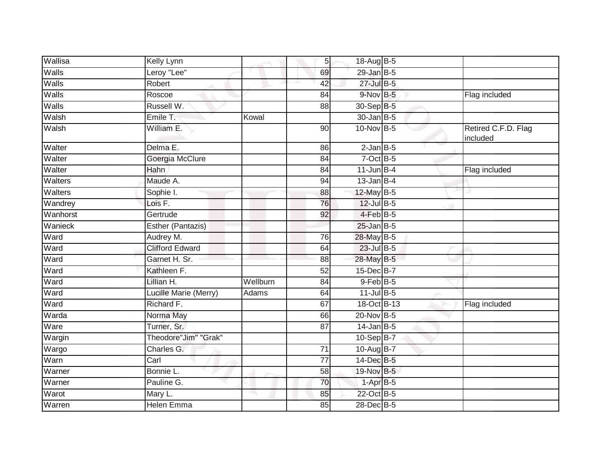| Wallisa  | Kelly Lynn               |          | 5 <sup>1</sup>  | $18$ -Aug $B$ -5 |                                 |
|----------|--------------------------|----------|-----------------|------------------|---------------------------------|
| Walls    | Leroy "Lee"              |          | 69              | $29$ -Jan B-5    |                                 |
| Walls    | Robert                   |          | 42              | 27-Jul B-5       |                                 |
| Walls    | Roscoe                   |          | 84              | 9-Nov B-5        | Flag included                   |
| Walls    | Russell W.               |          | $\overline{88}$ | 30-Sep B-5       |                                 |
| Walsh    | Emile T.                 | Kowal    |                 | $30 - Jan$ $B-5$ |                                 |
| Walsh    | William E.               |          | 90              | 10-Nov B-5       | Retired C.F.D. Flag<br>included |
| Walter   | Delma E.                 |          | 86              | $2$ -Jan $B$ -5  |                                 |
| Walter   | Goergia McClure          |          | 84              | $7$ -Oct B-5     |                                 |
| Walter   | <b>Hahn</b>              |          | 84              | $11$ -Jun B-4    | Flag included                   |
| Walters  | Maude A.                 |          | 94              | $13$ -Jan $B-4$  |                                 |
| Walters  | Sophie I.                |          | 88              | 12-May B-5       |                                 |
| Wandrey  | Lois F.                  |          | 76              | $12$ -Jul B-5    |                                 |
| Wanhorst | Gertrude                 |          | 92              | 4-Feb B-5        |                                 |
| Wanieck  | <b>Esther (Pantazis)</b> |          |                 | $25 - Jan$ $B-5$ |                                 |
| Ward     | Audrey M.                |          | 76              | 28-May B-5       |                                 |
| Ward     | <b>Clifford Edward</b>   |          | 64              | $23$ -Jul B-5    |                                 |
| Ward     | Garnet H. Sr.            |          | 88              | 28-May B-5       |                                 |
| Ward     | Kathleen F.              |          | 52              | 15-Dec B-7       |                                 |
| Ward     | Lillian H.               | Wellburn | 84              | $9$ -Feb $B$ -5  |                                 |
| Ward     | Lucille Marie (Merry)    | Adams    | 64              | $11$ -Jul B-5    |                                 |
| Ward     | Richard F.               |          | 67              | 18-Oct B-13      | Flag included                   |
| Warda    | Norma May                |          | 66              | 20-Nov B-5       |                                 |
| Ware     | Turner, Sr.              |          | 87              | $14$ -Jan B-5    |                                 |
| Wargin   | Theodore"Jim" "Grak"     |          |                 | $10-Sep$ B-7     |                                 |
| Wargo    | Charles G.               |          | 71              | 10-Aug B-7       |                                 |
| Warn     | Carl                     |          | $\overline{77}$ | 14-Dec B-5       |                                 |
| Warner   | Bonnie L.                |          | $\overline{58}$ | 19-Nov B-5       |                                 |
| Warner   | Pauline G.               |          | 70              | $1-AprB-5$       |                                 |
| Warot    | Mary L.                  |          | 85              | 22-Oct B-5       |                                 |
| Warren   | Helen Emma               |          | 85              | 28-Dec B-5       |                                 |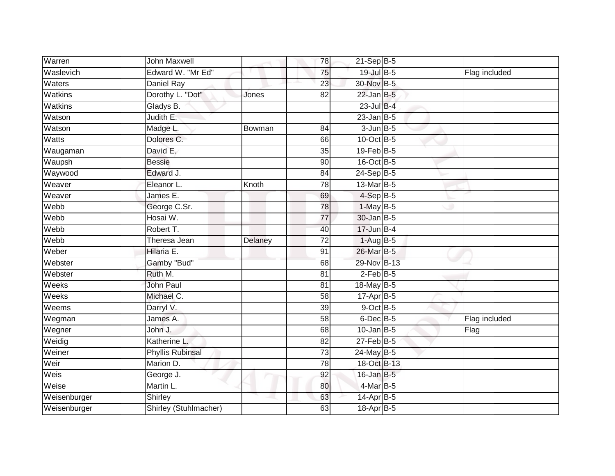| Warren         | John Maxwell            |         | 78              | $21-Sep$ B-5      |               |
|----------------|-------------------------|---------|-----------------|-------------------|---------------|
| Waslevich      | Edward W. "Mr Ed"       |         | 75              | 19-Jul B-5        | Flag included |
| Waters         | Daniel Ray              |         | $\overline{23}$ | 30-Nov B-5        |               |
| Watkins        | Dorothy L. "Dot"        | Jones   | 82              | $22$ -Jan B-5     |               |
| <b>Watkins</b> | Gladys B.               |         |                 | 23-Jul B-4        |               |
| Watson         | Judith E.               |         |                 | $23$ -Jan B-5     |               |
| Watson         | Madge L.                | Bowman  | 84              | $3$ -Jun $B$ -5   |               |
| <b>Watts</b>   | Dolores C.              |         | 66              | 10-Oct B-5        |               |
| Waugaman       | David E.                |         | 35              | $19$ -Feb $ B-5 $ |               |
| Waupsh         | <b>Bessie</b>           |         | 90              | 16-Oct B-5        |               |
| Waywood        | Edward J.               |         | 84              | $24-Sep$ B-5      |               |
| Weaver         | Eleanor L.              | Knoth   | 78              | $13$ -Mar $ B-5 $ |               |
| Weaver         | James E.                |         | 69              | $4-Sep$ B-5       |               |
| Webb           | George C.Sr.            |         | 78              | $1$ -May $B-5$    |               |
| Webb           | Hosai W.                |         | $\overline{77}$ | $30$ -Jan B-5     |               |
| Webb           | Robert T.               |         | 40              | $17$ -Jun $B-4$   |               |
| Webb           | Theresa Jean            | Delaney | $\overline{72}$ | $1-AugB-5$        |               |
| Weber          | Hilaria E.              |         | 91              | 26-Mar B-5        |               |
| Webster        | Gamby "Bud"             |         | 68              | 29-Nov B-13       |               |
| Webster        | Ruth M.                 |         | $\overline{81}$ | $2$ -Feb $B-5$    |               |
| Weeks          | John Paul               |         | 81              | 18-May B-5        |               |
| Weeks          | Michael C.              |         | $\overline{58}$ | $17-Apr$ B-5      |               |
| Weems          | Darryl V.               |         | $\overline{39}$ | 9-Oct B-5         |               |
| Wegman         | James A.                |         | $\overline{58}$ | 6-Dec B-5         | Flag included |
| Wegner         | John J.                 |         | 68              | $10$ -Jan B-5     | Flag          |
| Weidig         | Katherine L.            |         | $\overline{82}$ | $27$ -Feb $B$ -5  |               |
| Weiner         | <b>Phyllis Rubinsal</b> |         | 73              | 24-May B-5        |               |
| Weir           | Marion D.               |         | 78              | 18-Oct B-13       |               |
| Weis           | George J.               |         | 92              | $16$ -Jan B-5     |               |
| Weise          | Martin L.               |         | 80              | $4$ -Mar $B-5$    |               |
| Weisenburger   | Shirley                 |         | 63              | $14$ -Apr $B$ -5  |               |
| Weisenburger   | Shirley (Stuhlmacher)   |         | 63              | 18-Apr B-5        |               |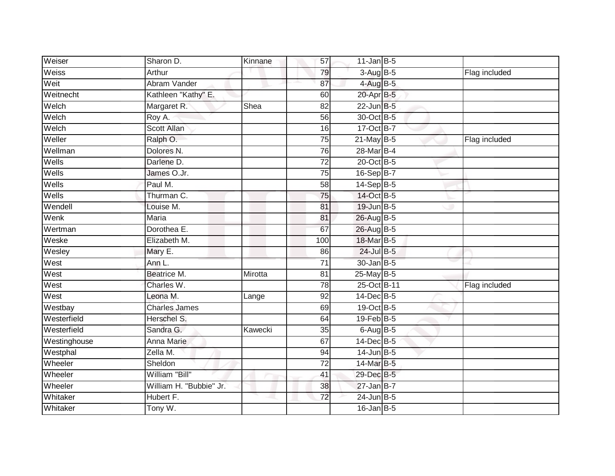| Weiser       | Sharon D.               | Kinnane | 57              | $11$ -Jan B-5         |               |
|--------------|-------------------------|---------|-----------------|-----------------------|---------------|
| Weiss        | Arthur                  |         | 79              | $3-AuqB-5$            | Flag included |
| Weit         | <b>Abram Vander</b>     |         | 87              | $4$ -Aug $B-5$        |               |
| Weitnecht    | Kathleen "Kathy" E.     |         | 60              | 20-Apr B-5            |               |
| Welch        | Margaret R.             | Shea    | $\overline{82}$ | 22-Jun B-5            |               |
| Welch        | Roy A.                  |         | 56              | 30-Oct B-5            |               |
| Welch        | <b>Scott Allan</b>      |         | 16              | 17-Oct B-7            |               |
| Weller       | Ralph O.                |         | 75              | $21$ -May B-5         | Flag included |
| Wellman      | Dolores N.              |         | $\overline{76}$ | $28$ -Mar $B-4$       |               |
| Wells        | Darlene D.              |         | 72              | 20-Oct B-5            |               |
| Wells        | James O.Jr.             |         | $\overline{75}$ | 16-Sep B-7            |               |
| Wells        | Paul M.                 |         | 58              | 14-Sep B-5            |               |
| Wells        | Thurman C.              |         | 75              | 14-Oct B-5            |               |
| Wendell      | Louise M.               |         | 81              | $19$ -Jun $B - 5$     |               |
| Wenk         | <b>Maria</b>            |         | 81              | 26-Aug B-5            |               |
| Wertman      | Dorothea E.             |         | 67              | 26-Aug B-5            |               |
| Weske        | Elizabeth M.            |         | 100             | 18-Mar B-5            |               |
| Wesley       | Mary E.                 |         | 86              | 24-Jul B-5            |               |
| West         | Ann L.                  |         | 71              | $30 - Jan$ $B-5$      |               |
| West         | Beatrice M.             | Mirotta | $\overline{81}$ | 25-May B-5            |               |
| West         | Charles W.              |         | 78              | 25-Oct B-11           | Flag included |
| West         | Leona M.                | Lange   | 92              | 14-Dec <sup>B-5</sup> |               |
| Westbay      | <b>Charles James</b>    |         | 69              | 19-Oct B-5            |               |
| Westerfield  | Herschel S.             |         | 64              | $19$ -Feb $B$ -5      |               |
| Westerfield  | Sandra G.               | Kawecki | 35              | $6$ -Aug $B$ -5       |               |
| Westinghouse | <b>Anna Marie</b>       |         | 67              | 14-Dec B-5            |               |
| Westphal     | Zella M.                |         | 94              | $14$ -Jun $B-5$       |               |
| Wheeler      | Sheldon                 |         | 72              | 14-Mar B-5            |               |
| Wheeler      | William "Bill"          |         | 41              | 29-Dec B-5            |               |
| Wheeler      | William H. "Bubbie" Jr. |         | 38              | $27$ -Jan B-7         |               |
| Whitaker     | Hubert F.               |         | 72              | $24$ -Jun $B-5$       |               |
| Whitaker     | Tony W.                 |         |                 | $16$ -Jan B-5         |               |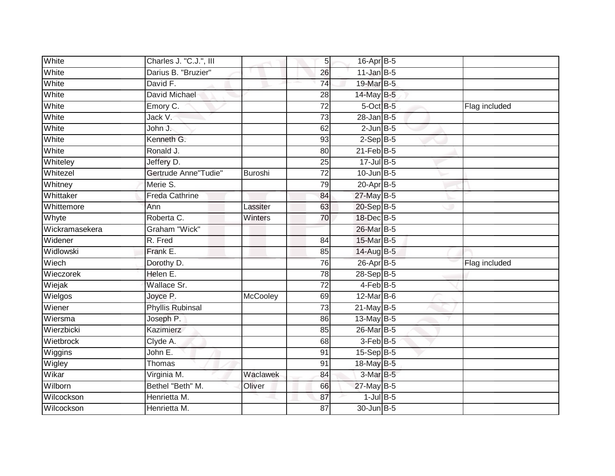| White          | Charles J. "C.J.", III  |                 | 5               | 16-Apr B-5       |               |
|----------------|-------------------------|-----------------|-----------------|------------------|---------------|
| White          | Darius B. "Bruzier"     |                 | $\overline{26}$ | $11$ -Jan B-5    |               |
| White          | David F.                |                 | $\overline{74}$ | 19-Mar B-5       |               |
| White          | David Michael           |                 | 28              | 14-May B-5       |               |
| White          | Emory C.                |                 | $\overline{72}$ | 5-Oct B-5        | Flag included |
| White          | Jack V.                 |                 | $\overline{73}$ | $28$ -Jan $B-5$  |               |
| White          | John J.                 |                 | 62              | $2$ -Jun $B - 5$ |               |
| White          | Kenneth G.              |                 | 93              | $2-Sep B-5$      |               |
| White          | Ronald J.               |                 | 80              | $21$ -Feb $B-5$  |               |
| Whiteley       | Jeffery D.              |                 | $\overline{25}$ | $17 -$ Jul B-5   |               |
| Whitezel       | Gertrude Anne"Tudie"    | Buroshi         | $\overline{72}$ | $10$ -Jun $B-5$  |               |
| Whitney        | Merie S.                |                 | 79              | $20-Apr$ B-5     |               |
| Whittaker      | <b>Freda Cathrine</b>   |                 | 84              | 27-May B-5       |               |
| Whittemore     | Ann                     | Lassiter        | 63              | 20-Sep B-5       |               |
| Whyte          | Roberta C.              | Winters         | 70              | 18-Dec B-5       |               |
| Wickramasekera | Graham "Wick"           |                 |                 | 26-Mar B-5       |               |
| Widener        | R. Fred                 |                 | 84              | 15-Mar B-5       |               |
| Widlowski      | Frank E.                |                 | 85              | 14-Aug B-5       |               |
| Wiech          | Dorothy D.              |                 | 76              | 26-Apr B-5       | Flag included |
| Wieczorek      | Helen E.                |                 | $\overline{78}$ | 28-Sep B-5       |               |
| Wiejak         | Wallace Sr.             |                 | 72              | $4$ -Feb $ B-5 $ |               |
| Wielgos        | Joyce P.                | <b>McCooley</b> | 69              | $12$ -Mar $B-6$  |               |
| Wiener         | <b>Phyllis Rubinsal</b> |                 | 73              | $21$ -May B-5    |               |
| Wiersma        | Joseph P.               |                 | 86              | $13$ -May B-5    |               |
| Wierzbicki     | Kazimierz               |                 | 85              | 26-Mar B-5       |               |
| Wietbrock      | Clyde A.                |                 | 68              | $3-Feb$ B-5      |               |
| Wiggins        | John E.                 |                 | $\overline{91}$ | 15-Sep B-5       |               |
| Wigley         | Thomas                  |                 | 91              | 18-May B-5       |               |
| Wikar          | Virginia M.             | Waclawek        | 84              | $3-MarB-5$       |               |
| Wilborn        | Bethel "Beth" M.        | Oliver          | 66              | 27-May B-5       |               |
| Wilcockson     | Henrietta M.            |                 | 87              | $1$ -Jul $B$ -5  |               |
| Wilcockson     | Henrietta M.            |                 | 87              | 30-Jun B-5       |               |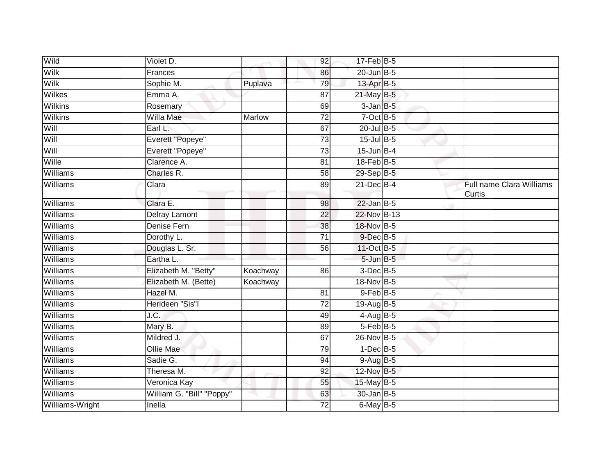| Wild            | $\overline{V}$ iolet D.   |          | 92              | $17 - Feb$ B-5        |                                    |
|-----------------|---------------------------|----------|-----------------|-----------------------|------------------------------------|
| Wilk            | Frances                   |          | 86              | $20$ -Jun $B-5$       |                                    |
| Wilk            | Sophie M.                 | Puplava  | 79              | 13-Apr <sub>B-5</sub> |                                    |
| Wilkes          | Emma A.                   |          | 87              | 21-May B-5            |                                    |
| <b>Wilkins</b>  | Rosemary                  |          | 69              | $3$ -Jan $B$ -5       |                                    |
| <b>Wilkins</b>  | Willa Mae                 | Marlow   | 72              | 7-Oct B-5             |                                    |
| Will            | Earl L.                   |          | 67              | $20$ -Jul B-5         |                                    |
| Will            | Everett "Popeye"          |          | $\overline{73}$ | $15$ -Jul $B$ -5      |                                    |
| Will            | Everett "Popeye"          |          | 73              | $15$ -Jun $B-4$       |                                    |
| Wille           | Clarence A.               |          | 81              | $18$ -Feb $B$ -5      |                                    |
| Williams        | Charles R.                |          | 58              | $29-Sep B-5$          |                                    |
| Williams        | Clara                     |          | 89              | $21$ -Dec $B-4$       | Full name Clara Williams<br>Curtis |
| <b>Williams</b> | Clara E.                  |          | 98              | $22$ -Jan B-5         |                                    |
| Williams        | Delray Lamont             |          | 22              | 22-Nov B-13           |                                    |
| Williams        | <b>Denise Fern</b>        |          | 38              | 18-Nov B-5            |                                    |
| Williams        | Dorothy L.                |          | $\overline{71}$ | $9$ -Dec $B$ -5       |                                    |
| Williams        | Douglas L. Sr.            |          | 56              | 11-Oct B-5            |                                    |
| Williams        | Eartha L.                 |          |                 | $5 - JunB - 5$        |                                    |
| Williams        | Elizabeth M. "Betty"      | Koachway | 86              | $3$ -Dec $B$ -5       |                                    |
| <b>Williams</b> | Elizabeth M. (Bette)      | Koachway |                 | 18-Nov B-5            |                                    |
| <b>Williams</b> | Hazel M.                  |          | 81              | $9$ -Feb $B$ -5       |                                    |
| Williams        | Herideen "Sis"l           |          | 72              | 19-Aug B-5            |                                    |
| Williams        | J.C.                      |          | 49              | 4-Aug B-5             |                                    |
| Williams        | Mary B.                   |          | 89              | 5-Feb B-5             |                                    |
| Williams        | Mildred J.                |          | 67              | 26-Nov B-5            |                                    |
| Williams        | Ollie Mae                 |          | 79              | $1-Dec$ B-5           |                                    |
| Williams        | Sadie G.                  |          | 94              | 9-Aug B-5             |                                    |
| <b>Williams</b> | Theresa M.                |          | 92              | 12-Nov B-5            |                                    |
| <b>Williams</b> | Veronica Kay              |          | 55              | 15-May B-5            |                                    |
| Williams        | William G. "Bill" "Poppy" |          | 63              | $30 - JanB-5$         |                                    |
| Williams-Wright | Inella                    |          | 72              | $6$ -May B-5          |                                    |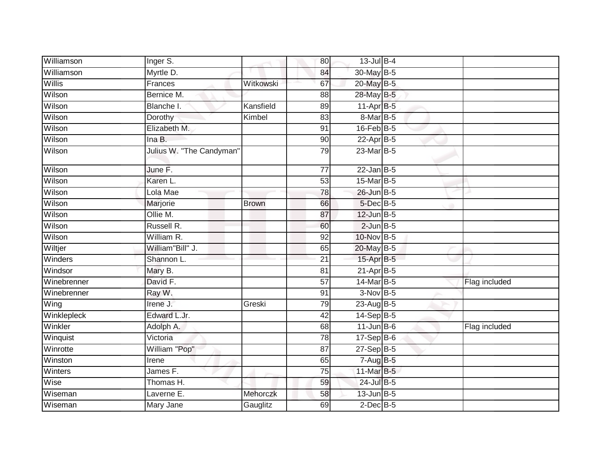| Williamson  | Inger S.                 |              | 80              | $13$ -Jul $B-4$   |               |
|-------------|--------------------------|--------------|-----------------|-------------------|---------------|
| Williamson  | Myrtle D.                |              | 84              | 30-May B-5        |               |
| Willis      | Frances                  | Witkowski    | 67              | 20-May B-5        |               |
| Wilson      | Bernice M.               |              | 88              | 28-May B-5        |               |
| Wilson      | Blanche I.               | Kansfield    | 89              | 11-Apr B-5        |               |
| Wilson      | Dorothy                  | Kimbel       | 83              | 8-Mar B-5         |               |
| Wilson      | Elizabeth M.             |              | 91              | $16$ -Feb $B$ -5  |               |
| Wilson      | Ina B.                   |              | 90              | 22-Apr B-5        |               |
| Wilson      | Julius W. "The Candyman" |              | 79              | $23$ -Mar $B-5$   |               |
| Wilson      | June F.                  |              | 77              | $22$ -Jan B-5     |               |
| Wilson      | Karen L.                 |              | 53              | $15$ -Mar $ B-5 $ |               |
| Wilson      | Lola Mae                 |              | 78              | $26$ -Jun $B-5$   |               |
| Wilson      | Marjorie                 | <b>Brown</b> | 66              | $5$ -Dec $B$ -5   |               |
| Wilson      | Ollie M.                 |              | 87              | $12$ -Jun $B-5$   |               |
| Wilson      | Russell R.               |              | 60              | $2$ -Jun $B$ -5   |               |
| Wilson      | William R.               |              | 92              | 10-Nov B-5        |               |
| Wiltjer     | William"Bill" J.         |              | 65              | 20-May B-5        |               |
| Winders     | Shannon L.               |              | 21              | $15$ -Apr $B$ -5  |               |
| Windsor     | Mary B.                  |              | 81              | $21-Apr B-5$      |               |
| Winebrenner | David F.                 |              | $\overline{57}$ | $14$ -Mar $B-5$   | Flag included |
| Winebrenner | Ray W.                   |              | 91              | 3-Nov B-5         |               |
| Wing        | Irene J.                 | Greski       | 79              | 23-Aug B-5        |               |
| Winklepleck | Edward L.Jr.             |              | $\overline{42}$ | $14-SepB-5$       |               |
| Winkler     | Adolph A.                |              | 68              | $11$ -Jun $B$ -6  | Flag included |
| Winquist    | Victoria                 |              | $\overline{78}$ | $17-Sep$ B-6      |               |
| Winrotte    | William "Pop"            |              | 87              | $27-Sep$ B-5      |               |
| Winston     | Irene                    |              | 65              | $7-AugB-5$        |               |
| Winters     | James F.                 |              | $\overline{75}$ | 11-Mar B-5        |               |
| Wise        | Thomas H.                |              | 59              | 24-Jul B-5        |               |
| Wiseman     | Laverne E.               | Mehorczk     | 58              | $13$ -Jun $B-5$   |               |
| Wiseman     | Mary Jane                | Gauglitz     | 69              | $2$ -Dec $B$ -5   |               |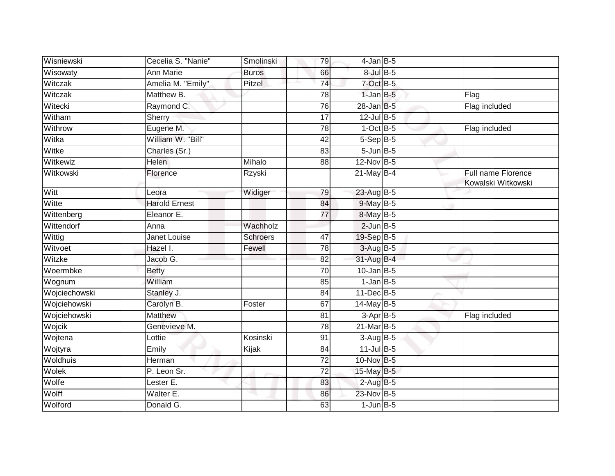| Wisniewski      | Cecelia S. "Nanie"   | Smolinski       | 79              | $4$ -Jan $B$ -5   |                                          |
|-----------------|----------------------|-----------------|-----------------|-------------------|------------------------------------------|
| Wisowaty        | <b>Ann Marie</b>     | <b>Buros</b>    | 66              | $8$ -Jul B-5      |                                          |
| Witczak         | Amelia M. "Emily"    | Pitzel          | 74              | $7$ -Oct $B$ -5   |                                          |
| Witczak         | Matthew B.           |                 | 78              | $1$ -Jan $B-5$    | Flag                                     |
| Witecki         | Raymond C.           |                 | 76              | 28-Jan B-5        | Flag included                            |
| Witham          | Sherry               |                 | 17              | $12$ -Jul $B-5$   |                                          |
| Withrow         | Eugene M.            |                 | 78              | $1-Oct$ B-5       | Flag included                            |
| Witka           | William W. "Bill"    |                 | 42              | $5-Sep$ B-5       |                                          |
| Witke           | Charles (Sr.)        |                 | $\overline{83}$ | $5 - Jun$ $B-5$   |                                          |
| Witkewiz        | <b>Helen</b>         | Mihalo          | $\overline{88}$ | 12-Nov B-5        |                                          |
| Witkowski       | Florence             | Rzyski          |                 | $21$ -May B-4     | Full name Florence<br>Kowalski Witkowski |
| Witt            | Leora                | Widiger         | 79              | 23-Aug B-5        |                                          |
| Witte           | <b>Harold Ernest</b> |                 | 84              | $9$ -May $B-5$    |                                          |
| Wittenberg      | Eleanor E.           |                 | 77              | 8-May B-5         |                                          |
| Wittendorf      | Anna                 | Wachholz        |                 | $2$ -Jun $B$ -5   |                                          |
| Wittig          | Janet Louise         | <b>Schroers</b> | 47              | $19-Sep$ B-5      |                                          |
| Witvoet         | Hazel I.             | Fewell          | 78              | $3-Aug$ $B-5$     |                                          |
| Witzke          | Jacob G.             |                 | 82              | 31-Aug B-4        |                                          |
| Woermbke        | <b>Betty</b>         |                 | 70              | $10$ -Jan $ B-5 $ |                                          |
| Wognum          | William              |                 | 85              | $1-JanB-5$        |                                          |
| Wojciechowski   | Stanley J.           |                 | 84              | $11$ -Dec $B-5$   |                                          |
| Wojciehowski    | Carolyn B.           | Foster          | 67              | $14$ -May B-5     |                                          |
| Wojciehowski    | <b>Matthew</b>       |                 | 81              | $3-AprB-5$        | Flag included                            |
| Wojcik          | Genevieve M.         |                 | 78              | 21-Mar B-5        |                                          |
| Wojtena         | Lottie               | Kosinski        | 91              | $3-Aug$ B-5       |                                          |
| Wojtyra         | Emily                | Kijak           | 84              | $11$ -Jul B-5     |                                          |
| <b>Woldhuis</b> | Herman               |                 | $\overline{72}$ | 10-Nov B-5        |                                          |
| Wolek           | P. Leon Sr.          |                 | $\overline{72}$ | 15-May B-5        |                                          |
| Wolfe           | Lester E.            |                 | 83              | $2-AugB-5$        |                                          |
| Wolff           | Walter E.            |                 | 86              | 23-Nov B-5        |                                          |
| Wolford         | Donald G.            |                 | 63              | $1$ -Jun $B$ -5   |                                          |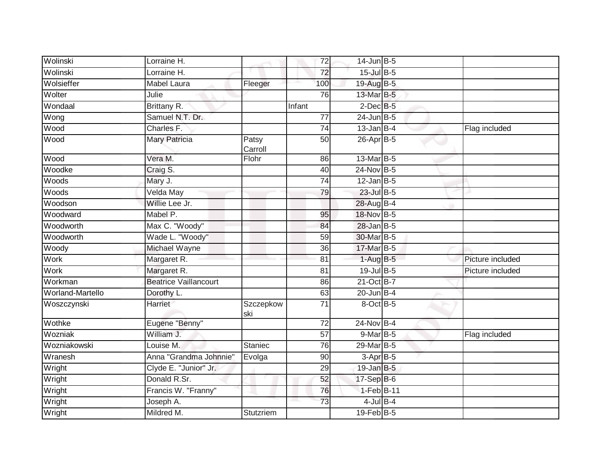| Wolinski         | Lorraine H.                  |                  | 72              | $14$ -Jun $B-5$  |                  |
|------------------|------------------------------|------------------|-----------------|------------------|------------------|
| Wolinski         | Lorraine H.                  |                  | 72              | $15$ -Jul $B-5$  |                  |
| Wolsieffer       | <b>Mabel Laura</b>           | Fleeger          | 100             | 19-Aug B-5       |                  |
| Wolter           | Julie                        |                  | 76              | 13-Mar B-5       |                  |
| Wondaal          | Brittany R.                  |                  | Infant          | $2$ -Dec $B-5$   |                  |
| Wong             | Samuel N.T. Dr.              |                  | 77              | $24$ -Jun $B-5$  |                  |
| Wood             | Charles F.                   |                  | $\overline{74}$ | $13$ -Jan B-4    | Flag included    |
| Wood             | Mary Patricia                | Patsy<br>Carroll | 50              | 26-Apr B-5       |                  |
| Wood             | Vera M.                      | Flohr            | 86              | 13-Mar B-5       |                  |
| Woodke           | Craig S.                     |                  | 40              | 24-Nov B-5       |                  |
| Woods            | Mary J.                      |                  | 74              | $12$ -Jan $B-5$  |                  |
| Woods            | Velda May                    |                  | 79              | $23$ -Jul B-5    |                  |
| Woodson          | Willie Lee Jr.               |                  |                 | 28-Aug B-4       |                  |
| Woodward         | Mabel P.                     |                  | 95              | 18-Nov B-5       |                  |
| Woodworth        | Max C. "Woody"               |                  | 84              | $28$ -Jan $B-5$  |                  |
| Woodworth        | Wade L. "Woody"              |                  | 59              | 30-Mar B-5       |                  |
| Woody            | Michael Wayne                |                  | $\overline{36}$ | 17-Mar B-5       |                  |
| Work             | Margaret R.                  |                  | 81              | $1-AugB-5$       | Picture included |
| Work             | Margaret R.                  |                  | 81              | 19-Jul B-5       | Picture included |
| Workman          | <b>Beatrice Vaillancourt</b> |                  | 86              | 21-Oct B-7       |                  |
| Worland-Martello | Dorothy L.                   |                  | 63              | $20$ -Jun $B-4$  |                  |
| Woszczynski      | Harriet                      | Szczepkow<br>ski | 71              | $8$ -Oct $B$ -5  |                  |
| Wothke           | Eugene "Benny"               |                  | $\overline{72}$ | $24$ -Nov $B-4$  |                  |
| Wozniak          | William J.                   |                  | $\overline{57}$ | 9-Mar B-5        | Flag included    |
| Wozniakowski     | Louise M.                    | <b>Staniec</b>   | $\overline{76}$ | 29-Mar B-5       |                  |
| Wranesh          | Anna "Grandma Johnnie"       | Evolga           | 90              | 3-Apr B-5        |                  |
| Wright           | Clyde E. "Junior" Jr.        |                  | 29              | $19$ -Jan $B-5$  |                  |
| Wright           | Donald R.Sr.                 |                  | 52              | 17-Sep B-6       |                  |
| Wright           | Francis W. "Franny"          |                  | 76              | $1-Feb$ B-11     |                  |
| Wright           | Joseph A.                    |                  | 73              | $4$ -Jul $B-4$   |                  |
| Wright           | Mildred M.                   | Stutzriem        |                 | $19$ -Feb $B$ -5 |                  |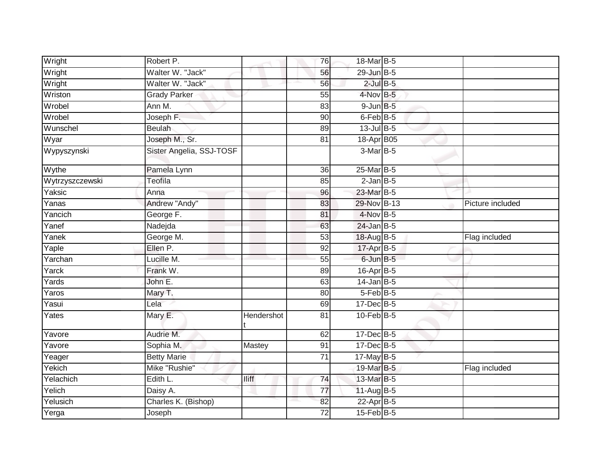| Wright          | Robert P.                |              | 76              | 18-Mar B-5            |                  |
|-----------------|--------------------------|--------------|-----------------|-----------------------|------------------|
| Wright          | Walter W. "Jack"         |              | 56              | 29-Jun B-5            |                  |
| Wright          | Walter W. "Jack"         |              | 56              | $2$ -Jul $B$ -5       |                  |
| Wriston         | <b>Grady Parker</b>      |              | 55              | 4-Nov B-5             |                  |
| Wrobel          | Ann M.                   |              | 83              | $9$ -Jun $B$ -5       |                  |
| Wrobel          | Joseph F.                |              | 90              | 6-Feb B-5             |                  |
| Wunschel        | <b>Beulah</b>            |              | 89              | $13$ -Jul $B-5$       |                  |
| Wyar            | Joseph M., Sr.           |              | 81              | 18-Apr B05            |                  |
| Wypyszynski     | Sister Angelia, SSJ-TOSF |              |                 | $3-MarB-5$            |                  |
| Wythe           | Pamela Lynn              |              | 36              | 25-Mar B-5            |                  |
| Wytrzyszczewski | Teofila                  |              | 85              | $2-JanB-5$            |                  |
| Yaksic          | Anna                     |              | 96              | 23-Mar <sub>B-5</sub> |                  |
| Yanas           | Andrew "Andy"            |              | 83              | 29-Nov B-13           | Picture included |
| Yancich         | George F.                |              | 81              | $4-Nov$ B-5           |                  |
| Yanef           | Nadejda                  |              | 63              | $24$ -Jan B-5         |                  |
| Yanek           | George M.                |              | 53              | 18-Aug B-5            | Flag included    |
| Yaple           | Ellen P.                 |              | 92              | 17-Apr B-5            |                  |
| Yarchan         | Lucille M.               |              | 55              | 6-Jun B-5             |                  |
| Yarck           | Frank W.                 |              | 89              | $16$ -Apr $ B-5 $     |                  |
| Yards           | John E.                  |              | 63              | $14$ -Jan B-5         |                  |
| Yaros           | Mary T.                  |              | 80              | $5-Feb$ B-5           |                  |
| Yasui           | Lela                     |              | 69              | 17-Dec B-5            |                  |
| Yates           | Mary E.                  | Hendershot   | 81              | $10$ -Feb $B-5$       |                  |
| Yavore          | Audrie M.                |              | 62              | $17 - Dec$ B-5        |                  |
| Yavore          | Sophia M.                | Mastey       | $\overline{91}$ | $17 - Dec$ B-5        |                  |
| Yeager          | <b>Betty Marie</b>       |              | 71              | 17-May B-5            |                  |
| Yekich          | Mike "Rushie"            |              |                 | 19-Mar B-5            | Flag included    |
| Yelachich       | Edith L.                 | <b>Iliff</b> | 74              | 13-Mar B-5            |                  |
| Yelich          | Daisy A.                 |              | 77              | 11-Aug B-5            |                  |
| Yelusich        | Charles K. (Bishop)      |              | 82              | $22-AprB-5$           |                  |
| Yerga           | Joseph                   |              | 72              | $15$ -Feb $B$ -5      |                  |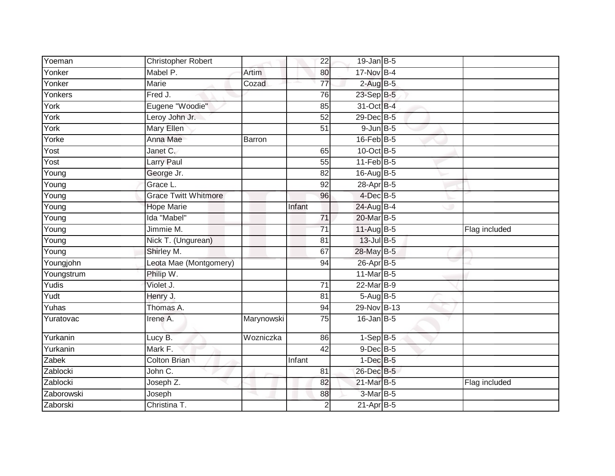| Yoeman              | Christopher Robert          |            | 22              | $19$ -Jan B-5    |               |
|---------------------|-----------------------------|------------|-----------------|------------------|---------------|
| Yonker              | Mabel P.                    | Artim      | 80              | 17-Nov B-4       |               |
| Yonker              | Marie                       | Cozad      | $\overline{77}$ | $2-AugB-5$       |               |
| Yonkers             | Fred J.                     |            | 76              | 23-Sep B-5       |               |
| York                | Eugene "Woodie"             |            | 85              | 31-Oct B-4       |               |
| York                | Leroy John Jr.              |            | 52              | 29-Dec B-5       |               |
| York                | Mary Ellen                  |            | 51              | $9$ -Jun $B$ -5  |               |
| Yorke               | Anna Mae                    | Barron     |                 | $16$ -Feb $B$ -5 |               |
| Yost                | Janet C.                    |            | 65              | $10$ -Oct $B-5$  |               |
| Yost                | Larry Paul                  |            | 55              | $11$ -Feb $B$ -5 |               |
| Young               | George Jr.                  |            | 82              | 16-Aug B-5       |               |
| Young               | Grace L.                    |            | $\overline{92}$ | $28-AprB-5$      |               |
| Young               | <b>Grace Twitt Whitmore</b> |            | 96              | $4$ -Dec B-5     |               |
| Young               | <b>Hope Marie</b>           |            | Infant          | 24-Aug B-4       |               |
| Young               | Ida "Mabel"                 |            | $\overline{71}$ | 20-Mar B-5       |               |
| Young               | Jimmie M.                   |            | 71              | 11-Aug B-5       | Flag included |
| $\overline{Y}$ oung | Nick T. (Ungurean)          |            | $\overline{81}$ | $13 -$ Jul B-5   |               |
| Young               | Shirley M.                  |            | 67              | 28-May B-5       |               |
| Youngjohn           | Leota Mae (Montgomery)      |            | 94              | 26-Apr B-5       |               |
| Youngstrum          | Philip W.                   |            |                 | $11$ -Mar $B-5$  |               |
| Yudis               | Violet J.                   |            | 71              | $22$ -Mar $B-9$  |               |
| Yudt                | Henry J.                    |            | $\overline{81}$ | 5-Aug B-5        |               |
| Yuhas               | Thomas A.                   |            | 94              | 29-Nov B-13      |               |
| Yuratovac           | Irene A.                    | Marynowski | 75              | $16$ -Jan $B-5$  |               |
| Yurkanin            | Lucy B.                     | Wozniczka  | 86              | $1-SepB-5$       |               |
| Yurkanin            | Mark F.                     |            | 42              | $9$ -Dec $B$ -5  |               |
| Zabek               | <b>Colton Brian</b>         |            | <b>Infant</b>   | $1-Dec$ B-5      |               |
| Zablocki            | John C.                     |            | 81              | 26-Dec B-5       |               |
| Zablocki            | Joseph Z.                   |            | 82              | 21-Mar B-5       | Flag included |
| Zaborowski          | Joseph                      |            | 88              | 3-Mar B-5        |               |
| Zaborski            | Christina T.                |            | $\overline{2}$  | $21-Apr$ B-5     |               |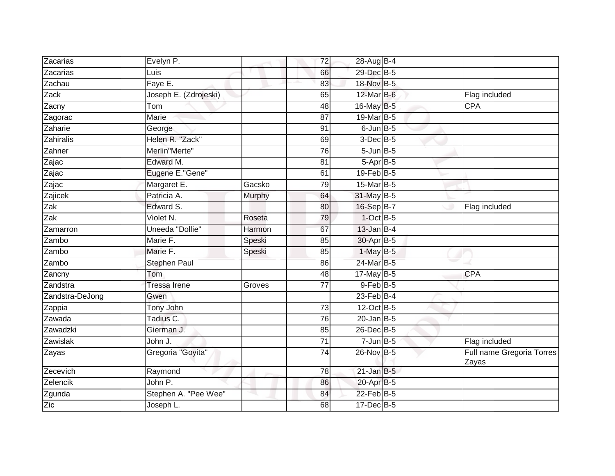| Zacarias        | Evelyn P.             |        | 72              | 28-Aug B-4            |                                    |
|-----------------|-----------------------|--------|-----------------|-----------------------|------------------------------------|
| Zacarias        | Luis                  |        | 66              | 29-Dec B-5            |                                    |
| Zachau          | Faye E.               |        | 83              | 18-Nov B-5            |                                    |
| Zack            | Joseph E. (Zdrojeski) |        | 65              | 12-Mar B-6            | Flag included                      |
| Zacny           | Tom                   |        | 48              | 16-May B-5            | <b>CPA</b>                         |
| Zagorac         | Marie                 |        | 87              | $19-MarB-5$           |                                    |
| Zaharie         | George                |        | 91              | $6$ -Jun $B$ -5       |                                    |
| Zahiralis       | Helen R. "Zack"       |        | 69              | $3$ -Dec $B$ -5       |                                    |
| Zahner          | Merlin"Merte"         |        | 76              | $5 - Jun$ $B - 5$     |                                    |
| Zajac           | Edward M.             |        | 81              | $5-AprB-5$            |                                    |
| Zajac           | Eugene E."Gene"       |        | 61              | $19$ -Feb $ B-5$      |                                    |
| Zajac           | Margaret E.           | Gacsko | 79              | 15-Mar B-5            |                                    |
| Zajicek         | Patricia A.           | Murphy | 64              | 31-May B-5            |                                    |
| Zak             | Edward S.             |        | 80              | $16-Sep$ B-7          | Flag included                      |
| Zak             | Violet N.             | Roseta | 79              | $1-OctB-5$            |                                    |
| Zamarron        | Uneeda "Dollie"       | Harmon | 67              | $13$ -Jan B-4         |                                    |
| Zambo           | Marie F.              | Speski | 85              | 30-Apr <sub>B-5</sub> |                                    |
| Zambo           | Marie F.              | Speski | 85              | $1$ -May $B-5$        |                                    |
| Zambo           | <b>Stephen Paul</b>   |        | 86              | 24-Mar B-5            |                                    |
| Zancny          | Tom                   |        | 48              | 17-May B-5            | <b>CPA</b>                         |
| Zandstra        | Tressa Irene          | Groves | 77              | $9$ -Feb $B$ -5       |                                    |
| Zandstra-DeJong | Gwen                  |        |                 | $23$ -Feb $ B-4 $     |                                    |
| Zappia          | Tony John             |        | 73              | $12-Oct$ B-5          |                                    |
| Zawada          | Tadius C.             |        | 76              | $20$ -Jan $B-5$       |                                    |
| Zawadzki        | Gierman J.            |        | 85              | 26-Dec B-5            |                                    |
| Zawislak        | John J.               |        | 71              | $7 - Jun$ $B - 5$     | Flag included                      |
| Zayas           | Gregoria "Goyita"     |        | $\overline{74}$ | 26-Nov B-5            | Full name Gregoria Torres<br>Zayas |
| Zecevich        | Raymond               |        | 78              | $21$ -Jan $B-5$       |                                    |
| Zelencik        | John P.               |        | 86              | 20-Apr B-5            |                                    |
| Zgunda          | Stephen A. "Pee Wee"  |        | 84              | $22$ -Feb $B-5$       |                                    |
| Zic             | Joseph L.             |        | 68              | 17-Dec B-5            |                                    |
|                 |                       |        |                 |                       |                                    |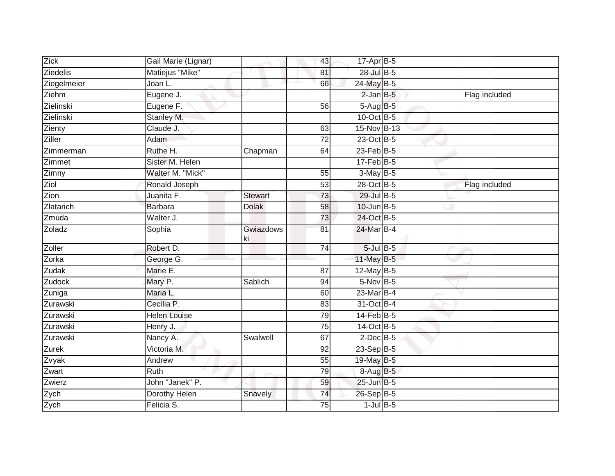| Zick        | Gail Marie (Lignar) |                 | 43              | $17-Apr$ B-5       |               |
|-------------|---------------------|-----------------|-----------------|--------------------|---------------|
| Ziedelis    | Matiejus "Mike"     |                 | 81              | $28 -$ Jul $B - 5$ |               |
| Ziegelmeier | Joan L.             |                 | 66              | 24-May B-5         |               |
| Ziehm       | Eugene J.           |                 |                 | $2$ -Jan $B$ -5    | Flag included |
| Zielinski   | Eugene F.           |                 | 56              | 5-Aug B-5          |               |
| Zielinski   | Stanley M.          |                 |                 | $10$ -Oct B-5      |               |
| Zienty      | Claude J.           |                 | 63              | 15-Nov B-13        |               |
| Ziller      | Adam                |                 | 72              | $23$ -Oct B-5      |               |
| Zimmerman   | Ruthe H.            | Chapman         | 64              | $23$ -Feb $ B-5 $  |               |
| Zimmet      | Sister M. Helen     |                 |                 | $17 - Feb$ B-5     |               |
| Zimny       | Walter M. "Mick"    |                 | 55              | $3-MayB-5$         |               |
| Ziol        | Ronald Joseph       |                 | 53              | 28-Oct B-5         | Flag included |
| Zion        | Juanita F.          | <b>Stewart</b>  | 73              | 29-Jul B-5         |               |
| Zlatarich   | <b>Barbara</b>      | <b>Dolak</b>    | 58              | $10$ -Jun $B - 5$  |               |
| Zmuda       | Walter J.           |                 | 73              | 24-Oct B-5         |               |
| Zoladz      | Sophia              | Gwiazdows<br>ki | 81              | 24-Mar B-4         |               |
| Zoller      | Robert D.           |                 | 74              | $5$ -Jul $B$ -5    |               |
| Zorka       | George G.           |                 |                 | 11-May B-5         |               |
| Zudak       | Marie E.            |                 | 87              | 12-May B-5         |               |
| Zudock      | Mary P.             | Sablich         | 94              | $5-Nov$ B-5        |               |
| Zuniga      | Maria L.            |                 | 60              | $23$ -Mar $B-4$    |               |
| Zurawski    | Cecilia P.          |                 | 83              | 31-Oct B-4         |               |
| Zurawski    | <b>Helen Louise</b> |                 | 79              | $14$ -Feb $B$ -5   |               |
| Zurawski    | Henry J.            |                 | 75              | 14-Oct B-5         |               |
| Zurawski    | Nancy A.            | Swalwell        | 67              | $2$ -Dec $B-5$     |               |
| Zurek       | Victoria M.         |                 | $\overline{92}$ | $23-Sep$ B-5       |               |
| Zvyak       | Andrew              |                 | 55              | 19-May B-5         |               |
| Zwart       | Ruth                |                 | 79              | 8-Aug B-5          |               |
| Zwierz      | John "Janek" P.     |                 | 59              | 25-Jun B-5         |               |
| Zych        | Dorothy Helen       | Snavely         | 74              | $26-SepB-5$        |               |
| Zych        | Felicia S.          |                 | 75              | $1$ -Jul $B$ -5    |               |